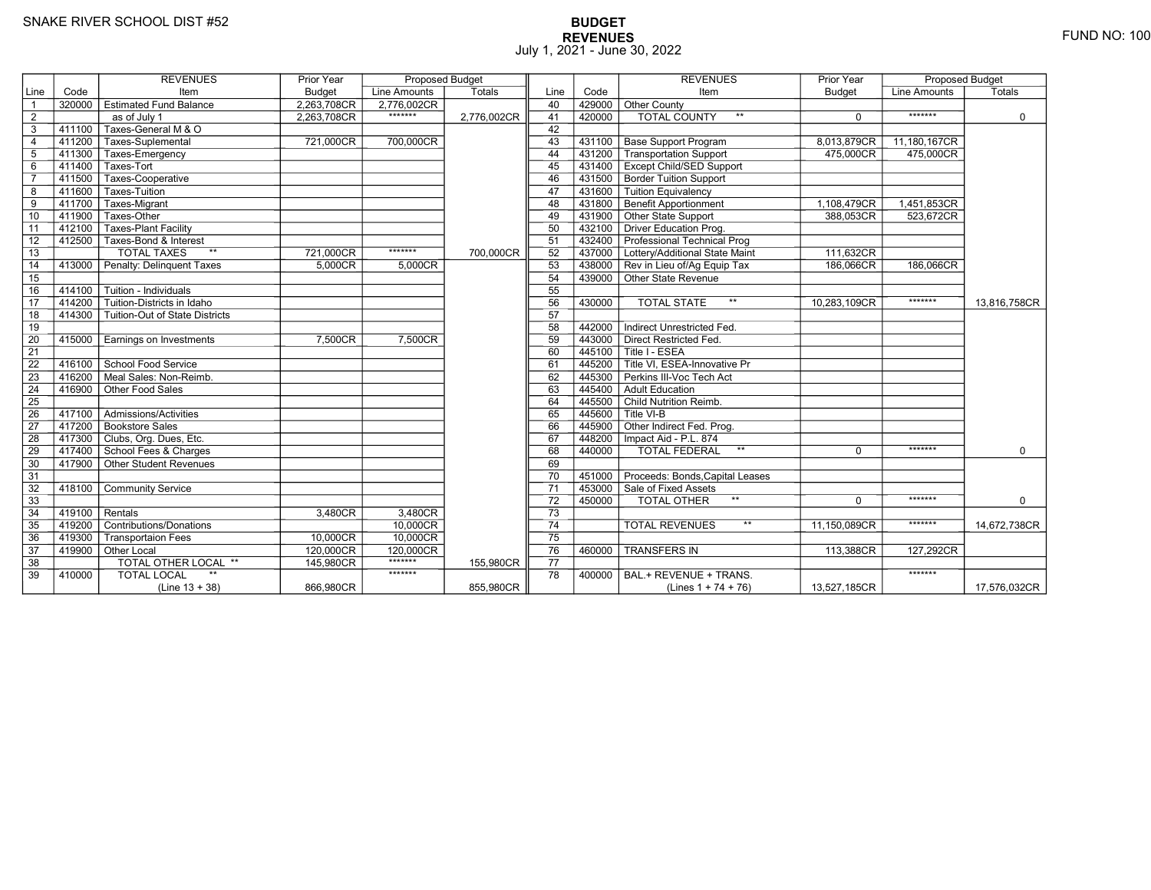# **BUDGET REVENUES** FUND NO: 100 July 1, 2021 - June 30, 2022

|                 |           | <b>REVENUES</b>                      | Prior Year    | Proposed Budget |             |                 |        | <b>REVENUES</b>                       | Prior Year    | Proposed Budget |              |
|-----------------|-----------|--------------------------------------|---------------|-----------------|-------------|-----------------|--------|---------------------------------------|---------------|-----------------|--------------|
| Line            | Code      | Item                                 | <b>Budget</b> | Line Amounts    | Totals      | Line            | Code   | Item                                  | <b>Budget</b> | Line Amounts    | Totals       |
| $\overline{1}$  | 320000    | <b>Estimated Fund Balance</b>        | 2,263,708CR   | 2,776,002CR     |             | 40              | 429000 | Other County                          |               |                 |              |
| 2               |           | as of July 1                         | 2.263.708CR   | *******         | 2,776,002CR | 41              | 420000 | <b>TOTAL COUNTY</b><br>$**$           | $\Omega$      | *******         | $\mathbf 0$  |
| 3               | 411100    | Taxes-General M & O                  |               |                 |             | 42              |        |                                       |               |                 |              |
| $\overline{4}$  |           | 411200 Taxes-Suplemental             | 721,000CR     | 700,000CR       |             | 43              | 431100 | <b>Base Support Program</b>           | 8,013,879CR   | 11,180,167CR    |              |
| $\sqrt{5}$      | 411300    | Taxes-Emergency                      |               |                 |             | 44              | 431200 | Transportation Support                | 475,000CR     | 475,000CR       |              |
| 6               | 411400    | Taxes-Tort                           |               |                 |             | 45              |        | 431400   Except Child/SED Support     |               |                 |              |
| $\overline{7}$  |           | 411500 Taxes-Cooperative             |               |                 |             | 46              |        | 431500 Border Tuition Support         |               |                 |              |
| 8               | 411600    | Taxes-Tuition                        |               |                 |             | 47              | 431600 | <b>Tuition Equivalency</b>            |               |                 |              |
| 9               | 411700    | Taxes-Migrant                        |               |                 |             | 48              | 431800 | <b>Benefit Apportionment</b>          | 1,108,479CR   | 1,451,853CR     |              |
| 10              | 411900    | Taxes-Other                          |               |                 |             | 49              | 431900 | Other State Support                   | 388,053CR     | 523,672CR       |              |
| 11              |           | 412100   Taxes-Plant Facility        |               |                 |             | 50              |        | 432100 Driver Education Prog.         |               |                 |              |
| 12              | $-412500$ | Taxes-Bond & Interest                |               |                 |             | 51              |        | 432400 Professional Technical Prog    |               |                 |              |
| 13              |           | $**$<br><b>TOTAL TAXES</b>           | 721,000CR     | *******         | 700,000CR   | 52              |        | 437000 Lottery/Additional State Maint | 111,632CR     |                 |              |
| 14              | 413000    | Penalty: Delinguent Taxes            | 5,000CR       | 5.000CR         |             | 53              |        | 438000 Rev in Lieu of/Ag Equip Tax    | 186,066CR     | 186,066CR       |              |
| 15              |           |                                      |               |                 |             | 54              | 439000 | Other State Revenue                   |               |                 |              |
| 16              | 414100    | Tuition - Individuals                |               |                 |             | 55              |        |                                       |               |                 |              |
| 17              | 414200    | Tuition-Districts in Idaho           |               |                 |             | 56              | 430000 | $**$<br><b>TOTAL STATE</b>            | 10.283.109CR  | *******         | 13.816.758CR |
| 18              | 414300    | Tuition-Out of State Districts       |               |                 |             | 57              |        |                                       |               |                 |              |
| 19              |           |                                      |               |                 |             | 58              | 442000 | Indirect Unrestricted Fed.            |               |                 |              |
| $\overline{20}$ | 415000    | Earnings on Investments              | 7,500CR       | 7,500CR         |             | 59              | 443000 | Direct Restricted Fed.                |               |                 |              |
| $\overline{21}$ |           |                                      |               |                 |             | 60              | 445100 | Title I - ESEA                        |               |                 |              |
| $\overline{22}$ | 416100    | School Food Service                  |               |                 |             | 61              | 445200 | Title VI. ESEA-Innovative Pr          |               |                 |              |
| 23              | 416200    | Meal Sales: Non-Reimb.               |               |                 |             | 62              | 445300 | Perkins III-Voc Tech Act              |               |                 |              |
| 24              | 416900    | Other Food Sales                     |               |                 |             | 63              | 445400 | Adult Education                       |               |                 |              |
| 25              |           |                                      |               |                 |             | 64              | 445500 | Child Nutrition Reimb.                |               |                 |              |
| 26              | 417100    | Admissions/Activities                |               |                 |             | 65              | 445600 | $\overline{\mathsf{T}}$ ītle VI-B     |               |                 |              |
| 27              |           | 417200 Bookstore Sales               |               |                 |             | 66              | 445900 | Other Indirect Fed. Prog.             |               |                 |              |
| 28              |           | 417300 Clubs, Org. Dues, Etc.        |               |                 |             | 67              | 448200 | Impact Aid - P.L. 874                 |               |                 |              |
| 29              |           | 417400 School Fees & Charges         |               |                 |             | 68              | 440000 | $***$<br><b>TOTAL FEDERAL</b>         | $\Omega$      | *******         | $\mathbf 0$  |
| 30              | 417900    | Other Student Revenues               |               |                 |             | 69              |        |                                       |               |                 |              |
| 31              |           |                                      |               |                 |             | 70              | 451000 | Proceeds: Bonds, Capital Leases       |               |                 |              |
| 32              | 418100    | <b>Community Service</b>             |               |                 |             | 71              |        | 453000 Sale of Fixed Assets           |               |                 |              |
| 33              |           |                                      |               |                 |             | 72              | 450000 | TOTAL OTHER                           | $\Omega$      | *******         | 0            |
| $\overline{34}$ | 419100    | Rentals                              | 3,480CR       | 3,480CR         |             | 73              |        |                                       |               |                 |              |
| 35              | 419200    | Contributions/Donations              |               | 10,000CR        |             | $\overline{74}$ |        | $**$<br><b>TOTAL REVENUES</b>         | 11.150.089CR  | *******         | 14,672,738CR |
| 36              | 419300    | <b>Transportaion Fees</b>            | 10,000CR      | 10,000CR        |             | 75              |        |                                       |               |                 |              |
| 37              | 419900    | $\overline{\phantom{a}}$ Other Local | 120,000CR     | 120,000CR       |             | 76              | 460000 | <b>TRANSFERS IN</b>                   | 113,388CR     | 127,292CR       |              |
| 38              |           | TOTAL OTHER LOCAL **                 | 145,980CR     | *******         | 155,980CR   | 77              |        |                                       |               |                 |              |
| 39              | 410000    | <b>TOTAL LOCAL</b>                   |               | *******         |             | 78              | 400000 | BAL.+ REVENUE + TRANS.                |               | *******         |              |
|                 |           | $(Line 13 + 38)$                     | 866,980CR     |                 | 855,980CR   |                 |        | (Lines $1 + 74 + 76$ )                | 13,527,185CR  |                 | 17,576,032CR |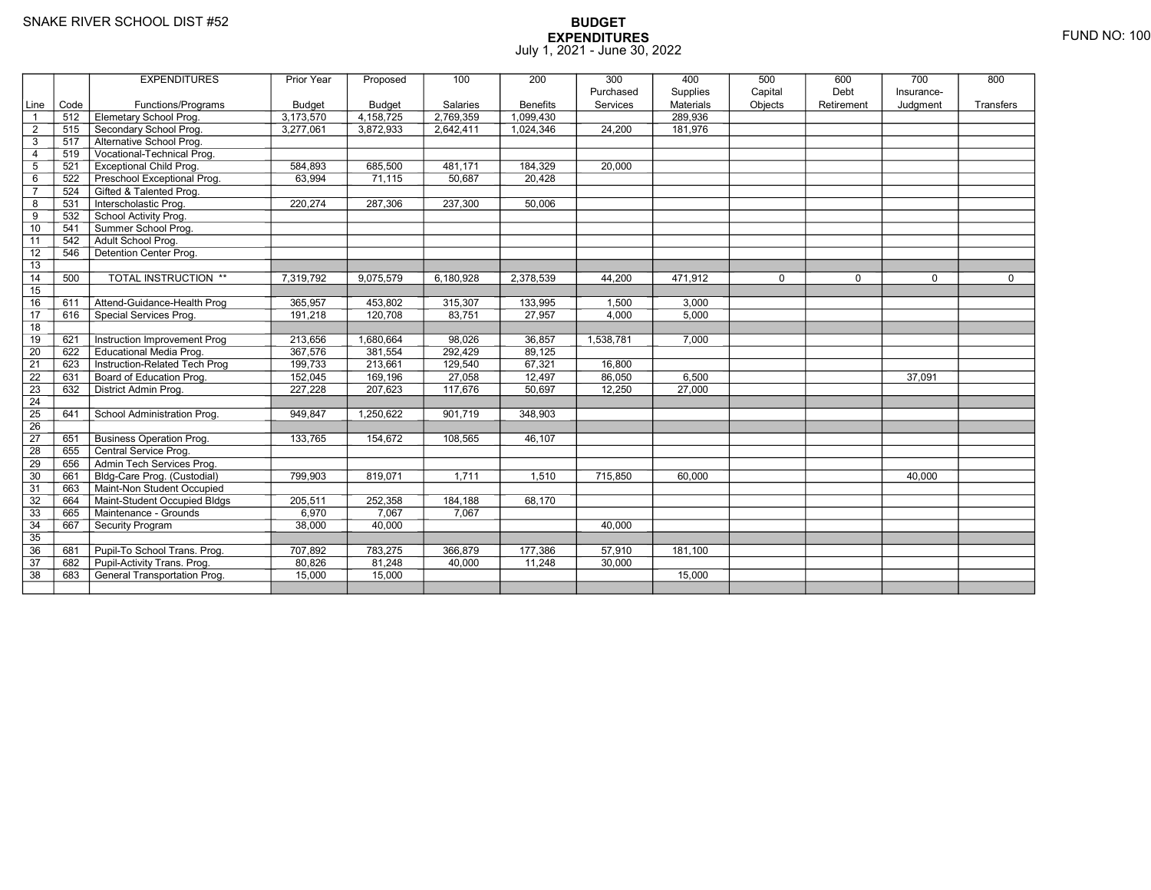|                 |            | <b>EXPENDITURES</b>             | Prior Year             | Proposed               | 100       | 200                          | 300       | 400                         | 500     | 600        | 700         | 800       |
|-----------------|------------|---------------------------------|------------------------|------------------------|-----------|------------------------------|-----------|-----------------------------|---------|------------|-------------|-----------|
|                 |            |                                 |                        |                        |           |                              | Purchased | Supplies                    | Capital | Debt       | Insurance-  |           |
| Line            | Code       | Functions/Programs              | Budget                 | <b>Budget</b>          | Salaries  | <b>Benefits</b><br>1,099,430 | Services  | <b>Materials</b><br>289,936 | Objects | Retirement | Judgment    | Transfers |
| $\overline{1}$  | 512<br>515 | Elemetary School Prog.          | 3,173,570<br>3.277.061 | 4,158,725<br>3.872.933 | 2,769,359 | 1.024.346                    |           |                             |         |            |             |           |
| $\overline{2}$  |            | Secondary School Prog.          |                        |                        | 2,642,411 |                              | 24.200    | 181,976                     |         |            |             |           |
| 3               | 517        | Alternative School Prog.        |                        |                        |           |                              |           |                             |         |            |             |           |
| $\overline{a}$  | 519        | Vocational-Technical Prog.      |                        |                        |           |                              |           |                             |         |            |             |           |
| 5               | 521        | <b>Exceptional Child Prog.</b>  | 584,893                | 685,500                | 481,171   | 184,329                      | 20,000    |                             |         |            |             |           |
| 6               | 522        | Preschool Exceptional Prog.     | 63.994                 | 71,115                 | 50,687    | 20,428                       |           |                             |         |            |             |           |
| $\overline{7}$  | 524        | Gifted & Talented Prog.         |                        |                        |           |                              |           |                             |         |            |             |           |
| 8               | 531        | Interscholastic Prog.           | 220,274                | 287,306                | 237,300   | 50,006                       |           |                             |         |            |             |           |
| 9               | 532        | School Activity Prog.           |                        |                        |           |                              |           |                             |         |            |             |           |
| 10              | 541        | Summer School Prog.             |                        |                        |           |                              |           |                             |         |            |             |           |
| 11              | 542        | Adult School Prog.              |                        |                        |           |                              |           |                             |         |            |             |           |
| 12              | 546        | Detention Center Prog.          |                        |                        |           |                              |           |                             |         |            |             |           |
| $\overline{13}$ |            |                                 |                        |                        |           |                              |           |                             |         |            |             |           |
| 14              | 500        | TOTAL INSTRUCTION **            | 7,319,792              | 9,075,579              | 6,180,928 | 2,378,539                    | 44,200    | 471,912                     | 0       | $\Omega$   | $\mathbf 0$ | 0         |
| 15              |            |                                 |                        |                        |           |                              |           |                             |         |            |             |           |
| 16              | 611        | Attend-Guidance-Health Prog     | 365,957                | 453,802                | 315,307   | 133,995                      | 1,500     | 3,000                       |         |            |             |           |
| 17              | 616        | Special Services Prog.          | 191,218                | 120,708                | 83,751    | 27,957                       | 4,000     | 5,000                       |         |            |             |           |
| 18              |            |                                 |                        |                        |           |                              |           |                             |         |            |             |           |
| 19              | 621        | Instruction Improvement Prog    | 213,656                | 1,680,664              | 98,026    | 36,857                       | 1,538,781 | 7,000                       |         |            |             |           |
| $\overline{20}$ | 622        | <b>Educational Media Prog.</b>  | 367,576                | 381,554                | 292,429   | 89,125                       |           |                             |         |            |             |           |
| 21              | 623        | Instruction-Related Tech Prog   | 199,733                | 213,661                | 129,540   | 67,321                       | 16,800    |                             |         |            |             |           |
| 22              | 631        | Board of Education Prog.        | 152,045                | 169,196                | 27,058    | 12,497                       | 86,050    | 6,500                       |         |            | 37,091      |           |
| $\overline{23}$ | 632        | District Admin Prog.            | 227,228                | 207,623                | 117,676   | 50,697                       | 12,250    | 27,000                      |         |            |             |           |
| 24              |            |                                 |                        |                        |           |                              |           |                             |         |            |             |           |
| $\overline{25}$ | 641        | School Administration Prog.     | 949,847                | 1,250,622              | 901,719   | 348,903                      |           |                             |         |            |             |           |
| 26              |            |                                 |                        |                        |           |                              |           |                             |         |            |             |           |
| 27              | 651        | <b>Business Operation Prog.</b> | 133,765                | 154,672                | 108,565   | 46,107                       |           |                             |         |            |             |           |
| 28              | 655        | Central Service Prog.           |                        |                        |           |                              |           |                             |         |            |             |           |
| 29              | 656        | Admin Tech Services Prog.       |                        |                        |           |                              |           |                             |         |            |             |           |
| 30              | 661        | Bldg-Care Prog. (Custodial)     | 799,903                | 819,071                | 1,711     | 1,510                        | 715,850   | 60,000                      |         |            | 40,000      |           |
| 31              | 663        | Maint-Non Student Occupied      |                        |                        |           |                              |           |                             |         |            |             |           |
| 32              | 664        | Maint-Student Occupied Bldgs    | 205,511                | 252,358                | 184,188   | 68,170                       |           |                             |         |            |             |           |
| 33              | 665        | Maintenance - Grounds           | 6,970                  | 7,067                  | 7,067     |                              |           |                             |         |            |             |           |
| 34              | 667        | Security Program                | 38,000                 | 40,000                 |           |                              | 40,000    |                             |         |            |             |           |
| 35              |            |                                 |                        |                        |           |                              |           |                             |         |            |             |           |
| 36              | 681        | Pupil-To School Trans. Prog.    | 707,892                | 783,275                | 366.879   | 177,386                      | 57,910    | 181,100                     |         |            |             |           |
| 37              | 682        | Pupil-Activity Trans. Prog.     | 80,826                 | 81,248                 | 40,000    | 11,248                       | 30,000    |                             |         |            |             |           |
| $\overline{38}$ | 683        | General Transportation Prog.    | 15,000                 | 15,000                 |           |                              |           | 15,000                      |         |            |             |           |
|                 |            |                                 |                        |                        |           |                              |           |                             |         |            |             |           |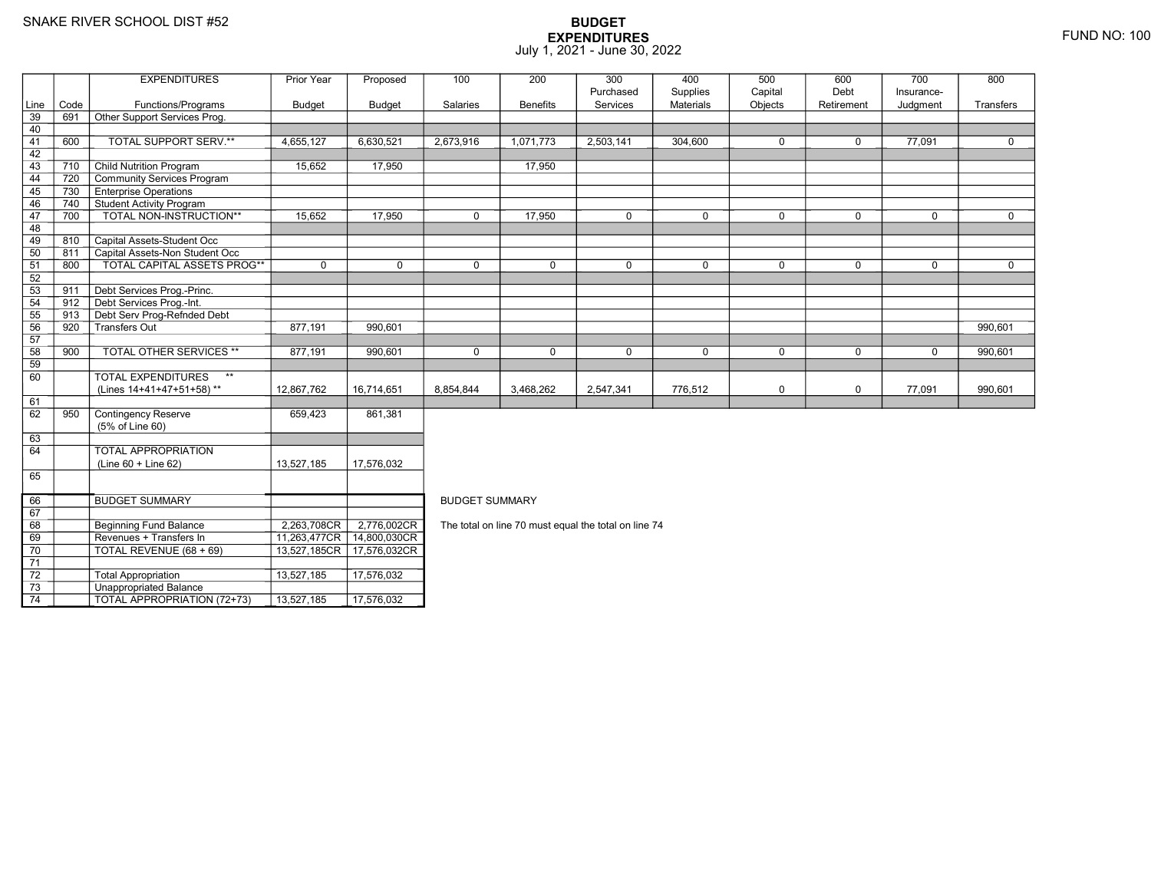73

74

3 **Unappropriated Balance** 

2 Total Appropriation 13,527,185 17,576,032

TOTAL APPROPRIATION (72+73) 13,527,185 17,576,032

|                |      | <b>EXPENDITURES</b>                       | Prior Year    | Proposed                    | 100                   | 200             | 300                                                  | 400              | 500         | 600         | 700        | 800         |
|----------------|------|-------------------------------------------|---------------|-----------------------------|-----------------------|-----------------|------------------------------------------------------|------------------|-------------|-------------|------------|-------------|
|                |      |                                           |               |                             |                       |                 | Purchased                                            | Supplies         | Capital     | Debt        | Insurance- |             |
| Line           | Code | Functions/Programs                        | <b>Budget</b> | <b>Budget</b>               | Salaries              | <b>Benefits</b> | Services                                             | <b>Materials</b> | Objects     | Retirement  | Judgment   | Transfers   |
| 39             | 691  | Other Support Services Prog.              |               |                             |                       |                 |                                                      |                  |             |             |            |             |
| 40             |      |                                           |               |                             |                       |                 |                                                      |                  |             |             |            |             |
| 41             | 600  | <b>TOTAL SUPPORT SERV.**</b>              | 4,655,127     | 6,630,521                   | 2,673,916             | 1,071,773       | 2,503,141                                            | 304,600          | $\mathbf 0$ | $\mathbf 0$ | 77.091     | $\mathbf 0$ |
| 42             |      |                                           |               |                             |                       |                 |                                                      |                  |             |             |            |             |
| 43             | 710  | <b>Child Nutrition Program</b>            | 15,652        | 17,950                      |                       | 17,950          |                                                      |                  |             |             |            |             |
| 44             | 720  | Community Services Program                |               |                             |                       |                 |                                                      |                  |             |             |            |             |
| 45             | 730  | <b>Enterprise Operations</b>              |               |                             |                       |                 |                                                      |                  |             |             |            |             |
| 46             | 740  | Student Activity Program                  |               |                             |                       |                 |                                                      |                  |             |             |            |             |
| 47             | 700  | TOTAL NON-INSTRUCTION**                   | 15,652        | 17,950                      | $\Omega$              | 17,950          | $\Omega$                                             | $\mathbf 0$      | $\Omega$    | $\Omega$    | $\Omega$   | $\Omega$    |
| 48             |      |                                           |               |                             |                       |                 |                                                      |                  |             |             |            |             |
| 49             | 810  | Capital Assets-Student Occ                |               |                             |                       |                 |                                                      |                  |             |             |            |             |
| 50             | 811  | Capital Assets-Non Student Occ            |               |                             |                       |                 |                                                      |                  |             |             |            |             |
| 51             | 800  | <b>TOTAL CAPITAL ASSETS PROG**</b>        | $\mathbf 0$   | $\Omega$                    | $\Omega$              | $\Omega$        | $\mathbf 0$                                          | $\mathbf 0$      | $\mathbf 0$ | $\Omega$    | $\Omega$   | 0           |
| 52             |      |                                           |               |                             |                       |                 |                                                      |                  |             |             |            |             |
| 53             | 911  | Debt Services Prog.-Princ.                |               |                             |                       |                 |                                                      |                  |             |             |            |             |
| 54             | 912  | Debt Services Prog.-Int.                  |               |                             |                       |                 |                                                      |                  |             |             |            |             |
| 55             | 913  | Debt Serv Prog-Refnded Debt               |               |                             |                       |                 |                                                      |                  |             |             |            |             |
| 56             | 920  | Transfers Out                             | 877,191       | 990,601                     |                       |                 |                                                      |                  |             |             |            | 990,601     |
| 57             |      |                                           |               |                             |                       |                 |                                                      |                  |             |             |            |             |
| 58             | 900  | TOTAL OTHER SERVICES **                   | 877,191       | 990,601                     | $\mathbf 0$           | $\mathbf 0$     | $\mathbf 0$                                          | $\mathbf 0$      | $\mathbf 0$ | $\mathbf 0$ | 0          | 990,601     |
| 59             |      |                                           |               |                             |                       |                 |                                                      |                  |             |             |            |             |
| 60             |      | <b>TOTAL EXPENDITURES</b><br>$\star\star$ |               |                             |                       |                 |                                                      |                  |             |             |            |             |
|                |      | (Lines 14+41+47+51+58)**                  | 12,867,762    | 16,714,651                  | 8,854,844             | 3,468,262       | 2,547,341                                            | 776,512          | $\mathbf 0$ | $\mathbf 0$ | 77,091     | 990,601     |
| 61             |      |                                           |               |                             |                       |                 |                                                      |                  |             |             |            |             |
| 62             | 950  | Contingency Reserve                       | 659,423       | 861,381                     |                       |                 |                                                      |                  |             |             |            |             |
|                |      | (5% of Line 60)                           |               |                             |                       |                 |                                                      |                  |             |             |            |             |
| 63             |      |                                           |               |                             |                       |                 |                                                      |                  |             |             |            |             |
| 64             |      | <b>TOTAL APPROPRIATION</b>                |               |                             |                       |                 |                                                      |                  |             |             |            |             |
|                |      | $(Line 60 + Line 62)$                     | 13,527,185    | 17,576,032                  |                       |                 |                                                      |                  |             |             |            |             |
| 65             |      |                                           |               |                             |                       |                 |                                                      |                  |             |             |            |             |
|                |      |                                           |               |                             |                       |                 |                                                      |                  |             |             |            |             |
| 66             |      | <b>BUDGET SUMMARY</b>                     |               |                             | <b>BUDGET SUMMARY</b> |                 |                                                      |                  |             |             |            |             |
| 67             |      |                                           |               |                             |                       |                 |                                                      |                  |             |             |            |             |
| 68             |      | <b>Beginning Fund Balance</b>             | 2,263,708CR   | 2,776,002CR                 |                       |                 | The total on line 70 must equal the total on line 74 |                  |             |             |            |             |
| 69             |      | Revenues + Transfers In                   |               | 11,263,477CR   14,800,030CR |                       |                 |                                                      |                  |             |             |            |             |
| 70             |      | TOTAL REVENUE (68 + 69)                   |               | 13,527,185CR 17,576,032CR   |                       |                 |                                                      |                  |             |             |            |             |
| $\overline{a}$ |      |                                           |               |                             |                       |                 |                                                      |                  |             |             |            |             |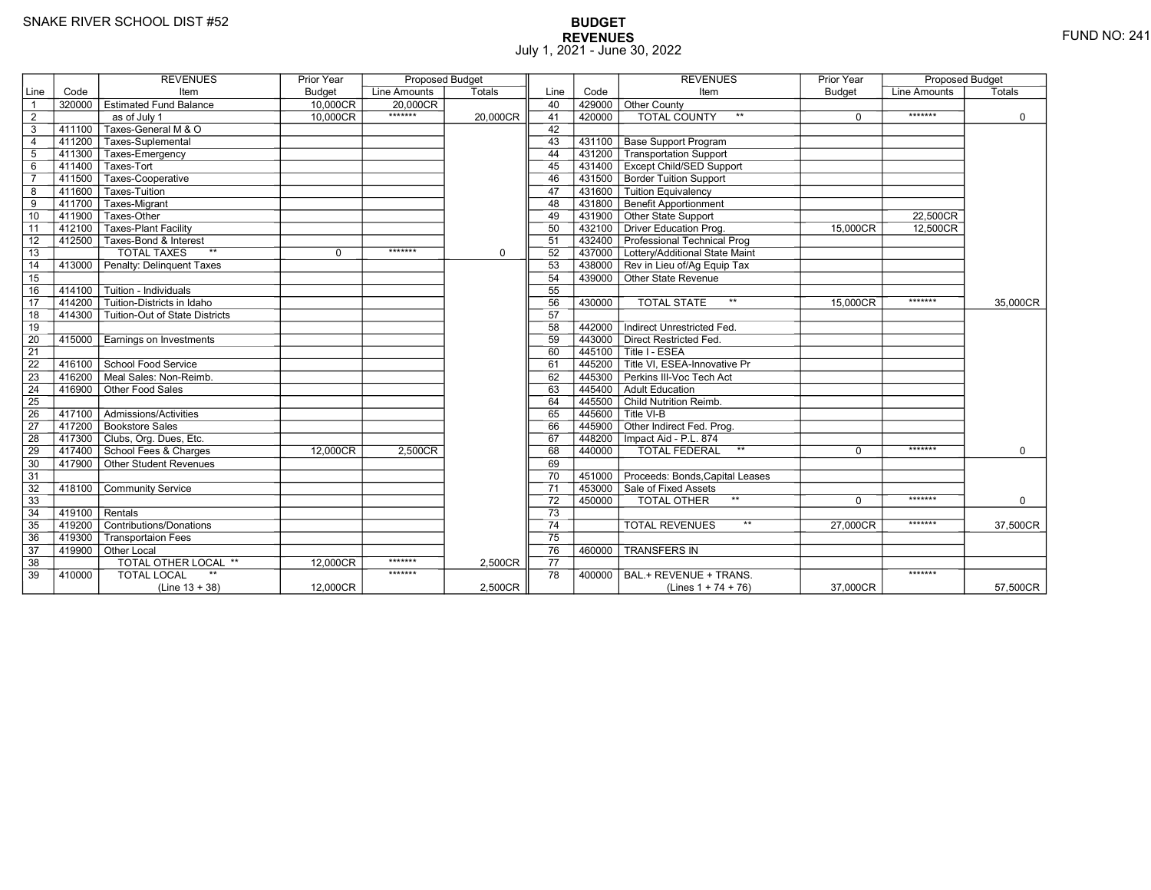# **BUDGET REVENUES** FUND NO: 241 July 1, 2021 - June 30, 2022

|                 |           | <b>REVENUES</b>                | Prior Year    | <b>Proposed Budget</b> |             |                 |        | <b>REVENUES</b>                       | Prior Year    | <b>Proposed Budget</b> |             |
|-----------------|-----------|--------------------------------|---------------|------------------------|-------------|-----------------|--------|---------------------------------------|---------------|------------------------|-------------|
| Line            | Code      | Item                           | <b>Budget</b> | Line Amounts           | Totals      | Line            | Code   | Item                                  | <b>Budget</b> | <b>Line Amounts</b>    | Totals      |
| $\overline{1}$  | 320000    | <b>Estimated Fund Balance</b>  | 10.000CR      | 20.000CR               |             | 40              | 429000 | <b>Other County</b>                   |               |                        |             |
| 2               |           | as of July 1                   | 10,000CR      | *******                | 20,000CR    | 41              | 420000 | <b>TOTAL COUNTY</b>                   | $\Omega$      | *******                | 0           |
| 3               | 411100    | Taxes-General M & O            |               |                        |             | 42              |        |                                       |               |                        |             |
| 4               | 411200    | Taxes-Suplemental              |               |                        |             | 43              | 431100 | <b>Base Support Program</b>           |               |                        |             |
| $5\phantom{.0}$ | 411300    | Taxes-Emergency                |               |                        |             | 44              | 431200 | Transportation Support                |               |                        |             |
| 6               | 411400    | Taxes-Tort                     |               |                        |             | 45              | 431400 | <b>Except Child/SED Support</b>       |               |                        |             |
| $\overline{7}$  | 411500    | Taxes-Cooperative              |               |                        |             | 46              |        | 431500 Border Tuition Support         |               |                        |             |
| 8               | 411600    | Taxes-Tuition                  |               |                        |             | 47              | 431600 | <b>Tuition Equivalency</b>            |               |                        |             |
| 9               | $-411700$ | Taxes-Migrant                  |               |                        |             | 48              | 431800 | <b>Benefit Apportionment</b>          |               |                        |             |
| 10              | 411900    | Taxes-Other                    |               |                        |             | 49              |        | 431900 Other State Support            |               | 22,500CR               |             |
| 11              | 412100    | <b>Taxes-Plant Facility</b>    |               |                        |             | 50              |        | 432100 Driver Education Prog.         | 15,000CR      | 12,500CR               |             |
| 12              | $-412500$ | Taxes-Bond & Interest          |               |                        |             | 51              |        | 432400 Professional Technical Prog    |               |                        |             |
| 13              |           | <b>TOTAL TAXES</b><br>$**$     | $\Omega$      | *******                | $\mathbf 0$ | 52              |        | 437000 Lottery/Additional State Maint |               |                        |             |
| 14              | 413000    | Penalty: Delinguent Taxes      |               |                        |             | 53              |        | 438000 Rev in Lieu of/Ag Equip Tax    |               |                        |             |
| 15              |           |                                |               |                        |             | 54              |        | 439000 Other State Revenue            |               |                        |             |
| 16              | 414100    | Tuition - Individuals          |               |                        |             | 55              |        |                                       |               |                        |             |
| 17              | 414200    | Tuition-Districts in Idaho     |               |                        |             | 56              | 430000 | <b>TOTAL STATE</b><br>$\star\star$    | 15,000CR      | *******                | 35.000CR    |
| 18              | 414300    | Tuition-Out of State Districts |               |                        |             | 57              |        |                                       |               |                        |             |
| 19              |           |                                |               |                        |             | 58              | 442000 | Indirect Unrestricted Fed.            |               |                        |             |
| $\overline{20}$ | 415000    | Earnings on Investments        |               |                        |             | 59              |        | 443000 Direct Restricted Fed.         |               |                        |             |
| 21              |           |                                |               |                        |             | 60              | 445100 | Title I - ESEA                        |               |                        |             |
| 22              | 416100    | School Food Service            |               |                        |             | 61              | 445200 | Title VI. ESEA-Innovative Pr          |               |                        |             |
| 23              | 416200    | Meal Sales: Non-Reimb.         |               |                        |             | 62              | 445300 | Perkins III-Voc Tech Act              |               |                        |             |
| 24              | 416900    | Other Food Sales               |               |                        |             | 63              | 445400 | Adult Education                       |               |                        |             |
| 25              |           |                                |               |                        |             | 64              |        | 445500 Child Nutrition Reimb.         |               |                        |             |
| 26              | 417100    | Admissions/Activities          |               |                        |             | 65              |        | $^-$ 445600 $\overline{ }$ Title VI-B |               |                        |             |
| $\overline{27}$ | 417200    | Bookstore Sales                |               |                        |             | 66              | 445900 | Other Indirect Fed. Prog.             |               |                        |             |
| 28              | 417300    | Clubs, Org. Dues, Etc.         |               |                        |             | 67              |        | 448200   Impact Aid - P.L. 874        |               |                        |             |
| 29              |           | 417400 School Fees & Charges   | 12,000CR      | 2,500CR                |             | 68              | 440000 | $\star\star$<br>TOTAL FEDERAL         | 0             | *******                | $\mathbf 0$ |
| 30              | 417900    | Other Student Revenues         |               |                        |             | 69              |        |                                       |               |                        |             |
| 31              |           |                                |               |                        |             | 70              | 451000 | Proceeds: Bonds, Capital Leases       |               |                        |             |
| 32              | 418100    | <b>Community Service</b>       |               |                        |             | $\overline{71}$ | 453000 | Sale of Fixed Assets                  |               |                        |             |
| 33              |           |                                |               |                        |             | 72              | 450000 | <b>TOTAL OTHER</b><br>$***$           | $\Omega$      | *******                | $\mathbf 0$ |
| 34              | $-419100$ | Rentals                        |               |                        |             | $\overline{73}$ |        |                                       |               |                        |             |
| 35              | 419200    | Contributions/Donations        |               |                        |             | 74              |        | $**$<br><b>TOTAL REVENUES</b>         | 27.000CR      | *******                | 37,500CR    |
| 36              | 419300    | <b>Transportaion Fees</b>      |               |                        |             | 75              |        |                                       |               |                        |             |
| 37              | 419900    | Other Local                    |               |                        |             | 76              | 460000 | <b>TRANSFERS IN</b>                   |               |                        |             |
| 38              |           | TOTAL OTHER LOCAL **           | 12,000CR      | *******                | 2,500CR     | 77              |        |                                       |               |                        |             |
| 39              | 410000    | <b>TOTAL LOCAL</b>             |               | *******                |             | 78              | 400000 | BAL.+ REVENUE + TRANS.                |               | *******                |             |
|                 |           | $(Line 13 + 38)$               | 12,000CR      |                        | 2,500CR     |                 |        | (Lines $1 + 74 + 76$ )                | 37,000CR      |                        | 57,500CR    |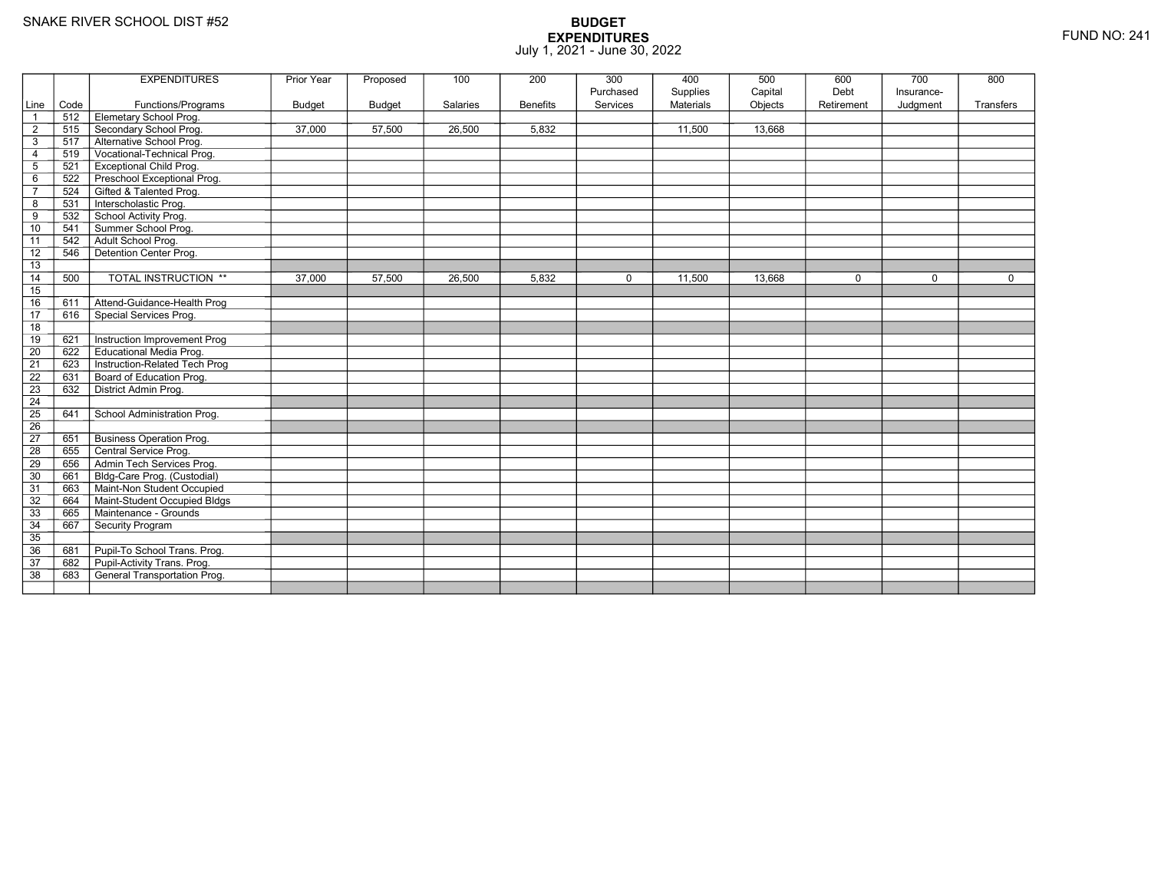|                 |      | <b>EXPENDITURES</b>                 | Prior Year    | Proposed      | 100      | 200             | 300                   | 400                   | 500                | 600<br>Debt | 700                    | 800         |
|-----------------|------|-------------------------------------|---------------|---------------|----------|-----------------|-----------------------|-----------------------|--------------------|-------------|------------------------|-------------|
| Line            | Code | Functions/Programs                  | <b>Budget</b> | <b>Budget</b> | Salaries | <b>Benefits</b> | Purchased<br>Services | Supplies<br>Materials | Capital<br>Objects | Retirement  | Insurance-<br>Judgment | Transfers   |
| $\overline{1}$  | 512  | Elemetary School Prog.              |               |               |          |                 |                       |                       |                    |             |                        |             |
| $\overline{2}$  | 515  | Secondary School Prog.              | 37.000        | 57,500        | 26,500   | 5.832           |                       | 11,500                | 13.668             |             |                        |             |
| 3               | 517  | Alternative School Prog.            |               |               |          |                 |                       |                       |                    |             |                        |             |
| $\overline{4}$  | 519  | Vocational-Technical Prog.          |               |               |          |                 |                       |                       |                    |             |                        |             |
| $\mathbf 5$     | 521  | <b>Exceptional Child Prog.</b>      |               |               |          |                 |                       |                       |                    |             |                        |             |
| 6               | 522  | Preschool Exceptional Prog.         |               |               |          |                 |                       |                       |                    |             |                        |             |
| $\overline{7}$  | 524  | Gifted & Talented Prog.             |               |               |          |                 |                       |                       |                    |             |                        |             |
| 8               | 531  | Interscholastic Prog.               |               |               |          |                 |                       |                       |                    |             |                        |             |
| 9               | 532  | School Activity Prog.               |               |               |          |                 |                       |                       |                    |             |                        |             |
| 10              | 541  | Summer School Prog.                 |               |               |          |                 |                       |                       |                    |             |                        |             |
| 11              | 542  | Adult School Prog.                  |               |               |          |                 |                       |                       |                    |             |                        |             |
| 12              | 546  | Detention Center Prog.              |               |               |          |                 |                       |                       |                    |             |                        |             |
| 13              |      |                                     |               |               |          |                 |                       |                       |                    |             |                        |             |
| 14              | 500  | <b>TOTAL INSTRUCTION **</b>         | 37,000        | 57,500        | 26,500   | 5,832           | $\mathbf 0$           | 11,500                | 13,668             | 0           | $\Omega$               | $\mathbf 0$ |
| 15              |      |                                     |               |               |          |                 |                       |                       |                    |             |                        |             |
| 16              | 611  | Attend-Guidance-Health Prog         |               |               |          |                 |                       |                       |                    |             |                        |             |
| 17              | 616  | Special Services Prog.              |               |               |          |                 |                       |                       |                    |             |                        |             |
| 18              |      |                                     |               |               |          |                 |                       |                       |                    |             |                        |             |
| 19              | 621  | Instruction Improvement Prog        |               |               |          |                 |                       |                       |                    |             |                        |             |
| $\overline{20}$ | 622  | <b>Educational Media Prog.</b>      |               |               |          |                 |                       |                       |                    |             |                        |             |
| 21              | 623  | Instruction-Related Tech Prog       |               |               |          |                 |                       |                       |                    |             |                        |             |
| $\overline{22}$ | 631  | Board of Education Prog.            |               |               |          |                 |                       |                       |                    |             |                        |             |
| $\overline{23}$ | 632  | District Admin Prog.                |               |               |          |                 |                       |                       |                    |             |                        |             |
| 24              |      |                                     |               |               |          |                 |                       |                       |                    |             |                        |             |
| $\overline{25}$ | 641  | School Administration Prog.         |               |               |          |                 |                       |                       |                    |             |                        |             |
| 26              |      |                                     |               |               |          |                 |                       |                       |                    |             |                        |             |
| $\overline{27}$ | 651  | <b>Business Operation Prog.</b>     |               |               |          |                 |                       |                       |                    |             |                        |             |
| 28              | 655  | Central Service Prog.               |               |               |          |                 |                       |                       |                    |             |                        |             |
| 29              | 656  | Admin Tech Services Prog.           |               |               |          |                 |                       |                       |                    |             |                        |             |
| 30              | 661  | Bldg-Care Prog. (Custodial)         |               |               |          |                 |                       |                       |                    |             |                        |             |
| 31              | 663  | Maint-Non Student Occupied          |               |               |          |                 |                       |                       |                    |             |                        |             |
| 32              | 664  | Maint-Student Occupied Bldgs        |               |               |          |                 |                       |                       |                    |             |                        |             |
| 33              | 665  | Maintenance - Grounds               |               |               |          |                 |                       |                       |                    |             |                        |             |
| 34              | 667  | Security Program                    |               |               |          |                 |                       |                       |                    |             |                        |             |
| $\overline{35}$ |      |                                     |               |               |          |                 |                       |                       |                    |             |                        |             |
| 36              | 681  | Pupil-To School Trans. Prog.        |               |               |          |                 |                       |                       |                    |             |                        |             |
| 37              | 682  | Pupil-Activity Trans. Prog.         |               |               |          |                 |                       |                       |                    |             |                        |             |
| $\overline{38}$ | 683  | <b>General Transportation Prog.</b> |               |               |          |                 |                       |                       |                    |             |                        |             |
|                 |      |                                     |               |               |          |                 |                       |                       |                    |             |                        |             |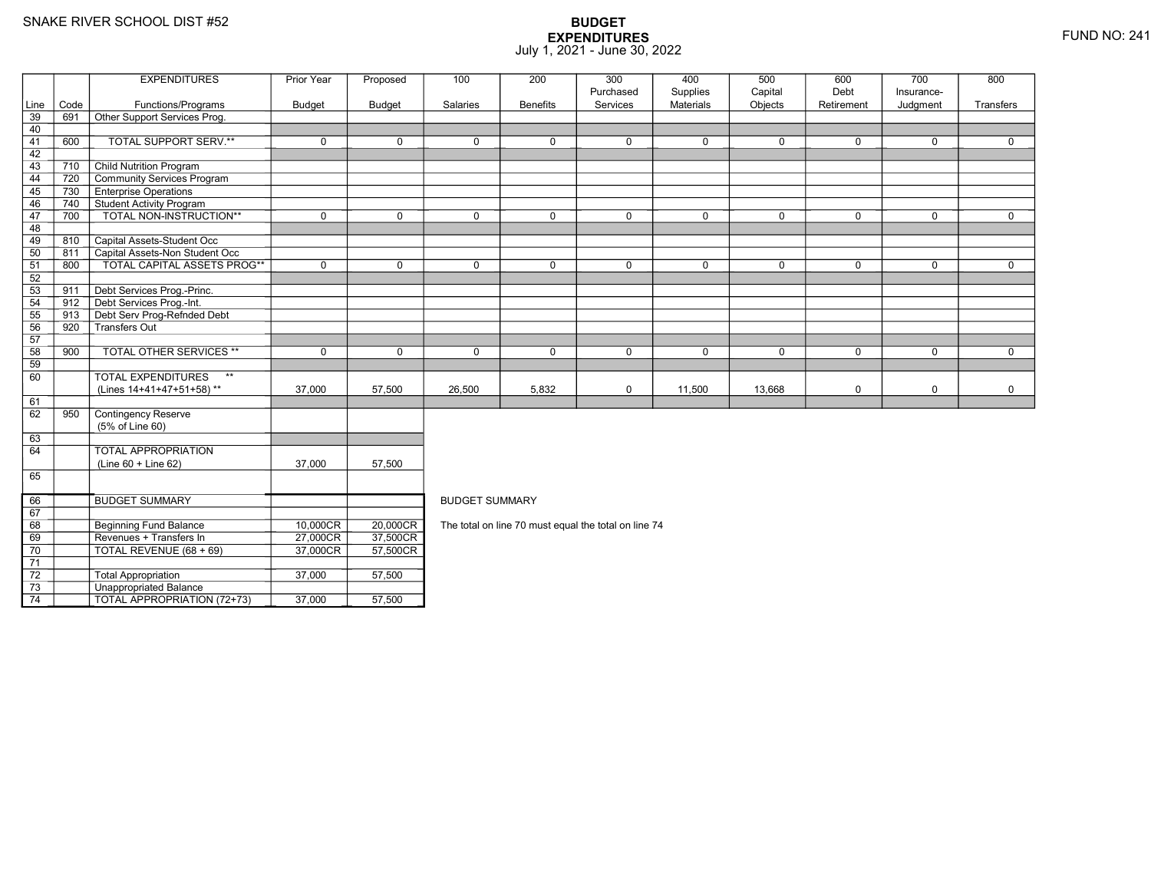69

70

71 72

73

74

8 Beginning Fund Balance 10,000CR

Revenues + Transfers In 27,000CR

TOTAL REVENUE (68 + 69) 37,000CR

3 **Unappropriated Balance** 

2 Total Appropriation 1 37,000 57,500

TOTAL APPROPRIATION (72+73) 37,000 57,500

## **BUDGET EXPENDITURES**July 1, 2021 - June 30, 2022

|          |      | <b>EXPENDITURES</b>                                 | Prior Year  | Proposed      | 100                   | 200             | 300         | 400              | 500         | 600         | 700         | 800          |
|----------|------|-----------------------------------------------------|-------------|---------------|-----------------------|-----------------|-------------|------------------|-------------|-------------|-------------|--------------|
|          |      |                                                     |             |               |                       |                 | Purchased   | Supplies         | Capital     | Debt        | Insurance-  |              |
| Line     | Code | Functions/Programs                                  | Budget      | <b>Budget</b> | Salaries              | <b>Benefits</b> | Services    | <b>Materials</b> | Objects     | Retirement  | Judgment    | Transfers    |
| 39       | 691  | Other Support Services Prog.                        |             |               |                       |                 |             |                  |             |             |             |              |
| 40       |      |                                                     |             |               |                       |                 |             |                  |             |             |             |              |
| 41       | 600  | TOTAL SUPPORT SERV.**                               | $\mathbf 0$ | $\mathbf 0$   | $\mathbf 0$           | $\mathbf 0$     | $\mathbf 0$ | $\mathbf{0}$     | $\mathbf 0$ | $\mathbf 0$ | $\mathbf 0$ | $\mathbf 0$  |
| 42       |      |                                                     |             |               |                       |                 |             |                  |             |             |             |              |
| 43       | 710  | <b>Child Nutrition Program</b>                      |             |               |                       |                 |             |                  |             |             |             |              |
| 44       | 720  | Community Services Program                          |             |               |                       |                 |             |                  |             |             |             |              |
| 45       | 730  | <b>Enterprise Operations</b>                        |             |               |                       |                 |             |                  |             |             |             |              |
| 46       | 740  | Student Activity Program<br>TOTAL NON-INSTRUCTION** |             |               | $\Omega$              | $\Omega$        |             |                  | $\mathbf 0$ |             |             | $\mathbf{0}$ |
| 47<br>48 | 700  |                                                     | $\mathbf 0$ | $\mathbf 0$   |                       |                 | $\mathbf 0$ | $\mathbf 0$      |             | $\mathbf 0$ | $\mathbf 0$ |              |
| 49       | 810  | Capital Assets-Student Occ                          |             |               |                       |                 |             |                  |             |             |             |              |
| 50       | 811  | Capital Assets-Non Student Occ                      |             |               |                       |                 |             |                  |             |             |             |              |
| 51       | 800  | <b>TOTAL CAPITAL ASSETS PROG**</b>                  | $\Omega$    | $\Omega$      | $\Omega$              | $\Omega$        | $\Omega$    | $\mathbf 0$      | $\Omega$    | $\Omega$    | $\Omega$    | $\Omega$     |
| 52       |      |                                                     |             |               |                       |                 |             |                  |             |             |             |              |
| 53       | 911  | Debt Services Prog.-Princ.                          |             |               |                       |                 |             |                  |             |             |             |              |
| 54       | 912  | Debt Services Prog.-Int.                            |             |               |                       |                 |             |                  |             |             |             |              |
| 55       | 913  | Debt Serv Prog-Refnded Debt                         |             |               |                       |                 |             |                  |             |             |             |              |
| 56       | 920  | Transfers Out                                       |             |               |                       |                 |             |                  |             |             |             |              |
| 57       |      |                                                     |             |               |                       |                 |             |                  |             |             |             |              |
| 58       | 900  | <b>TOTAL OTHER SERVICES **</b>                      | $\mathbf 0$ | $\mathbf 0$   | $\mathbf 0$           | $\Omega$        | $\mathbf 0$ | $\mathbf 0$      | $\Omega$    | $\mathbf 0$ | $\mathbf 0$ | $\mathbf 0$  |
| 59       |      |                                                     |             |               |                       |                 |             |                  |             |             |             |              |
| 60       |      | <b>TOTAL EXPENDITURES</b><br>$\star\star$           |             |               |                       |                 |             |                  |             |             |             |              |
|          |      | (Lines 14+41+47+51+58)**                            | 37,000      | 57,500        | 26,500                | 5,832           | $\mathbf 0$ | 11,500           | 13,668      | 0           | $\mathbf 0$ | $\mathbf 0$  |
| 61       |      |                                                     |             |               |                       |                 |             |                  |             |             |             |              |
| 62       | 950  | Contingency Reserve                                 |             |               |                       |                 |             |                  |             |             |             |              |
|          |      | (5% of Line 60)                                     |             |               |                       |                 |             |                  |             |             |             |              |
| 63       |      |                                                     |             |               |                       |                 |             |                  |             |             |             |              |
| 64       |      | TOTAL APPROPRIATION                                 |             |               |                       |                 |             |                  |             |             |             |              |
|          |      | $(Line 60 + Line 62)$                               | 37,000      | 57,500        |                       |                 |             |                  |             |             |             |              |
| 65       |      |                                                     |             |               |                       |                 |             |                  |             |             |             |              |
| 66       |      | <b>BUDGET SUMMARY</b>                               |             |               | <b>BUDGET SUMMARY</b> |                 |             |                  |             |             |             |              |
|          |      |                                                     |             |               |                       |                 |             |                  |             |             |             |              |

The total on line 70 must equal the total on line 74

 $R = 20,000 \text{CR}$ 

R\_| 37,500CR<br>DT 57,500CR

R 57,500CR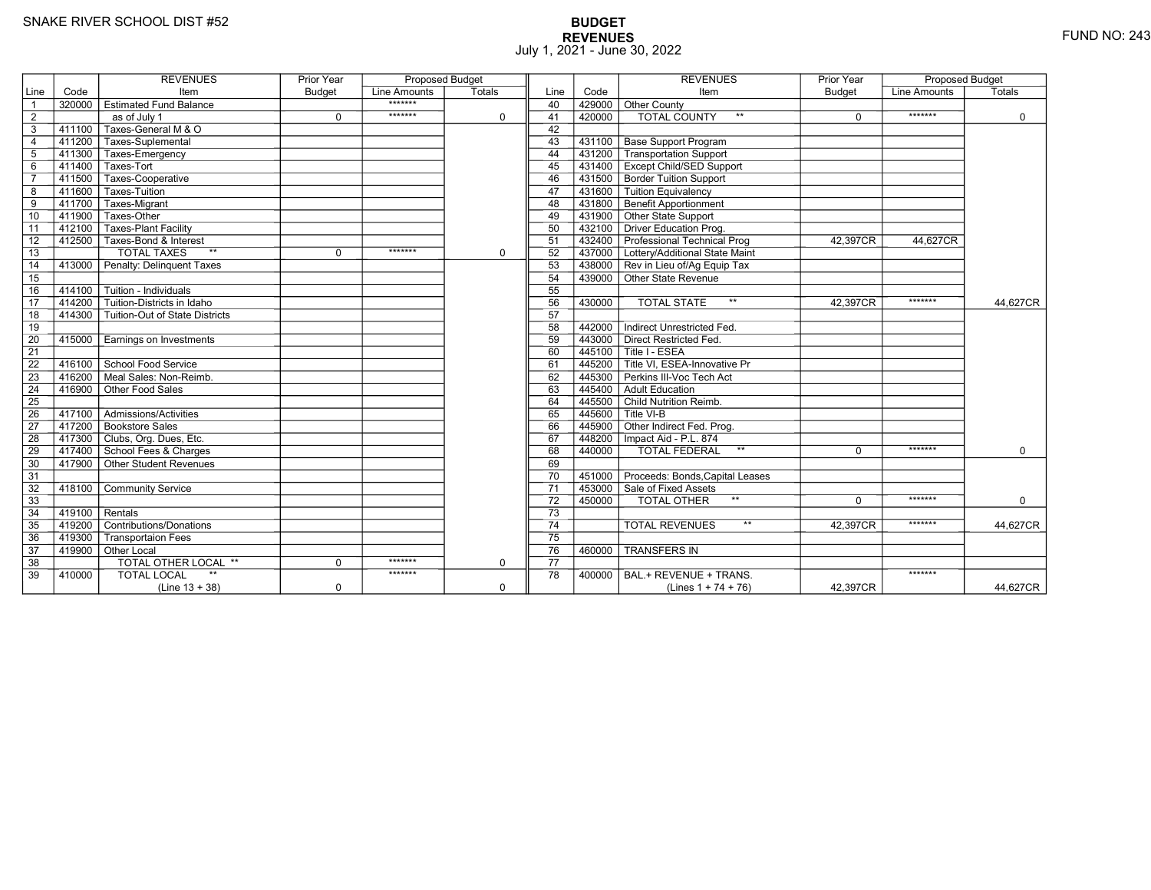# **BUDGET REVENUES** FUND NO: 243 July 1, 2021 - June 30, 2022

|                 |           | <b>REVENUES</b>                | Prior Year  | <b>Proposed Budget</b> |             |                 |        | <b>REVENUES</b>                                  | Prior Year | <b>Proposed Budget</b> |             |
|-----------------|-----------|--------------------------------|-------------|------------------------|-------------|-----------------|--------|--------------------------------------------------|------------|------------------------|-------------|
| Line            | Code      | Item                           | Budget      | Line Amounts           | Totals      | Line            | Code   | Item                                             | Budget     | <b>Line Amounts</b>    | Totals      |
| $\overline{1}$  | 320000    | <b>Estimated Fund Balance</b>  |             | *******                |             | 40              | 429000 | Other County                                     |            |                        |             |
| $\overline{2}$  |           | as of July 1                   | $\mathbf 0$ | *******                | $\Omega$    | 41              | 420000 | <b>TOTAL COUNTY</b>                              | $\Omega$   | *******                | $\mathbf 0$ |
| 3               | $-411100$ | Taxes-General M & O            |             |                        |             | 42              |        |                                                  |            |                        |             |
| $\overline{4}$  |           | 411200 Taxes-Suplemental       |             |                        |             | 43              |        | 431100   Base Support Program                    |            |                        |             |
| 5               | 411300    | Taxes-Emergency                |             |                        |             | 44              | 431200 | <b>Transportation Support</b>                    |            |                        |             |
| 6               | 411400    | Taxes-Tort                     |             |                        |             | 45              |        | 431400   Except Child/SED Support                |            |                        |             |
| $\overline{7}$  | 411500    | Taxes-Cooperative              |             |                        |             | 46              |        | 431500 Border Tuition Support                    |            |                        |             |
| 8               | 411600    | Taxes-Tuition                  |             |                        |             | 47              |        | 431600 Tuition Equivalency                       |            |                        |             |
| 9               | 411700    | Taxes-Migrant                  |             |                        |             | 48              |        | 431800 Benefit Apportionment                     |            |                        |             |
| 10              | 411900    | Taxes-Other                    |             |                        |             | 49              |        | 431900 Other State Support                       |            |                        |             |
| 11              | 412100    | Taxes-Plant Facility           |             |                        |             | 50              |        | 432100 Driver Education Prog.                    |            |                        |             |
| 12              |           | 412500 Taxes-Bond & Interest   |             |                        |             | 51              |        | 432400 Professional Technical Prog               | 42.397CR   | 44,627CR               |             |
| 13              |           | <b>TOTAL TAXES</b><br>$**$     | $\Omega$    | *******                | $\mathbf 0$ | 52              |        | 437000 Lottery/Additional State Maint            |            |                        |             |
| 14              | 413000    | Penalty: Delinguent Taxes      |             |                        |             | 53              |        | 438000 Rev in Lieu of/Ag Equip Tax               |            |                        |             |
| 15              |           |                                |             |                        |             | 54              |        | 439000 Other State Revenue                       |            |                        |             |
| 16              | 414100    | Tuition - Individuals          |             |                        |             | 55              |        |                                                  |            |                        |             |
| 17              | 414200    | Tuition-Districts in Idaho     |             |                        |             | 56              | 430000 | <b>TOTAL STATE</b><br>$***$                      | 42.397CR   | *******                | 44,627CR    |
| 18              | 414300    | Tuition-Out of State Districts |             |                        |             | 57              |        |                                                  |            |                        |             |
| 19              |           |                                |             |                        |             | 58              | 442000 | Indirect Unrestricted Fed.                       |            |                        |             |
| $\overline{20}$ | 415000    | Earnings on Investments        |             |                        |             | 59              |        | 443000 Direct Restricted Fed.                    |            |                        |             |
| $\overline{21}$ |           |                                |             |                        |             | 60              |        | 445100 Title I - ESEA                            |            |                        |             |
| 22              | 416100    | School Food Service            |             |                        |             | 61              |        | 445200 <sup>T</sup> Title VI. ESEA-Innovative Pr |            |                        |             |
| 23              | 416200    | Meal Sales: Non-Reimb.         |             |                        |             | 62              |        | 445300 Perkins III-Voc Tech Act                  |            |                        |             |
| 24              | 416900    | Other Food Sales               |             |                        |             | 63              |        | 445400 Adult Education                           |            |                        |             |
| $\overline{25}$ |           |                                |             |                        |             | 64              |        | 445500 Child Nutrition Reimb.                    |            |                        |             |
| 26              | 417100    | Admissions/Activities          |             |                        |             | 65              |        | $7445600$ Title VI-B                             |            |                        |             |
| 27              |           | 417200 Bookstore Sales         |             |                        |             | 66              |        | 445900 Other Indirect Fed. Prog.                 |            |                        |             |
| 28              |           | 417300 Clubs, Org. Dues, Etc.  |             |                        |             | 67              |        | 448200   Impact Aid - P.L. 874                   |            |                        |             |
| 29              |           | 417400 School Fees & Charges   |             |                        |             | 68              | 440000 | TOTAL FEDERAL<br>$\star\star$                    | 0          | *******                | $\mathbf 0$ |
| 30              |           | 417900 Other Student Revenues  |             |                        |             | 69              |        |                                                  |            |                        |             |
| 31              |           |                                |             |                        |             | 70              |        | 451000 Proceeds: Bonds, Capital Leases           |            |                        |             |
| 32              | 418100    | <b>Community Service</b>       |             |                        |             | 71              |        | 453000 Sale of Fixed Assets                      |            |                        |             |
| 33              |           |                                |             |                        |             | 72              | 450000 | TOTAL OTHER                                      | $\Omega$   | *******                | $\Omega$    |
| 34              | 419100    | Rentals                        |             |                        |             | $\overline{73}$ |        |                                                  |            |                        |             |
| 35              | 419200    | Contributions/Donations        |             |                        |             | $\overline{74}$ |        | $**$<br><b>TOTAL REVENUES</b>                    | 42.397CR   | *******                | 44.627CR    |
| 36              | 419300    | <b>Transportaion Fees</b>      |             |                        |             | 75              |        |                                                  |            |                        |             |
| 37              | 419900    | Other Local                    |             |                        |             | 76              | 460000 | <b>TRANSFERS IN</b>                              |            |                        |             |
| 38              |           | TOTAL OTHER LOCAL **           | $\mathbf 0$ | *******                | $\mathbf 0$ | 77              |        |                                                  |            |                        |             |
| 39              | 410000    | <b>TOTAL LOCAL</b>             |             | *******                |             | 78              | 400000 | BAL.+ REVENUE + TRANS.                           |            | *******                |             |
|                 |           | $(Line 13 + 38)$               | $\mathbf 0$ |                        | $\mathbf 0$ |                 |        | (Lines $1 + 74 + 76$ )                           | 42,397CR   |                        | 44,627CR    |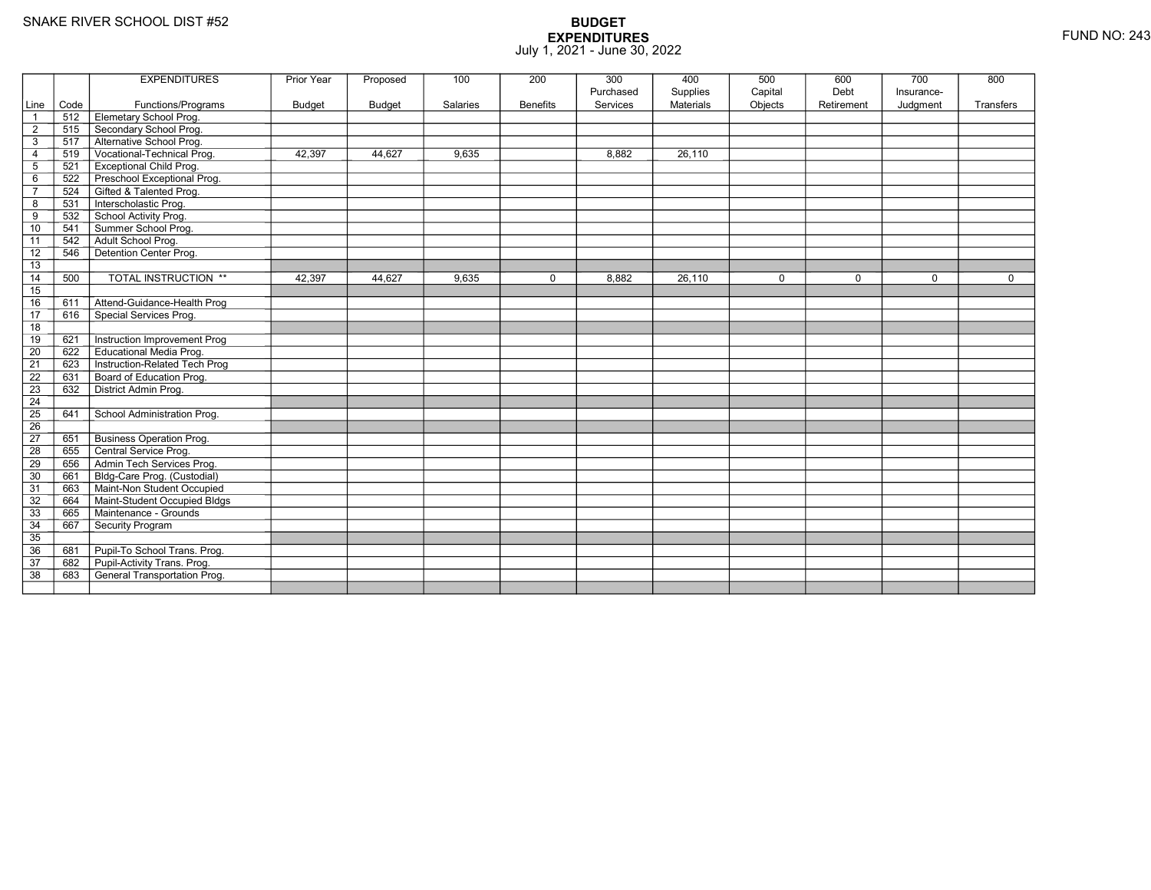|                 |      | <b>EXPENDITURES</b>                 | Prior Year    | Proposed      | 100      | 200             | 300                   | 400                          | 500                | 600<br>Debt | 700                    | 800         |
|-----------------|------|-------------------------------------|---------------|---------------|----------|-----------------|-----------------------|------------------------------|--------------------|-------------|------------------------|-------------|
| Line            | Code | Functions/Programs                  | <b>Budget</b> | <b>Budget</b> | Salaries | <b>Benefits</b> | Purchased<br>Services | Supplies<br><b>Materials</b> | Capital<br>Objects | Retirement  | Insurance-<br>Judgment | Transfers   |
| $\overline{1}$  | 512  | Elemetary School Prog.              |               |               |          |                 |                       |                              |                    |             |                        |             |
| $\overline{2}$  | 515  | Secondary School Prog.              |               |               |          |                 |                       |                              |                    |             |                        |             |
| 3               | 517  | Alternative School Prog.            |               |               |          |                 |                       |                              |                    |             |                        |             |
| $\overline{4}$  | 519  | Vocational-Technical Prog.          | 42,397        | 44,627        | 9,635    |                 | 8,882                 | 26,110                       |                    |             |                        |             |
| $\mathbf 5$     | 521  | <b>Exceptional Child Prog.</b>      |               |               |          |                 |                       |                              |                    |             |                        |             |
| 6               | 522  | Preschool Exceptional Prog.         |               |               |          |                 |                       |                              |                    |             |                        |             |
| $\overline{7}$  | 524  | Gifted & Talented Prog.             |               |               |          |                 |                       |                              |                    |             |                        |             |
| 8               | 531  | Interscholastic Prog.               |               |               |          |                 |                       |                              |                    |             |                        |             |
| 9               | 532  | School Activity Prog.               |               |               |          |                 |                       |                              |                    |             |                        |             |
| 10              | 541  | Summer School Prog.                 |               |               |          |                 |                       |                              |                    |             |                        |             |
| 11              | 542  | Adult School Prog.                  |               |               |          |                 |                       |                              |                    |             |                        |             |
| 12              | 546  | Detention Center Prog.              |               |               |          |                 |                       |                              |                    |             |                        |             |
| 13              |      |                                     |               |               |          |                 |                       |                              |                    |             |                        |             |
| 14              | 500  | <b>TOTAL INSTRUCTION **</b>         | 42,397        | 44,627        | 9,635    | 0               | 8,882                 | 26,110                       | $\mathbf 0$        | $\mathbf 0$ | $\Omega$               | $\mathbf 0$ |
| 15              |      |                                     |               |               |          |                 |                       |                              |                    |             |                        |             |
| 16              | 611  | Attend-Guidance-Health Prog         |               |               |          |                 |                       |                              |                    |             |                        |             |
| $\overline{17}$ | 616  | Special Services Prog.              |               |               |          |                 |                       |                              |                    |             |                        |             |
| 18              |      |                                     |               |               |          |                 |                       |                              |                    |             |                        |             |
| 19              | 621  | Instruction Improvement Prog        |               |               |          |                 |                       |                              |                    |             |                        |             |
| $\overline{20}$ | 622  | <b>Educational Media Prog.</b>      |               |               |          |                 |                       |                              |                    |             |                        |             |
| 21              | 623  | Instruction-Related Tech Prog       |               |               |          |                 |                       |                              |                    |             |                        |             |
| $\overline{22}$ | 631  | Board of Education Prog.            |               |               |          |                 |                       |                              |                    |             |                        |             |
| 23              | 632  | District Admin Prog.                |               |               |          |                 |                       |                              |                    |             |                        |             |
| 24              |      |                                     |               |               |          |                 |                       |                              |                    |             |                        |             |
| $\overline{25}$ | 641  | School Administration Prog.         |               |               |          |                 |                       |                              |                    |             |                        |             |
| 26              |      |                                     |               |               |          |                 |                       |                              |                    |             |                        |             |
| $\overline{27}$ | 651  | <b>Business Operation Prog.</b>     |               |               |          |                 |                       |                              |                    |             |                        |             |
| 28              | 655  | Central Service Prog.               |               |               |          |                 |                       |                              |                    |             |                        |             |
| 29              | 656  | Admin Tech Services Prog.           |               |               |          |                 |                       |                              |                    |             |                        |             |
| 30              | 661  | Bldg-Care Prog. (Custodial)         |               |               |          |                 |                       |                              |                    |             |                        |             |
| 31              | 663  | Maint-Non Student Occupied          |               |               |          |                 |                       |                              |                    |             |                        |             |
| 32              | 664  | Maint-Student Occupied Bldgs        |               |               |          |                 |                       |                              |                    |             |                        |             |
| 33              | 665  | Maintenance - Grounds               |               |               |          |                 |                       |                              |                    |             |                        |             |
| 34              | 667  | Security Program                    |               |               |          |                 |                       |                              |                    |             |                        |             |
| $\overline{35}$ |      |                                     |               |               |          |                 |                       |                              |                    |             |                        |             |
| 36              | 681  | Pupil-To School Trans. Prog.        |               |               |          |                 |                       |                              |                    |             |                        |             |
| 37              | 682  | Pupil-Activity Trans. Prog.         |               |               |          |                 |                       |                              |                    |             |                        |             |
| $\overline{38}$ | 683  | <b>General Transportation Prog.</b> |               |               |          |                 |                       |                              |                    |             |                        |             |
|                 |      |                                     |               |               |          |                 |                       |                              |                    |             |                        |             |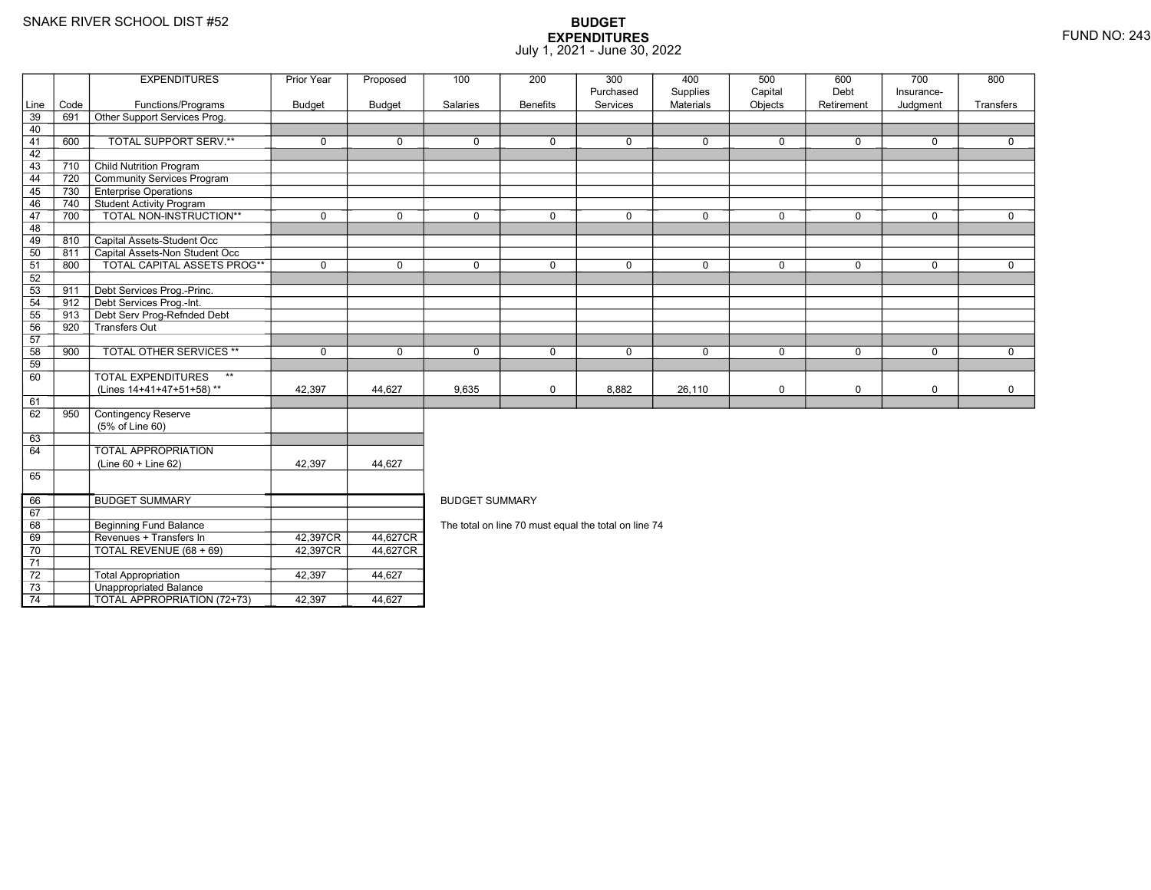70

71 72

73

74

Revenues + Transfers In 42,397CR

0 | TOTAL REVENUE (68 + 69) | 42,397CR

3 **Unappropriated Balance** 

2 Total Appropriation 142,397 44,627

TOTAL APPROPRIATION (72+73) 42,397 44,627

R\_| 44,627CR<br>DT 44,627CR

R 44,627CR

|      |      | <b>EXPENDITURES</b>                       | Prior Year    | Proposed      | 100                                                  | 200             | 300         | 400              | 500         | 600         | 700         | 800         |  |  |
|------|------|-------------------------------------------|---------------|---------------|------------------------------------------------------|-----------------|-------------|------------------|-------------|-------------|-------------|-------------|--|--|
|      |      |                                           |               |               |                                                      |                 | Purchased   | Supplies         | Capital     | Debt        | Insurance-  |             |  |  |
| Line | Code | Functions/Programs                        | <b>Budget</b> | <b>Budget</b> | Salaries                                             | <b>Benefits</b> | Services    | <b>Materials</b> | Objects     | Retirement  | Judgment    | Transfers   |  |  |
| 39   | 691  | Other Support Services Prog.              |               |               |                                                      |                 |             |                  |             |             |             |             |  |  |
| 40   |      |                                           |               |               |                                                      |                 |             |                  |             |             |             |             |  |  |
| 41   | 600  | TOTAL SUPPORT SERV.**                     | $\mathbf 0$   | 0             | $\mathbf 0$                                          | 0               | $\mathbf 0$ | 0                | $\mathbf 0$ | 0           | $\mathbf 0$ | 0           |  |  |
| 42   |      |                                           |               |               |                                                      |                 |             |                  |             |             |             |             |  |  |
| 43   | 710  | <b>Child Nutrition Program</b>            |               |               |                                                      |                 |             |                  |             |             |             |             |  |  |
| 44   | 720  | Community Services Program                |               |               |                                                      |                 |             |                  |             |             |             |             |  |  |
| 45   | 730  | <b>Enterprise Operations</b>              |               |               |                                                      |                 |             |                  |             |             |             |             |  |  |
| 46   | 740  | Student Activity Program                  |               |               |                                                      |                 |             |                  |             |             |             |             |  |  |
| 47   | 700  | TOTAL NON-INSTRUCTION**                   | $\mathbf 0$   | $\mathbf 0$   | $\mathbf 0$                                          | 0               | $\mathbf 0$ | $\mathbf 0$      | $\mathbf 0$ | $\mathbf 0$ | $\mathbf 0$ | $\mathbf 0$ |  |  |
| 48   |      |                                           |               |               |                                                      |                 |             |                  |             |             |             |             |  |  |
| 49   | 810  | Capital Assets-Student Occ                |               |               |                                                      |                 |             |                  |             |             |             |             |  |  |
| 50   | 811  | Capital Assets-Non Student Occ            |               |               |                                                      |                 |             |                  |             |             |             |             |  |  |
| 51   | 800  | <b>TOTAL CAPITAL ASSETS PROG**</b>        | $\mathbf 0$   | $\mathbf 0$   | $\Omega$                                             | 0               | $\Omega$    | $\mathbf 0$      | $\mathbf 0$ | 0           | $\mathbf 0$ | $\mathbf 0$ |  |  |
| 52   |      |                                           |               |               |                                                      |                 |             |                  |             |             |             |             |  |  |
| 53   | 911  | Debt Services Prog.-Princ.                |               |               |                                                      |                 |             |                  |             |             |             |             |  |  |
| 54   | 912  | Debt Services Prog.-Int.                  |               |               |                                                      |                 |             |                  |             |             |             |             |  |  |
| 55   | 913  | Debt Serv Prog-Refnded Debt               |               |               |                                                      |                 |             |                  |             |             |             |             |  |  |
| 56   | 920  | -<br>Transfers Out                        |               |               |                                                      |                 |             |                  |             |             |             |             |  |  |
| 57   |      |                                           |               |               |                                                      |                 |             |                  |             |             |             |             |  |  |
| 58   | 900  | <b>TOTAL OTHER SERVICES **</b>            | $\mathbf 0$   | 0             | $\mathbf 0$                                          | 0               | $\mathbf 0$ | 0                | $\mathbf 0$ | 0           | $\mathbf 0$ | $\mathbf 0$ |  |  |
| 59   |      |                                           |               |               |                                                      |                 |             |                  |             |             |             |             |  |  |
| 60   |      | $\star\star$<br><b>TOTAL EXPENDITURES</b> |               |               |                                                      |                 |             |                  |             |             |             |             |  |  |
|      |      | (Lines 14+41+47+51+58)**                  | 42,397        | 44,627        | 9,635                                                | 0               | 8,882       | 26,110           | $\mathbf 0$ | 0           | $\mathbf 0$ | 0           |  |  |
| 61   |      |                                           |               |               |                                                      |                 |             |                  |             |             |             |             |  |  |
| 62   | 950  | Contingency Reserve                       |               |               |                                                      |                 |             |                  |             |             |             |             |  |  |
|      |      | (5% of Line 60)                           |               |               |                                                      |                 |             |                  |             |             |             |             |  |  |
| 63   |      |                                           |               |               |                                                      |                 |             |                  |             |             |             |             |  |  |
| 64   |      | <b>TOTAL APPROPRIATION</b>                |               |               |                                                      |                 |             |                  |             |             |             |             |  |  |
|      |      | $(Line 60 + Line 62)$                     | 42,397        | 44,627        |                                                      |                 |             |                  |             |             |             |             |  |  |
| 65   |      |                                           |               |               |                                                      |                 |             |                  |             |             |             |             |  |  |
|      |      |                                           |               |               |                                                      |                 |             |                  |             |             |             |             |  |  |
| 66   |      | <b>BUDGET SUMMARY</b>                     |               |               | <b>BUDGET SUMMARY</b>                                |                 |             |                  |             |             |             |             |  |  |
| 67   |      |                                           |               |               |                                                      |                 |             |                  |             |             |             |             |  |  |
| 68   |      | Beginning Fund Balance                    |               |               | The total on line 70 must equal the total on line 74 |                 |             |                  |             |             |             |             |  |  |
|      |      |                                           |               |               |                                                      |                 |             |                  |             |             |             |             |  |  |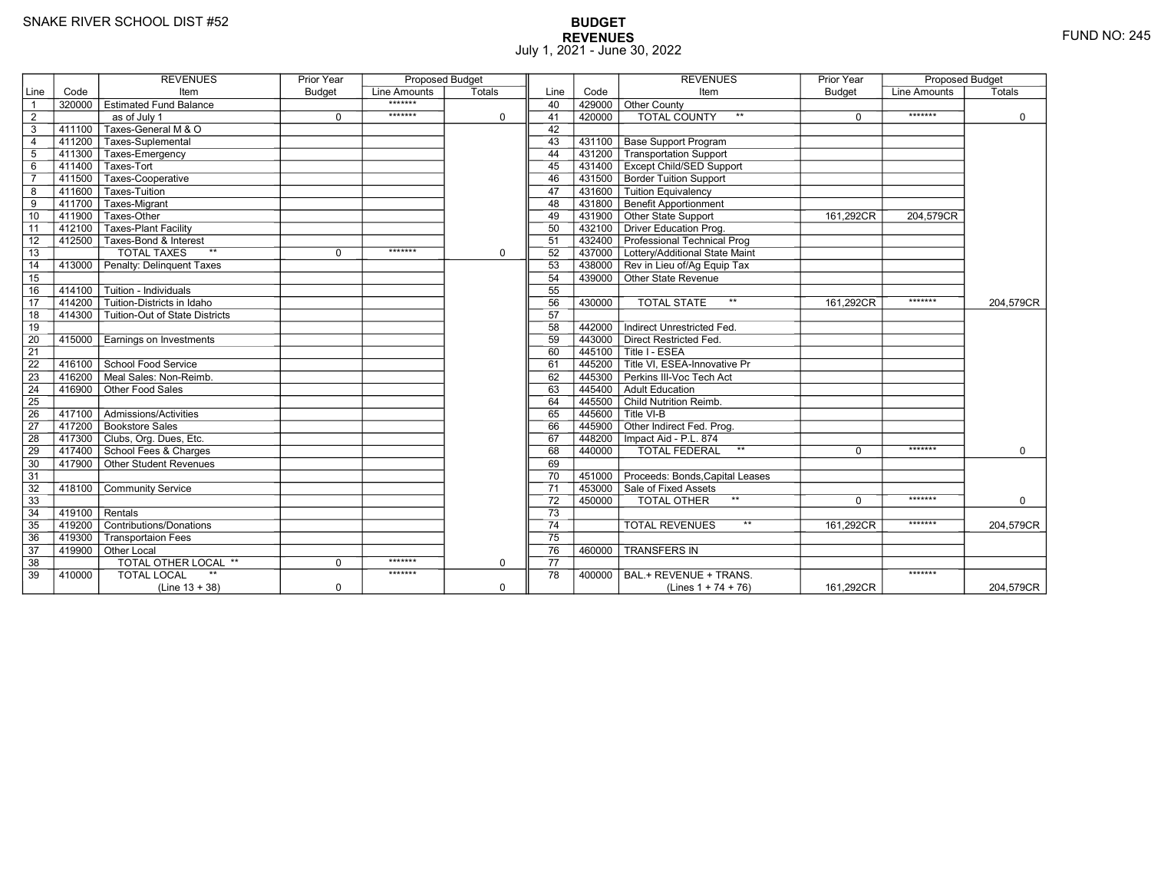# **BUDGET REVENUES** FUND NO: 245 July 1, 2021 - June 30, 2022

|                 |           | <b>REVENUES</b>                | Prior Year    | <b>Proposed Budget</b> |             |                 |           | <b>REVENUES</b>                                  | Prior Year    | Proposed Budget |             |
|-----------------|-----------|--------------------------------|---------------|------------------------|-------------|-----------------|-----------|--------------------------------------------------|---------------|-----------------|-------------|
| Line            | Code      | Item                           | <b>Budget</b> | Line Amounts           | Totals      | Line            | Code      | Item                                             | <b>Budget</b> | Line Amounts    | Totals      |
| $\overline{1}$  | 320000    | <b>Estimated Fund Balance</b>  |               | *******                |             | 40              |           | 429000 Other County                              |               |                 |             |
| $\overline{2}$  |           | as of July 1                   | $\mathbf 0$   | *******                | $\Omega$    | 41              | 420000    | <b>TOTAL COUNTY</b><br>$***$                     | $\Omega$      | *******         | $\mathbf 0$ |
| 3               | 411100    | Taxes-General M & O            |               |                        |             | 42              |           |                                                  |               |                 |             |
| $\overline{4}$  | 411200    | Taxes-Suplemental              |               |                        |             | 43              | 431100    | Base Support Program                             |               |                 |             |
| 5               | 411300    | Taxes-Emergency                |               |                        |             | 44              |           | 431200 Transportation Support                    |               |                 |             |
| $6\phantom{1}6$ | 411400    | Taxes-Tort                     |               |                        |             | 45              |           | 431400   Except Child/SED Support                |               |                 |             |
| $\overline{7}$  | 411500    | Taxes-Cooperative              |               |                        |             | 46              |           | 431500 Border Tuition Support                    |               |                 |             |
| 8               | 411600    | Taxes-Tuition                  |               |                        |             | 47              |           | 431600 Tuition Equivalency                       |               |                 |             |
| 9               | $-411700$ | Taxes-Migrant                  |               |                        |             | 48              |           | 431800 Benefit Apportionment                     |               |                 |             |
| 10              | 411900    | Taxes-Other                    |               |                        |             | 49              |           | 431900 Other State Support                       | 161,292CR     | 204.579CR       |             |
| 11              | 412100    | <b>Taxes-Plant Facility</b>    |               |                        |             | 50              |           | 432100 Driver Education Prog.                    |               |                 |             |
| 12              | 412500    | Taxes-Bond & Interest          |               |                        |             | 51              |           | 432400 Professional Technical Prog               |               |                 |             |
| 13              |           | $**$<br><b>TOTAL TAXES</b>     | $\Omega$      | *******                | $\Omega$    | 52              |           | 437000 Lottery/Additional State Maint            |               |                 |             |
| 14              | 413000    | Penalty: Delinquent Taxes      |               |                        |             | 53              |           | 438000 Rev in Lieu of/Ag Equip Tax               |               |                 |             |
| 15              |           |                                |               |                        |             | 54              |           | 439000 Other State Revenue                       |               |                 |             |
| 16              | 414100    | Tuition - Individuals          |               |                        |             | 55              |           |                                                  |               |                 |             |
| 17              | 414200    | Tuition-Districts in Idaho     |               |                        |             | 56              | 430000    | <b>TOTAL STATE</b><br>$\star\star$               | 161,292CR     | *******         | 204.579CR   |
| 18              | 414300    | Tuition-Out of State Districts |               |                        |             | 57              |           |                                                  |               |                 |             |
| 19              |           |                                |               |                        |             | 58              | 442000    | Indirect Unrestricted Fed.                       |               |                 |             |
| 20              | 415000    | Earnings on Investments        |               |                        |             | 59              | 443000    | Direct Restricted Fed.                           |               |                 |             |
| $\overline{21}$ |           |                                |               |                        |             | 60              |           | 445100 Title I - ESEA                            |               |                 |             |
| 22              | 416100    | School Food Service            |               |                        |             | 61              |           | 445200 <sup>T</sup> Title VI. ESEA-Innovative Pr |               |                 |             |
| 23              | 416200    | Meal Sales: Non-Reimb.         |               |                        |             | 62              | 445300    | Perkins III-Voc Tech Act                         |               |                 |             |
| 24              | 416900    | Other Food Sales               |               |                        |             | 63              | 445400    | Adult Education                                  |               |                 |             |
| 25              |           |                                |               |                        |             | 64              |           | 445500 Child Nutrition Reimb.                    |               |                 |             |
| 26              | 417100    | Admissions/Activities          |               |                        |             | 65              | $-445600$ | Title VI-B                                       |               |                 |             |
| $\overline{27}$ | 417200    | <b>Bookstore Sales</b>         |               |                        |             | 66              |           | 445900 Other Indirect Fed. Prog.                 |               |                 |             |
| 28              | 417300    | Clubs, Org. Dues, Etc.         |               |                        |             | 67              |           | 448200   Impact Aid - P.L. 874                   |               |                 |             |
| 29              |           | 417400 School Fees & Charges   |               |                        |             | 68              | 440000    | <b>TOTAL FEDERAL</b><br>$\star\star$             | $\Omega$      | *******         | $\Omega$    |
| 30              | 417900    | Other Student Revenues         |               |                        |             | 69              |           |                                                  |               |                 |             |
| 31              |           |                                |               |                        |             | 70              | 451000    | Proceeds: Bonds, Capital Leases                  |               |                 |             |
| 32              | 418100    | <b>Community Service</b>       |               |                        |             | 71              |           | 453000 Sale of Fixed Assets                      |               |                 |             |
| 33              |           |                                |               |                        |             | 72              | 450000    | $***$<br>TOTAL OTHER                             | $\Omega$      | *******         | 0           |
| $\overline{34}$ | 419100    | Rentals                        |               |                        |             | 73              |           |                                                  |               |                 |             |
| 35              | 419200    | Contributions/Donations        |               |                        |             | $\overline{74}$ |           | $***$<br><b>TOTAL REVENUES</b>                   | 161,292CR     | *******         | 204,579CR   |
| 36              | 419300    | <b>Transportaion Fees</b>      |               |                        |             | $\overline{75}$ |           |                                                  |               |                 |             |
| 37              | $-419900$ | Other Local                    |               |                        |             | 76              | 460000    | <b>TRANSFERS IN</b>                              |               |                 |             |
| 38              |           | TOTAL OTHER LOCAL **           | $\mathbf 0$   | *******                | $\mathbf 0$ | 77              |           |                                                  |               |                 |             |
| 39              | 410000    | <b>TOTAL LOCAL</b>             |               | *******                |             | 78              | 400000    | BAL.+ REVENUE + TRANS.                           |               | *******         |             |
|                 |           | $(Line 13 + 38)$               | $\mathbf 0$   |                        | $\mathbf 0$ |                 |           | (Lines $1 + 74 + 76$ )                           | 161,292CR     |                 | 204,579CR   |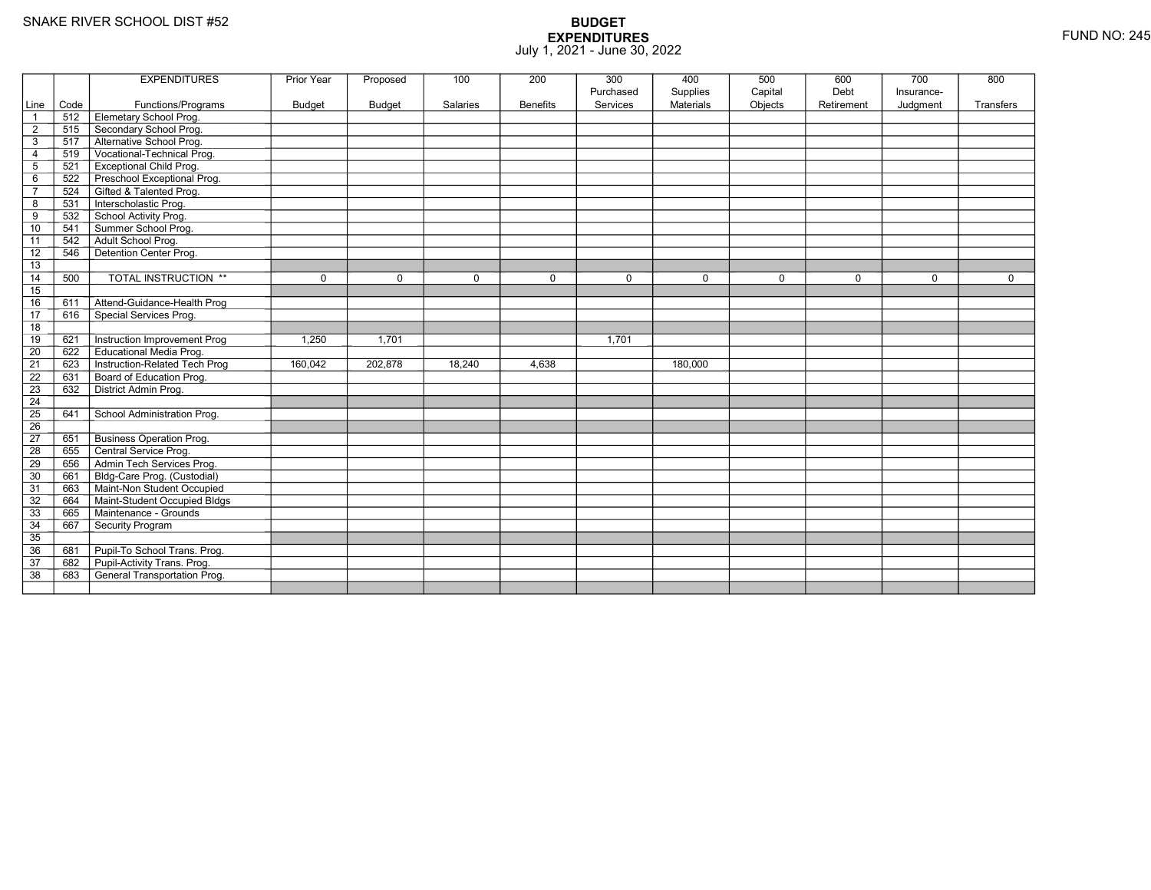|                 |      | <b>EXPENDITURES</b>             | Prior Year  | Proposed      | 100             | 200             | 300       | 400              | 500         | 600         | 700          | 800         |
|-----------------|------|---------------------------------|-------------|---------------|-----------------|-----------------|-----------|------------------|-------------|-------------|--------------|-------------|
|                 |      |                                 |             |               |                 |                 | Purchased | Supplies         | Capital     | Debt        | Insurance-   |             |
| Line            | Code | Functions/Programs              | Budget      | <b>Budget</b> | <b>Salaries</b> | <b>Benefits</b> | Services  | <b>Materials</b> | Objects     | Retirement  | Judgment     | Transfers   |
| $\mathbf{1}$    | 512  | Elemetary School Prog.          |             |               |                 |                 |           |                  |             |             |              |             |
| $\overline{2}$  | 515  | Secondary School Prog.          |             |               |                 |                 |           |                  |             |             |              |             |
| 3               | 517  | Alternative School Prog.        |             |               |                 |                 |           |                  |             |             |              |             |
| 4               | 519  | Vocational-Technical Prog.      |             |               |                 |                 |           |                  |             |             |              |             |
| 5               | 521  | <b>Exceptional Child Prog.</b>  |             |               |                 |                 |           |                  |             |             |              |             |
| 6               | 522  | Preschool Exceptional Prog.     |             |               |                 |                 |           |                  |             |             |              |             |
| $\overline{7}$  | 524  | Gifted & Talented Prog.         |             |               |                 |                 |           |                  |             |             |              |             |
| 8               | 531  | Interscholastic Prog.           |             |               |                 |                 |           |                  |             |             |              |             |
| 9               | 532  | School Activity Prog.           |             |               |                 |                 |           |                  |             |             |              |             |
| 10              | 541  | Summer School Prog.             |             |               |                 |                 |           |                  |             |             |              |             |
| 11              | 542  | Adult School Prog.              |             |               |                 |                 |           |                  |             |             |              |             |
| 12              | 546  | Detention Center Prog.          |             |               |                 |                 |           |                  |             |             |              |             |
| 13              |      |                                 |             |               |                 |                 |           |                  |             |             |              |             |
| 14              | 500  | <b>TOTAL INSTRUCTION **</b>     | $\mathbf 0$ | $\Omega$      | $\Omega$        | $\mathbf 0$     | $\Omega$  | $\Omega$         | $\mathbf 0$ | $\mathbf 0$ | $\mathbf{0}$ | $\mathbf 0$ |
| 15              |      |                                 |             |               |                 |                 |           |                  |             |             |              |             |
| $\overline{16}$ | 611  | Attend-Guidance-Health Prog     |             |               |                 |                 |           |                  |             |             |              |             |
| $\overline{17}$ | 616  | Special Services Prog.          |             |               |                 |                 |           |                  |             |             |              |             |
| 18              |      |                                 |             |               |                 |                 |           |                  |             |             |              |             |
| 19              | 621  | Instruction Improvement Prog    | 1,250       | 1.701         |                 |                 | 1.701     |                  |             |             |              |             |
| $\overline{20}$ | 622  | <b>Educational Media Prog.</b>  |             |               |                 |                 |           |                  |             |             |              |             |
| 21              | 623  | Instruction-Related Tech Prog   | 160,042     | 202,878       | 18,240          | 4,638           |           | 180,000          |             |             |              |             |
| $\overline{22}$ | 631  | Board of Education Prog.        |             |               |                 |                 |           |                  |             |             |              |             |
| 23              | 632  | District Admin Prog.            |             |               |                 |                 |           |                  |             |             |              |             |
| $\overline{24}$ |      |                                 |             |               |                 |                 |           |                  |             |             |              |             |
| $\overline{25}$ | 641  | School Administration Prog.     |             |               |                 |                 |           |                  |             |             |              |             |
| 26              |      |                                 |             |               |                 |                 |           |                  |             |             |              |             |
| $\overline{27}$ | 651  | <b>Business Operation Prog.</b> |             |               |                 |                 |           |                  |             |             |              |             |
| 28              | 655  | Central Service Prog.           |             |               |                 |                 |           |                  |             |             |              |             |
| 29              | 656  | Admin Tech Services Prog.       |             |               |                 |                 |           |                  |             |             |              |             |
| 30              | 661  | Bldg-Care Prog. (Custodial)     |             |               |                 |                 |           |                  |             |             |              |             |
| $\overline{31}$ | 663  | Maint-Non Student Occupied      |             |               |                 |                 |           |                  |             |             |              |             |
| 32              | 664  | Maint-Student Occupied Bldgs    |             |               |                 |                 |           |                  |             |             |              |             |
| 33              | 665  | Maintenance - Grounds           |             |               |                 |                 |           |                  |             |             |              |             |
| 34              | 667  | Security Program                |             |               |                 |                 |           |                  |             |             |              |             |
| 35              |      |                                 |             |               |                 |                 |           |                  |             |             |              |             |
| 36              | 681  | Pupil-To School Trans. Prog.    |             |               |                 |                 |           |                  |             |             |              |             |
| 37              | 682  | Pupil-Activity Trans. Prog.     |             |               |                 |                 |           |                  |             |             |              |             |
| $\overline{38}$ | 683  | General Transportation Prog.    |             |               |                 |                 |           |                  |             |             |              |             |
|                 |      |                                 |             |               |                 |                 |           |                  |             |             |              |             |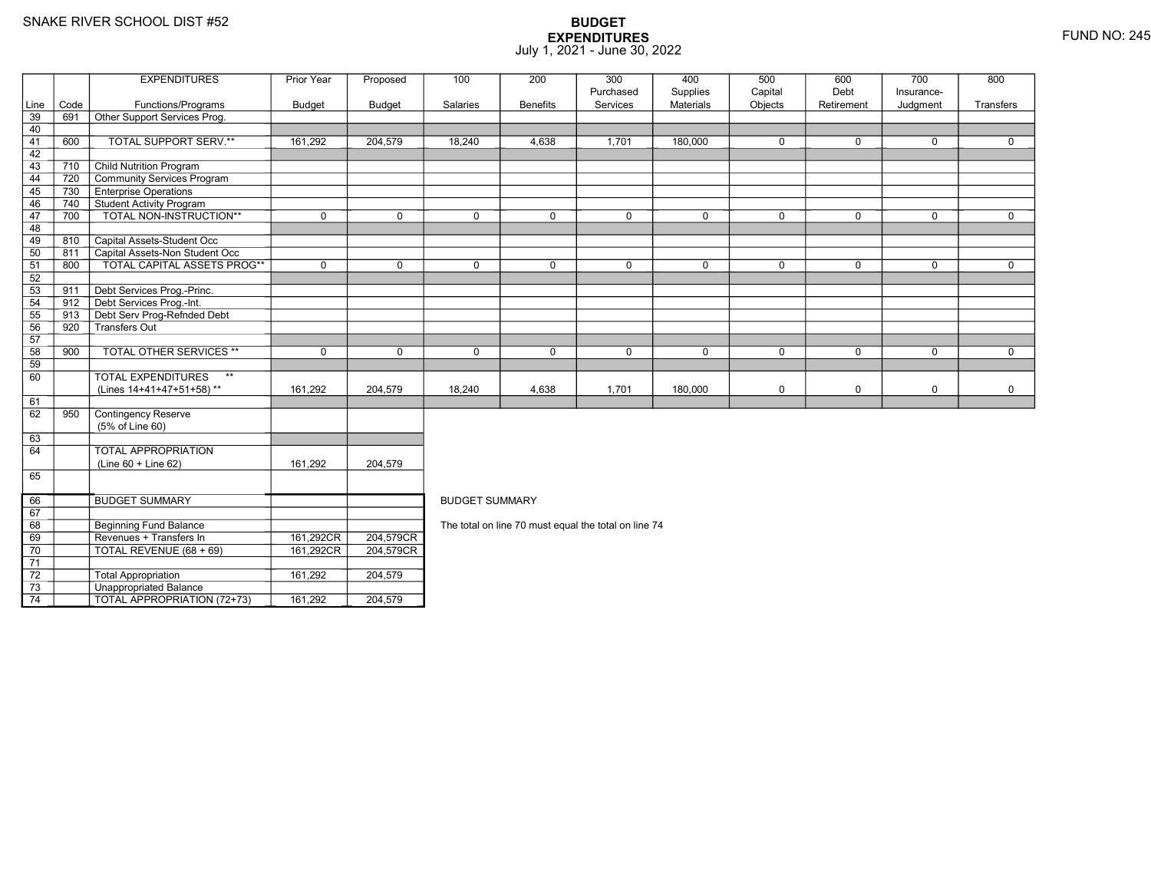69

70

71 72

73

74

8 Beginning Fund Balance

3 **Unappropriated Balance** 

Revenues + Transfers In 161,292CR

0 | TOTAL REVENUE (68 + 69) | 161,292CR

Total Appropriation 161,292 204,579

TOTAL APPROPRIATION (72+73) 161,292 204,579

161,292CR 204,579CR<br>161,292CR 204,579CR

204,579CR

## **BUDGET EXPENDITURES**July 1, 2021 - June 30, 2022

|      |      | <b>EXPENDITURES</b>                       | Prior Year  | Proposed      | 100                   | 200             | 300         | 400         | 500         | 600         | 700         | 800          |  |
|------|------|-------------------------------------------|-------------|---------------|-----------------------|-----------------|-------------|-------------|-------------|-------------|-------------|--------------|--|
|      |      |                                           |             |               |                       |                 | Purchased   | Supplies    | Capital     | Debt        | Insurance-  |              |  |
| Line | Code | Functions/Programs                        | Budget      | <b>Budget</b> | Salaries              | <b>Benefits</b> | Services    | Materials   | Objects     | Retirement  | Judgment    | Transfers    |  |
| 39   | 691  | Other Support Services Prog.              |             |               |                       |                 |             |             |             |             |             |              |  |
| 40   |      |                                           |             |               |                       |                 |             |             |             |             |             |              |  |
| 41   | 600  | TOTAL SUPPORT SERV.**                     | 161,292     | 204,579       | 18,240                | 4,638           | 1,701       | 180,000     | $\Omega$    | $\Omega$    | $\Omega$    | $\Omega$     |  |
| 42   |      |                                           |             |               |                       |                 |             |             |             |             |             |              |  |
| 43   | 710  | <b>Child Nutrition Program</b>            |             |               |                       |                 |             |             |             |             |             |              |  |
| 44   | 720  | Community Services Program                |             |               |                       |                 |             |             |             |             |             |              |  |
| 45   | 730  | <b>Enterprise Operations</b>              |             |               |                       |                 |             |             |             |             |             |              |  |
| 46   | 740  | <b>Student Activity Program</b>           |             |               |                       |                 |             |             |             |             |             |              |  |
| 47   | 700  | TOTAL NON-INSTRUCTION**                   | $\mathbf 0$ | $\Omega$      | $\Omega$              | $\Omega$        | $\Omega$    | $\mathbf 0$ | $\Omega$    | $\Omega$    | $\Omega$    | $\Omega$     |  |
| 48   |      |                                           |             |               |                       |                 |             |             |             |             |             |              |  |
| 49   | 810  | Capital Assets-Student Occ                |             |               |                       |                 |             |             |             |             |             |              |  |
| 50   | 811  | Capital Assets-Non Student Occ            |             |               |                       |                 |             |             |             |             |             |              |  |
| 51   | 800  | TOTAL CAPITAL ASSETS PROG**               | $\mathbf 0$ | 0             | $\Omega$              | $\Omega$        | $\Omega$    | 0           | $\mathbf 0$ | 0           | $\mathbf 0$ | $\mathbf 0$  |  |
| 52   |      |                                           |             |               |                       |                 |             |             |             |             |             |              |  |
| 53   | 911  | Debt Services Prog.-Princ.                |             |               |                       |                 |             |             |             |             |             |              |  |
| 54   | 912  | Debt Services Prog.-Int.                  |             |               |                       |                 |             |             |             |             |             |              |  |
| 55   | 913  | Debt Serv Prog-Refnded Debt               |             |               |                       |                 |             |             |             |             |             |              |  |
| 56   | 920  | Transfers Out                             |             |               |                       |                 |             |             |             |             |             |              |  |
| 57   |      |                                           |             |               |                       |                 |             |             |             |             |             |              |  |
| 58   | 900  | <b>TOTAL OTHER SERVICES **</b>            | $\mathbf 0$ | $\mathbf 0$   | $\mathbf 0$           | 0               | $\mathbf 0$ | $\mathbf 0$ | $\mathbf 0$ | $\mathbf 0$ | $\mathbf 0$ | $\mathbf{0}$ |  |
| 59   |      |                                           |             |               |                       |                 |             |             |             |             |             |              |  |
| 60   |      | <b>TOTAL EXPENDITURES</b><br>$\star\star$ |             |               |                       |                 |             |             |             |             |             |              |  |
|      |      | (Lines 14+41+47+51+58)**                  | 161,292     | 204,579       | 18,240                | 4,638           | 1,701       | 180,000     | $\mathbf 0$ | 0           | $\mathbf 0$ | $\mathbf 0$  |  |
| 61   |      |                                           |             |               |                       |                 |             |             |             |             |             |              |  |
| 62   | 950  | Contingency Reserve                       |             |               |                       |                 |             |             |             |             |             |              |  |
|      |      | (5% of Line 60)                           |             |               |                       |                 |             |             |             |             |             |              |  |
| 63   |      |                                           |             |               |                       |                 |             |             |             |             |             |              |  |
| 64   |      | TOTAL APPROPRIATION                       |             |               |                       |                 |             |             |             |             |             |              |  |
|      |      | $(Line 60 + Line 62)$                     | 161,292     | 204,579       |                       |                 |             |             |             |             |             |              |  |
| 65   |      |                                           |             |               |                       |                 |             |             |             |             |             |              |  |
|      |      |                                           |             |               |                       |                 |             |             |             |             |             |              |  |
| 66   |      | <b>BUDGET SUMMARY</b>                     |             |               | <b>BUDGET SUMMARY</b> |                 |             |             |             |             |             |              |  |
|      |      |                                           |             |               |                       |                 |             |             |             |             |             |              |  |

The total on line 70 must equal the total on line 74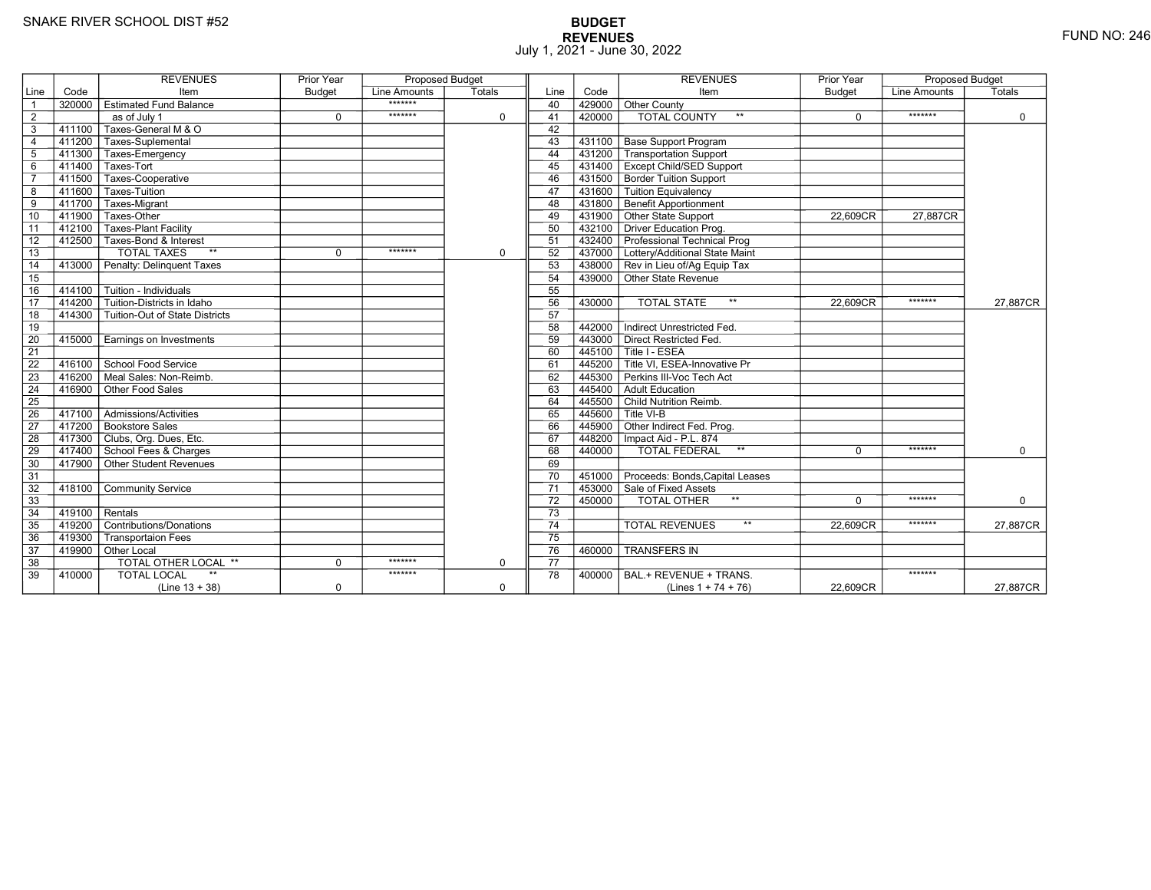# **BUDGET REVENUES** FUND NO: 246 July 1, 2021 - June 30, 2022

|                 |                 | <b>REVENUES</b>                | Prior Year  | <b>Proposed Budget</b> |             |                 |           | <b>REVENUES</b>                                                            | Prior Year | Proposed Budget |             |
|-----------------|-----------------|--------------------------------|-------------|------------------------|-------------|-----------------|-----------|----------------------------------------------------------------------------|------------|-----------------|-------------|
| Line            | Code            | Item                           | Budget      | Line Amounts           | Totals      | Line            | Code      | Item                                                                       | Budget     | Line Amounts    | Totals      |
| $\overline{1}$  | 320000          | <b>Estimated Fund Balance</b>  |             | *******                |             | 40              | 429000    | <b>Other County</b>                                                        |            |                 |             |
| $\overline{2}$  |                 | as of July 1                   | $\mathbf 0$ | *******                | $\Omega$    | 41              | 420000    | <b>TOTAL COUNTY</b><br>$**$                                                | $\Omega$   | *******         | $\mathbf 0$ |
| 3               | 411100          | Taxes-General M & O            |             |                        |             | 42              |           |                                                                            |            |                 |             |
| $\overline{4}$  | 411200          | Taxes-Suplemental              |             |                        |             | 43              | 431100    | <b>Base Support Program</b>                                                |            |                 |             |
| $\overline{5}$  | 411300          | Taxes-Emergency                |             |                        |             | 44              | 431200    | <b>Transportation Support</b>                                              |            |                 |             |
| 6               | 411400          | Taxes-Tort                     |             |                        |             | 45              |           | 431400   Except Child/SED Support                                          |            |                 |             |
| $\overline{7}$  | $-411500$       | Taxes-Cooperative              |             |                        |             | 46              |           | 431500 Border Tuition Support                                              |            |                 |             |
| 8               | 411600          | Taxes-Tuition                  |             |                        |             | 47              |           | 431600 Tuition Equivalency                                                 |            |                 |             |
| $\overline{9}$  | 411700          | Taxes-Migrant                  |             |                        |             | 48              |           | 431800 Benefit Apportionment                                               |            |                 |             |
| 10              | 411900          | Taxes-Other                    |             |                        |             | 49              |           | 431900 Other State Support                                                 | 22,609CR   | 27,887CR        |             |
| 11              | 412100          | <b>Taxes-Plant Facility</b>    |             |                        |             | 50              |           | 432100 Driver Education Prog.                                              |            |                 |             |
| 12              | 412500          | Taxes-Bond & Interest          |             |                        |             | 51              |           | 432400 Professional Technical Prog                                         |            |                 |             |
| 13              |                 | $**$<br><b>TOTAL TAXES</b>     | $\mathbf 0$ | *******                | $\mathbf 0$ | 52              |           | 437000 Lottery/Additional State Maint                                      |            |                 |             |
| 14              | 413000          | Penalty: Delinguent Taxes      |             |                        |             | 53              |           | 438000 Rev in Lieu of/Ag Equip Tax                                         |            |                 |             |
| 15              |                 |                                |             |                        |             | 54              |           | 439000 Other State Revenue                                                 |            |                 |             |
| 16              | 414100          | Tuition - Individuals          |             |                        |             | 55              |           |                                                                            |            |                 |             |
| $\overline{17}$ | 414200          | Tuition-Districts in Idaho     |             |                        |             | 56              | 430000    | $\star\star$<br><b>TOTAL STATE</b>                                         | 22,609CR   | *******         | 27,887CR    |
| 18              | 414300          | Tuition-Out of State Districts |             |                        |             | 57              |           |                                                                            |            |                 |             |
| 19              |                 |                                |             |                        |             | 58              | 442000    | Indirect Unrestricted Fed.                                                 |            |                 |             |
| 20              | 415000          | Earnings on Investments        |             |                        |             | 59              | 443000    | Direct Restricted Fed.                                                     |            |                 |             |
| $\overline{21}$ |                 |                                |             |                        |             | 60              |           | 445100 Title I - ESEA                                                      |            |                 |             |
| 22              | 416100          | School Food Service            |             |                        |             | 61              |           | $\mathsf{\bar{1}445200}\mathsf{\overline{T}}$ Title VI. ESEA-Innovative Pr |            |                 |             |
| 23              | $-416200$       | Meal Sales: Non-Reimb.         |             |                        |             | 62              | 445300    | Perkins III-Voc Tech Act                                                   |            |                 |             |
| 24              | $-416900$       | Other Food Sales               |             |                        |             | 63              | 445400    | Adult Education                                                            |            |                 |             |
| $\overline{25}$ |                 |                                |             |                        |             | 64              |           | 445500 Child Nutrition Reimb.                                              |            |                 |             |
| $\overline{26}$ | 417100          | Admissions/Activities          |             |                        |             | 65              | $-445600$ | Title VI-B                                                                 |            |                 |             |
| 27              | 417200          | Bookstore Sales                |             |                        |             | 66              | 445900    | Other Indirect Fed. Prog.                                                  |            |                 |             |
| 28              | 417300          | Clubs, Org. Dues, Etc.         |             |                        |             | 67              |           | 448200   Impact Aid - P.L. 874                                             |            |                 |             |
| 29              |                 | 「417400 School Fees & Charges  |             |                        |             | 68              | 440000    | <b>TOTAL FEDERAL</b><br>$\star\star$                                       | $\Omega$   | *******         | $\Omega$    |
| 30              | 417900          | Other Student Revenues         |             |                        |             | 69              |           |                                                                            |            |                 |             |
| 31              |                 |                                |             |                        |             | 70              |           | 451000 Proceeds: Bonds, Capital Leases                                     |            |                 |             |
| 32              | 418100          | <b>Community Service</b>       |             |                        |             | 71              |           | 453000 Sale of Fixed Assets                                                |            |                 |             |
| 33              |                 |                                |             |                        |             | 72              | 450000    | $\star\star$<br>TOTAL OTHER                                                | $\Omega$   | *******         | 0           |
| 34              | $-419100$       | Rentals                        |             |                        |             | 73              |           |                                                                            |            |                 |             |
| 35              | 419200          | Contributions/Donations        |             |                        |             | 74              |           | $**$<br><b>TOTAL REVENUES</b>                                              | 22.609CR   | *******         | 27,887CR    |
| 36              | 419300          | <b>Transportaion Fees</b>      |             |                        |             | $\overline{75}$ |           |                                                                            |            |                 |             |
| 37              | $\sqrt{419900}$ | Other Local                    |             |                        |             | 76              | 460000    | <b>TRANSFERS IN</b>                                                        |            |                 |             |
| 38              |                 | TOTAL OTHER LOCAL **           | $\mathbf 0$ | *******                | $\mathbf 0$ | 77              |           |                                                                            |            |                 |             |
| 39              | 410000          | <b>TOTAL LOCAL</b>             |             | *******                |             | 78              | 400000    | BAL.+ REVENUE + TRANS.                                                     |            | *******         |             |
|                 |                 | $(Line 13 + 38)$               | $\mathbf 0$ |                        | $\mathbf 0$ |                 |           | (Lines $1 + 74 + 76$ )                                                     | 22,609CR   |                 | 27,887CR    |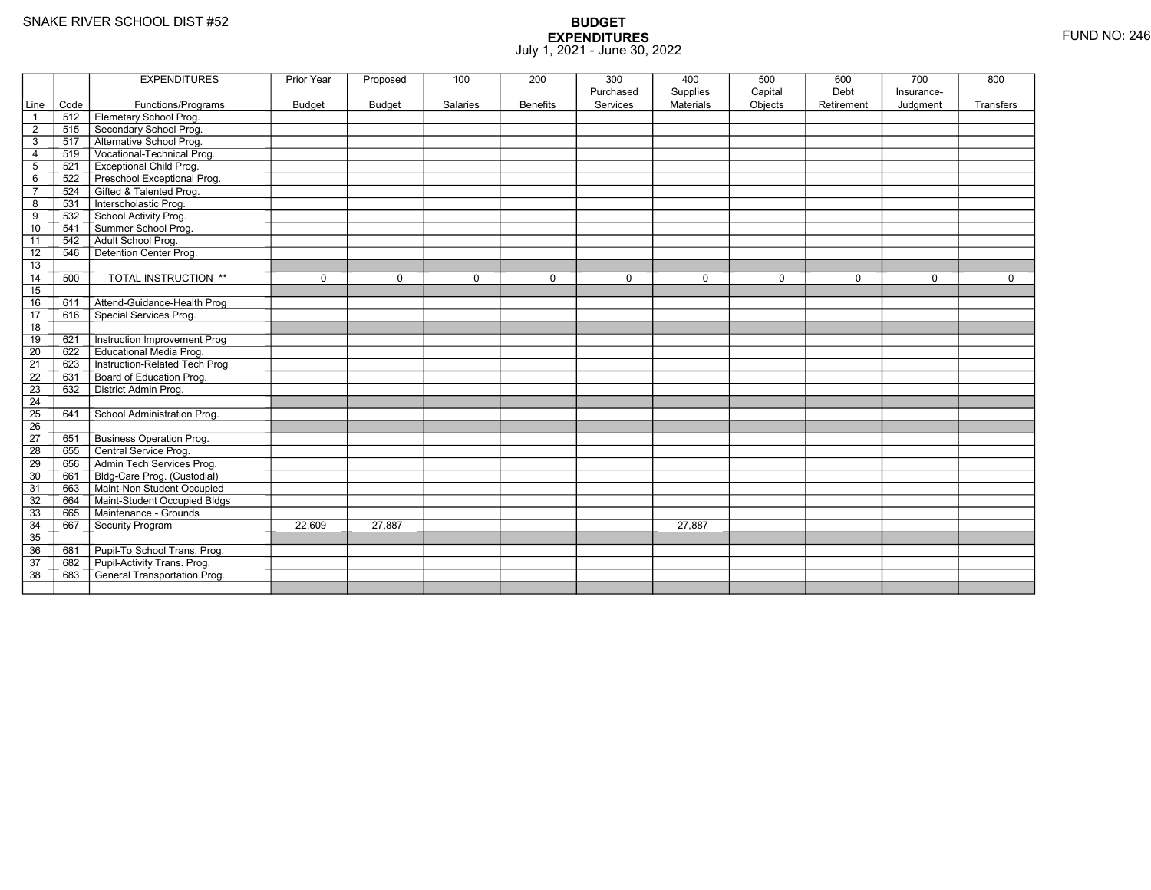|                 |      | <b>EXPENDITURES</b>                 | <b>Prior Year</b> | Proposed      | 100         | 200             | 300<br>Purchased | 400<br>Supplies  | 500<br>Capital | 600<br>Debt | 700<br>Insurance- | 800         |
|-----------------|------|-------------------------------------|-------------------|---------------|-------------|-----------------|------------------|------------------|----------------|-------------|-------------------|-------------|
| Line            | Code | Functions/Programs                  | <b>Budget</b>     | <b>Budget</b> | Salaries    | <b>Benefits</b> | Services         | <b>Materials</b> | Objects        | Retirement  | Judgment          | Transfers   |
| $\overline{1}$  | 512  | Elemetary School Prog.              |                   |               |             |                 |                  |                  |                |             |                   |             |
| $\overline{2}$  | 515  | Secondary School Prog.              |                   |               |             |                 |                  |                  |                |             |                   |             |
| $\mathsf 3$     | 517  | Alternative School Prog.            |                   |               |             |                 |                  |                  |                |             |                   |             |
| $\overline{4}$  | 519  | Vocational-Technical Prog.          |                   |               |             |                 |                  |                  |                |             |                   |             |
| $\overline{5}$  | 521  | <b>Exceptional Child Prog.</b>      |                   |               |             |                 |                  |                  |                |             |                   |             |
| 6               | 522  | Preschool Exceptional Prog.         |                   |               |             |                 |                  |                  |                |             |                   |             |
| $\overline{7}$  | 524  | Gifted & Talented Prog.             |                   |               |             |                 |                  |                  |                |             |                   |             |
| 8               | 531  | Interscholastic Prog.               |                   |               |             |                 |                  |                  |                |             |                   |             |
| 9               | 532  | School Activity Prog.               |                   |               |             |                 |                  |                  |                |             |                   |             |
| 10              | 541  | Summer School Prog.                 |                   |               |             |                 |                  |                  |                |             |                   |             |
| 11              | 542  | Adult School Prog.                  |                   |               |             |                 |                  |                  |                |             |                   |             |
| $\overline{12}$ | 546  | Detention Center Prog.              |                   |               |             |                 |                  |                  |                |             |                   |             |
| 13              |      |                                     |                   |               |             |                 |                  |                  |                |             |                   |             |
| 14              | 500  | <b>TOTAL INSTRUCTION **</b>         | $\mathbf 0$       | $\Omega$      | $\mathbf 0$ | 0               | $\mathbf 0$      | $\mathbf 0$      | $\mathbf 0$    | $\mathbf 0$ | $\Omega$          | $\mathbf 0$ |
| 15              |      |                                     |                   |               |             |                 |                  |                  |                |             |                   |             |
| 16              | 611  | Attend-Guidance-Health Prog         |                   |               |             |                 |                  |                  |                |             |                   |             |
| $\overline{17}$ | 616  | Special Services Prog.              |                   |               |             |                 |                  |                  |                |             |                   |             |
| 18              |      |                                     |                   |               |             |                 |                  |                  |                |             |                   |             |
| 19              | 621  | Instruction Improvement Prog        |                   |               |             |                 |                  |                  |                |             |                   |             |
| $\overline{20}$ | 622  | Educational Media Prog.             |                   |               |             |                 |                  |                  |                |             |                   |             |
| 21              | 623  | Instruction-Related Tech Prog       |                   |               |             |                 |                  |                  |                |             |                   |             |
| $\overline{22}$ | 631  | Board of Education Prog.            |                   |               |             |                 |                  |                  |                |             |                   |             |
| 23              | 632  | District Admin Prog.                |                   |               |             |                 |                  |                  |                |             |                   |             |
| 24              |      |                                     |                   |               |             |                 |                  |                  |                |             |                   |             |
| 25              | 641  | School Administration Prog.         |                   |               |             |                 |                  |                  |                |             |                   |             |
| 26              |      |                                     |                   |               |             |                 |                  |                  |                |             |                   |             |
| $\overline{27}$ | 651  | <b>Business Operation Prog.</b>     |                   |               |             |                 |                  |                  |                |             |                   |             |
| $\overline{28}$ | 655  | Central Service Prog.               |                   |               |             |                 |                  |                  |                |             |                   |             |
| 29              | 656  | Admin Tech Services Prog.           |                   |               |             |                 |                  |                  |                |             |                   |             |
| 30              | 661  | Bldg-Care Prog. (Custodial)         |                   |               |             |                 |                  |                  |                |             |                   |             |
| 31              | 663  | Maint-Non Student Occupied          |                   |               |             |                 |                  |                  |                |             |                   |             |
| 32              | 664  | Maint-Student Occupied Bldgs        |                   |               |             |                 |                  |                  |                |             |                   |             |
| 33              | 665  | Maintenance - Grounds               |                   |               |             |                 |                  |                  |                |             |                   |             |
| 34              | 667  | Security Program                    | 22,609            | 27,887        |             |                 |                  | 27.887           |                |             |                   |             |
| $\overline{35}$ |      |                                     |                   |               |             |                 |                  |                  |                |             |                   |             |
| 36              | 681  | Pupil-To School Trans. Prog.        |                   |               |             |                 |                  |                  |                |             |                   |             |
| 37              | 682  | Pupil-Activity Trans. Prog.         |                   |               |             |                 |                  |                  |                |             |                   |             |
| $\overline{38}$ | 683  | <b>General Transportation Prog.</b> |                   |               |             |                 |                  |                  |                |             |                   |             |
|                 |      |                                     |                   |               |             |                 |                  |                  |                |             |                   |             |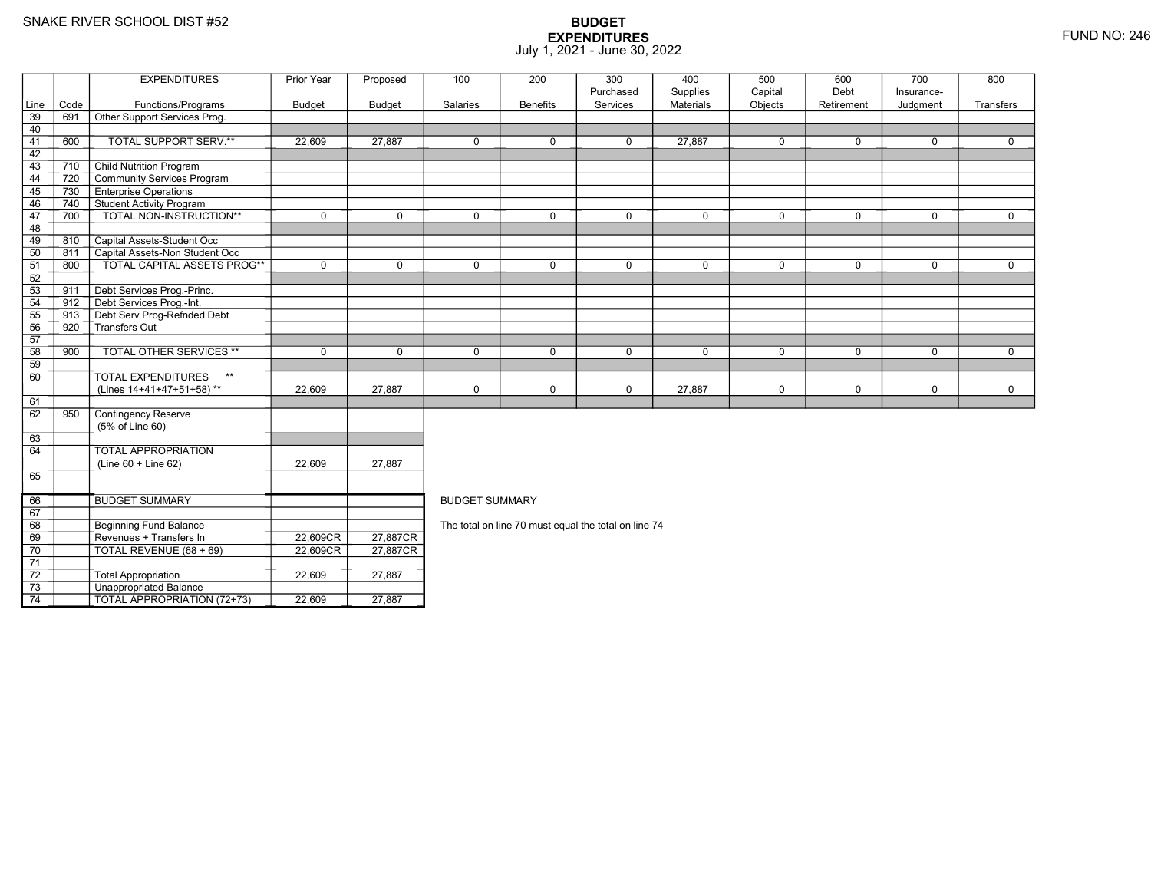69

70

71 72

73

74

Beginning Fund Balance

Unappropriated Balance

Revenues + Transfers In 22,609CR

0 | TOTAL REVENUE (68 + 69) | 22,609CR

Total Appropriation 22,609 27,887

TOTAL APPROPRIATION (72+73) 22,609 27,887

## **BUDGET EXPENDITURES**July 1, 2021 - June 30, 2022

|                 |      | <b>EXPENDITURES</b>                       | Prior Year    | Proposed      | 100                   | 200             | 300         | 400         | 500         | 600         | 700          | 800          |  |  |  |
|-----------------|------|-------------------------------------------|---------------|---------------|-----------------------|-----------------|-------------|-------------|-------------|-------------|--------------|--------------|--|--|--|
|                 |      |                                           |               |               |                       |                 | Purchased   | Supplies    | Capital     | Debt        | Insurance-   |              |  |  |  |
| Line            | Code | Functions/Programs                        | <b>Budget</b> | <b>Budget</b> | Salaries              | <b>Benefits</b> | Services    | Materials   | Objects     | Retirement  | Judgment     | Transfers    |  |  |  |
| $\overline{39}$ | 691  | Other Support Services Prog.              |               |               |                       |                 |             |             |             |             |              |              |  |  |  |
| 40              |      |                                           |               |               |                       |                 |             |             |             |             |              |              |  |  |  |
| 41              | 600  | TOTAL SUPPORT SERV.**                     | 22,609        | 27.887        | $\mathbf 0$           | 0               | $\mathbf 0$ | 27,887      | $\mathbf 0$ | $\mathbf 0$ | $\mathbf 0$  | $\mathbf{0}$ |  |  |  |
| 42              |      |                                           |               |               |                       |                 |             |             |             |             |              |              |  |  |  |
| 43              | 710  | <b>Child Nutrition Program</b>            |               |               |                       |                 |             |             |             |             |              |              |  |  |  |
| 44              | 720  | Community Services Program                |               |               |                       |                 |             |             |             |             |              |              |  |  |  |
| 45              | 730  | <b>Enterprise Operations</b>              |               |               |                       |                 |             |             |             |             |              |              |  |  |  |
| 46              | 740  | Student Activity Program                  |               |               |                       |                 |             |             |             |             |              |              |  |  |  |
| 47              | 700  | TOTAL NON-INSTRUCTION**                   | $\mathbf 0$   | $\Omega$      | $\mathbf{0}$          | $\mathbf 0$     | $\mathbf 0$ | $\mathbf 0$ | $\Omega$    | $\mathbf 0$ | $\mathbf 0$  | $\mathbf{0}$ |  |  |  |
| 48              |      |                                           |               |               |                       |                 |             |             |             |             |              |              |  |  |  |
| 49              | 810  | Capital Assets-Student Occ                |               |               |                       |                 |             |             |             |             |              |              |  |  |  |
| 50              | 811  | Capital Assets-Non Student Occ            |               |               |                       |                 |             |             |             |             |              |              |  |  |  |
| 51              | 800  | TOTAL CAPITAL ASSETS PROG**               | $\mathbf 0$   | $\mathbf 0$   | $\mathbf 0$           | 0               | $\mathbf 0$ | $\mathbf 0$ | $\mathbf 0$ | $\mathbf 0$ | $\mathbf 0$  | $\mathbf 0$  |  |  |  |
| 52              |      |                                           |               |               |                       |                 |             |             |             |             |              |              |  |  |  |
| 53              | 911  | Debt Services Prog.-Princ.                |               |               |                       |                 |             |             |             |             |              |              |  |  |  |
| 54              | 912  | Debt Services Prog.-Int.                  |               |               |                       |                 |             |             |             |             |              |              |  |  |  |
| 55              | 913  | Debt Serv Prog-Refnded Debt               |               |               |                       |                 |             |             |             |             |              |              |  |  |  |
| 56              | 920  | Transfers Out                             |               |               |                       |                 |             |             |             |             |              |              |  |  |  |
| 57              |      |                                           |               |               |                       |                 |             |             |             |             |              |              |  |  |  |
| 58              | 900  | <b>TOTAL OTHER SERVICES **</b>            | $\Omega$      | $\Omega$      | $\mathbf{0}$          | $\Omega$        | $\mathbf 0$ | $\mathbf 0$ | $\Omega$    | $\Omega$    | $\mathbf{0}$ | $\Omega$     |  |  |  |
| 59              |      |                                           |               |               |                       |                 |             |             |             |             |              |              |  |  |  |
| 60              |      | $\star\star$<br><b>TOTAL EXPENDITURES</b> |               |               |                       |                 |             |             |             |             |              |              |  |  |  |
|                 |      | (Lines 14+41+47+51+58)**                  | 22,609        | 27,887        | $\mathbf 0$           | 0               | $\mathsf 0$ | 27,887      | $\mathbf 0$ | 0           | $\mathsf 0$  | $\mathbf 0$  |  |  |  |
| 61              |      |                                           |               |               |                       |                 |             |             |             |             |              |              |  |  |  |
| 62              | 950  | <b>Contingency Reserve</b>                |               |               |                       |                 |             |             |             |             |              |              |  |  |  |
|                 |      | (5% of Line 60)                           |               |               |                       |                 |             |             |             |             |              |              |  |  |  |
| 63              |      |                                           |               |               |                       |                 |             |             |             |             |              |              |  |  |  |
| 64              |      | <b>TOTAL APPROPRIATION</b>                |               |               |                       |                 |             |             |             |             |              |              |  |  |  |
|                 |      | $(Line 60 + Line 62)$                     | 22,609        | 27,887        |                       |                 |             |             |             |             |              |              |  |  |  |
| 65              |      |                                           |               |               |                       |                 |             |             |             |             |              |              |  |  |  |
|                 |      |                                           |               |               |                       |                 |             |             |             |             |              |              |  |  |  |
| 66              |      | <b>BUDGET SUMMARY</b>                     |               |               | <b>BUDGET SUMMARY</b> |                 |             |             |             |             |              |              |  |  |  |

The total on line 70 must equal the total on line 74

R\_| 27,887CR<br>DT 07.0070D

R 27,887CR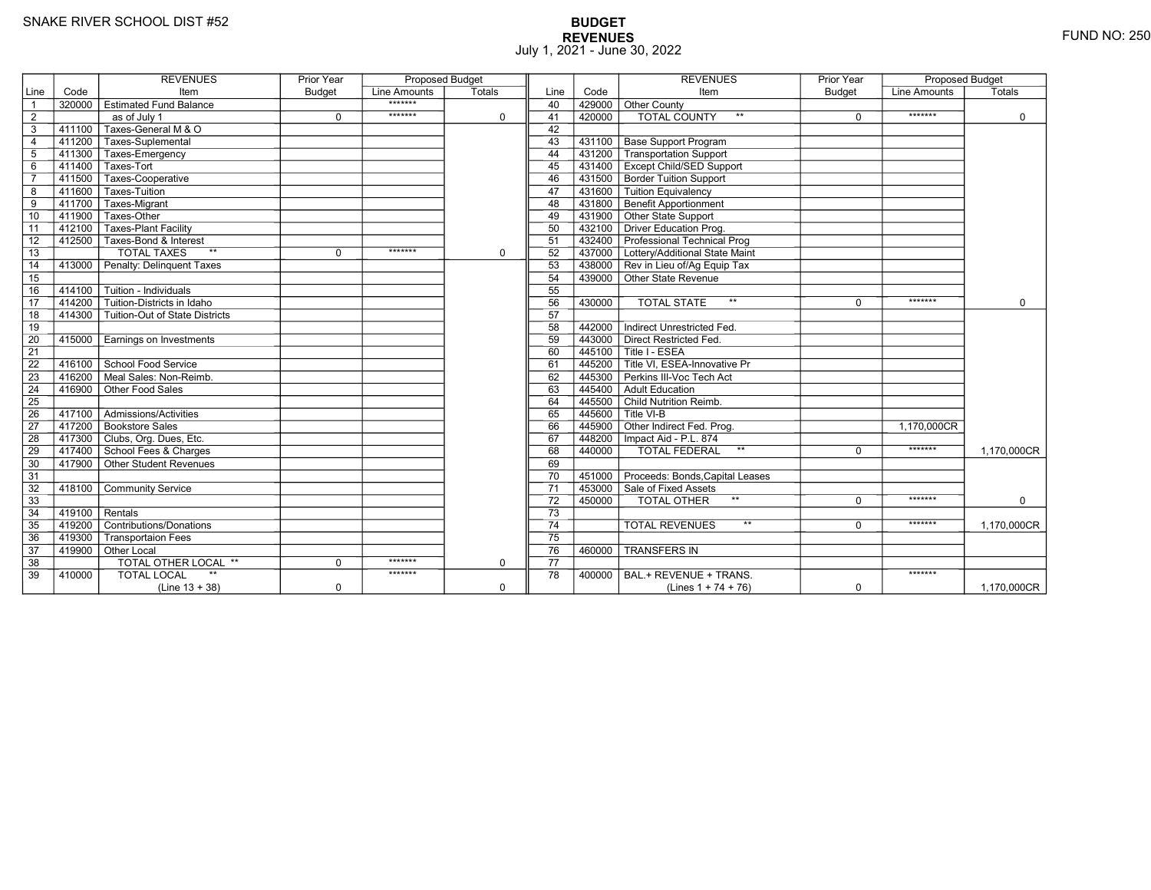# **BUDGET REVENUES** FUND NO: 250 July 1, 2021 - June 30, 2022

|                 |                  | <b>REVENUES</b>                           | <b>Prior Year</b> | <b>Proposed Budget</b> |             |                 |           | <b>REVENUES</b>                        | <b>Prior Year</b> | <b>Proposed Budget</b> |             |
|-----------------|------------------|-------------------------------------------|-------------------|------------------------|-------------|-----------------|-----------|----------------------------------------|-------------------|------------------------|-------------|
| Line            | Code             | Item                                      | <b>Budget</b>     | Line Amounts           | Totals      | Line            | Code      | Item                                   | <b>Budget</b>     | Line Amounts           | Totals      |
| $\overline{1}$  | 320000           | │ Estimated Fund Balance                  |                   | *******                |             | 40              | 429000    | Other County                           |                   |                        |             |
| $\overline{2}$  |                  | as of July 1                              | $\Omega$          | *******                | 0           | 41              | 420000    | <b>TOTAL COUNTY</b><br>$**$            | $\Omega$          | *******                | $\mathbf 0$ |
| 3               | 411100           | Taxes-General M & O                       |                   |                        |             | 42              |           |                                        |                   |                        |             |
| $\overline{4}$  |                  | 411200 Taxes-Suplemental                  |                   |                        |             | 43              |           | 431100 Base Support Program            |                   |                        |             |
| $5\phantom{.0}$ |                  | 411300 Taxes-Emergency                    |                   |                        |             | 44              |           | 431200 Transportation Support          |                   |                        |             |
| $\,6$           |                  | 411400 Taxes-Tort                         |                   |                        |             | 45              |           | 431400 Except Child/SED Support        |                   |                        |             |
| $\overline{7}$  | 411500           | Taxes-Cooperative                         |                   |                        |             | 46              |           | 431500 Border Tuition Support          |                   |                        |             |
| 8               | 411600           | Taxes-Tuition                             |                   |                        |             | 47              |           | 431600 Tuition Equivalency             |                   |                        |             |
| $\overline{9}$  | 411700           | Taxes-Migrant                             |                   |                        |             | 48              |           | 431800 Benefit Apportionment           |                   |                        |             |
| 10              | 411900           | Taxes-Other                               |                   |                        |             | 49              |           | 431900 Other State Support             |                   |                        |             |
| 11              |                  | 412100 Taxes-Plant Facility               |                   |                        |             | 50              |           | 432100 Driver Education Prog.          |                   |                        |             |
| 12              |                  | 412500 Taxes-Bond & Interest              |                   |                        |             | 51              |           | 432400 Professional Technical Prog     |                   |                        |             |
| 13              |                  | <b>TOTAL TAXES</b><br>$**$                | $\Omega$          | *******                | 0           | 52              |           | 437000 Lottery/Additional State Maint  |                   |                        |             |
| 14              |                  | 413000 Penalty: Delinquent Taxes          |                   |                        |             | 53              |           | 438000 Rev in Lieu of/Ag Equip Tax     |                   |                        |             |
| 15              |                  |                                           |                   |                        |             | 54              |           | 439000 Other State Revenue             |                   |                        |             |
| 16              | 414100           | $\overline{\Gamma}$ Tuition - Individuals |                   |                        |             | 55              |           |                                        |                   |                        |             |
| 17              | 414200           | Tuition-Districts in Idaho                |                   |                        |             | 56              | 430000    | $***$<br><b>TOTAL STATE</b>            | $\Omega$          | *******                | $\mathbf 0$ |
| 18              |                  | 414300 Tuition-Out of State Districts     |                   |                        |             | 57              |           |                                        |                   |                        |             |
| 19              |                  |                                           |                   |                        |             | 58              | 442000    | Indirect Unrestricted Fed.             |                   |                        |             |
| 20              | 415000           | Earnings on Investments                   |                   |                        |             | 59              | 443000    | Direct Restricted Fed.                 |                   |                        |             |
| 21              |                  |                                           |                   |                        |             | 60              |           | 445100 Title I - ESEA                  |                   |                        |             |
| $\overline{22}$ |                  | 416100 School Food Service                |                   |                        |             | 61              |           | 445200 Title VI, ESEA-Innovative Pr    |                   |                        |             |
| 23              |                  | 416200 Meal Sales: Non-Reimb.             |                   |                        |             | 62              |           | 445300 Perkins III-Voc Tech Act        |                   |                        |             |
| 24              |                  | 416900 Other Food Sales                   |                   |                        |             | 63              | 445400    | Adult Education                        |                   |                        |             |
| $\overline{25}$ |                  |                                           |                   |                        |             | 64              |           | 445500 Child Nutrition Reimb.          |                   |                        |             |
| $\overline{26}$ |                  | 417100 Admissions/Activities              |                   |                        |             | 65              |           | $445600$ Title VI-B                    |                   |                        |             |
| $\overline{27}$ |                  | 417200 Bookstore Sales                    |                   |                        |             | 66              |           | 445900 Other Indirect Fed. Prog.       |                   | 1.170.000CR            |             |
| 28              |                  | 417300 Clubs, Org. Dues, Etc.             |                   |                        |             | 67              |           | 448200   Impact Aid - P.L. 874         |                   |                        |             |
| 29              |                  | 417400 School Fees & Charges              |                   |                        |             | 68              | $-440000$ | <b>TOTAL FEDERAL</b><br>$\star\star$   | $\Omega$          | *******                | 1,170,000CR |
| 30              |                  | 417900 Other Student Revenues             |                   |                        |             | 69              |           |                                        |                   |                        |             |
| 31              |                  |                                           |                   |                        |             | 70              |           | 451000 Proceeds: Bonds, Capital Leases |                   |                        |             |
| 32              |                  | 418100 Community Service                  |                   |                        |             | $\overline{71}$ |           | 453000 Sale of Fixed Assets            |                   |                        |             |
| 33              |                  |                                           |                   |                        |             | 72              | 450000    | TOTAL OTHER                            | $\Omega$          | *******                | 0           |
| 34              | $419100$ Rentals |                                           |                   |                        |             | 73              |           |                                        |                   |                        |             |
| 35              |                  | 419200 Contributions/Donations            |                   |                        |             | $\overline{74}$ |           | $***$<br><b>TOTAL REVENUES</b>         | $\Omega$          | *******                | 1.170.000CR |
| 36              | 419300           | <b>Transportaion Fees</b>                 |                   |                        |             | 75              |           |                                        |                   |                        |             |
| 37              |                  | 419900 Other Local                        |                   |                        |             | 76              | 460000    | <b>TRANSFERS IN</b>                    |                   |                        |             |
| 38              |                  | TOTAL OTHER LOCAL **                      | $\Omega$          | *******                | $\mathbf 0$ | 77              |           |                                        |                   |                        |             |
| 39              | 410000           | $**$<br><b>TOTAL LOCAL</b>                |                   | *******                |             | 78              | 400000    | BAL.+ REVENUE + TRANS.                 |                   | *******                |             |
|                 |                  | $(Line 13 + 38)$                          | 0                 |                        | 0           |                 |           | (Lines $1 + 74 + 76$ )                 | 0                 |                        | 1,170,000CR |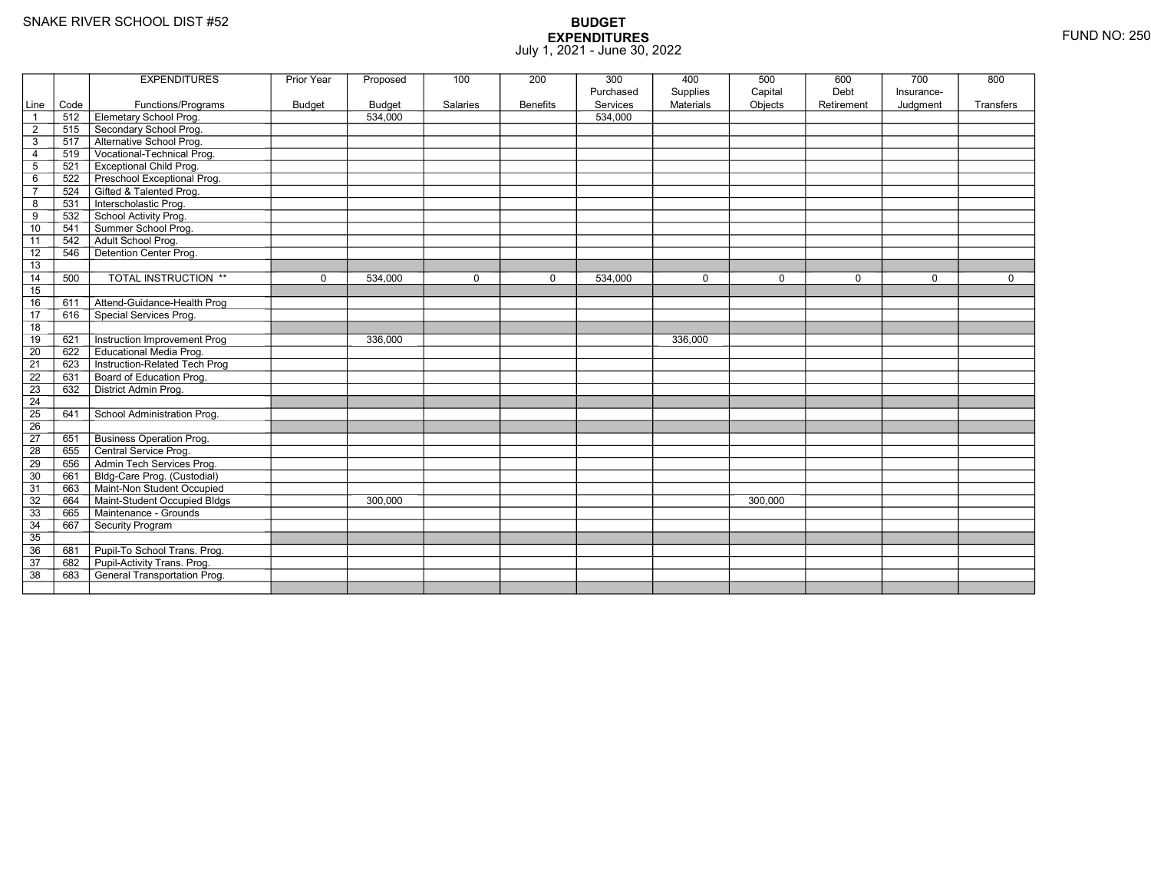|                 |      | <b>EXPENDITURES</b>                 | Prior Year    | Proposed      | 100      | 200             | 300       | 400              | 500         | 600        | 700        | 800       |
|-----------------|------|-------------------------------------|---------------|---------------|----------|-----------------|-----------|------------------|-------------|------------|------------|-----------|
|                 |      |                                     |               |               |          |                 | Purchased | Supplies         | Capital     | Debt       | Insurance- |           |
| Line            | Code | Functions/Programs                  | <b>Budget</b> | <b>Budget</b> | Salaries | <b>Benefits</b> | Services  | <b>Materials</b> | Objects     | Retirement | Judgment   | Transfers |
| $\overline{1}$  | 512  | Elemetary School Prog.              |               | 534,000       |          |                 | 534,000   |                  |             |            |            |           |
| $\overline{2}$  | 515  | Secondary School Prog.              |               |               |          |                 |           |                  |             |            |            |           |
| $\mathsf 3$     | 517  | Alternative School Prog.            |               |               |          |                 |           |                  |             |            |            |           |
| $\overline{4}$  | 519  | Vocational-Technical Prog.          |               |               |          |                 |           |                  |             |            |            |           |
| $\overline{5}$  | 521  | <b>Exceptional Child Prog.</b>      |               |               |          |                 |           |                  |             |            |            |           |
| 6               | 522  | Preschool Exceptional Prog.         |               |               |          |                 |           |                  |             |            |            |           |
| $\overline{7}$  | 524  | Gifted & Talented Prog.             |               |               |          |                 |           |                  |             |            |            |           |
| 8               | 531  | Interscholastic Prog.               |               |               |          |                 |           |                  |             |            |            |           |
| 9               | 532  | School Activity Prog.               |               |               |          |                 |           |                  |             |            |            |           |
| 10              | 541  | Summer School Prog.                 |               |               |          |                 |           |                  |             |            |            |           |
| 11              | 542  | Adult School Prog.                  |               |               |          |                 |           |                  |             |            |            |           |
| $\overline{12}$ | 546  | Detention Center Prog.              |               |               |          |                 |           |                  |             |            |            |           |
| 13              |      |                                     |               |               |          |                 |           |                  |             |            |            |           |
| 14              | 500  | <b>TOTAL INSTRUCTION **</b>         | $\mathbf 0$   | 534,000       | $\Omega$ | 0               | 534,000   | $\mathbf 0$      | $\mathbf 0$ | $\Omega$   | $\Omega$   | $\Omega$  |
| 15              |      |                                     |               |               |          |                 |           |                  |             |            |            |           |
| 16              | 611  | Attend-Guidance-Health Prog         |               |               |          |                 |           |                  |             |            |            |           |
| 17              | 616  | Special Services Prog.              |               |               |          |                 |           |                  |             |            |            |           |
| 18              |      |                                     |               |               |          |                 |           |                  |             |            |            |           |
| 19              | 621  | Instruction Improvement Prog        |               | 336.000       |          |                 |           | 336,000          |             |            |            |           |
| $\overline{20}$ | 622  | <b>Educational Media Prog.</b>      |               |               |          |                 |           |                  |             |            |            |           |
| 21              | 623  | Instruction-Related Tech Prog       |               |               |          |                 |           |                  |             |            |            |           |
| 22              | 631  | Board of Education Prog.            |               |               |          |                 |           |                  |             |            |            |           |
| 23              | 632  | District Admin Prog.                |               |               |          |                 |           |                  |             |            |            |           |
| 24              |      |                                     |               |               |          |                 |           |                  |             |            |            |           |
| $\overline{25}$ | 641  | School Administration Prog.         |               |               |          |                 |           |                  |             |            |            |           |
| 26              |      |                                     |               |               |          |                 |           |                  |             |            |            |           |
| 27              | 651  | <b>Business Operation Prog.</b>     |               |               |          |                 |           |                  |             |            |            |           |
| 28              | 655  | Central Service Prog.               |               |               |          |                 |           |                  |             |            |            |           |
| 29              | 656  | Admin Tech Services Prog.           |               |               |          |                 |           |                  |             |            |            |           |
| 30              | 661  | Bldg-Care Prog. (Custodial)         |               |               |          |                 |           |                  |             |            |            |           |
| 31              | 663  | Maint-Non Student Occupied          |               |               |          |                 |           |                  |             |            |            |           |
| 32              | 664  | Maint-Student Occupied Bldgs        |               | 300,000       |          |                 |           |                  | 300,000     |            |            |           |
| 33              | 665  | Maintenance - Grounds               |               |               |          |                 |           |                  |             |            |            |           |
| 34              | 667  | Security Program                    |               |               |          |                 |           |                  |             |            |            |           |
| $\overline{35}$ |      |                                     |               |               |          |                 |           |                  |             |            |            |           |
| 36              | 681  | Pupil-To School Trans. Prog.        |               |               |          |                 |           |                  |             |            |            |           |
| 37              | 682  | Pupil-Activity Trans. Prog.         |               |               |          |                 |           |                  |             |            |            |           |
| $\overline{38}$ | 683  | <b>General Transportation Prog.</b> |               |               |          |                 |           |                  |             |            |            |           |
|                 |      |                                     |               |               |          |                 |           |                  |             |            |            |           |
|                 |      |                                     |               |               |          |                 |           |                  |             |            |            |           |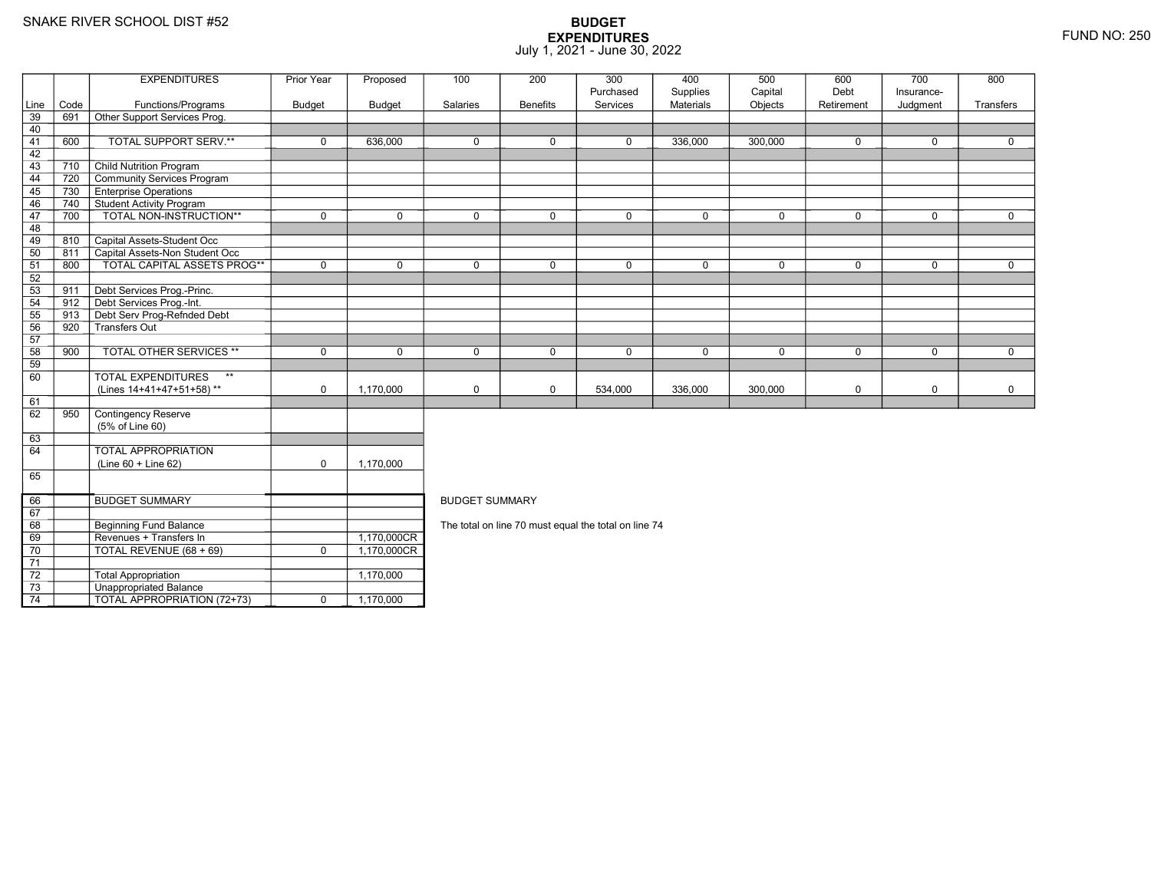67 68

69

70

71 72

73

74

BUDGET SUMMARY

3 **Unappropriated Balance** 

**Beginning Fund Balance** 

9 | Revenues + Transfers In | 1,170,000CR<br>| 1,170,000CR

TOTAL REVENUE (68 + 69) <sup>0</sup> 1,170,000CR

 $\boxed{\overline{TOTAL}$  APPROPRIATION (72+73)  $\boxed{\phantom{2}0}$  0  $\phantom{\phantom{2}0}$  1,170,000

Total Appropriation 1,170,000

## **BUDGET EXPENDITURES**July 1, 2021 - June 30, 2022

|          |      | <b>EXPENDITURES</b>                | Prior Year  | Proposed      | 100         | 200             | 300         | 400         | 500          | 600         | 700         | 800          |
|----------|------|------------------------------------|-------------|---------------|-------------|-----------------|-------------|-------------|--------------|-------------|-------------|--------------|
|          |      |                                    |             |               |             |                 | Purchased   | Supplies    | Capital      | Debt        | Insurance-  |              |
| Line     | Code | Functions/Programs                 | Budget      | <b>Budget</b> | Salaries    | <b>Benefits</b> | Services    | Materials   | Objects      | Retirement  | Judgment    | Transfers    |
| 39       | 691  | Other Support Services Prog.       |             |               |             |                 |             |             |              |             |             |              |
| 40       |      |                                    |             |               |             |                 |             |             |              |             |             |              |
| 41       | 600  | TOTAL SUPPORT SERV.**              | $\mathbf 0$ | 636,000       | $\mathbf 0$ | $\mathbf 0$     | $\mathbf 0$ | 336,000     | 300,000      | 0           | 0           | 0            |
| 42       |      |                                    |             |               |             |                 |             |             |              |             |             |              |
| 43       | 710  | <b>Child Nutrition Program</b>     |             |               |             |                 |             |             |              |             |             |              |
| 44       | 720  | <b>Community Services Program</b>  |             |               |             |                 |             |             |              |             |             |              |
| 45       | 730  | <b>Enterprise Operations</b>       |             |               |             |                 |             |             |              |             |             |              |
| 46       | 740  | <b>Student Activity Program</b>    |             |               |             |                 |             |             |              |             |             |              |
| 47       | 700  | <b>TOTAL NON-INSTRUCTION**</b>     | $\mathbf 0$ | $\Omega$      | $\Omega$    | $\Omega$        | $\mathbf 0$ | $\mathbf 0$ | $\Omega$     | $\Omega$    | $\Omega$    | $\Omega$     |
| 48       |      |                                    |             |               |             |                 |             |             |              |             |             |              |
| 49       | 810  | Capital Assets-Student Occ         |             |               |             |                 |             |             |              |             |             |              |
| 50       | 811  | Capital Assets-Non Student Occ     |             |               |             |                 |             |             |              |             |             |              |
| 51       | 800  | TOTAL CAPITAL ASSETS PROG**        | $\mathbf 0$ | $\mathbf 0$   | $\mathbf 0$ | $\mathbf 0$     | $\mathbf 0$ | $\mathbf 0$ | $\mathbf{0}$ | $\mathbf 0$ | 0           | $\mathbf{0}$ |
| 52       |      |                                    |             |               |             |                 |             |             |              |             |             |              |
| 53       | 911  | Debt Services Prog.-Princ.         |             |               |             |                 |             |             |              |             |             |              |
| 54       | 912  | Debt Services Prog.-Int.           |             |               |             |                 |             |             |              |             |             |              |
| 55<br>56 | 913  | Debt Serv Prog-Refnded Debt        |             |               |             |                 |             |             |              |             |             |              |
|          | 920  | Transfers Out                      |             |               |             |                 |             |             |              |             |             |              |
| 57       |      |                                    |             |               |             |                 |             |             |              |             |             |              |
| 58       | 900  | <b>TOTAL OTHER SERVICES **</b>     | $\mathbf 0$ | $\mathbf 0$   | $\mathbf 0$ | $\mathbf 0$     | $\mathbf 0$ | $\mathbf 0$ | $\mathbf 0$  | $\mathbf 0$ | $\Omega$    | $\mathbf 0$  |
| 59       |      |                                    |             |               |             |                 |             |             |              |             |             |              |
| 60       |      | <b>TOTAL EXPENDITURES</b><br>$***$ |             |               |             |                 |             |             |              |             |             |              |
|          |      | (Lines 14+41+47+51+58)**           | $\mathbf 0$ | 1.170.000     | $\mathbf 0$ | $\mathbf 0$     | 534,000     | 336,000     | 300,000      | 0           | $\mathbf 0$ | $\mathbf 0$  |
| 61       |      |                                    |             |               |             |                 |             |             |              |             |             |              |
| 62       | 950  | Contingency Reserve                |             |               |             |                 |             |             |              |             |             |              |
|          |      | (5% of Line 60)                    |             |               |             |                 |             |             |              |             |             |              |
| 63       |      |                                    |             |               |             |                 |             |             |              |             |             |              |
| 64       |      | <b>TOTAL APPROPRIATION</b>         |             |               |             |                 |             |             |              |             |             |              |
|          |      | (Line 60 + Line 62)                | $\mathbf 0$ | 1,170,000     |             |                 |             |             |              |             |             |              |
| 65       |      |                                    |             |               |             |                 |             |             |              |             |             |              |

BUDGET SUMMARY

1,170,000CR<br>1,170,000CR

The total on line 70 must equal the total on line 74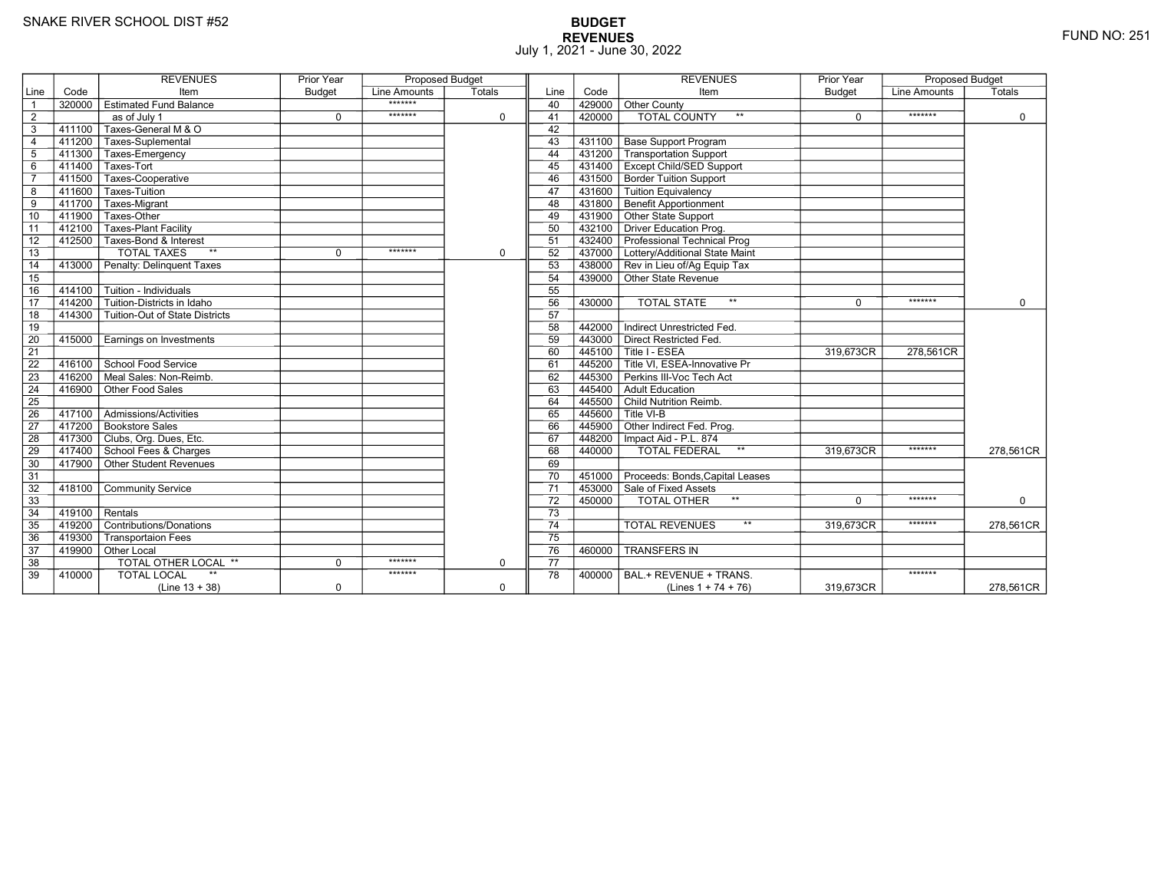# **BUDGET REVENUES** FUND NO: 251 July 1, 2021 - June 30, 2022

|                 |           | <b>REVENUES</b>                            | <b>Prior Year</b> | <b>Proposed Budget</b> |             |                 |        | <b>REVENUES</b>                        | <b>Prior Year</b> | <b>Proposed Budget</b> |             |
|-----------------|-----------|--------------------------------------------|-------------------|------------------------|-------------|-----------------|--------|----------------------------------------|-------------------|------------------------|-------------|
| Line            | Code      | Item                                       | <b>Budget</b>     | Line Amounts           | Totals      | Line            | Code   | Item                                   | <b>Budget</b>     | Line Amounts           | Totals      |
| $\overline{1}$  | 320000    | $\top$ Estimated Fund Balance              |                   | *******                |             | 40              |        | 429000 Other County                    |                   |                        |             |
| $\overline{2}$  |           | as of July 1                               | $\mathbf 0$       | *******                | $\mathbf 0$ | 41              | 420000 | <b>TOTAL COUNTY</b><br>$***$           | 0                 | *******                | 0           |
| 3               | $-411100$ | Taxes-General M & O                        |                   |                        |             | 42              |        |                                        |                   |                        |             |
| $\overline{4}$  |           | 411200 Taxes-Suplemental                   |                   |                        |             | 43              |        | 431100   Base Support Program          |                   |                        |             |
| 5               |           | 411300 Taxes-Emergency                     |                   |                        |             | 44              |        | 431200 Transportation Support          |                   |                        |             |
| 6               |           | 411400 Taxes-Tort                          |                   |                        |             | 45              |        | 431400   Except Child/SED Support      |                   |                        |             |
| $\overline{7}$  | 411500    | Taxes-Cooperative                          |                   |                        |             | 46              |        | 431500 Border Tuition Support          |                   |                        |             |
| 8               | 411600    | Taxes-Tuition                              |                   |                        |             | 47              |        | 431600 Tuition Equivalency             |                   |                        |             |
| 9               | $-411700$ | Taxes-Migrant                              |                   |                        |             | 48              |        | 431800 Benefit Apportionment           |                   |                        |             |
| 10              | 411900    | Taxes-Other                                |                   |                        |             | 49              |        | 431900 Other State Support             |                   |                        |             |
| 11              | 412100    | <b>Taxes-Plant Facility</b>                |                   |                        |             | 50              |        | 432100 Driver Education Prog.          |                   |                        |             |
| 12              | 412500    | Taxes-Bond & Interest                      |                   |                        |             | 51              |        | 432400 Professional Technical Prog     |                   |                        |             |
| 13              |           | <b>TOTAL TAXES</b><br>$**$                 | 0                 | *******                | $\mathbf 0$ | 52              |        | 437000 Lottery/Additional State Maint  |                   |                        |             |
| 14              | 413000    | Penalty: Delinguent Taxes                  |                   |                        |             | 53              |        | 438000 Rev in Lieu of/Ag Equip Tax     |                   |                        |             |
| 15              |           |                                            |                   |                        |             | 54              |        | 439000 Other State Revenue             |                   |                        |             |
| 16              |           | 414100   Tuition - Individuals             |                   |                        |             | 55              |        |                                        |                   |                        |             |
| $\overline{17}$ | 414200    | Tuition-Districts in Idaho                 |                   |                        |             | 56              | 430000 | $\star\star$<br><b>TOTAL STATE</b>     | $\Omega$          | *******                | $\mathbf 0$ |
| 18              |           | 414300   Tuition-Out of State Districts    |                   |                        |             | 57              |        |                                        |                   |                        |             |
| 19              |           |                                            |                   |                        |             | 58              | 442000 | Indirect Unrestricted Fed.             |                   |                        |             |
| 20              | 415000    | Earnings on Investments                    |                   |                        |             | 59              |        | 443000 Direct Restricted Fed.          |                   |                        |             |
| $\overline{21}$ |           |                                            |                   |                        |             | 60              |        | 445100 Title I - ESEA                  | 319.673CR         | 278,561CR              |             |
| 22              |           | 416100 School Food Service                 |                   |                        |             | 61              |        | 445200 Title VI. ESEA-Innovative Pr    |                   |                        |             |
| 23              | 416200    | $\overline{\Gamma}$ Meal Sales: Non-Reimb. |                   |                        |             | 62              |        | 445300 Perkins III-Voc Tech Act        |                   |                        |             |
| $\overline{24}$ | 416900    | Other Food Sales                           |                   |                        |             | 63              |        | 445400 Adult Education                 |                   |                        |             |
| 25              |           |                                            |                   |                        |             | 64              |        | 445500 Child Nutrition Reimb.          |                   |                        |             |
| 26              |           | 417100   Admissions/Activities             |                   |                        |             | 65              |        | $445600$ Title VI-B                    |                   |                        |             |
| 27              |           | 417200 Bookstore Sales                     |                   |                        |             | 66              |        | 445900 Other Indirect Fed. Prog.       |                   |                        |             |
| 28              |           | 417300 Clubs, Org. Dues, Etc.              |                   |                        |             | 67              |        | 448200   Impact Aid - P.L. 874         |                   |                        |             |
| 29              |           | 417400 School Fees & Charges               |                   |                        |             | 68              | 440000 | $^{\star\star}$<br>TOTAL FEDERAL       | 319,673CR         | *******                | 278,561CR   |
| 30              |           | $417900$ Other Student Revenues            |                   |                        |             | 69              |        |                                        |                   |                        |             |
| 31              |           |                                            |                   |                        |             | 70              |        | 451000 Proceeds: Bonds, Capital Leases |                   |                        |             |
| 32              | 418100    | <b>Community Service</b>                   |                   |                        |             | $\overline{71}$ |        | 453000 Sale of Fixed Assets            |                   |                        |             |
| 33              |           |                                            |                   |                        |             | 72              | 450000 | TOTAL OTHER                            | $\Omega$          | *******                | $\mathbf 0$ |
| 34              | 419100    | Rentals                                    |                   |                        |             | 73              |        |                                        |                   |                        |             |
| 35              |           | 419200 Contributions/Donations             |                   |                        |             | 74              |        | $***$<br><b>TOTAL REVENUES</b>         | 319.673CR         | *******                | 278.561CR   |
| 36              | 419300    | <b>Transportaion Fees</b>                  |                   |                        |             | 75              |        |                                        |                   |                        |             |
| 37              |           | 419900 Other Local                         |                   |                        |             | 76              | 460000 | <b>TRANSFERS IN</b>                    |                   |                        |             |
| 38              |           | <b>TOTAL OTHER LOCAL **</b>                | $\Omega$          | *******                | $\mathbf 0$ | 77              |        |                                        |                   |                        |             |
| 39              | 410000    | <b>TOTAL LOCAL</b>                         |                   | *******                |             | 78              | 400000 | BAL.+ REVENUE + TRANS.                 |                   | *******                |             |
|                 |           | $(Line 13 + 38)$                           | $\mathbf 0$       |                        | $\mathbf 0$ |                 |        | (Lines $1 + 74 + 76$ )                 | 319,673CR         |                        | 278,561CR   |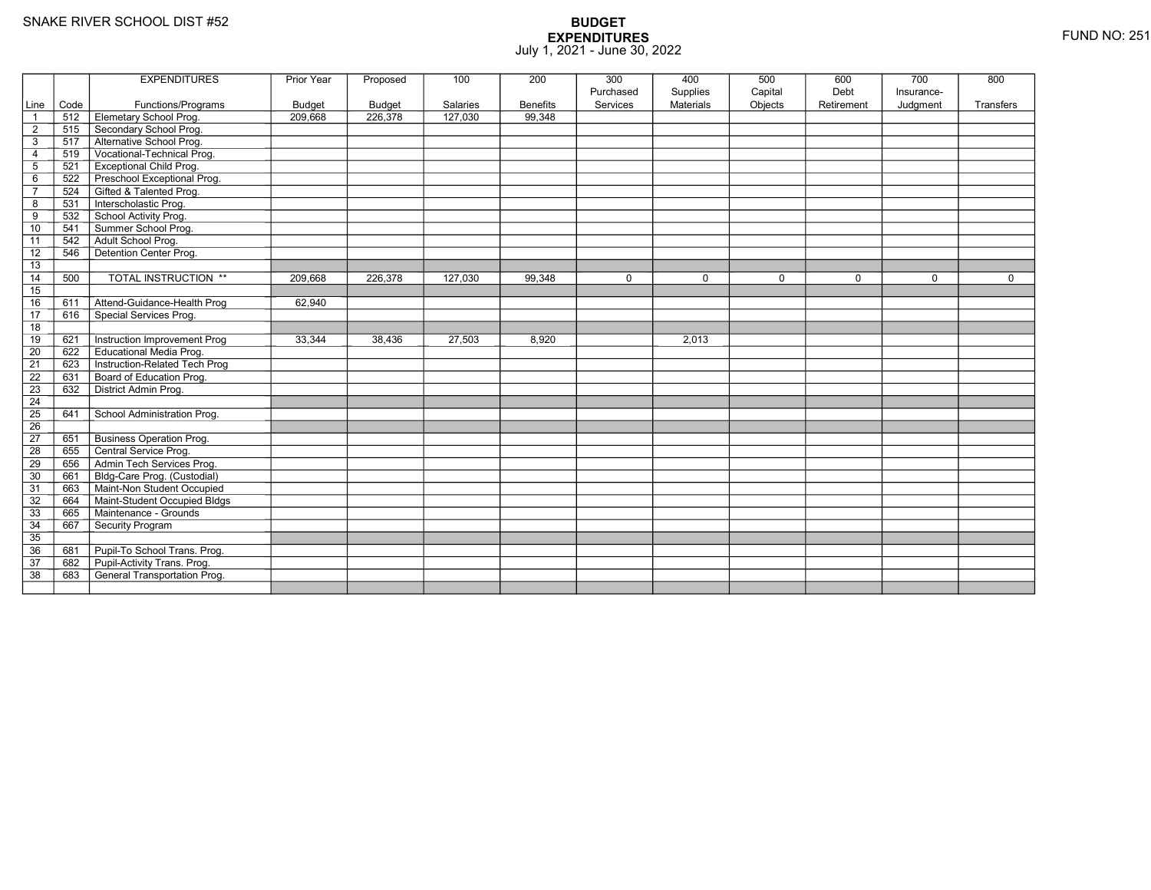|                 |      | <b>EXPENDITURES</b>                 | Prior Year    | Proposed      | 100      | 200             | 300         | 400              | 500         | 600         | 700        | 800         |
|-----------------|------|-------------------------------------|---------------|---------------|----------|-----------------|-------------|------------------|-------------|-------------|------------|-------------|
|                 |      |                                     |               |               |          |                 | Purchased   | Supplies         | Capital     | Debt        | Insurance- |             |
| Line            | Code | Functions/Programs                  | <b>Budget</b> | <b>Budget</b> | Salaries | <b>Benefits</b> | Services    | <b>Materials</b> | Objects     | Retirement  | Judgment   | Transfers   |
| $\overline{1}$  | 512  | Elemetary School Prog.              | 209,668       | 226,378       | 127,030  | 99.348          |             |                  |             |             |            |             |
| $\overline{2}$  | 515  | Secondary School Prog.              |               |               |          |                 |             |                  |             |             |            |             |
| 3               | 517  | Alternative School Prog.            |               |               |          |                 |             |                  |             |             |            |             |
| $\overline{4}$  | 519  | Vocational-Technical Prog.          |               |               |          |                 |             |                  |             |             |            |             |
| $\mathbf 5$     | 521  | <b>Exceptional Child Prog.</b>      |               |               |          |                 |             |                  |             |             |            |             |
| 6               | 522  | Preschool Exceptional Prog.         |               |               |          |                 |             |                  |             |             |            |             |
| $\overline{7}$  | 524  | Gifted & Talented Prog.             |               |               |          |                 |             |                  |             |             |            |             |
| 8               | 531  | Interscholastic Prog.               |               |               |          |                 |             |                  |             |             |            |             |
| 9               | 532  | School Activity Prog.               |               |               |          |                 |             |                  |             |             |            |             |
| 10              | 541  | Summer School Prog.                 |               |               |          |                 |             |                  |             |             |            |             |
| 11              | 542  | Adult School Prog.                  |               |               |          |                 |             |                  |             |             |            |             |
| $\overline{12}$ | 546  | Detention Center Prog.              |               |               |          |                 |             |                  |             |             |            |             |
| 13              |      |                                     |               |               |          |                 |             |                  |             |             |            |             |
| 14              | 500  | <b>TOTAL INSTRUCTION **</b>         | 209,668       | 226,378       | 127,030  | 99,348          | $\mathbf 0$ | $\mathbf 0$      | $\mathbf 0$ | $\mathbf 0$ | $\Omega$   | $\mathbf 0$ |
| 15              |      |                                     |               |               |          |                 |             |                  |             |             |            |             |
| 16              | 611  | Attend-Guidance-Health Prog         | 62,940        |               |          |                 |             |                  |             |             |            |             |
| 17              | 616  | Special Services Prog.              |               |               |          |                 |             |                  |             |             |            |             |
| 18              |      |                                     |               |               |          |                 |             |                  |             |             |            |             |
| 19              | 621  | Instruction Improvement Prog        | 33,344        | 38.436        | 27,503   | 8,920           |             | 2,013            |             |             |            |             |
| $\overline{20}$ | 622  | <b>Educational Media Prog.</b>      |               |               |          |                 |             |                  |             |             |            |             |
| 21              | 623  | Instruction-Related Tech Prog       |               |               |          |                 |             |                  |             |             |            |             |
| $\overline{22}$ | 631  | Board of Education Prog.            |               |               |          |                 |             |                  |             |             |            |             |
| 23              | 632  | District Admin Prog.                |               |               |          |                 |             |                  |             |             |            |             |
| 24              |      |                                     |               |               |          |                 |             |                  |             |             |            |             |
| $\overline{25}$ | 641  | School Administration Prog.         |               |               |          |                 |             |                  |             |             |            |             |
| 26              |      |                                     |               |               |          |                 |             |                  |             |             |            |             |
| 27              | 651  | <b>Business Operation Prog.</b>     |               |               |          |                 |             |                  |             |             |            |             |
| 28              | 655  | Central Service Prog.               |               |               |          |                 |             |                  |             |             |            |             |
| 29              | 656  | Admin Tech Services Prog.           |               |               |          |                 |             |                  |             |             |            |             |
| 30              | 661  | Bldg-Care Prog. (Custodial)         |               |               |          |                 |             |                  |             |             |            |             |
| 31              | 663  | Maint-Non Student Occupied          |               |               |          |                 |             |                  |             |             |            |             |
| 32              | 664  | Maint-Student Occupied Bldgs        |               |               |          |                 |             |                  |             |             |            |             |
| 33              | 665  | Maintenance - Grounds               |               |               |          |                 |             |                  |             |             |            |             |
| 34              | 667  | Security Program                    |               |               |          |                 |             |                  |             |             |            |             |
| $\overline{35}$ |      |                                     |               |               |          |                 |             |                  |             |             |            |             |
| 36              | 681  | Pupil-To School Trans. Prog.        |               |               |          |                 |             |                  |             |             |            |             |
| 37              | 682  | Pupil-Activity Trans. Prog.         |               |               |          |                 |             |                  |             |             |            |             |
| $\overline{38}$ | 683  | <b>General Transportation Prog.</b> |               |               |          |                 |             |                  |             |             |            |             |
|                 |      |                                     |               |               |          |                 |             |                  |             |             |            |             |
|                 |      |                                     |               |               |          |                 |             |                  |             |             |            |             |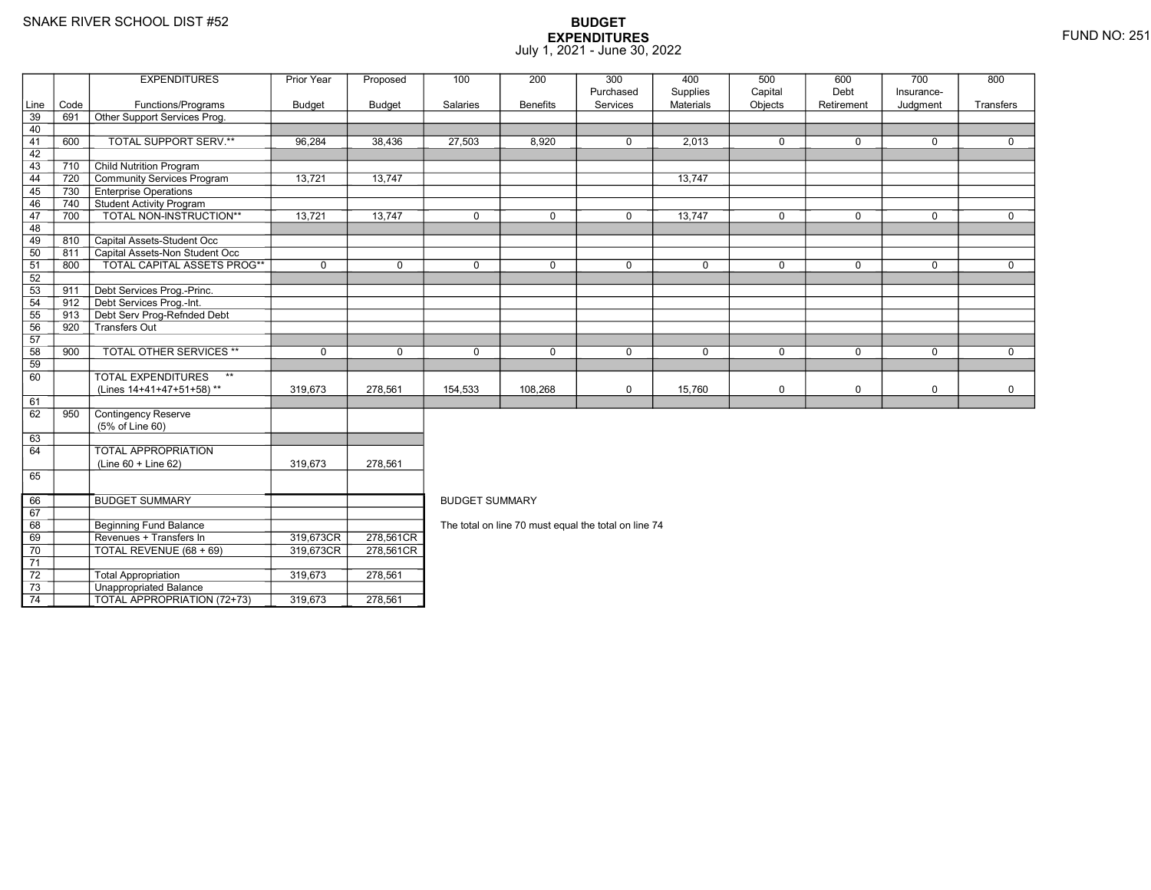8 Beginning Fund Balance

3 **Unappropriated Balance** 

Revenues + Transfers In 319,673CR

0 | TOTAL REVENUE (68 + 69) | 319,673CR

2 | Total Appropriation | 319,673 | 278,561

TOTAL APPROPRIATION (72+73) 319,673 278,561

69

70

71 72

73

74

## **BUDGET EXPENDITURES**July 1, 2021 - June 30, 2022

|      |      | <b>EXPENDITURES</b>                | Prior Year    | Proposed      | 100                   | 200             | 300                                                  | 400       | 500         | 600         | 700         | 800         |
|------|------|------------------------------------|---------------|---------------|-----------------------|-----------------|------------------------------------------------------|-----------|-------------|-------------|-------------|-------------|
|      |      |                                    |               |               |                       |                 | Purchased                                            | Supplies  | Capital     | Debt        | Insurance-  |             |
| Line | Code | Functions/Programs                 | <b>Budget</b> | <b>Budget</b> | Salaries              | <b>Benefits</b> | Services                                             | Materials | Objects     | Retirement  | Judgment    | Transfers   |
| 39   | 691  | Other Support Services Prog.       |               |               |                       |                 |                                                      |           |             |             |             |             |
| 40   |      |                                    |               |               |                       |                 |                                                      |           |             |             |             |             |
| 41   | 600  | TOTAL SUPPORT SERV.**              | 96,284        | 38,436        | 27,503                | 8,920           | $\mathbf 0$                                          | 2,013     | $\mathbf 0$ | $\mathbf 0$ | $\mathbf 0$ | $\mathbf 0$ |
| 42   |      |                                    |               |               |                       |                 |                                                      |           |             |             |             |             |
| 43   | 710  | <b>Child Nutrition Program</b>     |               |               |                       |                 |                                                      |           |             |             |             |             |
| 44   | 720  | Community Services Program         | 13,721        | 13,747        |                       |                 |                                                      | 13,747    |             |             |             |             |
| 45   | 730  | <b>Enterprise Operations</b>       |               |               |                       |                 |                                                      |           |             |             |             |             |
| 46   | 740  | Student Activity Program           |               |               |                       |                 |                                                      |           |             |             |             |             |
| 47   | 700  | <b>TOTAL NON-INSTRUCTION**</b>     | 13,721        | 13,747        | $\Omega$              | $\Omega$        | $\mathbf 0$                                          | 13,747    | $\mathbf 0$ | $\Omega$    | $\mathbf 0$ | $\mathbf 0$ |
| 48   |      |                                    |               |               |                       |                 |                                                      |           |             |             |             |             |
| 49   | 810  | Capital Assets-Student Occ         |               |               |                       |                 |                                                      |           |             |             |             |             |
| 50   | 811  | Capital Assets-Non Student Occ     |               |               |                       |                 |                                                      |           |             |             |             |             |
| 51   | 800  | <b>TOTAL CAPITAL ASSETS PROG**</b> | $\mathbf 0$   | $\Omega$      | $\Omega$              | $\Omega$        | $\mathbf 0$                                          | 0         | $\Omega$    | $\Omega$    | $\mathbf 0$ | $\mathbf 0$ |
| 52   |      |                                    |               |               |                       |                 |                                                      |           |             |             |             |             |
| 53   | 911  | Debt Services Prog.-Princ.         |               |               |                       |                 |                                                      |           |             |             |             |             |
| 54   | 912  | Debt Services Prog.-Int.           |               |               |                       |                 |                                                      |           |             |             |             |             |
| 55   | 913  | Debt Serv Prog-Refnded Debt        |               |               |                       |                 |                                                      |           |             |             |             |             |
| 56   | 920  | Transfers Out                      |               |               |                       |                 |                                                      |           |             |             |             |             |
| 57   |      |                                    |               |               |                       |                 |                                                      |           |             |             |             |             |
| 58   | 900  | <b>TOTAL OTHER SERVICES **</b>     | $\mathbf 0$   | $\mathbf 0$   | $\mathbf 0$           | 0               | $\mathbf 0$                                          | 0         | $\mathbf 0$ | $\mathbf 0$ | $\mathbf 0$ | $\mathbf 0$ |
| 59   |      |                                    |               |               |                       |                 |                                                      |           |             |             |             |             |
| 60   |      | <b>TOTAL EXPENDITURES</b><br>$***$ |               |               |                       |                 |                                                      |           |             |             |             |             |
|      |      | (Lines 14+41+47+51+58)**           | 319,673       | 278,561       | 154,533               | 108,268         | $\mathbf 0$                                          | 15,760    | $\mathbf 0$ | 0           | $\mathbf 0$ | $\mathbf 0$ |
| 61   |      |                                    |               |               |                       |                 |                                                      |           |             |             |             |             |
| 62   | 950  | <b>Contingency Reserve</b>         |               |               |                       |                 |                                                      |           |             |             |             |             |
|      |      | (5% of Line 60)                    |               |               |                       |                 |                                                      |           |             |             |             |             |
| 63   |      |                                    |               |               |                       |                 |                                                      |           |             |             |             |             |
| 64   |      | <b>TOTAL APPROPRIATION</b>         |               |               |                       |                 |                                                      |           |             |             |             |             |
|      |      | $(Line 60 + Line 62)$              | 319,673       | 278,561       |                       |                 |                                                      |           |             |             |             |             |
| 65   |      |                                    |               |               |                       |                 |                                                      |           |             |             |             |             |
|      |      |                                    |               |               |                       |                 |                                                      |           |             |             |             |             |
| 66   |      | <b>BUDGET SUMMARY</b>              |               |               | <b>BUDGET SUMMARY</b> |                 |                                                      |           |             |             |             |             |
| 67   |      |                                    |               |               |                       |                 |                                                      |           |             |             |             |             |
| 68   |      | Beginning Fund Balance             |               |               |                       |                 | The total on line 70 must equal the total on line 74 |           |             |             |             |             |

The total on line 70 must equal the total on line 74

R\_| 278,561CR<br>DT 278,581.0D

R 278,561CR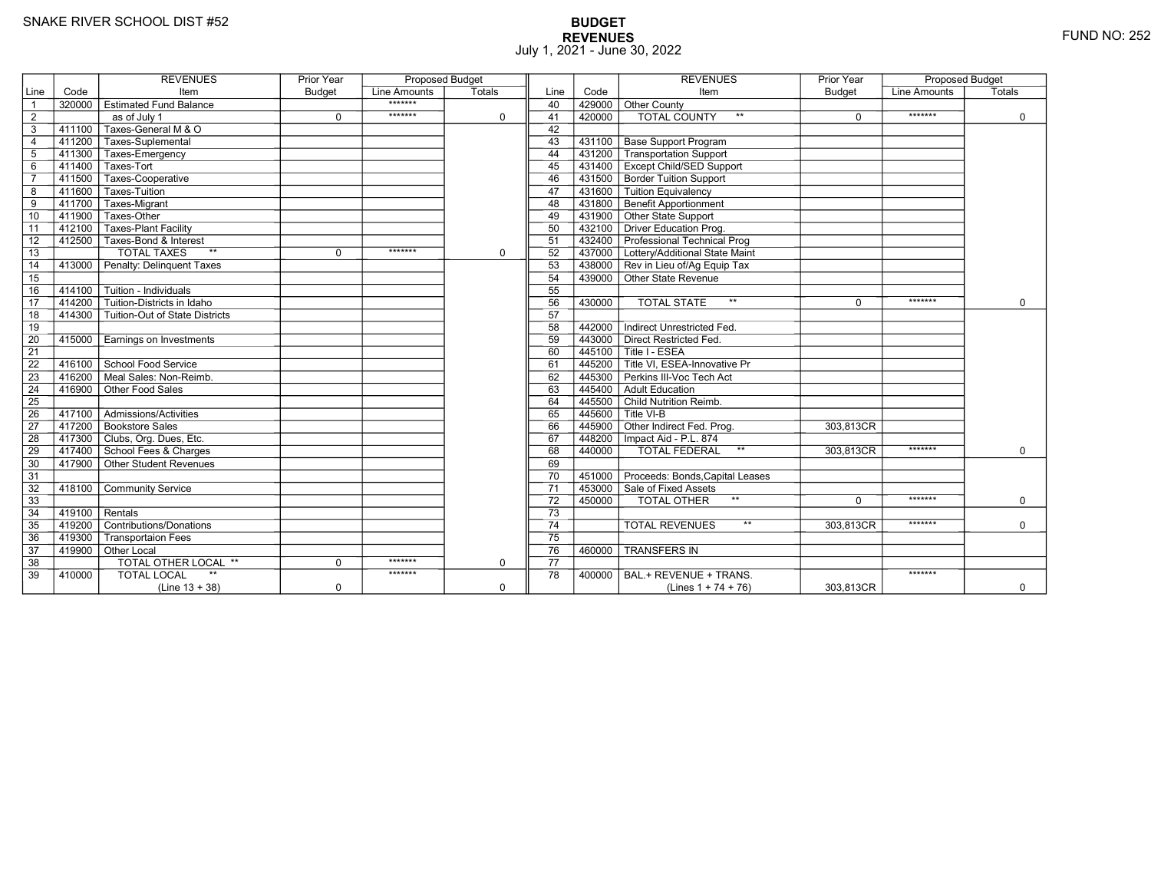# **BUDGET REVENUES** FUND NO: 252 July 1, 2021 - June 30, 2022

|                 |        | <b>REVENUES</b>                           | <b>Prior Year</b> | <b>Proposed Budget</b> |             |                 |        | <b>REVENUES</b>                                                      | <b>Prior Year</b> | <b>Proposed Budget</b> |             |
|-----------------|--------|-------------------------------------------|-------------------|------------------------|-------------|-----------------|--------|----------------------------------------------------------------------|-------------------|------------------------|-------------|
| Line            | Code   | Item                                      | <b>Budget</b>     | Line Amounts           | Totals      | Line            | Code   | Item                                                                 | <b>Budget</b>     | <b>Line Amounts</b>    | Totals      |
| $\overline{1}$  | 320000 | <b>Estimated Fund Balance</b>             |                   | *******                |             | 40              | 429000 | Other County                                                         |                   |                        |             |
| $\overline{2}$  |        | $\overline{as}$ of July 1                 | $\mathbf 0$       | *******                | $\mathbf 0$ | 41              | 420000 | <b>TOTAL COUNTY</b><br>$**$                                          | $\mathbf 0$       | *******                | $\mathbf 0$ |
| $\overline{3}$  | 411100 | Taxes-General M & O                       |                   |                        |             | 42              |        |                                                                      |                   |                        |             |
| $\overline{4}$  |        | 411200 Taxes-Suplemental                  |                   |                        |             | 43              | 431100 | <b>Base Support Program</b>                                          |                   |                        |             |
| $5\phantom{.0}$ | 411300 | Taxes-Emergency                           |                   |                        |             | 44              | 431200 | Transportation Support                                               |                   |                        |             |
| $\,6$           | 411400 | Taxes-Tort                                |                   |                        |             | 45              |        | 431400 Except Child/SED Support                                      |                   |                        |             |
| $\overline{7}$  | 411500 | Taxes-Cooperative                         |                   |                        |             | 46              |        | 431500 Border Tuition Support                                        |                   |                        |             |
| 8               | 411600 | Taxes-Tuition                             |                   |                        |             | 47              | 431600 | Tuition Equivalency                                                  |                   |                        |             |
| $\overline{9}$  | 411700 | Taxes-Migrant                             |                   |                        |             | 48              | 431800 | <b>Benefit Apportionment</b>                                         |                   |                        |             |
| 10              | 411900 | Taxes-Other                               |                   |                        |             | 49              |        | 431900 Other State Support                                           |                   |                        |             |
| 11              | 412100 | <b>Taxes-Plant Facility</b>               |                   |                        |             | 50              |        | 432100 Driver Education Prog.                                        |                   |                        |             |
| 12              | 412500 | Taxes-Bond & Interest                     |                   |                        |             | 51              |        | 432400 Professional Technical Prog                                   |                   |                        |             |
| $\overline{13}$ |        | <b>TOTAL TAXES</b><br>$**$                | $\mathbf 0$       | *******                | $\mathbf 0$ | 52              |        | 437000 Lottery/Additional State Maint                                |                   |                        |             |
| 14              | 413000 | Penalty: Delinquent Taxes                 |                   |                        |             | 53              |        | 438000 Rev in Lieu of/Ag Equip Tax                                   |                   |                        |             |
| 15              |        |                                           |                   |                        |             | 54              |        | 439000 Other State Revenue                                           |                   |                        |             |
| 16              | 414100 | Tuition - Individuals                     |                   |                        |             | 55              |        |                                                                      |                   |                        |             |
| $\overline{17}$ | 414200 | Tuition-Districts in Idaho                |                   |                        |             | 56              | 430000 | $\star\star$<br><b>TOTAL STATE</b>                                   | $\Omega$          | *******                | $\Omega$    |
| 18              | 414300 | Tuition-Out of State Districts            |                   |                        |             | 57              |        |                                                                      |                   |                        |             |
| 19              |        |                                           |                   |                        |             | 58              | 442000 | Indirect Unrestricted Fed.                                           |                   |                        |             |
| 20              | 415000 | Earnings on Investments                   |                   |                        |             | 59              |        | 443000 Direct Restricted Fed.                                        |                   |                        |             |
| $\overline{21}$ |        |                                           |                   |                        |             | 60              |        | 445100 Title I - ESEA                                                |                   |                        |             |
| $\overline{22}$ |        | 416100 School Food Service                |                   |                        |             | 61              |        | $\overline{1}$ 445200 $\overline{\top}$ Title VI. ESEA-Innovative Pr |                   |                        |             |
| 23              | 416200 | Meal Sales: Non-Reimb.                    |                   |                        |             | 62              | 445300 | Perkins III-Voc Tech Act                                             |                   |                        |             |
| 24              | 416900 | Other Food Sales                          |                   |                        |             | 63              |        | 445400 Adult Education                                               |                   |                        |             |
| 25              |        |                                           |                   |                        |             | 64              |        | 445500 Child Nutrition Reimb.                                        |                   |                        |             |
| 26              | 417100 | $\overline{\Gamma}$ Admissions/Activities |                   |                        |             | 65              |        | $^-$ 445600 $\overline{ }$ Title VI-B                                |                   |                        |             |
| $\overline{27}$ |        | 417200 Bookstore Sales                    |                   |                        |             | 66              |        | 445900 Other Indirect Fed. Prog.                                     | 303,813CR         |                        |             |
| 28              |        | 417300 Clubs, Org. Dues, Etc.             |                   |                        |             | 67              |        | 448200   Impact Aid - P.L. 874                                       |                   |                        |             |
| 29              |        | 417400 School Fees & Charges              |                   |                        |             | 68              | 440000 | $^{\star\star}$<br><b>TOTAL FEDERAL</b>                              | 303,813CR         | *******                | $\Omega$    |
| 30              |        | 417900 Other Student Revenues             |                   |                        |             | 69              |        |                                                                      |                   |                        |             |
| 31              |        |                                           |                   |                        |             | 70              |        | 451000 Proceeds: Bonds, Capital Leases                               |                   |                        |             |
| 32              | 418100 | <b>Community Service</b>                  |                   |                        |             | $\overline{71}$ |        | 453000 Sale of Fixed Assets                                          |                   |                        |             |
| 33              |        |                                           |                   |                        |             | 72              | 450000 | $\star\star$<br>TOTAL OTHER                                          | $\Omega$          | *******                | $\mathbf 0$ |
| 34              | 419100 | Rentals                                   |                   |                        |             | $\overline{73}$ |        |                                                                      |                   |                        |             |
| 35              | 419200 | Contributions/Donations                   |                   |                        |             | 74              |        | $**$<br><b>TOTAL REVENUES</b>                                        | 303.813CR         | *******                | $\mathbf 0$ |
| 36              | 419300 | <b>Transportaion Fees</b>                 |                   |                        |             | $\overline{75}$ |        |                                                                      |                   |                        |             |
| 37              |        | 419900 Other Local                        |                   |                        |             | 76              | 460000 | <b>TRANSFERS IN</b>                                                  |                   |                        |             |
| 38              |        | <b>TOTAL OTHER LOCAL **</b>               | $\mathbf 0$       | *******                | $\mathbf 0$ | 77              |        |                                                                      |                   |                        |             |
| 39              | 410000 | <b>TOTAL LOCAL</b>                        |                   | *******                |             | 78              | 400000 | BAL.+ REVENUE + TRANS.                                               |                   | *******                |             |
|                 |        | $(Line 13 + 38)$                          | $\mathbf 0$       |                        | $\mathbf 0$ |                 |        | (Lines $1 + 74 + 76$ )                                               | 303,813CR         |                        | $\mathbf 0$ |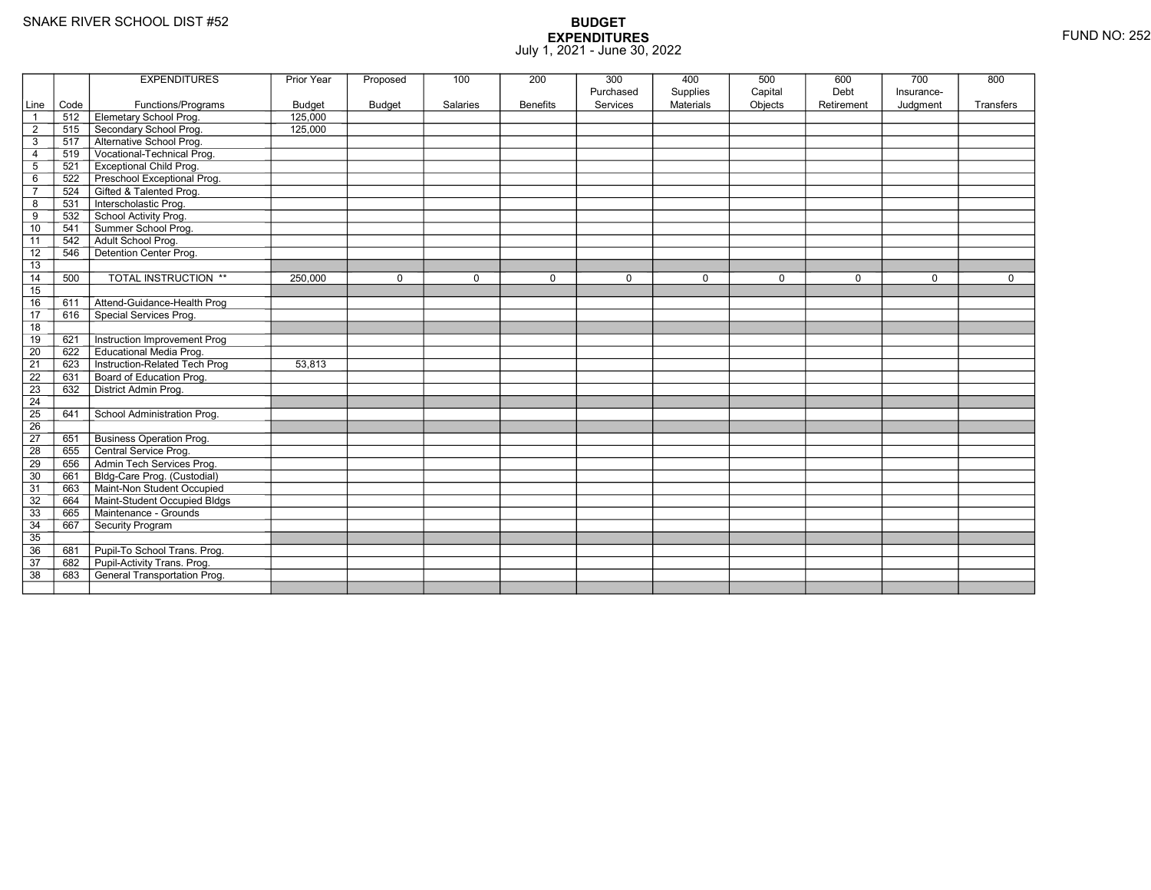|                 |      | <b>EXPENDITURES</b>                 | Prior Year    | Proposed      | 100      | 200             | 300         | 400              | 500         | 600         | 700        | 800       |
|-----------------|------|-------------------------------------|---------------|---------------|----------|-----------------|-------------|------------------|-------------|-------------|------------|-----------|
|                 |      |                                     |               |               |          |                 | Purchased   | Supplies         | Capital     | Debt        | Insurance- |           |
| Line            | Code | Functions/Programs                  | <b>Budget</b> | <b>Budget</b> | Salaries | <b>Benefits</b> | Services    | <b>Materials</b> | Objects     | Retirement  | Judgment   | Transfers |
| $\overline{1}$  | 512  | Elemetary School Prog.              | 125,000       |               |          |                 |             |                  |             |             |            |           |
| $\overline{2}$  | 515  | Secondary School Prog.              | 125,000       |               |          |                 |             |                  |             |             |            |           |
| $\mathsf 3$     | 517  | Alternative School Prog.            |               |               |          |                 |             |                  |             |             |            |           |
| $\overline{4}$  | 519  | Vocational-Technical Prog.          |               |               |          |                 |             |                  |             |             |            |           |
| $\mathbf 5$     | 521  | <b>Exceptional Child Prog.</b>      |               |               |          |                 |             |                  |             |             |            |           |
| 6               | 522  | Preschool Exceptional Prog.         |               |               |          |                 |             |                  |             |             |            |           |
| $\overline{7}$  | 524  | Gifted & Talented Prog.             |               |               |          |                 |             |                  |             |             |            |           |
| 8               | 531  | Interscholastic Prog.               |               |               |          |                 |             |                  |             |             |            |           |
| 9               | 532  | School Activity Prog.               |               |               |          |                 |             |                  |             |             |            |           |
| 10              | 541  | Summer School Prog.                 |               |               |          |                 |             |                  |             |             |            |           |
| 11              | 542  | Adult School Prog.                  |               |               |          |                 |             |                  |             |             |            |           |
| $\overline{12}$ | 546  | Detention Center Prog.              |               |               |          |                 |             |                  |             |             |            |           |
| 13              |      |                                     |               |               |          |                 |             |                  |             |             |            |           |
| 14              | 500  | <b>TOTAL INSTRUCTION **</b>         | 250,000       | $\Omega$      | $\Omega$ | 0               | $\mathbf 0$ | $\Omega$         | $\mathbf 0$ | $\mathbf 0$ | $\Omega$   | $\Omega$  |
| 15              |      |                                     |               |               |          |                 |             |                  |             |             |            |           |
| 16              | 611  | Attend-Guidance-Health Prog         |               |               |          |                 |             |                  |             |             |            |           |
| 17              | 616  | Special Services Prog.              |               |               |          |                 |             |                  |             |             |            |           |
| 18              |      |                                     |               |               |          |                 |             |                  |             |             |            |           |
| 19              | 621  | Instruction Improvement Prog        |               |               |          |                 |             |                  |             |             |            |           |
| $\overline{20}$ | 622  | <b>Educational Media Prog.</b>      |               |               |          |                 |             |                  |             |             |            |           |
| 21              | 623  | Instruction-Related Tech Prog       | 53,813        |               |          |                 |             |                  |             |             |            |           |
| $\overline{22}$ | 631  | Board of Education Prog.            |               |               |          |                 |             |                  |             |             |            |           |
| 23              | 632  | District Admin Prog.                |               |               |          |                 |             |                  |             |             |            |           |
| 24              |      |                                     |               |               |          |                 |             |                  |             |             |            |           |
| $\overline{25}$ | 641  | School Administration Prog.         |               |               |          |                 |             |                  |             |             |            |           |
| 26              |      |                                     |               |               |          |                 |             |                  |             |             |            |           |
| 27              | 651  | <b>Business Operation Prog.</b>     |               |               |          |                 |             |                  |             |             |            |           |
| 28              | 655  | Central Service Prog.               |               |               |          |                 |             |                  |             |             |            |           |
| 29              | 656  | Admin Tech Services Prog.           |               |               |          |                 |             |                  |             |             |            |           |
| 30              | 661  | Bldg-Care Prog. (Custodial)         |               |               |          |                 |             |                  |             |             |            |           |
| 31              | 663  | Maint-Non Student Occupied          |               |               |          |                 |             |                  |             |             |            |           |
| 32              | 664  | Maint-Student Occupied Bldgs        |               |               |          |                 |             |                  |             |             |            |           |
| 33              | 665  | Maintenance - Grounds               |               |               |          |                 |             |                  |             |             |            |           |
| 34              | 667  | Security Program                    |               |               |          |                 |             |                  |             |             |            |           |
| $\overline{35}$ |      |                                     |               |               |          |                 |             |                  |             |             |            |           |
| 36              | 681  | Pupil-To School Trans. Prog.        |               |               |          |                 |             |                  |             |             |            |           |
| 37              | 682  | Pupil-Activity Trans. Prog.         |               |               |          |                 |             |                  |             |             |            |           |
| $\overline{38}$ | 683  | <b>General Transportation Prog.</b> |               |               |          |                 |             |                  |             |             |            |           |
|                 |      |                                     |               |               |          |                 |             |                  |             |             |            |           |
|                 |      |                                     |               |               |          |                 |             |                  |             |             |            |           |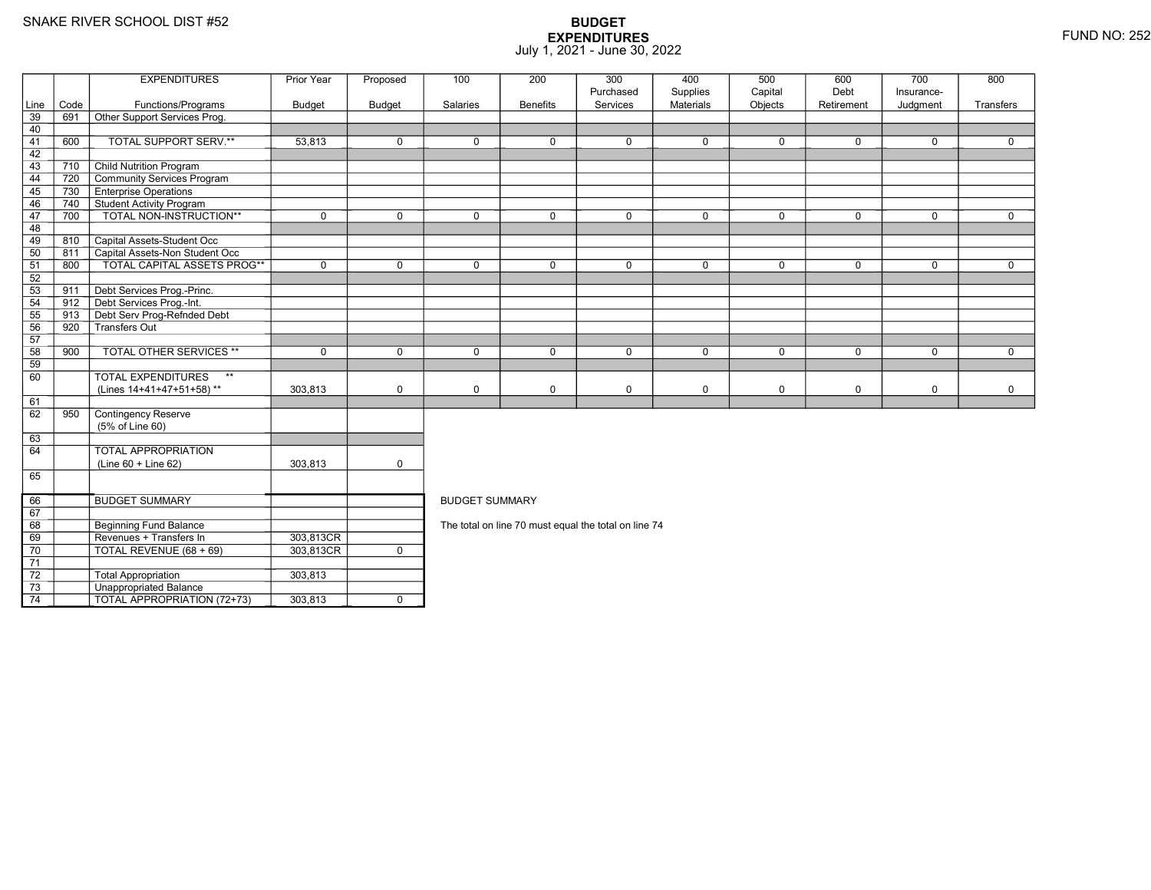Total Appropriation 303,813

TOTAL APPROPRIATION (72+73) 303,813 <sup>0</sup>

3 **Unappropriated Balance** 

73

74

|                 |      | <b>EXPENDITURES</b>                | Prior Year    | Proposed      | 100                   | 200             | 300                                                  | 400                   | 500                | 600                | 700                    | 800         |
|-----------------|------|------------------------------------|---------------|---------------|-----------------------|-----------------|------------------------------------------------------|-----------------------|--------------------|--------------------|------------------------|-------------|
| Line            | Code | Functions/Programs                 | <b>Budget</b> | <b>Budget</b> | Salaries              | <b>Benefits</b> | Purchased<br>Services                                | Supplies<br>Materials | Capital<br>Objects | Debt<br>Retirement | Insurance-<br>Judgment | Transfers   |
| 39              | 691  | Other Support Services Prog.       |               |               |                       |                 |                                                      |                       |                    |                    |                        |             |
| 40              |      |                                    |               |               |                       |                 |                                                      |                       |                    |                    |                        |             |
| 41              | 600  | TOTAL SUPPORT SERV.**              | 53,813        | $\mathbf 0$   | $\mathbf 0$           | $\mathbf 0$     | $\mathbf 0$                                          | $\mathbf 0$           | 0                  | $\mathbf 0$        | $\mathbf 0$            | $\Omega$    |
| 42              |      |                                    |               |               |                       |                 |                                                      |                       |                    |                    |                        |             |
| 43              | 710  | <b>Child Nutrition Program</b>     |               |               |                       |                 |                                                      |                       |                    |                    |                        |             |
| 44              | 720  | Community Services Program         |               |               |                       |                 |                                                      |                       |                    |                    |                        |             |
| 45              | 730  | <b>Enterprise Operations</b>       |               |               |                       |                 |                                                      |                       |                    |                    |                        |             |
| 46              | 740  | Student Activity Program           |               |               |                       |                 |                                                      |                       |                    |                    |                        |             |
| 47              | 700  | TOTAL NON-INSTRUCTION**            | $\mathbf 0$   | $\mathbf 0$   | $\mathbf 0$           | 0               | $\mathbf 0$                                          | $\mathbf 0$           | $\mathbf 0$        | $\mathbf 0$        | $\mathbf 0$            | $\mathbf 0$ |
| 48              |      |                                    |               |               |                       |                 |                                                      |                       |                    |                    |                        |             |
| 49              | 810  | Capital Assets-Student Occ         |               |               |                       |                 |                                                      |                       |                    |                    |                        |             |
| 50              | 811  | Capital Assets-Non Student Occ     |               |               |                       |                 |                                                      |                       |                    |                    |                        |             |
| 51              | 800  | TOTAL CAPITAL ASSETS PROG**        | $\mathbf{0}$  | $\Omega$      | $\mathbf 0$           | $\mathbf 0$     | $\mathbf 0$                                          | $\mathbf 0$           | $\mathbf 0$        | $\mathbf 0$        | $\Omega$               | $\mathbf 0$ |
| 52              |      |                                    |               |               |                       |                 |                                                      |                       |                    |                    |                        |             |
| 53              | 911  | Debt Services Prog.-Princ.         |               |               |                       |                 |                                                      |                       |                    |                    |                        |             |
| 54              | 912  | Debt Services Prog.-Int.           |               |               |                       |                 |                                                      |                       |                    |                    |                        |             |
| 55              | 913  | Debt Serv Prog-Refnded Debt        |               |               |                       |                 |                                                      |                       |                    |                    |                        |             |
| 56              | 920  | -<br>Transfers Out                 |               |               |                       |                 |                                                      |                       |                    |                    |                        |             |
| 57              |      |                                    |               |               |                       |                 |                                                      |                       |                    |                    |                        |             |
| 58              | 900  | <b>TOTAL OTHER SERVICES **</b>     | $\mathbf 0$   | $\mathbf 0$   | $\mathbf 0$           | 0               | $\mathbf 0$                                          | $\mathbf 0$           | $\mathbf 0$        | $\mathbf 0$        | $\mathbf 0$            | $\mathbf 0$ |
| 59              |      |                                    |               |               |                       |                 |                                                      |                       |                    |                    |                        |             |
| 60              |      | TOTAL EXPENDITURES<br>$\star\star$ |               |               |                       |                 |                                                      |                       |                    |                    |                        |             |
|                 |      | (Lines 14+41+47+51+58)**           | 303,813       | $\mathbf 0$   | $\mathsf 0$           | 0               | $\pmb{0}$                                            | $\mathbf 0$           | $\mathbf 0$        | $\mathbf 0$        | 0                      | $\mathbf 0$ |
| 61              |      |                                    |               |               |                       |                 |                                                      |                       |                    |                    |                        |             |
| 62              | 950  | Contingency Reserve                |               |               |                       |                 |                                                      |                       |                    |                    |                        |             |
|                 |      | (5% of Line 60)                    |               |               |                       |                 |                                                      |                       |                    |                    |                        |             |
| 63              |      |                                    |               |               |                       |                 |                                                      |                       |                    |                    |                        |             |
| 64              |      | <b>TOTAL APPROPRIATION</b>         |               |               |                       |                 |                                                      |                       |                    |                    |                        |             |
|                 |      | (Line 60 + Line 62)                | 303,813       | $\mathbf 0$   |                       |                 |                                                      |                       |                    |                    |                        |             |
| 65              |      |                                    |               |               |                       |                 |                                                      |                       |                    |                    |                        |             |
|                 |      |                                    |               |               |                       |                 |                                                      |                       |                    |                    |                        |             |
| 66              |      | <b>BUDGET SUMMARY</b>              |               |               | <b>BUDGET SUMMARY</b> |                 |                                                      |                       |                    |                    |                        |             |
| 67              |      |                                    |               |               |                       |                 |                                                      |                       |                    |                    |                        |             |
| 68              |      | <b>Beginning Fund Balance</b>      |               |               |                       |                 | The total on line 70 must equal the total on line 74 |                       |                    |                    |                        |             |
| 69              |      | Revenues + Transfers In            | 303,813CR     |               |                       |                 |                                                      |                       |                    |                    |                        |             |
| 70              |      | TOTAL REVENUE (68 + 69)            | 303,813CR     | $\mathbf 0$   |                       |                 |                                                      |                       |                    |                    |                        |             |
| $\overline{71}$ |      |                                    |               |               |                       |                 |                                                      |                       |                    |                    |                        |             |
| 72              |      | <b>Total Appropriation</b>         | 303.813       |               |                       |                 |                                                      |                       |                    |                    |                        |             |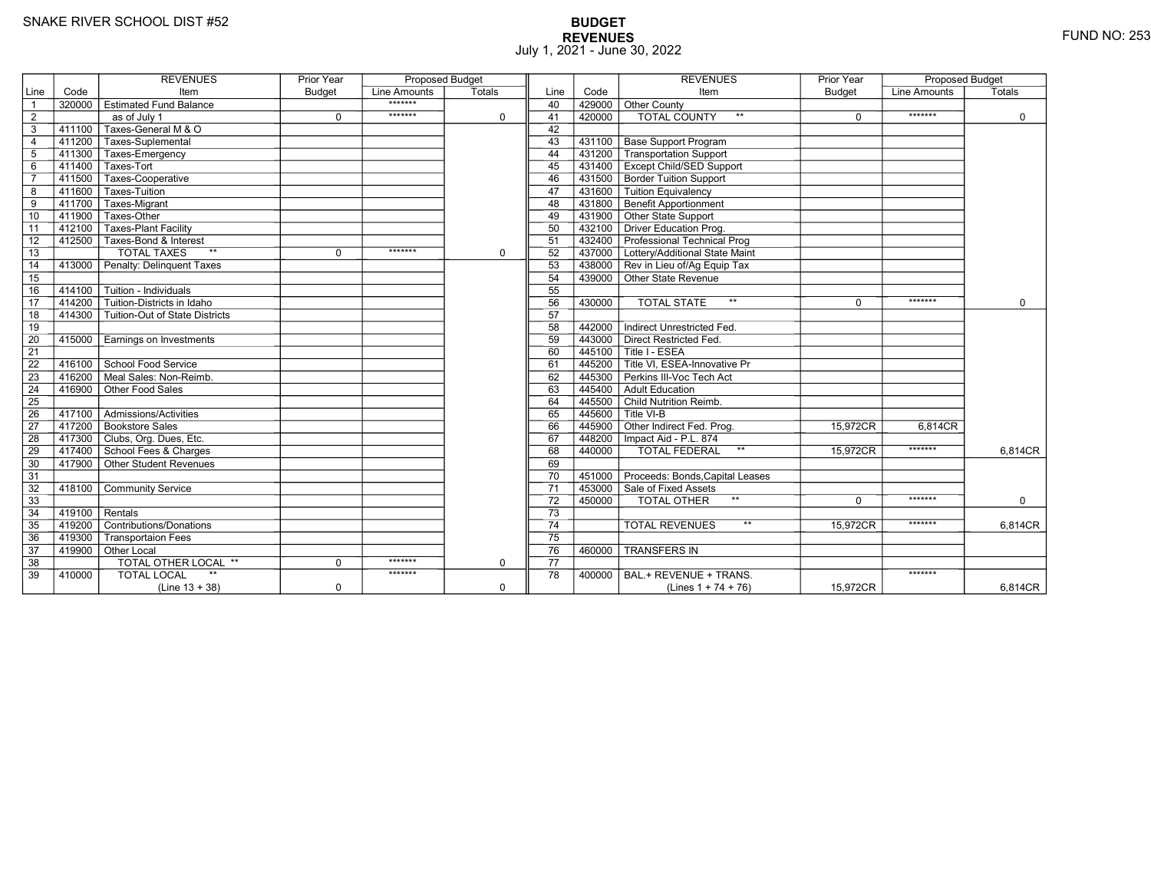# **BUDGET REVENUES** FUND NO: 253 July 1, 2021 - June 30, 2022

|                 |        | <b>REVENUES</b>                          | Prior Year    | <b>Proposed Budget</b> |             |                 |        | <b>REVENUES</b>                         | Prior Year    | <b>Proposed Budget</b> |             |
|-----------------|--------|------------------------------------------|---------------|------------------------|-------------|-----------------|--------|-----------------------------------------|---------------|------------------------|-------------|
| Line            | Code   | Item                                     | <b>Budget</b> | Line Amounts           | Totals      | Line            | Code   | Item                                    | <b>Budget</b> | Line Amounts           | Totals      |
| $\overline{1}$  |        | 320000   Estimated Fund Balance          |               | *******                |             | 40              | 429000 | <b>Other County</b>                     |               |                        |             |
| $\overline{2}$  |        | as of July 1                             | $\mathbf 0$   | *******                | $\mathbf 0$ | 41              | 420000 | <b>TOTAL COUNTY</b><br>$***$            | $\Omega$      | *******                | $\mathbf 0$ |
| 3               |        | 411100 Taxes-General M & O               |               |                        |             | 42              |        |                                         |               |                        |             |
| $\overline{4}$  |        | T411200 Taxes-Suplemental                |               |                        |             | 43              | 431100 | Base Support Program                    |               |                        |             |
| 5               |        | 411300 Taxes-Emergency                   |               |                        |             | 44              | 431200 | Transportation Support                  |               |                        |             |
| 6               |        | 411400 Taxes-Tort                        |               |                        |             | 45              | 431400 | <b>Except Child/SED Support</b>         |               |                        |             |
| $\overline{7}$  |        | 411500 Taxes-Cooperative                 |               |                        |             | 46              | 431500 | <b>Border Tuition Support</b>           |               |                        |             |
| 8               |        | 411600 Taxes-Tuition                     |               |                        |             | 47              | 431600 | Tuition Equivalency                     |               |                        |             |
| 9               |        | 411700 Taxes-Migrant                     |               |                        |             | 48              | 431800 | Benefit Apportionment                   |               |                        |             |
| 10              | 411900 | Taxes-Other                              |               |                        |             | 49              | 431900 | Other State Support                     |               |                        |             |
| 11              | 412100 | Taxes-Plant Facility                     |               |                        |             | 50              | 432100 | <b>Driver Education Prog.</b>           |               |                        |             |
| 12              |        | 412500 Taxes-Bond & Interest             |               |                        |             | 51              |        | 432400 Professional Technical Prog      |               |                        |             |
| 13              |        | <b>TOTAL TAXES</b><br>$**$               | $\Omega$      | *******                | $\mathbf 0$ | 52              | 437000 | Lottery/Additional State Maint          |               |                        |             |
| 14              | 413000 | Penalty: Delinguent Taxes                |               |                        |             | 53              |        | 438000 Rev in Lieu of/Ag Equip Tax      |               |                        |             |
| 15              |        |                                          |               |                        |             | 54              | 439000 | $\overline{\Gamma}$ Other State Revenue |               |                        |             |
| 16              |        | 414100 Tuition - Individuals             |               |                        |             | 55              |        |                                         |               |                        |             |
| $\overline{17}$ | 414200 | Tuition-Districts in Idaho               |               |                        |             | 56              | 430000 | <b>TOTAL STATE</b><br>$**$              | $\Omega$      | *******                | $\Omega$    |
| 18              | 414300 | Tuition-Out of State Districts           |               |                        |             | 57              |        |                                         |               |                        |             |
| 19              |        |                                          |               |                        |             | 58              | 442000 | Indirect Unrestricted Fed.              |               |                        |             |
| 20              | 415000 | Earnings on Investments                  |               |                        |             | 59              | 443000 | <b>Direct Restricted Fed.</b>           |               |                        |             |
| $\overline{21}$ |        |                                          |               |                        |             | 60              | 445100 | Title I - ESEA                          |               |                        |             |
| 22              |        | 416100 School Food Service               |               |                        |             | 61              |        | 445200 Title VI. ESEA-Innovative Pr     |               |                        |             |
| 23              |        | $416200$ Meal Sales: Non-Reimb.          |               |                        |             | 62              | 445300 | Perkins III-Voc Tech Act                |               |                        |             |
| 24              | 416900 | Other Food Sales                         |               |                        |             | 63              | 445400 | Adult Education                         |               |                        |             |
| 25              |        |                                          |               |                        |             | 64              |        | 445500 Child Nutrition Reimb.           |               |                        |             |
| 26              |        | 417100   Admissions/Activities           |               |                        |             | 65              |        | $445600$ Title VI-B                     |               |                        |             |
| $\overline{27}$ |        | 417200 Bookstore Sales                   |               |                        |             | 66              | 445900 | Other Indirect Fed. Prog.               | 15,972CR      | 6,814CR                |             |
| 28              |        | 417300 Clubs, Org. Dues, Etc.            |               |                        |             | 67              | 448200 | Impact Aid - P.L. 874                   |               |                        |             |
| 29              |        | 417400 School Fees & Charges             |               |                        |             | 68              | 440000 | TOTAL FEDERAL<br>$\star\star$           | 15,972CR      | *******                | 6,814CR     |
| 30              |        | $-$ 417900 $\top$ Other Student Revenues |               |                        |             | 69              |        |                                         |               |                        |             |
| 31              |        |                                          |               |                        |             | 70              | 451000 | Proceeds: Bonds, Capital Leases         |               |                        |             |
| 32              | 418100 | <b>Community Service</b>                 |               |                        |             | 71              | 453000 | Sale of Fixed Assets                    |               |                        |             |
| 33              |        |                                          |               |                        |             | 72              | 450000 | TOTAL OTHER<br>$***$                    | $\Omega$      | *******                | $\Omega$    |
| 34              | 419100 | $\overline{\mathsf{R}}$ entals           |               |                        |             | $\overline{73}$ |        |                                         |               |                        |             |
| 35              |        | 419200 Contributions/Donations           |               |                        |             | $\overline{74}$ |        | $***$<br><b>TOTAL REVENUES</b>          | 15.972CR      | *******                | 6,814CR     |
| 36              | 419300 | <b>Transportaion Fees</b>                |               |                        |             | $\overline{75}$ |        |                                         |               |                        |             |
| 37              |        | 419900 Other Local                       |               |                        |             | 76              | 460000 | <b>TRANSFERS IN</b>                     |               |                        |             |
| 38              |        | TOTAL OTHER LOCAL **                     | $\mathbf 0$   | *******                | 0           | 77              |        |                                         |               |                        |             |
| 39              | 410000 | <b>TOTAL LOCAL</b>                       |               | *******                |             | 78              | 400000 | BAL.+ REVENUE + TRANS.                  |               | *******                |             |
|                 |        | $(Line 13 + 38)$                         | $\mathbf 0$   |                        | $\mathbf 0$ |                 |        | (Lines $1 + 74 + 76$ )                  | 15,972CR      |                        | 6,814CR     |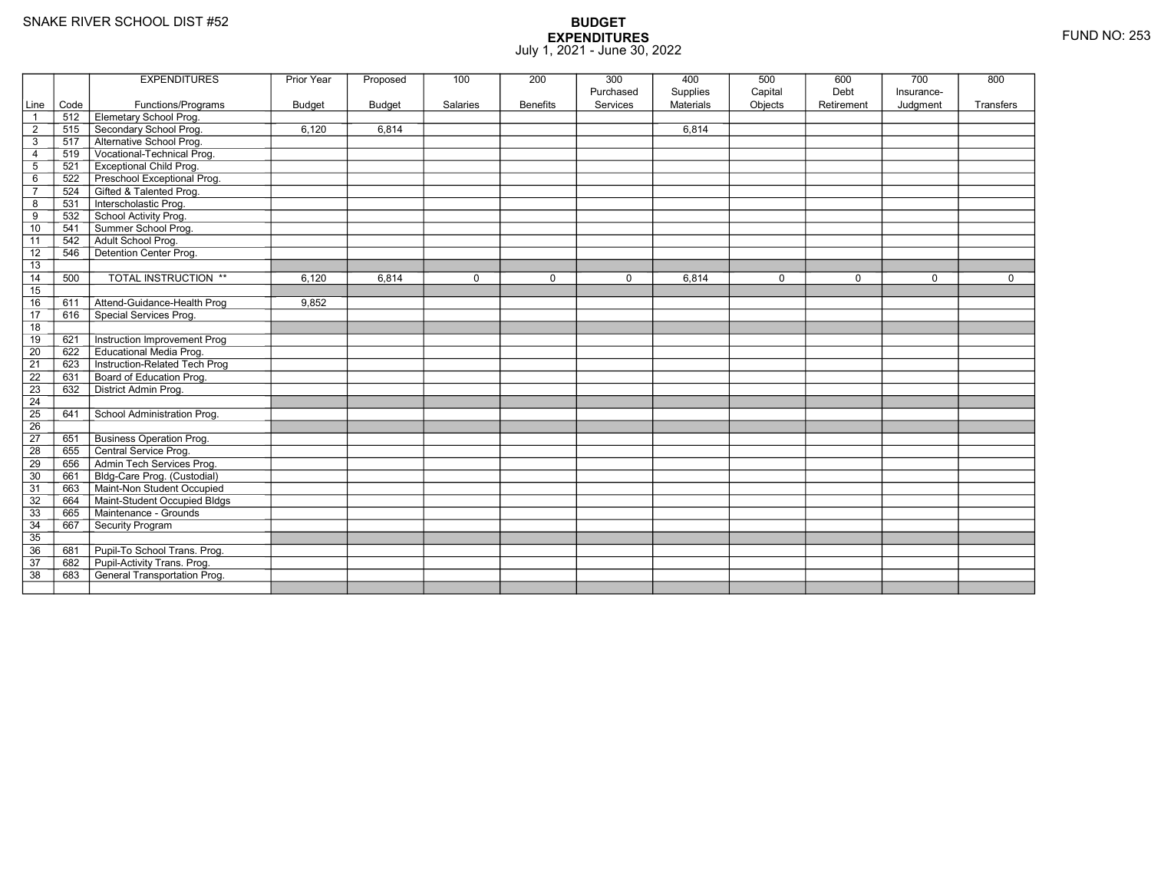|                 |      | <b>EXPENDITURES</b>                 | Prior Year    | Proposed      | 100         | 200             | 300       | 400              | 500         | 600         | 700         | 800         |
|-----------------|------|-------------------------------------|---------------|---------------|-------------|-----------------|-----------|------------------|-------------|-------------|-------------|-------------|
|                 |      |                                     |               |               |             |                 | Purchased | Supplies         | Capital     | Debt        | Insurance-  |             |
| Line            | Code | Functions/Programs                  | <b>Budget</b> | <b>Budget</b> | Salaries    | <b>Benefits</b> | Services  | <b>Materials</b> | Objects     | Retirement  | Judgment    | Transfers   |
| $\overline{1}$  | 512  | Elemetary School Prog.              |               |               |             |                 |           |                  |             |             |             |             |
| $\overline{2}$  | 515  | Secondary School Prog.              | 6,120         | 6,814         |             |                 |           | 6,814            |             |             |             |             |
| $\mathsf 3$     | 517  | Alternative School Prog.            |               |               |             |                 |           |                  |             |             |             |             |
| $\overline{4}$  | 519  | Vocational-Technical Prog.          |               |               |             |                 |           |                  |             |             |             |             |
| $\mathbf 5$     | 521  | <b>Exceptional Child Prog.</b>      |               |               |             |                 |           |                  |             |             |             |             |
| 6               | 522  | Preschool Exceptional Prog.         |               |               |             |                 |           |                  |             |             |             |             |
| $\overline{7}$  | 524  | Gifted & Talented Prog.             |               |               |             |                 |           |                  |             |             |             |             |
| 8               | 531  | Interscholastic Prog.               |               |               |             |                 |           |                  |             |             |             |             |
| 9               | 532  | School Activity Prog.               |               |               |             |                 |           |                  |             |             |             |             |
| 10              | 541  | Summer School Prog.                 |               |               |             |                 |           |                  |             |             |             |             |
| 11              | 542  | Adult School Prog.                  |               |               |             |                 |           |                  |             |             |             |             |
| $\overline{12}$ | 546  | Detention Center Prog.              |               |               |             |                 |           |                  |             |             |             |             |
| 13              |      |                                     |               |               |             |                 |           |                  |             |             |             |             |
| 14              | 500  | <b>TOTAL INSTRUCTION **</b>         | 6,120         | 6,814         | $\mathbf 0$ | $\mathbf 0$     | $\Omega$  | 6,814            | $\mathbf 0$ | $\mathbf 0$ | $\mathbf 0$ | $\mathbf 0$ |
| 15              |      |                                     |               |               |             |                 |           |                  |             |             |             |             |
| 16              | 611  | Attend-Guidance-Health Prog         | 9,852         |               |             |                 |           |                  |             |             |             |             |
| 17              | 616  | Special Services Prog.              |               |               |             |                 |           |                  |             |             |             |             |
| 18              |      |                                     |               |               |             |                 |           |                  |             |             |             |             |
| 19              | 621  | Instruction Improvement Prog        |               |               |             |                 |           |                  |             |             |             |             |
| $\overline{20}$ | 622  | <b>Educational Media Prog.</b>      |               |               |             |                 |           |                  |             |             |             |             |
| 21              | 623  | Instruction-Related Tech Prog       |               |               |             |                 |           |                  |             |             |             |             |
| 22              | 631  | Board of Education Prog.            |               |               |             |                 |           |                  |             |             |             |             |
| 23              | 632  | District Admin Prog.                |               |               |             |                 |           |                  |             |             |             |             |
| 24              |      |                                     |               |               |             |                 |           |                  |             |             |             |             |
| $\overline{25}$ | 641  | School Administration Prog.         |               |               |             |                 |           |                  |             |             |             |             |
| 26              |      |                                     |               |               |             |                 |           |                  |             |             |             |             |
| 27              | 651  | <b>Business Operation Prog.</b>     |               |               |             |                 |           |                  |             |             |             |             |
| 28              | 655  | Central Service Prog.               |               |               |             |                 |           |                  |             |             |             |             |
| 29              | 656  | Admin Tech Services Prog.           |               |               |             |                 |           |                  |             |             |             |             |
| 30              | 661  | Bldg-Care Prog. (Custodial)         |               |               |             |                 |           |                  |             |             |             |             |
| 31              | 663  | Maint-Non Student Occupied          |               |               |             |                 |           |                  |             |             |             |             |
| 32              | 664  | Maint-Student Occupied Bldgs        |               |               |             |                 |           |                  |             |             |             |             |
| 33              | 665  | Maintenance - Grounds               |               |               |             |                 |           |                  |             |             |             |             |
| 34              | 667  | Security Program                    |               |               |             |                 |           |                  |             |             |             |             |
| $\overline{35}$ |      |                                     |               |               |             |                 |           |                  |             |             |             |             |
| 36              | 681  | Pupil-To School Trans. Prog.        |               |               |             |                 |           |                  |             |             |             |             |
| 37              | 682  | Pupil-Activity Trans. Prog.         |               |               |             |                 |           |                  |             |             |             |             |
| $\overline{38}$ | 683  | <b>General Transportation Prog.</b> |               |               |             |                 |           |                  |             |             |             |             |
|                 |      |                                     |               |               |             |                 |           |                  |             |             |             |             |
|                 |      |                                     |               |               |             |                 |           |                  |             |             |             |             |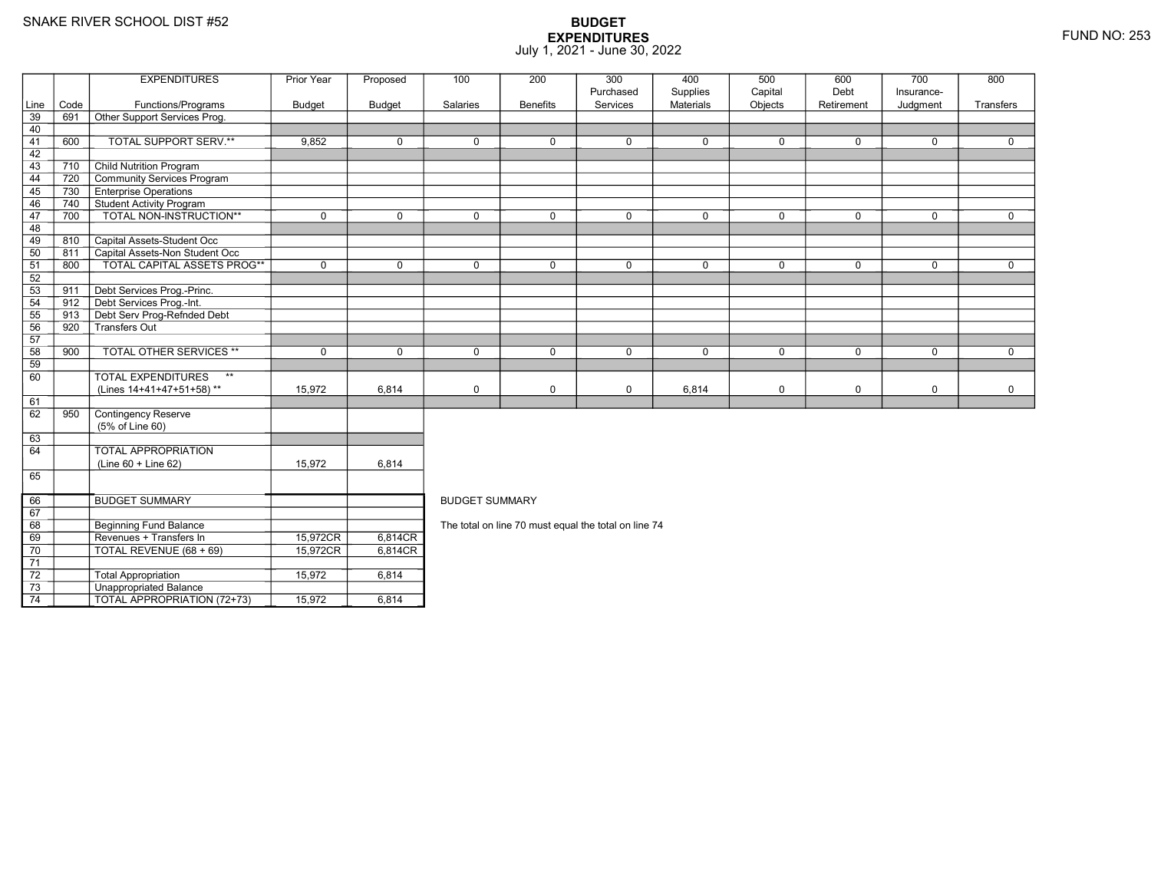8 Beginning Fund Balance

3 **Unappropriated Balance** 

Revenues + Transfers In 15,972CR

0 | TOTAL REVENUE (68 + 69) | 15,972CR

2 Total Appropriation 15,972 6,814

 $\overline{101}$  TOTAL APPROPRIATION (72+73)  $\overline{1}$  15,972 6,814

69

70

71 72

73

74

## **BUDGET EXPENDITURES**July 1, 2021 - June 30, 2022

|                 |      | <b>EXPENDITURES</b>                       | Prior Year    | Proposed      | 100                                                  | 200             | 300         | 400              | 500         | 600         | 700         | 800          |  |  |
|-----------------|------|-------------------------------------------|---------------|---------------|------------------------------------------------------|-----------------|-------------|------------------|-------------|-------------|-------------|--------------|--|--|
|                 |      |                                           |               |               |                                                      |                 | Purchased   | Supplies         | Capital     | Debt        | Insurance-  |              |  |  |
| Line            | Code | Functions/Programs                        | <b>Budget</b> | <b>Budget</b> | Salaries                                             | <b>Benefits</b> | Services    | <b>Materials</b> | Objects     | Retirement  | Judgment    | Transfers    |  |  |
| $\overline{39}$ | 691  | Other Support Services Prog.              |               |               |                                                      |                 |             |                  |             |             |             |              |  |  |
| 40              |      |                                           |               |               |                                                      |                 |             |                  |             |             |             |              |  |  |
| 41              | 600  | TOTAL SUPPORT SERV.**                     | 9,852         | $\mathbf 0$   | $\mathbf 0$                                          | 0               | $\mathbf 0$ | 0                | $\Omega$    | $\Omega$    | $\mathbf 0$ | $\mathbf 0$  |  |  |
| 42              |      |                                           |               |               |                                                      |                 |             |                  |             |             |             |              |  |  |
| 43              | 710  | <b>Child Nutrition Program</b>            |               |               |                                                      |                 |             |                  |             |             |             |              |  |  |
| 44              | 720  | Community Services Program                |               |               |                                                      |                 |             |                  |             |             |             |              |  |  |
| 45              | 730  | <b>Enterprise Operations</b>              |               |               |                                                      |                 |             |                  |             |             |             |              |  |  |
| 46              | 740  | Student Activity Program                  |               |               |                                                      |                 |             |                  |             |             |             |              |  |  |
| 47              | 700  | TOTAL NON-INSTRUCTION**                   | $\mathbf 0$   | $\Omega$      | $\mathbf 0$                                          | $\Omega$        | $\mathbf 0$ | 0                | $\Omega$    | $\Omega$    | $\mathbf 0$ | $\mathbf 0$  |  |  |
| 48              |      |                                           |               |               |                                                      |                 |             |                  |             |             |             |              |  |  |
| 49              | 810  | Capital Assets-Student Occ                |               |               |                                                      |                 |             |                  |             |             |             |              |  |  |
| 50              | 811  | Capital Assets-Non Student Occ            |               |               |                                                      |                 |             |                  |             |             |             |              |  |  |
| 51              | 800  | <b>TOTAL CAPITAL ASSETS PROG**</b>        | $\mathbf 0$   | $\mathbf 0$   | $\mathbf 0$                                          | $\mathbf{0}$    | $\mathsf 0$ | $\mathbf 0$      | $\mathbf 0$ | $\mathbf 0$ | $\mathbf 0$ | $\mathbf{0}$ |  |  |
| 52              |      |                                           |               |               |                                                      |                 |             |                  |             |             |             |              |  |  |
| 53              | 911  | Debt Services Prog.-Princ.                |               |               |                                                      |                 |             |                  |             |             |             |              |  |  |
| 54              | 912  | Debt Services Prog.-Int.                  |               |               |                                                      |                 |             |                  |             |             |             |              |  |  |
| 55              | 913  | Debt Serv Prog-Refnded Debt               |               |               |                                                      |                 |             |                  |             |             |             |              |  |  |
| 56              | 920  | -<br>Transfers Out                        |               |               |                                                      |                 |             |                  |             |             |             |              |  |  |
| 57              |      |                                           |               |               |                                                      |                 |             |                  |             |             |             |              |  |  |
| 58              | 900  | <b>TOTAL OTHER SERVICES **</b>            | $\mathbf 0$   | $\Omega$      | $\Omega$                                             | $\Omega$        | $\mathbf 0$ | $\mathbf 0$      | $\Omega$    | $\Omega$    | $\Omega$    | $\Omega$     |  |  |
| 59              |      |                                           |               |               |                                                      |                 |             |                  |             |             |             |              |  |  |
| 60              |      | $\star\star$<br><b>TOTAL EXPENDITURES</b> |               |               |                                                      |                 |             |                  |             |             |             |              |  |  |
|                 |      | (Lines 14+41+47+51+58)**                  | 15,972        | 6,814         | $\mathbf 0$                                          | 0               | $\mathbf 0$ | 6,814            | $\mathbf 0$ | 0           | $\mathbf 0$ | $\mathbf 0$  |  |  |
| 61              |      |                                           |               |               |                                                      |                 |             |                  |             |             |             |              |  |  |
| 62              | 950  | Contingency Reserve                       |               |               |                                                      |                 |             |                  |             |             |             |              |  |  |
|                 |      | (5% of Line 60)                           |               |               |                                                      |                 |             |                  |             |             |             |              |  |  |
| 63              |      |                                           |               |               |                                                      |                 |             |                  |             |             |             |              |  |  |
| 64              |      | <b>TOTAL APPROPRIATION</b>                |               |               |                                                      |                 |             |                  |             |             |             |              |  |  |
|                 |      | $(Line 60 + Line 62)$                     | 15,972        | 6,814         |                                                      |                 |             |                  |             |             |             |              |  |  |
| 65              |      |                                           |               |               |                                                      |                 |             |                  |             |             |             |              |  |  |
| 66              |      | <b>BUDGET SUMMARY</b>                     |               |               | <b>BUDGET SUMMARY</b>                                |                 |             |                  |             |             |             |              |  |  |
| 67              |      |                                           |               |               |                                                      |                 |             |                  |             |             |             |              |  |  |
| 68              |      | Beginning Fund Balance                    |               |               | The total on line 70 must equal the total on line 74 |                 |             |                  |             |             |             |              |  |  |

The total on line 70 must equal the total on line 74

R\_| 6,814CR<br>|-

R 6,814CR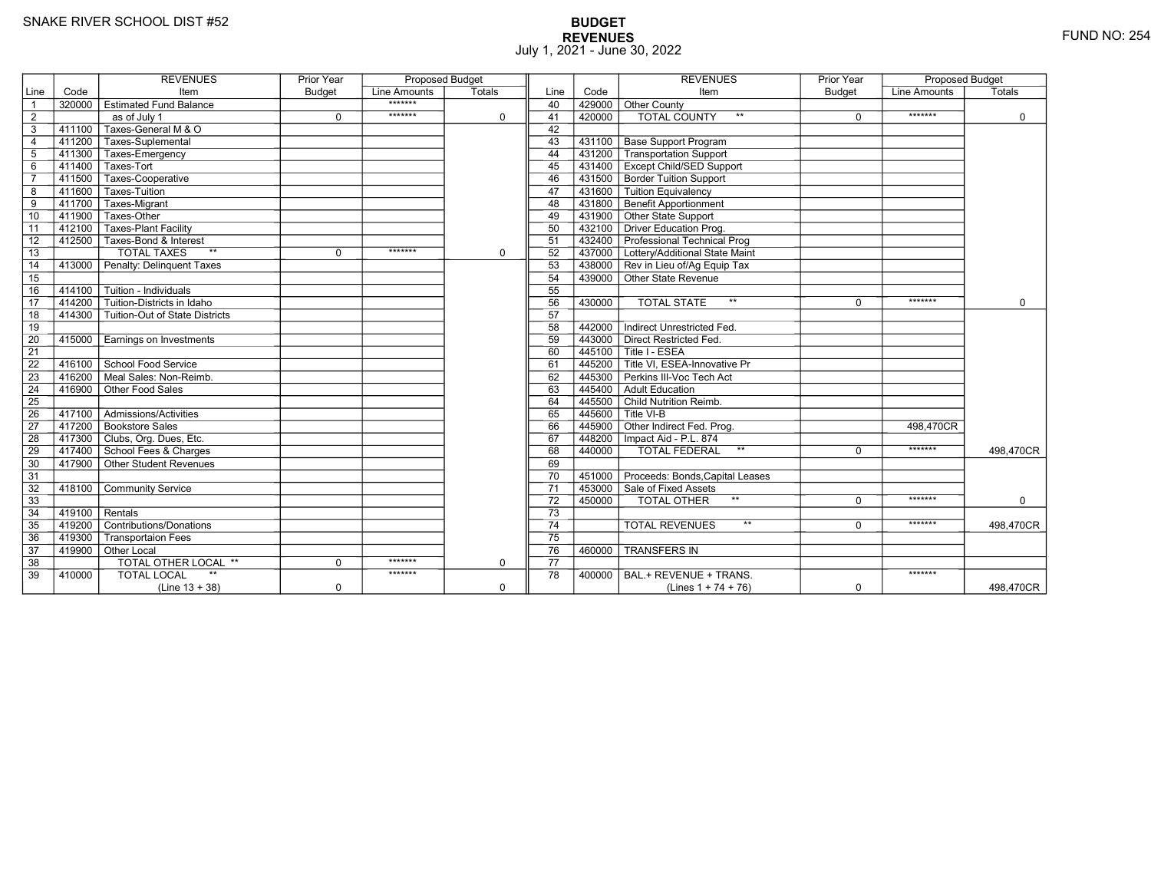# **BUDGET REVENUES** FUND NO: 254 July 1, 2021 - June 30, 2022

|                 |                  | <b>REVENUES</b>                           | <b>Prior Year</b> | <b>Proposed Budget</b> |             |                 |           | <b>REVENUES</b>                        | <b>Prior Year</b> | <b>Proposed Budget</b> |             |
|-----------------|------------------|-------------------------------------------|-------------------|------------------------|-------------|-----------------|-----------|----------------------------------------|-------------------|------------------------|-------------|
| Line            | Code             | Item                                      | <b>Budget</b>     | Line Amounts           | Totals      | Line            | Code      | Item                                   | <b>Budget</b>     | Line Amounts           | Totals      |
| $\overline{1}$  | 320000           | │ Estimated Fund Balance                  |                   | *******                |             | 40              | 429000    | Other County                           |                   |                        |             |
| $\overline{2}$  |                  | as of July 1                              | $\Omega$          | *******                | $\mathbf 0$ | 41              | 420000    | <b>TOTAL COUNTY</b><br>$**$            | $\Omega$          | *******                | $\mathbf 0$ |
| 3               | 411100           | Taxes-General M & O                       |                   |                        |             | 42              |           |                                        |                   |                        |             |
| $\overline{4}$  |                  | 411200 Taxes-Suplemental                  |                   |                        |             | 43              |           | 431100 Base Support Program            |                   |                        |             |
| $5\phantom{.0}$ |                  | 411300 Taxes-Emergency                    |                   |                        |             | 44              |           | 431200 Transportation Support          |                   |                        |             |
| $\,6$           |                  | 411400 Taxes-Tort                         |                   |                        |             | 45              |           | 431400 Except Child/SED Support        |                   |                        |             |
| $\overline{7}$  | 411500           | Taxes-Cooperative                         |                   |                        |             | 46              |           | 431500 Border Tuition Support          |                   |                        |             |
| 8               | 411600           | Taxes-Tuition                             |                   |                        |             | 47              |           | 431600 Tuition Equivalency             |                   |                        |             |
| $\overline{9}$  | 411700           | Taxes-Migrant                             |                   |                        |             | 48              |           | 431800 Benefit Apportionment           |                   |                        |             |
| 10              | 411900           | Taxes-Other                               |                   |                        |             | 49              |           | 431900 Other State Support             |                   |                        |             |
| 11              |                  | 412100 Taxes-Plant Facility               |                   |                        |             | 50              |           | 432100 Driver Education Prog.          |                   |                        |             |
| 12              |                  | 412500 Taxes-Bond & Interest              |                   |                        |             | 51              |           | 432400 Professional Technical Prog     |                   |                        |             |
| 13              |                  | <b>TOTAL TAXES</b><br>$**$                | $\Omega$          | *******                | $\mathbf 0$ | 52              |           | 437000 Lottery/Additional State Maint  |                   |                        |             |
| 14              |                  | 413000 Penalty: Delinquent Taxes          |                   |                        |             | 53              |           | 438000 Rev in Lieu of/Ag Equip Tax     |                   |                        |             |
| 15              |                  |                                           |                   |                        |             | 54              |           | 439000 Other State Revenue             |                   |                        |             |
| 16              | 414100           | $\overline{\Gamma}$ Tuition - Individuals |                   |                        |             | 55              |           |                                        |                   |                        |             |
| 17              | 414200           | Tuition-Districts in Idaho                |                   |                        |             | 56              | 430000    | $***$<br><b>TOTAL STATE</b>            | $\Omega$          | *******                | $\Omega$    |
| 18              |                  | 414300 Tuition-Out of State Districts     |                   |                        |             | 57              |           |                                        |                   |                        |             |
| 19              |                  |                                           |                   |                        |             | 58              | 442000    | Indirect Unrestricted Fed.             |                   |                        |             |
| 20              | 415000           | Earnings on Investments                   |                   |                        |             | 59              | 443000    | Direct Restricted Fed.                 |                   |                        |             |
| 21              |                  |                                           |                   |                        |             | 60              |           | 445100 Title I - ESEA                  |                   |                        |             |
| 22              |                  | 416100 School Food Service                |                   |                        |             | 61              |           | 445200 Title VI, ESEA-Innovative Pr    |                   |                        |             |
| 23              |                  | 416200 Meal Sales: Non-Reimb.             |                   |                        |             | 62              |           | 445300 Perkins III-Voc Tech Act        |                   |                        |             |
| 24              |                  | 416900 Other Food Sales                   |                   |                        |             | 63              | 445400    | Adult Education                        |                   |                        |             |
| $\overline{25}$ |                  |                                           |                   |                        |             | 64              |           | 445500 Child Nutrition Reimb.          |                   |                        |             |
| 26              |                  | 417100 Admissions/Activities              |                   |                        |             | 65              |           | $445600$ Title VI-B                    |                   |                        |             |
| $\overline{27}$ |                  | 417200 Bookstore Sales                    |                   |                        |             | 66              |           | 445900 Other Indirect Fed. Prog.       |                   | 498.470CR              |             |
| 28              |                  | 417300 Clubs, Org. Dues, Etc.             |                   |                        |             | 67              |           | 448200   Impact Aid - P.L. 874         |                   |                        |             |
| 29              |                  | 417400 School Fees & Charges              |                   |                        |             | 68              | $-440000$ | <b>TOTAL FEDERAL</b><br>$\star\star$   | $\Omega$          | *******                | 498,470CR   |
| 30              |                  | 417900 Other Student Revenues             |                   |                        |             | 69              |           |                                        |                   |                        |             |
| 31              |                  |                                           |                   |                        |             | 70              |           | 451000 Proceeds: Bonds, Capital Leases |                   |                        |             |
| 32              |                  | 418100 Community Service                  |                   |                        |             | $\overline{71}$ |           | 453000 Sale of Fixed Assets            |                   |                        |             |
| 33              |                  |                                           |                   |                        |             | 72              | 450000    | TOTAL OTHER                            | $\Omega$          | *******                | $\mathbf 0$ |
| 34              | $419100$ Rentals |                                           |                   |                        |             | 73              |           |                                        |                   |                        |             |
| 35              |                  | 419200 Contributions/Donations            |                   |                        |             | 74              |           | $***$<br><b>TOTAL REVENUES</b>         | $\Omega$          | *******                | 498.470CR   |
| 36              | 419300           | Transportaion Fees                        |                   |                        |             | 75              |           |                                        |                   |                        |             |
| 37              |                  | 419900 Other Local                        |                   |                        |             | 76              | 460000    | <b>TRANSFERS IN</b>                    |                   |                        |             |
| 38              |                  | TOTAL OTHER LOCAL **                      | $\Omega$          | *******                | $\mathbf 0$ | 77              |           |                                        |                   |                        |             |
| 39              | 410000           | $**$<br><b>TOTAL LOCAL</b>                |                   | *******                |             | 78              | 400000    | BAL.+ REVENUE + TRANS.                 |                   | *******                |             |
|                 |                  | $(Line 13 + 38)$                          | 0                 |                        | $\mathbf 0$ |                 |           | (Lines $1 + 74 + 76$ )                 | 0                 |                        | 498,470CR   |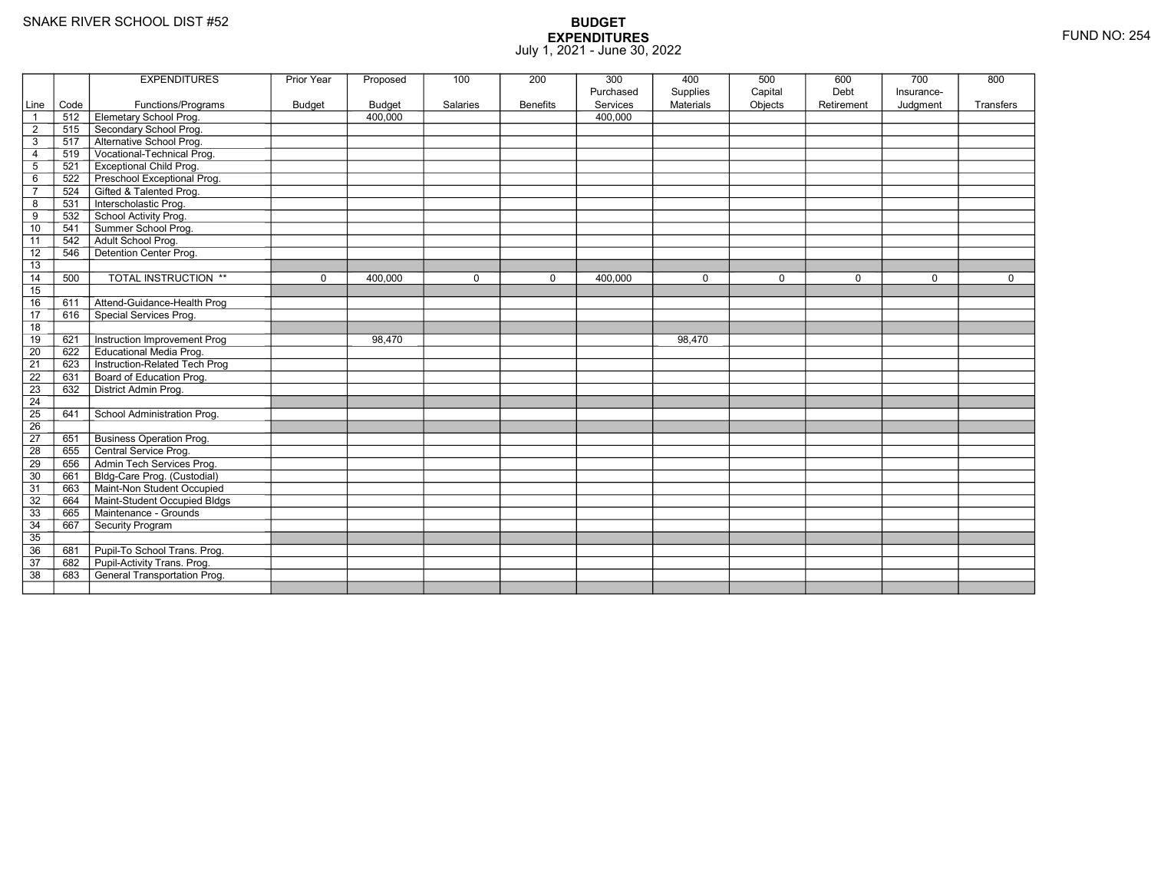|                 |      | <b>EXPENDITURES</b>                 | Prior Year    | Proposed      | 100         | 200             | 300<br>Purchased | 400<br>Supplies  | 500<br>Capital | 600<br>Debt | 700<br>Insurance- | 800         |
|-----------------|------|-------------------------------------|---------------|---------------|-------------|-----------------|------------------|------------------|----------------|-------------|-------------------|-------------|
| Line            | Code | Functions/Programs                  | <b>Budget</b> | <b>Budget</b> | Salaries    | <b>Benefits</b> | Services         | <b>Materials</b> | Objects        | Retirement  | Judgment          | Transfers   |
| $\overline{1}$  | 512  | <b>Elemetary School Prog.</b>       |               | 400,000       |             |                 | 400,000          |                  |                |             |                   |             |
| $\overline{2}$  | 515  | Secondary School Prog.              |               |               |             |                 |                  |                  |                |             |                   |             |
| 3               | 517  | -<br>Alternative School Prog.       |               |               |             |                 |                  |                  |                |             |                   |             |
| $\overline{4}$  | 519  | Vocational-Technical Prog.          |               |               |             |                 |                  |                  |                |             |                   |             |
| 5               | 521  | <b>Exceptional Child Prog.</b>      |               |               |             |                 |                  |                  |                |             |                   |             |
| 6               | 522  | Preschool Exceptional Prog.         |               |               |             |                 |                  |                  |                |             |                   |             |
| $\overline{7}$  | 524  | Gifted & Talented Prog.             |               |               |             |                 |                  |                  |                |             |                   |             |
| 8               | 531  | Interscholastic Prog.               |               |               |             |                 |                  |                  |                |             |                   |             |
| 9               | 532  | School Activity Prog.               |               |               |             |                 |                  |                  |                |             |                   |             |
| 10              | 541  | Summer School Prog.                 |               |               |             |                 |                  |                  |                |             |                   |             |
| 11              | 542  | Adult School Prog.                  |               |               |             |                 |                  |                  |                |             |                   |             |
| 12              | 546  | Detention Center Prog.              |               |               |             |                 |                  |                  |                |             |                   |             |
| 13              |      |                                     |               |               |             |                 |                  |                  |                |             |                   |             |
| 14              | 500  | TOTAL INSTRUCTION **                | $\mathbf 0$   | 400.000       | $\mathbf 0$ | 0               | 400.000          | $\mathbf 0$      | $\mathbf 0$    | $\mathbf 0$ | $\mathbf 0$       | $\mathbf 0$ |
| 15              |      |                                     |               |               |             |                 |                  |                  |                |             |                   |             |
| 16              | 611  | Attend-Guidance-Health Prog         |               |               |             |                 |                  |                  |                |             |                   |             |
| $\overline{17}$ | 616  | Special Services Prog.              |               |               |             |                 |                  |                  |                |             |                   |             |
| 18              |      |                                     |               |               |             |                 |                  |                  |                |             |                   |             |
| 19              | 621  | Instruction Improvement Prog        |               | 98,470        |             |                 |                  | 98,470           |                |             |                   |             |
| $\overline{20}$ | 622  | <b>Educational Media Prog.</b>      |               |               |             |                 |                  |                  |                |             |                   |             |
| 21              | 623  | Instruction-Related Tech Prog       |               |               |             |                 |                  |                  |                |             |                   |             |
| 22              | 631  | Board of Education Prog.            |               |               |             |                 |                  |                  |                |             |                   |             |
| 23              | 632  | District Admin Prog.                |               |               |             |                 |                  |                  |                |             |                   |             |
| 24              |      |                                     |               |               |             |                 |                  |                  |                |             |                   |             |
| 25              | 641  | School Administration Prog.         |               |               |             |                 |                  |                  |                |             |                   |             |
| $\overline{26}$ |      |                                     |               |               |             |                 |                  |                  |                |             |                   |             |
| $\overline{27}$ | 651  | <b>Business Operation Prog.</b>     |               |               |             |                 |                  |                  |                |             |                   |             |
| $\overline{28}$ | 655  | Central Service Prog.               |               |               |             |                 |                  |                  |                |             |                   |             |
| 29              | 656  | Admin Tech Services Prog.           |               |               |             |                 |                  |                  |                |             |                   |             |
| 30              | 661  | Bldg-Care Prog. (Custodial)         |               |               |             |                 |                  |                  |                |             |                   |             |
| 31              | 663  | Maint-Non Student Occupied          |               |               |             |                 |                  |                  |                |             |                   |             |
| 32              | 664  | Maint-Student Occupied Bldgs        |               |               |             |                 |                  |                  |                |             |                   |             |
| 33              | 665  | Maintenance - Grounds               |               |               |             |                 |                  |                  |                |             |                   |             |
| 34              | 667  | Security Program                    |               |               |             |                 |                  |                  |                |             |                   |             |
| $\overline{35}$ |      |                                     |               |               |             |                 |                  |                  |                |             |                   |             |
| 36              | 681  | Pupil-To School Trans. Prog.        |               |               |             |                 |                  |                  |                |             |                   |             |
| 37              | 682  | Pupil-Activity Trans. Prog.         |               |               |             |                 |                  |                  |                |             |                   |             |
| $\overline{38}$ | 683  | <b>General Transportation Prog.</b> |               |               |             |                 |                  |                  |                |             |                   |             |
|                 |      |                                     |               |               |             |                 |                  |                  |                |             |                   |             |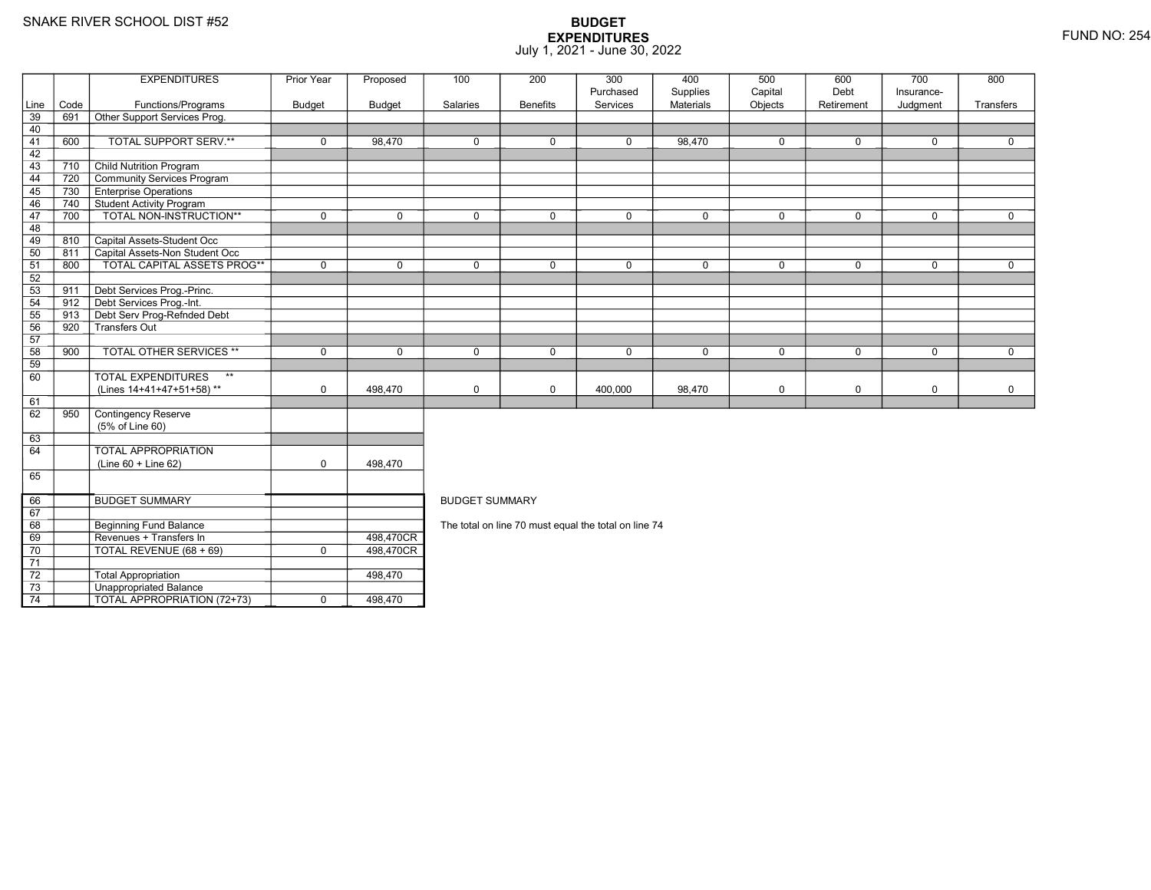69

70

71 72

73

74

**Beginning Fund Balance** 

Unappropriated Balance

Revenues + Transfers In 498,470CR

TOTAL REVENUE (68 + 69) <sup>0</sup> 498,470CR

Total Appropriation **1998**,470

TOTAL APPROPRIATION (72+73) 1 0 498,470

## **BUDGET EXPENDITURES**July 1, 2021 - June 30, 2022

|      |      | <b>EXPENDITURES</b>                       | Prior Year    | Proposed      | 100                   | 200             | 300         | 400              | 500         | 600        | 700         | 800         |  |  |  |
|------|------|-------------------------------------------|---------------|---------------|-----------------------|-----------------|-------------|------------------|-------------|------------|-------------|-------------|--|--|--|
|      |      |                                           |               |               |                       |                 | Purchased   | Supplies         | Capital     | Debt       | Insurance-  |             |  |  |  |
| Line | Code | Functions/Programs                        | <b>Budget</b> | <b>Budget</b> | Salaries              | <b>Benefits</b> | Services    | <b>Materials</b> | Objects     | Retirement | Judgment    | Transfers   |  |  |  |
| 39   | 691  | Other Support Services Prog.              |               |               |                       |                 |             |                  |             |            |             |             |  |  |  |
| 40   |      |                                           |               |               |                       |                 |             |                  |             |            |             |             |  |  |  |
| 41   | 600  | TOTAL SUPPORT SERV.**                     | $\mathbf 0$   | 98.470        | $\mathbf 0$           | $\mathbf 0$     | $\mathbf 0$ | 98,470           | $\mathbf 0$ | 0          | $\mathbf 0$ | $\Omega$    |  |  |  |
| 42   |      |                                           |               |               |                       |                 |             |                  |             |            |             |             |  |  |  |
| 43   | 710  | <b>Child Nutrition Program</b>            |               |               |                       |                 |             |                  |             |            |             |             |  |  |  |
| 44   | 720  | Community Services Program                |               |               |                       |                 |             |                  |             |            |             |             |  |  |  |
| 45   | 730  | <b>Enterprise Operations</b>              |               |               |                       |                 |             |                  |             |            |             |             |  |  |  |
| 46   | 740  | <b>Student Activity Program</b>           |               |               |                       |                 |             |                  |             |            |             |             |  |  |  |
| 47   | 700  | TOTAL NON-INSTRUCTION**                   | $\mathbf 0$   | $\Omega$      | $\mathbf{0}$          | 0               | $\Omega$    | 0                | $\Omega$    | $\Omega$   | $\Omega$    | $\mathbf 0$ |  |  |  |
| 48   |      |                                           |               |               |                       |                 |             |                  |             |            |             |             |  |  |  |
| 49   | 810  | Capital Assets-Student Occ                |               |               |                       |                 |             |                  |             |            |             |             |  |  |  |
| 50   | 811  | Capital Assets-Non Student Occ            |               |               |                       |                 |             |                  |             |            |             |             |  |  |  |
| 51   | 800  | <b>TOTAL CAPITAL ASSETS PROG**</b>        | $\mathbf 0$   | $\mathbf 0$   | $\mathbf 0$           | $\mathbf 0$     | $\mathbf 0$ | 0                | $\mathbf 0$ | 0          | $\mathbf 0$ | $\mathbf 0$ |  |  |  |
| 52   |      |                                           |               |               |                       |                 |             |                  |             |            |             |             |  |  |  |
| 53   | 911  | Debt Services Prog.-Princ.                |               |               |                       |                 |             |                  |             |            |             |             |  |  |  |
| 54   | 912  | Debt Services Prog.-Int.                  |               |               |                       |                 |             |                  |             |            |             |             |  |  |  |
| 55   | 913  | Debt Serv Prog-Refnded Debt               |               |               |                       |                 |             |                  |             |            |             |             |  |  |  |
| 56   | 920  | Transfers Out                             |               |               |                       |                 |             |                  |             |            |             |             |  |  |  |
| 57   |      |                                           |               |               |                       |                 |             |                  |             |            |             |             |  |  |  |
| 58   | 900  | <b>TOTAL OTHER SERVICES **</b>            | $\mathbf 0$   | $\Omega$      | $\mathbf{0}$          | 0               | $\Omega$    | 0                | $\mathbf 0$ | 0          | $\mathbf 0$ | $\Omega$    |  |  |  |
| 59   |      |                                           |               |               |                       |                 |             |                  |             |            |             |             |  |  |  |
| 60   |      | <b>TOTAL EXPENDITURES</b><br>$\star\star$ |               |               |                       |                 |             |                  |             |            |             |             |  |  |  |
|      |      | (Lines 14+41+47+51+58)**                  | $\mathbf 0$   | 498.470       | $\mathbf 0$           | $\mathbf 0$     | 400,000     | 98,470           | 0           | 0          | $\mathbf 0$ | 0           |  |  |  |
| 61   |      |                                           |               |               |                       |                 |             |                  |             |            |             |             |  |  |  |
| 62   | 950  | Contingency Reserve                       |               |               |                       |                 |             |                  |             |            |             |             |  |  |  |
|      |      | (5% of Line 60)                           |               |               |                       |                 |             |                  |             |            |             |             |  |  |  |
| 63   |      |                                           |               |               |                       |                 |             |                  |             |            |             |             |  |  |  |
| 64   |      | <b>TOTAL APPROPRIATION</b>                |               |               |                       |                 |             |                  |             |            |             |             |  |  |  |
|      |      | $(Line 60 + Line 62)$                     | $\mathbf 0$   | 498,470       |                       |                 |             |                  |             |            |             |             |  |  |  |
| 65   |      |                                           |               |               |                       |                 |             |                  |             |            |             |             |  |  |  |
|      |      |                                           |               |               |                       |                 |             |                  |             |            |             |             |  |  |  |
| 66   |      | <b>BUDGET SUMMARY</b>                     |               |               | <b>BUDGET SUMMARY</b> |                 |             |                  |             |            |             |             |  |  |  |

BUDGET SUMMARY

498,470CR<br>498,470CR

The total on line 70 must equal the total on line 74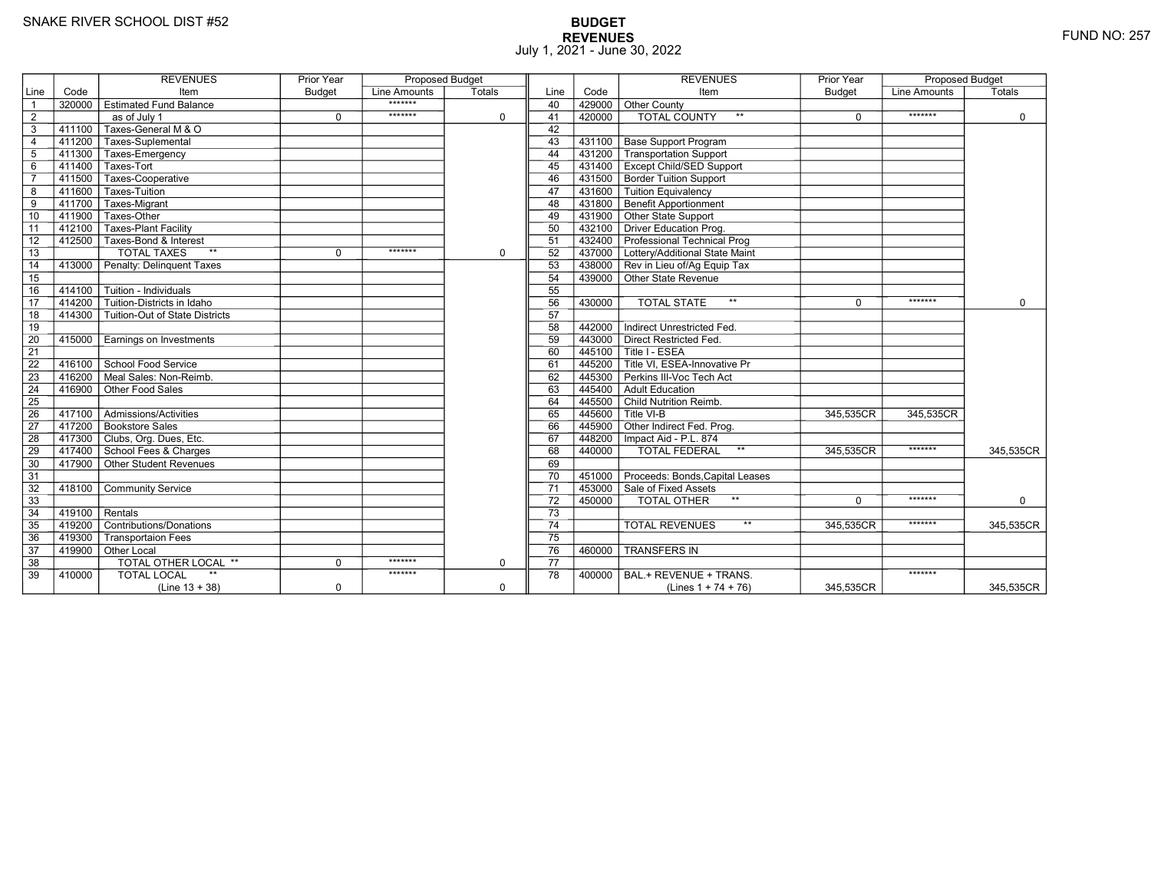# **BUDGET REVENUES** FUND NO: 257 July 1, 2021 - June 30, 2022

|                 |        | <b>REVENUES</b>                           | <b>Prior Year</b> | <b>Proposed Budget</b> |             |                 |        | <b>REVENUES</b>                                                      | <b>Prior Year</b> | <b>Proposed Budget</b> |             |
|-----------------|--------|-------------------------------------------|-------------------|------------------------|-------------|-----------------|--------|----------------------------------------------------------------------|-------------------|------------------------|-------------|
| Line            | Code   | Item                                      | <b>Budget</b>     | Line Amounts           | Totals      | Line            | Code   | Item                                                                 | <b>Budget</b>     | <b>Line Amounts</b>    | Totals      |
| $\overline{1}$  | 320000 | <b>Estimated Fund Balance</b>             |                   | *******                |             | 40              | 429000 | Other County                                                         |                   |                        |             |
| $\overline{2}$  |        | as of July 1                              | $\mathbf 0$       | *******                | $\mathbf 0$ | 41              | 420000 | <b>TOTAL COUNTY</b><br>$**$                                          | $\mathbf 0$       | *******                | $\mathbf 0$ |
| $\overline{3}$  | 411100 | Taxes-General M & O                       |                   |                        |             | 42              |        |                                                                      |                   |                        |             |
| $\overline{4}$  |        | 411200 Taxes-Suplemental                  |                   |                        |             | 43              | 431100 | <b>Base Support Program</b>                                          |                   |                        |             |
| $5\phantom{.0}$ | 411300 | Taxes-Emergency                           |                   |                        |             | 44              | 431200 | Transportation Support                                               |                   |                        |             |
| 6               | 411400 | Taxes-Tort                                |                   |                        |             | 45              |        | 431400 Except Child/SED Support                                      |                   |                        |             |
| $\overline{7}$  | 411500 | Taxes-Cooperative                         |                   |                        |             | 46              |        | 431500 Border Tuition Support                                        |                   |                        |             |
| 8               | 411600 | Taxes-Tuition                             |                   |                        |             | 47              | 431600 | <b>Tuition Equivalency</b>                                           |                   |                        |             |
| $\overline{9}$  | 411700 | Taxes-Migrant                             |                   |                        |             | 48              | 431800 | <b>Benefit Apportionment</b>                                         |                   |                        |             |
| 10              | 411900 | Taxes-Other                               |                   |                        |             | 49              |        | 431900 Other State Support                                           |                   |                        |             |
| 11              | 412100 | <b>Taxes-Plant Facility</b>               |                   |                        |             | 50              | 432100 | Driver Education Prog.                                               |                   |                        |             |
| 12              | 412500 | Taxes-Bond & Interest                     |                   |                        |             | 51              |        | 432400 Professional Technical Prog                                   |                   |                        |             |
| $\overline{13}$ |        | <b>TOTAL TAXES</b><br>$**$                | $\mathbf 0$       | *******                | $\mathbf 0$ | 52              |        | 437000 Lottery/Additional State Maint                                |                   |                        |             |
| 14              | 413000 | Penalty: Delinquent Taxes                 |                   |                        |             | 53              |        | 438000 Rev in Lieu of/Ag Equip Tax                                   |                   |                        |             |
| 15              |        |                                           |                   |                        |             | 54              |        | 439000 Other State Revenue                                           |                   |                        |             |
| 16              | 414100 | Tuition - Individuals                     |                   |                        |             | 55              |        |                                                                      |                   |                        |             |
| $\overline{17}$ | 414200 | Tuition-Districts in Idaho                |                   |                        |             | 56              | 430000 | $\star\star$<br><b>TOTAL STATE</b>                                   | $\Omega$          | *******                | $\Omega$    |
| 18              | 414300 | Tuition-Out of State Districts            |                   |                        |             | 57              |        |                                                                      |                   |                        |             |
| 19              |        |                                           |                   |                        |             | 58              | 442000 | Indirect Unrestricted Fed.                                           |                   |                        |             |
| 20              | 415000 | Earnings on Investments                   |                   |                        |             | 59              |        | 443000 Direct Restricted Fed.                                        |                   |                        |             |
| $\overline{21}$ |        |                                           |                   |                        |             | 60              |        | 445100 Title I - ESEA                                                |                   |                        |             |
| $\overline{22}$ | 416100 | School Food Service                       |                   |                        |             | 61              |        | $\overline{1}$ 445200 $\overline{\top}$ Title VI. ESEA-Innovative Pr |                   |                        |             |
| 23              | 416200 | Meal Sales: Non-Reimb.                    |                   |                        |             | 62              | 445300 | Perkins III-Voc Tech Act                                             |                   |                        |             |
| 24              | 416900 | Other Food Sales                          |                   |                        |             | 63              |        | 445400 Adult Education                                               |                   |                        |             |
| 25              |        |                                           |                   |                        |             | 64              |        | 445500 Child Nutrition Reimb.                                        |                   |                        |             |
| 26              | 417100 | $\overline{\Gamma}$ Admissions/Activities |                   |                        |             | 65              |        | $^-$ 445600 $\overline{ }$ Title VI-B                                | 345,535CR         | 345.535CR              |             |
| $\overline{27}$ |        | 417200 Bookstore Sales                    |                   |                        |             | 66              |        | 445900 Other Indirect Fed. Prog.                                     |                   |                        |             |
| 28              |        | 417300 Clubs, Org. Dues, Etc.             |                   |                        |             | 67              |        | 448200   Impact Aid - P.L. 874                                       |                   |                        |             |
| 29              |        | 417400 School Fees & Charges              |                   |                        |             | 68              | 440000 | $^{\star\star}$<br><b>TOTAL FEDERAL</b>                              | 345,535CR         | *******                | 345,535CR   |
| 30              |        | 417900 Other Student Revenues             |                   |                        |             | 69              |        |                                                                      |                   |                        |             |
| 31              |        |                                           |                   |                        |             | 70              |        | 451000 Proceeds: Bonds, Capital Leases                               |                   |                        |             |
| 32              | 418100 | <b>Community Service</b>                  |                   |                        |             | $\overline{71}$ |        | 453000 Sale of Fixed Assets                                          |                   |                        |             |
| 33              |        |                                           |                   |                        |             | 72              | 450000 | $\star\star$<br>TOTAL OTHER                                          | $\Omega$          | *******                | $\mathbf 0$ |
| 34              | 419100 | Rentals                                   |                   |                        |             | 73              |        |                                                                      |                   |                        |             |
| 35              | 419200 | Contributions/Donations                   |                   |                        |             | 74              |        | $**$<br><b>TOTAL REVENUES</b>                                        | 345.535CR         | *******                | 345,535CR   |
| 36              | 419300 | <b>Transportaion Fees</b>                 |                   |                        |             | $\overline{75}$ |        |                                                                      |                   |                        |             |
| 37              |        | 419900 Other Local                        |                   |                        |             | 76              | 460000 | <b>TRANSFERS IN</b>                                                  |                   |                        |             |
| 38              |        | <b>TOTAL OTHER LOCAL **</b>               | $\mathbf 0$       | *******                | $\mathbf 0$ | 77              |        |                                                                      |                   |                        |             |
| 39              | 410000 | <b>TOTAL LOCAL</b>                        |                   | *******                |             | 78              | 400000 | BAL.+ REVENUE + TRANS.                                               |                   | *******                |             |
|                 |        | $(Line 13 + 38)$                          | $\mathbf 0$       |                        | $\mathbf 0$ |                 |        | (Lines $1 + 74 + 76$ )                                               | 345,535CR         |                        | 345,535CR   |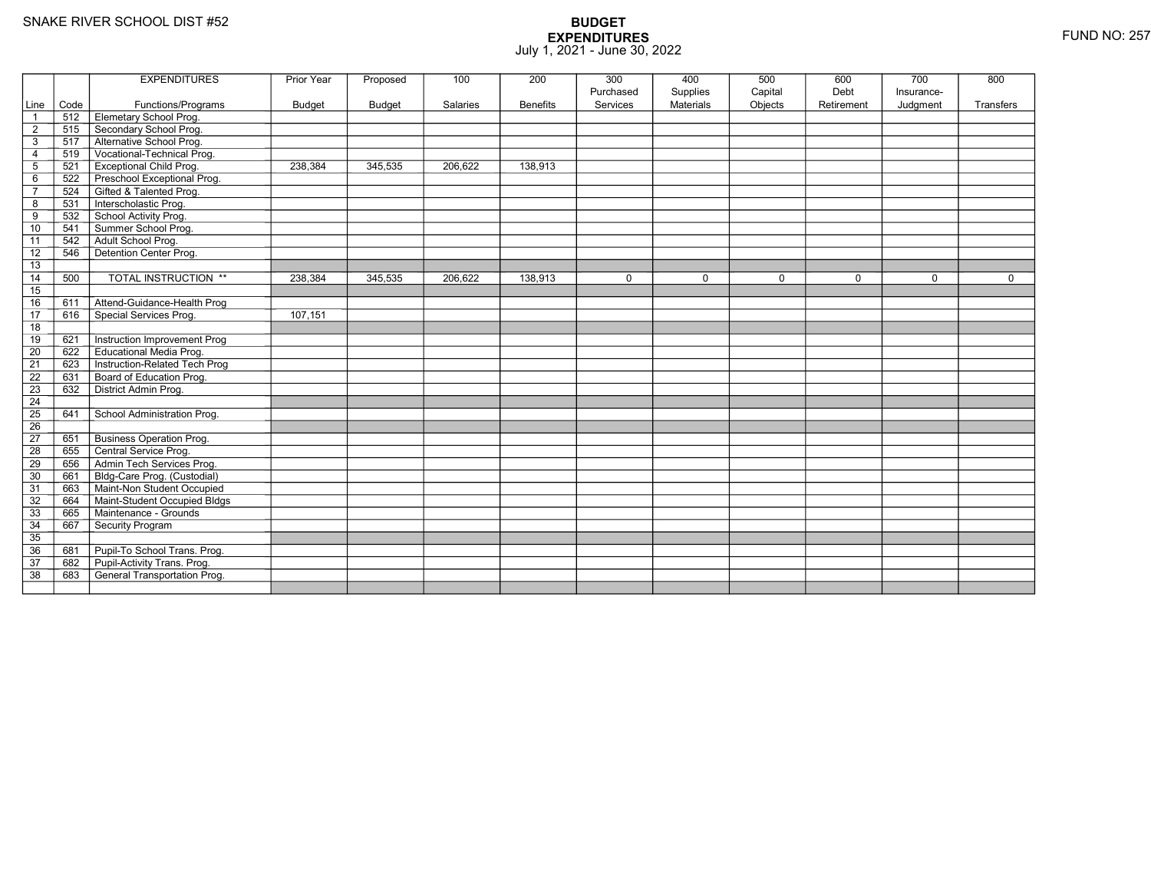|                 |      | <b>EXPENDITURES</b>             | Prior Year | Proposed      | 100      | 200             | 300<br>Purchased | 400<br>Supplies | 500<br>Capital | 600<br>Debt | 700<br>Insurance- | 800         |
|-----------------|------|---------------------------------|------------|---------------|----------|-----------------|------------------|-----------------|----------------|-------------|-------------------|-------------|
| Line            | Code | Functions/Programs              | Budget     | <b>Budget</b> | Salaries | <b>Benefits</b> | Services         | Materials       | Objects        | Retirement  | Judgment          | Transfers   |
| $\overline{1}$  | 512  | Elemetary School Prog.          |            |               |          |                 |                  |                 |                |             |                   |             |
| $\overline{2}$  | 515  | Secondary School Prog.          |            |               |          |                 |                  |                 |                |             |                   |             |
| 3               | 517  | Alternative School Prog.        |            |               |          |                 |                  |                 |                |             |                   |             |
| $\overline{4}$  | 519  | Vocational-Technical Prog.      |            |               |          |                 |                  |                 |                |             |                   |             |
| $\overline{5}$  | 521  | <b>Exceptional Child Prog.</b>  | 238,384    | 345,535       | 206,622  | 138,913         |                  |                 |                |             |                   |             |
| $\,6$           | 522  | Preschool Exceptional Prog.     |            |               |          |                 |                  |                 |                |             |                   |             |
| $\overline{7}$  | 524  | Gifted & Talented Prog.         |            |               |          |                 |                  |                 |                |             |                   |             |
| 8               | 531  | Interscholastic Prog.           |            |               |          |                 |                  |                 |                |             |                   |             |
| $\overline{9}$  | 532  | School Activity Prog.           |            |               |          |                 |                  |                 |                |             |                   |             |
| 10              | 541  | Summer School Prog.             |            |               |          |                 |                  |                 |                |             |                   |             |
| 11              | 542  | Adult School Prog.              |            |               |          |                 |                  |                 |                |             |                   |             |
| 12              | 546  | Detention Center Prog.          |            |               |          |                 |                  |                 |                |             |                   |             |
| 13              |      |                                 |            |               |          |                 |                  |                 |                |             |                   |             |
| 14              | 500  | TOTAL INSTRUCTION **            | 238,384    | 345,535       | 206,622  | 138,913         | $\mathbf 0$      | $\mathbf 0$     | 0              | $\mathbf 0$ | 0                 | $\mathbf 0$ |
| 15              |      |                                 |            |               |          |                 |                  |                 |                |             |                   |             |
| 16              | 611  | Attend-Guidance-Health Prog     |            |               |          |                 |                  |                 |                |             |                   |             |
| 17              | 616  | Special Services Prog.          | 107,151    |               |          |                 |                  |                 |                |             |                   |             |
| 18              |      |                                 |            |               |          |                 |                  |                 |                |             |                   |             |
| 19              | 621  | Instruction Improvement Prog    |            |               |          |                 |                  |                 |                |             |                   |             |
| $\overline{20}$ | 622  | <b>Educational Media Prog.</b>  |            |               |          |                 |                  |                 |                |             |                   |             |
| 21              | 623  | Instruction-Related Tech Prog   |            |               |          |                 |                  |                 |                |             |                   |             |
| $\overline{22}$ | 631  | Board of Education Prog.        |            |               |          |                 |                  |                 |                |             |                   |             |
| 23              | 632  | District Admin Prog.            |            |               |          |                 |                  |                 |                |             |                   |             |
| 24              |      |                                 |            |               |          |                 |                  |                 |                |             |                   |             |
| $\overline{25}$ | 641  | School Administration Prog.     |            |               |          |                 |                  |                 |                |             |                   |             |
| 26              |      |                                 |            |               |          |                 |                  |                 |                |             |                   |             |
| 27              | 651  | <b>Business Operation Prog.</b> |            |               |          |                 |                  |                 |                |             |                   |             |
| 28              | 655  | Central Service Prog.           |            |               |          |                 |                  |                 |                |             |                   |             |
| 29              | 656  | Admin Tech Services Prog.       |            |               |          |                 |                  |                 |                |             |                   |             |
| 30              | 661  | Bldg-Care Prog. (Custodial)     |            |               |          |                 |                  |                 |                |             |                   |             |
| 31              | 663  | Maint-Non Student Occupied      |            |               |          |                 |                  |                 |                |             |                   |             |
| 32              | 664  | Maint-Student Occupied Bldgs    |            |               |          |                 |                  |                 |                |             |                   |             |
| 33              | 665  | Maintenance - Grounds           |            |               |          |                 |                  |                 |                |             |                   |             |
| 34              | 667  | Security Program                |            |               |          |                 |                  |                 |                |             |                   |             |
| 35              |      |                                 |            |               |          |                 |                  |                 |                |             |                   |             |
| 36              | 681  | Pupil-To School Trans. Prog.    |            |               |          |                 |                  |                 |                |             |                   |             |
| 37              | 682  | Pupil-Activity Trans. Prog.     |            |               |          |                 |                  |                 |                |             |                   |             |
| $\overline{38}$ | 683  | General Transportation Prog.    |            |               |          |                 |                  |                 |                |             |                   |             |
|                 |      |                                 |            |               |          |                 |                  |                 |                |             |                   |             |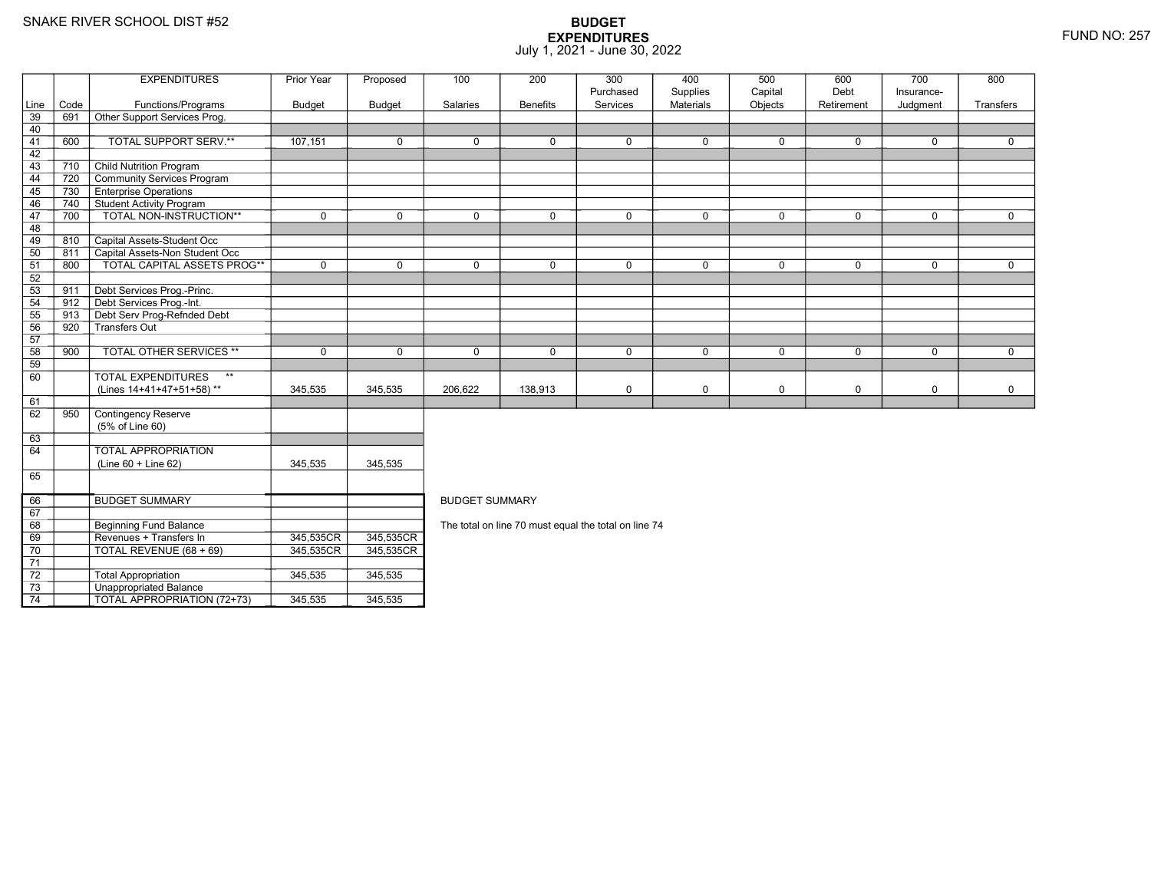70

71 72

73

74

Revenues + Transfers In 345,535CR

0 | TOTAL REVENUE (68 + 69) | 345,535CR

3 **Unappropriated Balance** 

2 | Total Appropriation | 345,535 | 345,535

TOTAL APPROPRIATION (72+73) 345,535 345,535

## **BUDGET EXPENDITURES**July 1, 2021 - June 30, 2022

|      |      | <b>EXPENDITURES</b>                       | Prior Year  | Proposed      | 100                                                  | 200             | 300         | 400              | 500         | 600         | 700         | 800         |  |  |
|------|------|-------------------------------------------|-------------|---------------|------------------------------------------------------|-----------------|-------------|------------------|-------------|-------------|-------------|-------------|--|--|
|      |      |                                           |             |               |                                                      |                 | Purchased   | Supplies         | Capital     | Debt        | Insurance-  |             |  |  |
| Line | Code | Functions/Programs                        | Budget      | <b>Budget</b> | Salaries                                             | <b>Benefits</b> | Services    | <b>Materials</b> | Objects     | Retirement  | Judgment    | Transfers   |  |  |
| 39   | 691  | Other Support Services Prog.              |             |               |                                                      |                 |             |                  |             |             |             |             |  |  |
| 40   |      |                                           |             |               |                                                      |                 |             |                  |             |             |             |             |  |  |
| 41   | 600  | TOTAL SUPPORT SERV.**                     | 107,151     | 0             | $\mathbf 0$                                          | 0               | $\mathbf 0$ | 0                | $\mathbf 0$ | 0           | $\mathbf 0$ | 0           |  |  |
| 42   |      |                                           |             |               |                                                      |                 |             |                  |             |             |             |             |  |  |
| 43   | 710  | <b>Child Nutrition Program</b>            |             |               |                                                      |                 |             |                  |             |             |             |             |  |  |
| 44   | 720  | Community Services Program                |             |               |                                                      |                 |             |                  |             |             |             |             |  |  |
| 45   | 730  | <b>Enterprise Operations</b>              |             |               |                                                      |                 |             |                  |             |             |             |             |  |  |
| 46   | 740  | Student Activity Program                  |             |               |                                                      |                 |             |                  |             |             |             |             |  |  |
| 47   | 700  | TOTAL NON-INSTRUCTION**                   | $\mathbf 0$ | $\mathbf 0$   | $\mathbf 0$                                          | 0               | $\mathbf 0$ | $\mathbf 0$      | $\mathbf 0$ | $\mathbf 0$ | $\mathbf 0$ | $\mathbf 0$ |  |  |
| 48   |      |                                           |             |               |                                                      |                 |             |                  |             |             |             |             |  |  |
| 49   | 810  | Capital Assets-Student Occ                |             |               |                                                      |                 |             |                  |             |             |             |             |  |  |
| 50   | 811  | Capital Assets-Non Student Occ            |             |               |                                                      |                 |             |                  |             |             |             |             |  |  |
| 51   | 800  | <b>TOTAL CAPITAL ASSETS PROG**</b>        | $\mathbf 0$ | $\mathbf 0$   | $\Omega$                                             | 0               | $\Omega$    | $\mathbf 0$      | $\mathbf 0$ | 0           | $\mathbf 0$ | $\mathbf 0$ |  |  |
| 52   |      |                                           |             |               |                                                      |                 |             |                  |             |             |             |             |  |  |
| 53   | 911  | Debt Services Prog.-Princ.                |             |               |                                                      |                 |             |                  |             |             |             |             |  |  |
| 54   | 912  | Debt Services Prog.-Int.                  |             |               |                                                      |                 |             |                  |             |             |             |             |  |  |
| 55   | 913  | Debt Serv Prog-Refnded Debt               |             |               |                                                      |                 |             |                  |             |             |             |             |  |  |
| 56   | 920  | -<br>Transfers Out                        |             |               |                                                      |                 |             |                  |             |             |             |             |  |  |
| 57   |      |                                           |             |               |                                                      |                 |             |                  |             |             |             |             |  |  |
| 58   | 900  | <b>TOTAL OTHER SERVICES **</b>            | $\mathbf 0$ | 0             | $\mathbf 0$                                          | 0               | $\mathbf 0$ | 0                | $\mathbf 0$ | 0           | $\mathbf 0$ | $\mathbf 0$ |  |  |
| 59   |      |                                           |             |               |                                                      |                 |             |                  |             |             |             |             |  |  |
| 60   |      | $\star\star$<br><b>TOTAL EXPENDITURES</b> |             |               |                                                      |                 |             |                  |             |             |             |             |  |  |
|      |      | (Lines 14+41+47+51+58)**                  | 345,535     | 345,535       | 206,622                                              | 138,913         | $\mathbf 0$ | 0                | $\mathbf 0$ | 0           | $\mathbf 0$ | 0           |  |  |
| 61   |      |                                           |             |               |                                                      |                 |             |                  |             |             |             |             |  |  |
| 62   | 950  | Contingency Reserve                       |             |               |                                                      |                 |             |                  |             |             |             |             |  |  |
|      |      | (5% of Line 60)                           |             |               |                                                      |                 |             |                  |             |             |             |             |  |  |
| 63   |      |                                           |             |               |                                                      |                 |             |                  |             |             |             |             |  |  |
| 64   |      | <b>TOTAL APPROPRIATION</b>                |             |               |                                                      |                 |             |                  |             |             |             |             |  |  |
|      |      | $(Line 60 + Line 62)$                     | 345,535     | 345,535       |                                                      |                 |             |                  |             |             |             |             |  |  |
| 65   |      |                                           |             |               |                                                      |                 |             |                  |             |             |             |             |  |  |
|      |      |                                           |             |               |                                                      |                 |             |                  |             |             |             |             |  |  |
| 66   |      | <b>BUDGET SUMMARY</b>                     |             |               | <b>BUDGET SUMMARY</b>                                |                 |             |                  |             |             |             |             |  |  |
| 67   |      |                                           |             |               |                                                      |                 |             |                  |             |             |             |             |  |  |
| 68   |      | <b>Beginning Fund Balance</b>             |             |               | The total on line 70 must equal the total on line 74 |                 |             |                  |             |             |             |             |  |  |
|      |      |                                           |             |               |                                                      |                 |             |                  |             |             |             |             |  |  |

R\_| 345,535CR<br>DT 345,535CR

R 345,535CR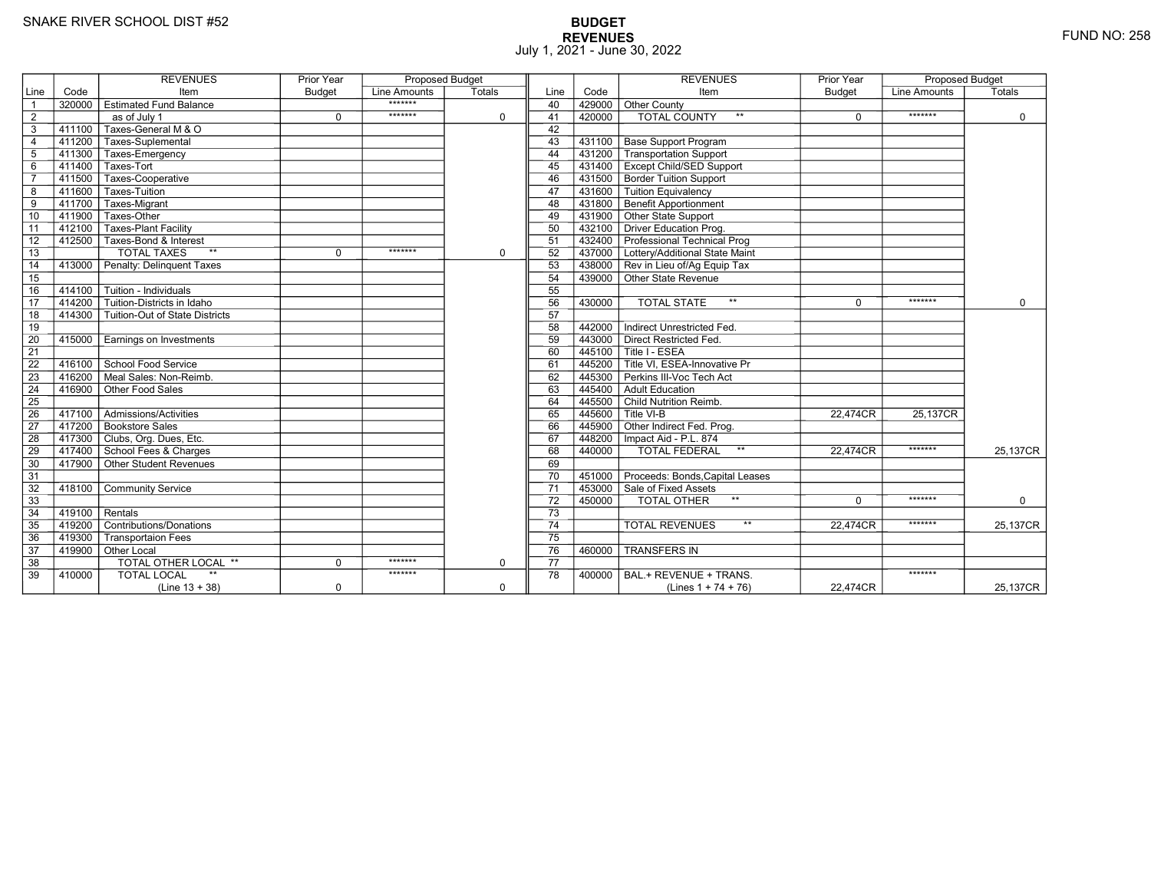# **BUDGET REVENUES** FUND NO: 258 July 1, 2021 - June 30, 2022

|                 |        | <b>REVENUES</b>                           | <b>Prior Year</b> | <b>Proposed Budget</b> |             |                 |        | <b>REVENUES</b>                                                      | <b>Prior Year</b> | <b>Proposed Budget</b> |             |
|-----------------|--------|-------------------------------------------|-------------------|------------------------|-------------|-----------------|--------|----------------------------------------------------------------------|-------------------|------------------------|-------------|
| Line            | Code   | Item                                      | <b>Budget</b>     | Line Amounts           | Totals      | Line            | Code   | Item                                                                 | <b>Budget</b>     | <b>Line Amounts</b>    | Totals      |
| $\overline{1}$  | 320000 | <b>Estimated Fund Balance</b>             |                   | *******                |             | 40              | 429000 | Other County                                                         |                   |                        |             |
| $\overline{2}$  |        | as of July 1                              | $\mathbf 0$       | *******                | $\mathbf 0$ | 41              | 420000 | <b>TOTAL COUNTY</b><br>$\star\star$                                  | $\mathbf 0$       | *******                | $\mathbf 0$ |
| $\overline{3}$  | 411100 | Taxes-General M & O                       |                   |                        |             | 42              |        |                                                                      |                   |                        |             |
| $\overline{4}$  |        | 411200 Taxes-Suplemental                  |                   |                        |             | 43              | 431100 | <b>Base Support Program</b>                                          |                   |                        |             |
| $5\phantom{.0}$ | 411300 | Taxes-Emergency                           |                   |                        |             | 44              | 431200 | Transportation Support                                               |                   |                        |             |
| $\,6$           | 411400 | Taxes-Tort                                |                   |                        |             | 45              |        | 431400 Except Child/SED Support                                      |                   |                        |             |
| $\overline{7}$  | 411500 | Taxes-Cooperative                         |                   |                        |             | 46              |        | 431500 Border Tuition Support                                        |                   |                        |             |
| 8               | 411600 | Taxes-Tuition                             |                   |                        |             | 47              | 431600 | <b>Tuition Equivalency</b>                                           |                   |                        |             |
| $\overline{9}$  | 411700 | Taxes-Migrant                             |                   |                        |             | 48              | 431800 | <b>Benefit Apportionment</b>                                         |                   |                        |             |
| 10              | 411900 | Taxes-Other                               |                   |                        |             | 49              |        | 431900 Other State Support                                           |                   |                        |             |
| 11              | 412100 | <b>Taxes-Plant Facility</b>               |                   |                        |             | 50              |        | 432100 Driver Education Prog.                                        |                   |                        |             |
| 12              | 412500 | Taxes-Bond & Interest                     |                   |                        |             | 51              |        | 432400 Professional Technical Prog                                   |                   |                        |             |
| $\overline{13}$ |        | <b>TOTAL TAXES</b><br>$**$                | $\mathbf 0$       | *******                | $\mathbf 0$ | 52              |        | 437000 Lottery/Additional State Maint                                |                   |                        |             |
| 14              | 413000 | Penalty: Delinquent Taxes                 |                   |                        |             | 53              |        | 438000 Rev in Lieu of/Ag Equip Tax                                   |                   |                        |             |
| 15              |        |                                           |                   |                        |             | 54              |        | 439000 Other State Revenue                                           |                   |                        |             |
| 16              | 414100 | Tuition - Individuals                     |                   |                        |             | 55              |        |                                                                      |                   |                        |             |
| $\overline{17}$ | 414200 | Tuition-Districts in Idaho                |                   |                        |             | 56              | 430000 | $\star\star$<br><b>TOTAL STATE</b>                                   | $\Omega$          | *******                | $\Omega$    |
| 18              | 414300 | Tuition-Out of State Districts            |                   |                        |             | 57              |        |                                                                      |                   |                        |             |
| 19              |        |                                           |                   |                        |             | 58              | 442000 | Indirect Unrestricted Fed.                                           |                   |                        |             |
| 20              | 415000 | Earnings on Investments                   |                   |                        |             | 59              |        | 443000 Direct Restricted Fed.                                        |                   |                        |             |
| $\overline{21}$ |        |                                           |                   |                        |             | 60              |        | 445100 Title I - ESEA                                                |                   |                        |             |
| $\overline{22}$ |        | 416100 School Food Service                |                   |                        |             | 61              |        | $\overline{1}$ 445200 $\overline{\top}$ Title VI. ESEA-Innovative Pr |                   |                        |             |
| 23              | 416200 | Meal Sales: Non-Reimb.                    |                   |                        |             | 62              | 445300 | Perkins III-Voc Tech Act                                             |                   |                        |             |
| 24              | 416900 | Other Food Sales                          |                   |                        |             | 63              |        | 445400 Adult Education                                               |                   |                        |             |
| 25              |        |                                           |                   |                        |             | 64              |        | 445500 Child Nutrition Reimb.                                        |                   |                        |             |
| 26              | 417100 | $\overline{\Gamma}$ Admissions/Activities |                   |                        |             | 65              |        | $445600$ Title VI-B                                                  | 22,474CR          | 25,137CR               |             |
| $\overline{27}$ |        | 417200 Bookstore Sales                    |                   |                        |             | 66              |        | 445900 Other Indirect Fed. Prog.                                     |                   |                        |             |
| 28              |        | 417300 Clubs, Org. Dues, Etc.             |                   |                        |             | 67              |        | 448200   Impact Aid - P.L. 874                                       |                   |                        |             |
| 29              |        | 417400 School Fees & Charges              |                   |                        |             | 68              | 440000 | $^{\star\star}$<br><b>TOTAL FEDERAL</b>                              | 22,474CR          | *******                | 25,137CR    |
| 30              |        | 417900 Other Student Revenues             |                   |                        |             | 69              |        |                                                                      |                   |                        |             |
| 31              |        |                                           |                   |                        |             | 70              |        | 451000 Proceeds: Bonds, Capital Leases                               |                   |                        |             |
| 32              | 418100 | <b>Community Service</b>                  |                   |                        |             | $\overline{71}$ |        | 453000 Sale of Fixed Assets                                          |                   |                        |             |
| 33              |        |                                           |                   |                        |             | 72              | 450000 | $\star\star$<br>TOTAL OTHER                                          | $\Omega$          | *******                | $\mathbf 0$ |
| 34              | 419100 | Rentals                                   |                   |                        |             | $\overline{73}$ |        |                                                                      |                   |                        |             |
| 35              | 419200 | Contributions/Donations                   |                   |                        |             | 74              |        | $**$<br><b>TOTAL REVENUES</b>                                        | 22.474CR          | *******                | 25,137CR    |
| 36              | 419300 | <b>Transportaion Fees</b>                 |                   |                        |             | $\overline{75}$ |        |                                                                      |                   |                        |             |
| 37              |        | 419900 Other Local                        |                   |                        |             | 76              | 460000 | <b>TRANSFERS IN</b>                                                  |                   |                        |             |
| 38              |        | <b>TOTAL OTHER LOCAL **</b>               | $\mathbf 0$       | *******                | $\mathbf 0$ | 77              |        |                                                                      |                   |                        |             |
| 39              | 410000 | <b>TOTAL LOCAL</b>                        |                   | *******                |             | 78              | 400000 | BAL.+ REVENUE + TRANS.                                               |                   | *******                |             |
|                 |        | $(Line 13 + 38)$                          | $\mathbf 0$       |                        | $\mathbf 0$ |                 |        | (Lines $1 + 74 + 76$ )                                               | 22,474CR          |                        | 25,137CR    |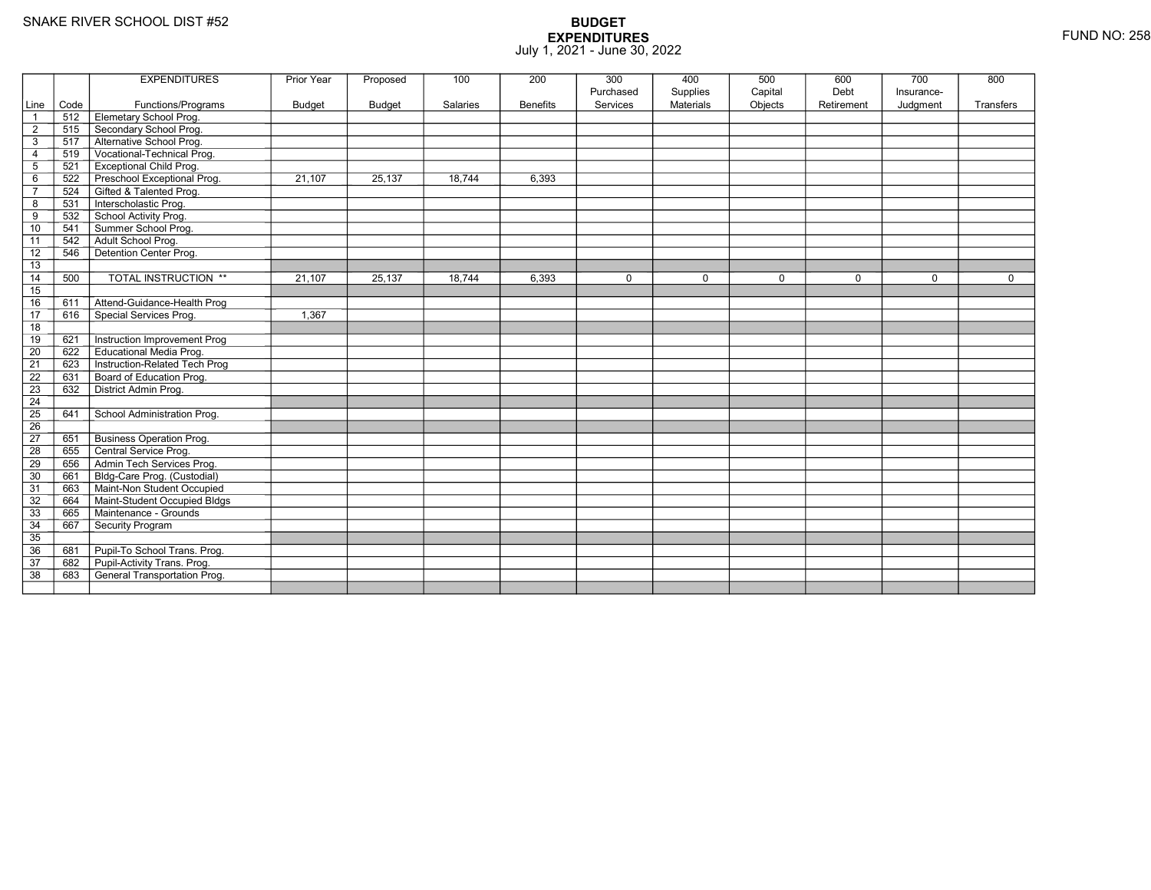|                                  |            | <b>EXPENDITURES</b>                                    | <b>Prior Year</b> | Proposed      | 100      | 200             | 300         | 400              | 500     | 600         | 700         | 800         |
|----------------------------------|------------|--------------------------------------------------------|-------------------|---------------|----------|-----------------|-------------|------------------|---------|-------------|-------------|-------------|
|                                  |            |                                                        |                   |               |          |                 | Purchased   | Supplies         | Capital | Debt        | Insurance-  |             |
| Line                             | Code       | Functions/Programs                                     | Budget            | <b>Budget</b> | Salaries | <b>Benefits</b> | Services    | <b>Materials</b> | Objects | Retirement  | Judgment    | Transfers   |
| $\overline{1}$                   | 512        | Elemetary School Prog.                                 |                   |               |          |                 |             |                  |         |             |             |             |
| $\overline{2}$                   | 515<br>517 | Secondary School Prog.                                 |                   |               |          |                 |             |                  |         |             |             |             |
| $\mathbf{3}$                     |            | Alternative School Prog.<br>Vocational-Technical Prog. |                   |               |          |                 |             |                  |         |             |             |             |
| $\overline{4}$<br>$\overline{5}$ | 519<br>521 | <b>Exceptional Child Prog.</b>                         |                   |               |          |                 |             |                  |         |             |             |             |
|                                  | 522        | Preschool Exceptional Prog.                            | 21,107            | 25,137        | 18,744   | 6,393           |             |                  |         |             |             |             |
| 6<br>$\overline{7}$              | 524        | Gifted & Talented Prog.                                |                   |               |          |                 |             |                  |         |             |             |             |
| 8                                | 531        | Interscholastic Prog.                                  |                   |               |          |                 |             |                  |         |             |             |             |
| 9                                | 532        | School Activity Prog.                                  |                   |               |          |                 |             |                  |         |             |             |             |
| 10                               | 541        | Summer School Prog.                                    |                   |               |          |                 |             |                  |         |             |             |             |
|                                  | 542        | Adult School Prog.                                     |                   |               |          |                 |             |                  |         |             |             |             |
| 11<br>12                         | 546        | Detention Center Prog.                                 |                   |               |          |                 |             |                  |         |             |             |             |
| 13                               |            |                                                        |                   |               |          |                 |             |                  |         |             |             |             |
| 14                               | 500        | TOTAL INSTRUCTION **                                   | 21,107            | 25,137        | 18,744   | 6,393           | $\mathbf 0$ | $\mathbf 0$      | 0       | $\mathbf 0$ | $\mathbf 0$ | $\mathbf 0$ |
| 15                               |            |                                                        |                   |               |          |                 |             |                  |         |             |             |             |
| 16                               | 611        | Attend-Guidance-Health Prog                            |                   |               |          |                 |             |                  |         |             |             |             |
| 17                               | 616        | Special Services Prog.                                 | 1,367             |               |          |                 |             |                  |         |             |             |             |
| 18                               |            |                                                        |                   |               |          |                 |             |                  |         |             |             |             |
| 19                               | 621        | Instruction Improvement Prog                           |                   |               |          |                 |             |                  |         |             |             |             |
| $\overline{20}$                  | 622        | <b>Educational Media Prog.</b>                         |                   |               |          |                 |             |                  |         |             |             |             |
| 21                               | 623        | Instruction-Related Tech Prog                          |                   |               |          |                 |             |                  |         |             |             |             |
| $\overline{22}$                  | 631        | Board of Education Prog.                               |                   |               |          |                 |             |                  |         |             |             |             |
| $\overline{23}$                  | 632        | District Admin Prog.                                   |                   |               |          |                 |             |                  |         |             |             |             |
| 24                               |            |                                                        |                   |               |          |                 |             |                  |         |             |             |             |
| 25                               | 641        | School Administration Prog.                            |                   |               |          |                 |             |                  |         |             |             |             |
| 26                               |            |                                                        |                   |               |          |                 |             |                  |         |             |             |             |
| 27                               | 651        | <b>Business Operation Prog.</b>                        |                   |               |          |                 |             |                  |         |             |             |             |
| $\overline{28}$                  | 655        | Central Service Prog.                                  |                   |               |          |                 |             |                  |         |             |             |             |
| 29                               | 656        | Admin Tech Services Prog.                              |                   |               |          |                 |             |                  |         |             |             |             |
| 30                               | 661        | Bldg-Care Prog. (Custodial)                            |                   |               |          |                 |             |                  |         |             |             |             |
| 31                               | 663        | Maint-Non Student Occupied                             |                   |               |          |                 |             |                  |         |             |             |             |
| 32                               | 664        | Maint-Student Occupied Bldgs                           |                   |               |          |                 |             |                  |         |             |             |             |
| 33                               | 665        | Maintenance - Grounds                                  |                   |               |          |                 |             |                  |         |             |             |             |
| 34                               | 667        | Security Program                                       |                   |               |          |                 |             |                  |         |             |             |             |
| 35                               |            |                                                        |                   |               |          |                 |             |                  |         |             |             |             |
| 36                               | 681        | Pupil-To School Trans. Prog.                           |                   |               |          |                 |             |                  |         |             |             |             |
| 37                               | 682        | Pupil-Activity Trans. Prog.                            |                   |               |          |                 |             |                  |         |             |             |             |
| $\overline{38}$                  | 683        | General Transportation Prog.                           |                   |               |          |                 |             |                  |         |             |             |             |
|                                  |            |                                                        |                   |               |          |                 |             |                  |         |             |             |             |
|                                  |            |                                                        |                   |               |          |                 |             |                  |         |             |             |             |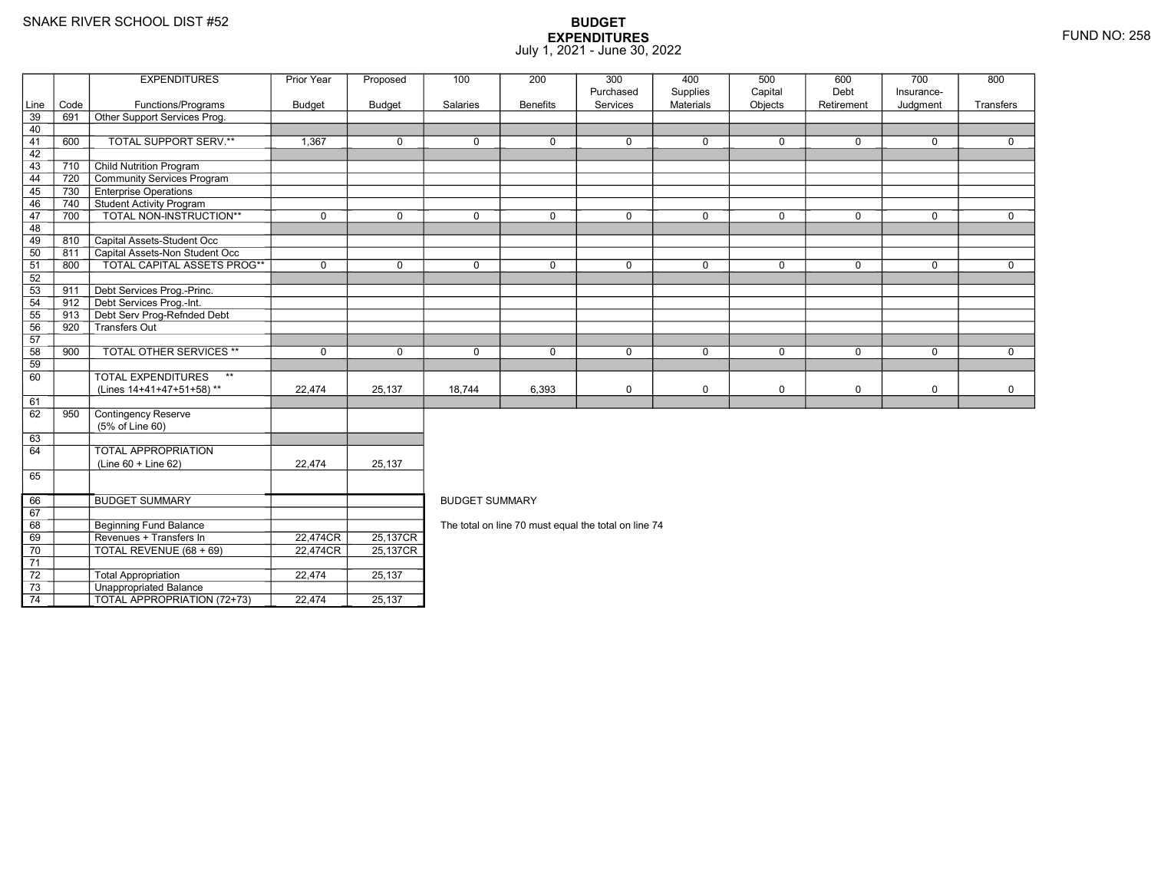71 72

73

74

0 | TOTAL REVENUE (68 + 69) | 22,474CR

3 **Unappropriated Balance** 

2 | Total Appropriation | 22,474 | 25,137

TOTAL APPROPRIATION (72+73) 22,474 25,137

R 25,137CR

|      |      | <b>EXPENDITURES</b>                       | Prior Year    | Proposed                           | 100                                                  | 200             | 300         | 400         | 500         | 600        | 700         | 800         |  |  |  |
|------|------|-------------------------------------------|---------------|------------------------------------|------------------------------------------------------|-----------------|-------------|-------------|-------------|------------|-------------|-------------|--|--|--|
|      |      |                                           |               |                                    |                                                      |                 | Purchased   | Supplies    | Capital     | Debt       | Insurance-  |             |  |  |  |
| Line | Code | Functions/Programs                        | <b>Budget</b> | <b>Budget</b>                      | Salaries                                             | <b>Benefits</b> | Services    | Materials   | Objects     | Retirement | Judgment    | Transfers   |  |  |  |
| 39   | 691  | Other Support Services Prog.              |               |                                    |                                                      |                 |             |             |             |            |             |             |  |  |  |
| 40   |      |                                           |               |                                    |                                                      |                 |             |             |             |            |             |             |  |  |  |
| 41   | 600  | TOTAL SUPPORT SERV.**                     | 1,367         | 0                                  | $\mathbf 0$                                          | 0               | $\Omega$    | $\mathbf 0$ | $\Omega$    | 0          | $\mathbf 0$ | 0           |  |  |  |
| 42   |      |                                           |               |                                    |                                                      |                 |             |             |             |            |             |             |  |  |  |
| 43   | 710  | <b>Child Nutrition Program</b>            |               |                                    |                                                      |                 |             |             |             |            |             |             |  |  |  |
| 44   | 720  | Community Services Program                |               |                                    |                                                      |                 |             |             |             |            |             |             |  |  |  |
| 45   | 730  | <b>Enterprise Operations</b>              |               |                                    |                                                      |                 |             |             |             |            |             |             |  |  |  |
| 46   | 740  | <b>Student Activity Program</b>           |               |                                    |                                                      |                 |             |             |             |            |             |             |  |  |  |
| 47   | 700  | TOTAL NON-INSTRUCTION**                   | $\mathbf 0$   | $\mathbf 0$                        | $\mathbf 0$                                          | 0               | $\mathbf 0$ | $\mathbf 0$ | $\mathbf 0$ | 0          | $\mathbf 0$ | $\mathbf 0$ |  |  |  |
| 48   |      |                                           |               |                                    |                                                      |                 |             |             |             |            |             |             |  |  |  |
| 49   | 810  | Capital Assets-Student Occ                |               |                                    |                                                      |                 |             |             |             |            |             |             |  |  |  |
| 50   | 811  | Capital Assets-Non Student Occ            |               |                                    |                                                      |                 |             |             |             |            |             |             |  |  |  |
| 51   | 800  | <b>TOTAL CAPITAL ASSETS PROG**</b>        | $\mathbf 0$   | $\mathbf 0$                        | $\mathbf 0$                                          | 0               | $\mathbf 0$ | $\mathbf 0$ | $\mathbf 0$ | 0          | $\mathbf 0$ | $\Omega$    |  |  |  |
| 52   |      |                                           |               |                                    |                                                      |                 |             |             |             |            |             |             |  |  |  |
| $53$ | 911  | Debt Services Prog.-Princ.                |               |                                    |                                                      |                 |             |             |             |            |             |             |  |  |  |
| 54   | 912  | Debt Services Prog.-Int.                  |               |                                    |                                                      |                 |             |             |             |            |             |             |  |  |  |
| 55   | 913  | Debt Serv Prog-Refnded Debt               |               |                                    |                                                      |                 |             |             |             |            |             |             |  |  |  |
| 56   | 920  | Transfers Out                             |               |                                    |                                                      |                 |             |             |             |            |             |             |  |  |  |
| 57   |      |                                           |               |                                    |                                                      |                 |             |             |             |            |             |             |  |  |  |
| 58   | 900  | <b>TOTAL OTHER SERVICES **</b>            | $\mathbf 0$   | $\Omega$                           | $\mathbf{0}$                                         | $\Omega$        | $\Omega$    | $\mathbf 0$ | $\Omega$    | $\Omega$   | $\Omega$    | $\Omega$    |  |  |  |
| 59   |      |                                           |               |                                    |                                                      |                 |             |             |             |            |             |             |  |  |  |
| 60   |      | <b>TOTAL EXPENDITURES</b><br>$\star\star$ |               |                                    |                                                      |                 |             |             |             |            |             |             |  |  |  |
|      |      | (Lines 14+41+47+51+58)**                  | 22,474        | 25,137                             | 18,744                                               | 6,393           | $\mathbf 0$ | 0           | $\mathbf 0$ | 0          | $\mathbf 0$ | 0           |  |  |  |
| 61   |      |                                           |               |                                    |                                                      |                 |             |             |             |            |             |             |  |  |  |
| 62   | 950  | Contingency Reserve                       |               |                                    |                                                      |                 |             |             |             |            |             |             |  |  |  |
|      |      | (5% of Line 60)                           |               |                                    |                                                      |                 |             |             |             |            |             |             |  |  |  |
| 63   |      |                                           |               |                                    |                                                      |                 |             |             |             |            |             |             |  |  |  |
| 64   |      | TOTAL APPROPRIATION                       |               |                                    |                                                      |                 |             |             |             |            |             |             |  |  |  |
|      |      | (Line 60 + Line 62)                       | 22,474        | 25,137                             |                                                      |                 |             |             |             |            |             |             |  |  |  |
| 65   |      |                                           |               |                                    |                                                      |                 |             |             |             |            |             |             |  |  |  |
| 66   |      | <b>BUDGET SUMMARY</b>                     |               |                                    | <b>BUDGET SUMMARY</b>                                |                 |             |             |             |            |             |             |  |  |  |
| 67   |      |                                           |               |                                    |                                                      |                 |             |             |             |            |             |             |  |  |  |
| 68   |      | Beginning Fund Balance                    |               |                                    |                                                      |                 |             |             |             |            |             |             |  |  |  |
| 69   |      | Revenues + Transfers In                   | $22,474$ CR   | 25,137CR                           | The total on line 70 must equal the total on line 74 |                 |             |             |             |            |             |             |  |  |  |
|      |      | $\tau$                                    |               | $\sim$ $\sim$ $\sim$ $\sim$ $\sim$ |                                                      |                 |             |             |             |            |             |             |  |  |  |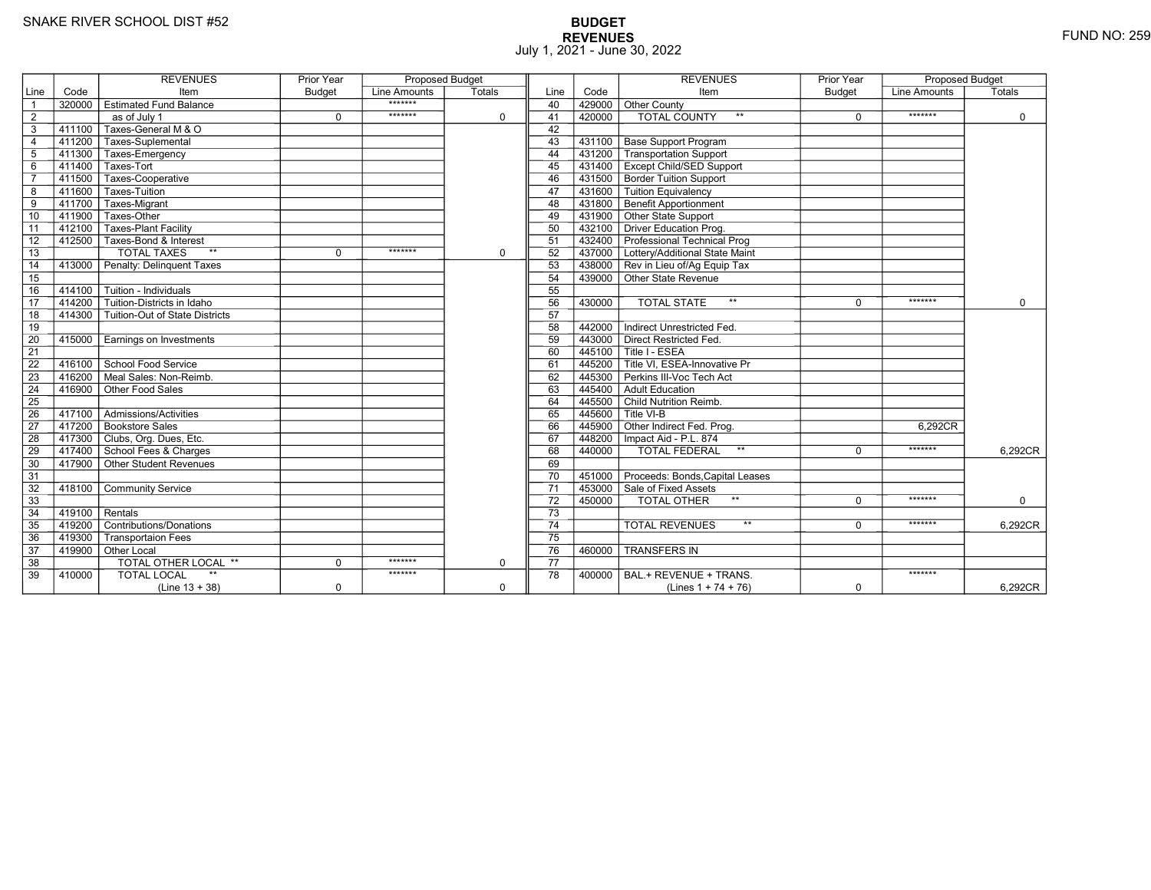# **BUDGET REVENUES** FUND NO: 259 July 1, 2021 - June 30, 2022

|                 |                         | <b>REVENUES</b>                           | <b>Prior Year</b> | <b>Proposed Budget</b> |             |                 |           | <b>REVENUES</b>                                           | <b>Prior Year</b> | <b>Proposed Budget</b> |          |
|-----------------|-------------------------|-------------------------------------------|-------------------|------------------------|-------------|-----------------|-----------|-----------------------------------------------------------|-------------------|------------------------|----------|
| Line            | Code                    | Item                                      | <b>Budget</b>     | Line Amounts           | Totals      | Line            | Code      | Item                                                      | <b>Budget</b>     | Line Amounts           | Totals   |
| $\overline{1}$  |                         | 320000 Estimated Fund Balance             |                   | *******                |             | 40              | 429000    | <b>Other County</b>                                       |                   |                        |          |
| $\overline{2}$  |                         | as of July 1                              | $\Omega$          | *******                | $\mathbf 0$ | 41              | 420000    | <b>TOTAL COUNTY</b><br>$**$                               | $\Omega$          | *******                | $\Omega$ |
| 3               | 411100                  | Taxes-General M & O                       |                   |                        |             | 42              |           |                                                           |                   |                        |          |
| $\overline{4}$  |                         | 411200 Taxes-Suplemental                  |                   |                        |             | 43              | 431100    | Base Support Program                                      |                   |                        |          |
| 5               |                         | 411300 Taxes-Emergency                    |                   |                        |             | 44              | $-431200$ | Transportation Support                                    |                   |                        |          |
| $\,6\,$         |                         | 411400 Taxes-Tort                         |                   |                        |             | 45              | 431400    | <b>Except Child/SED Support</b>                           |                   |                        |          |
| $\overline{7}$  |                         | 411500 Taxes-Cooperative                  |                   |                        |             | 46              | 431500    | <b>Border Tuition Support</b>                             |                   |                        |          |
| 8               | 411600                  | Taxes-Tuition                             |                   |                        |             | 47              | 431600    | Tuition Equivalency                                       |                   |                        |          |
| 9               | $-411700$               | Taxes-Migrant                             |                   |                        |             | 48              | 431800    | <b>Benefit Apportionment</b>                              |                   |                        |          |
| 10              | 411900                  | Taxes-Other                               |                   |                        |             | 49              | 431900    | Other State Support                                       |                   |                        |          |
| $\overline{11}$ |                         | 412100   Taxes-Plant Facility             |                   |                        |             | 50              | 432100    | Driver Education Prog.                                    |                   |                        |          |
| 12              |                         | 412500 Taxes-Bond & Interest              |                   |                        |             | 51              |           | 432400 Professional Technical Prog                        |                   |                        |          |
| 13              |                         | $**$<br><b>TOTAL TAXES</b>                | $\mathbf 0$       | *******                | $\mathbf 0$ | 52              |           | 437000 Lottery/Additional State Maint                     |                   |                        |          |
| 14              |                         | 413000 Penalty: Delinguent Taxes          |                   |                        |             | 53              |           | 438000 Rev in Lieu of/Ag Equip Tax                        |                   |                        |          |
| 15              |                         |                                           |                   |                        |             | 54              |           | 439000 Other State Revenue                                |                   |                        |          |
| 16              | 414100                  | $\overline{\Gamma}$ Tuition - Individuals |                   |                        |             | 55              |           |                                                           |                   |                        |          |
| $\overline{17}$ | 414200                  | Tuition-Districts in Idaho                |                   |                        |             | 56              | 430000    | $\star\star$<br><b>TOTAL STATE</b>                        | $\Omega$          | *******                | $\Omega$ |
| 18              |                         | 414300 Tuition-Out of State Districts     |                   |                        |             | 57              |           |                                                           |                   |                        |          |
| 19              |                         |                                           |                   |                        |             | 58              | 442000    | Indirect Unrestricted Fed.                                |                   |                        |          |
| 20              | 415000                  | Earnings on Investments                   |                   |                        |             | 59              | 443000    | Direct Restricted Fed.                                    |                   |                        |          |
| $\overline{21}$ |                         |                                           |                   |                        |             | 60              | 445100    | Title I - ESEA                                            |                   |                        |          |
| 22              |                         | 416100 School Food Service                |                   |                        |             | 61              | 445200    | $\overline{\mathsf{\Gamma}}$ Title VI. ESEA-Innovative Pr |                   |                        |          |
| 23              | 416200                  | ∏Meal Sales: Non-Reimb.                   |                   |                        |             | 62              | 445300    | Perkins III-Voc Tech Act                                  |                   |                        |          |
| 24              | 416900                  | Other Food Sales                          |                   |                        |             | 63              | 445400    | Adult Education                                           |                   |                        |          |
| 25              |                         |                                           |                   |                        |             | 64              | 445500    | Child Nutrition Reimb.                                    |                   |                        |          |
| 26              |                         | 417100   Admissions/Activities            |                   |                        |             | 65              | 445600    | Title VI-B                                                |                   |                        |          |
| 27              |                         | 417200 Bookstore Sales                    |                   |                        |             | 66              | 445900    | Other Indirect Fed. Prog.                                 |                   | 6.292CR                |          |
| 28              |                         | 417300 Clubs, Org. Dues, Etc.             |                   |                        |             | 67              |           | 448200   Impact Aid - P.L. 874                            |                   |                        |          |
| 29              |                         | 417400 School Fees & Charges              |                   |                        |             | 68              | 440000    | <b>TOTAL FEDERAL</b><br>$***$                             | $\Omega$          | *******                | 6,292CR  |
| 30              |                         | 417900 Other Student Revenues             |                   |                        |             | 69              |           |                                                           |                   |                        |          |
| 31              |                         |                                           |                   |                        |             | 70              | 451000    | Proceeds: Bonds, Capital Leases                           |                   |                        |          |
| 32              |                         | 418100 Community Service                  |                   |                        |             | $\overline{71}$ |           | 453000 Sale of Fixed Assets                               |                   |                        |          |
| 33              |                         |                                           |                   |                        |             | 72              | $-450000$ | <b>TOTAL OTHER</b>                                        | $\Omega$          | *******                | 0        |
| $\overline{34}$ | $\sqrt{419100}$ Rentals |                                           |                   |                        |             | $\overline{73}$ |           |                                                           |                   |                        |          |
| 35              |                         | 419200 Contributions/Donations            |                   |                        |             | $\overline{74}$ |           | $***$<br><b>TOTAL REVENUES</b>                            | $\Omega$          | *******                | 6,292CR  |
| 36              | 419300                  | <b>Transportaion Fees</b>                 |                   |                        |             | 75              |           |                                                           |                   |                        |          |
| 37              |                         | 419900 Other Local                        |                   |                        |             | 76              | 460000    | <b>TRANSFERS IN</b>                                       |                   |                        |          |
| 38              |                         | TOTAL OTHER LOCAL **                      | $\Omega$          | *******                | $\mathbf 0$ | 77              |           |                                                           |                   |                        |          |
| 39              | 410000                  | $**$<br><b>TOTAL LOCAL</b>                |                   | *******                |             | 78              | 400000    | BAL.+ REVENUE + TRANS.                                    |                   | *******                |          |
|                 |                         | $(Line 13 + 38)$                          | $\mathbf 0$       |                        | $\mathbf 0$ |                 |           | (Lines $1 + 74 + 76$ )                                    | $\mathbf 0$       |                        | 6,292CR  |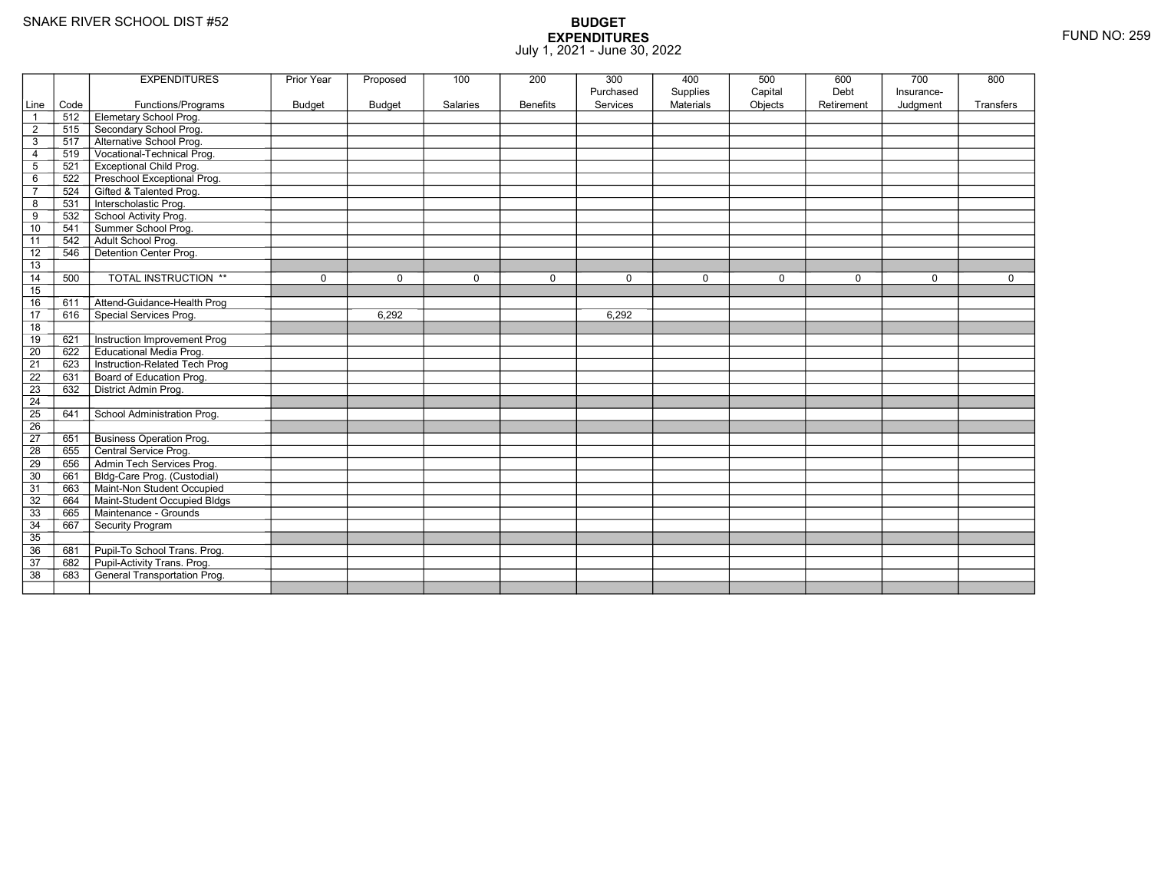| Services<br>Materials<br>Objects<br>Line<br>Code<br>Functions/Programs<br>Budget<br><b>Budget</b><br>Salaries<br><b>Benefits</b><br>Retirement<br>Judgment<br>Transfers<br><b>Elemetary School Prog.</b><br>512<br>Secondary School Prog.<br>515<br>$\overline{2}$<br>Alternative School Prog.<br>517<br>3<br>Vocational-Technical Prog.<br>519<br>4<br><b>Exceptional Child Prog.</b><br>5<br>521<br>Preschool Exceptional Prog.<br>6<br>522<br>Gifted & Talented Prog.<br>524<br>$\overline{7}$<br>Interscholastic Prog.<br>531<br>8<br>School Activity Prog.<br>9<br>532<br>Summer School Prog.<br>10<br>541<br>Adult School Prog.<br>542<br>11<br>Detention Center Prog.<br>12<br>546<br>13<br>TOTAL INSTRUCTION **<br>14<br>500<br>$\mathbf 0$<br>$\Omega$<br>$\mathbf 0$<br>0<br>$\mathbf 0$<br>$\mathbf 0$<br>$\mathbf 0$<br>$\mathbf 0$<br>$\mathbf 0$<br>0<br>15<br>Attend-Guidance-Health Prog<br>16<br>611<br>Special Services Prog.<br>17<br>616<br>6.292<br>6.292<br>18<br>Instruction Improvement Prog<br>19<br>621<br><b>Educational Media Prog.</b><br>$\overline{20}$<br>622<br>21<br>Instruction-Related Tech Prog<br>623<br>$\overline{22}$<br>Board of Education Prog.<br>631<br>$\overline{23}$<br>District Admin Prog.<br>632<br>24<br>25<br>641<br>School Administration Prog.<br>26<br>$\overline{27}$<br><b>Business Operation Prog.</b><br>651<br>28<br>Central Service Prog.<br>655<br>29<br>Admin Tech Services Prog.<br>656<br>30<br>Bldg-Care Prog. (Custodial)<br>661<br>Maint-Non Student Occupied<br>31<br>663<br>Maint-Student Occupied Bldgs<br>32<br>664<br>33<br>Maintenance - Grounds<br>665<br>34<br>667<br>Security Program<br>35<br>36<br>Pupil-To School Trans. Prog.<br>681<br>Pupil-Activity Trans. Prog.<br>$\overline{37}$<br>682<br>$\overline{38}$<br>General Transportation Prog.<br>683 |  | <b>EXPENDITURES</b> | Prior Year | Proposed | 100 | 200 | 300       | 400      | 500     | 600  | 700        | 800 |
|-------------------------------------------------------------------------------------------------------------------------------------------------------------------------------------------------------------------------------------------------------------------------------------------------------------------------------------------------------------------------------------------------------------------------------------------------------------------------------------------------------------------------------------------------------------------------------------------------------------------------------------------------------------------------------------------------------------------------------------------------------------------------------------------------------------------------------------------------------------------------------------------------------------------------------------------------------------------------------------------------------------------------------------------------------------------------------------------------------------------------------------------------------------------------------------------------------------------------------------------------------------------------------------------------------------------------------------------------------------------------------------------------------------------------------------------------------------------------------------------------------------------------------------------------------------------------------------------------------------------------------------------------------------------------------------------------------------------------------------------------------------------------------------------------------------------------------------------|--|---------------------|------------|----------|-----|-----|-----------|----------|---------|------|------------|-----|
|                                                                                                                                                                                                                                                                                                                                                                                                                                                                                                                                                                                                                                                                                                                                                                                                                                                                                                                                                                                                                                                                                                                                                                                                                                                                                                                                                                                                                                                                                                                                                                                                                                                                                                                                                                                                                                           |  |                     |            |          |     |     | Purchased | Supplies | Capital | Debt | Insurance- |     |
|                                                                                                                                                                                                                                                                                                                                                                                                                                                                                                                                                                                                                                                                                                                                                                                                                                                                                                                                                                                                                                                                                                                                                                                                                                                                                                                                                                                                                                                                                                                                                                                                                                                                                                                                                                                                                                           |  |                     |            |          |     |     |           |          |         |      |            |     |
|                                                                                                                                                                                                                                                                                                                                                                                                                                                                                                                                                                                                                                                                                                                                                                                                                                                                                                                                                                                                                                                                                                                                                                                                                                                                                                                                                                                                                                                                                                                                                                                                                                                                                                                                                                                                                                           |  |                     |            |          |     |     |           |          |         |      |            |     |
|                                                                                                                                                                                                                                                                                                                                                                                                                                                                                                                                                                                                                                                                                                                                                                                                                                                                                                                                                                                                                                                                                                                                                                                                                                                                                                                                                                                                                                                                                                                                                                                                                                                                                                                                                                                                                                           |  |                     |            |          |     |     |           |          |         |      |            |     |
|                                                                                                                                                                                                                                                                                                                                                                                                                                                                                                                                                                                                                                                                                                                                                                                                                                                                                                                                                                                                                                                                                                                                                                                                                                                                                                                                                                                                                                                                                                                                                                                                                                                                                                                                                                                                                                           |  |                     |            |          |     |     |           |          |         |      |            |     |
|                                                                                                                                                                                                                                                                                                                                                                                                                                                                                                                                                                                                                                                                                                                                                                                                                                                                                                                                                                                                                                                                                                                                                                                                                                                                                                                                                                                                                                                                                                                                                                                                                                                                                                                                                                                                                                           |  |                     |            |          |     |     |           |          |         |      |            |     |
|                                                                                                                                                                                                                                                                                                                                                                                                                                                                                                                                                                                                                                                                                                                                                                                                                                                                                                                                                                                                                                                                                                                                                                                                                                                                                                                                                                                                                                                                                                                                                                                                                                                                                                                                                                                                                                           |  |                     |            |          |     |     |           |          |         |      |            |     |
|                                                                                                                                                                                                                                                                                                                                                                                                                                                                                                                                                                                                                                                                                                                                                                                                                                                                                                                                                                                                                                                                                                                                                                                                                                                                                                                                                                                                                                                                                                                                                                                                                                                                                                                                                                                                                                           |  |                     |            |          |     |     |           |          |         |      |            |     |
|                                                                                                                                                                                                                                                                                                                                                                                                                                                                                                                                                                                                                                                                                                                                                                                                                                                                                                                                                                                                                                                                                                                                                                                                                                                                                                                                                                                                                                                                                                                                                                                                                                                                                                                                                                                                                                           |  |                     |            |          |     |     |           |          |         |      |            |     |
|                                                                                                                                                                                                                                                                                                                                                                                                                                                                                                                                                                                                                                                                                                                                                                                                                                                                                                                                                                                                                                                                                                                                                                                                                                                                                                                                                                                                                                                                                                                                                                                                                                                                                                                                                                                                                                           |  |                     |            |          |     |     |           |          |         |      |            |     |
|                                                                                                                                                                                                                                                                                                                                                                                                                                                                                                                                                                                                                                                                                                                                                                                                                                                                                                                                                                                                                                                                                                                                                                                                                                                                                                                                                                                                                                                                                                                                                                                                                                                                                                                                                                                                                                           |  |                     |            |          |     |     |           |          |         |      |            |     |
|                                                                                                                                                                                                                                                                                                                                                                                                                                                                                                                                                                                                                                                                                                                                                                                                                                                                                                                                                                                                                                                                                                                                                                                                                                                                                                                                                                                                                                                                                                                                                                                                                                                                                                                                                                                                                                           |  |                     |            |          |     |     |           |          |         |      |            |     |
|                                                                                                                                                                                                                                                                                                                                                                                                                                                                                                                                                                                                                                                                                                                                                                                                                                                                                                                                                                                                                                                                                                                                                                                                                                                                                                                                                                                                                                                                                                                                                                                                                                                                                                                                                                                                                                           |  |                     |            |          |     |     |           |          |         |      |            |     |
|                                                                                                                                                                                                                                                                                                                                                                                                                                                                                                                                                                                                                                                                                                                                                                                                                                                                                                                                                                                                                                                                                                                                                                                                                                                                                                                                                                                                                                                                                                                                                                                                                                                                                                                                                                                                                                           |  |                     |            |          |     |     |           |          |         |      |            |     |
|                                                                                                                                                                                                                                                                                                                                                                                                                                                                                                                                                                                                                                                                                                                                                                                                                                                                                                                                                                                                                                                                                                                                                                                                                                                                                                                                                                                                                                                                                                                                                                                                                                                                                                                                                                                                                                           |  |                     |            |          |     |     |           |          |         |      |            |     |
|                                                                                                                                                                                                                                                                                                                                                                                                                                                                                                                                                                                                                                                                                                                                                                                                                                                                                                                                                                                                                                                                                                                                                                                                                                                                                                                                                                                                                                                                                                                                                                                                                                                                                                                                                                                                                                           |  |                     |            |          |     |     |           |          |         |      |            |     |
|                                                                                                                                                                                                                                                                                                                                                                                                                                                                                                                                                                                                                                                                                                                                                                                                                                                                                                                                                                                                                                                                                                                                                                                                                                                                                                                                                                                                                                                                                                                                                                                                                                                                                                                                                                                                                                           |  |                     |            |          |     |     |           |          |         |      |            |     |
|                                                                                                                                                                                                                                                                                                                                                                                                                                                                                                                                                                                                                                                                                                                                                                                                                                                                                                                                                                                                                                                                                                                                                                                                                                                                                                                                                                                                                                                                                                                                                                                                                                                                                                                                                                                                                                           |  |                     |            |          |     |     |           |          |         |      |            |     |
|                                                                                                                                                                                                                                                                                                                                                                                                                                                                                                                                                                                                                                                                                                                                                                                                                                                                                                                                                                                                                                                                                                                                                                                                                                                                                                                                                                                                                                                                                                                                                                                                                                                                                                                                                                                                                                           |  |                     |            |          |     |     |           |          |         |      |            |     |
|                                                                                                                                                                                                                                                                                                                                                                                                                                                                                                                                                                                                                                                                                                                                                                                                                                                                                                                                                                                                                                                                                                                                                                                                                                                                                                                                                                                                                                                                                                                                                                                                                                                                                                                                                                                                                                           |  |                     |            |          |     |     |           |          |         |      |            |     |
|                                                                                                                                                                                                                                                                                                                                                                                                                                                                                                                                                                                                                                                                                                                                                                                                                                                                                                                                                                                                                                                                                                                                                                                                                                                                                                                                                                                                                                                                                                                                                                                                                                                                                                                                                                                                                                           |  |                     |            |          |     |     |           |          |         |      |            |     |
|                                                                                                                                                                                                                                                                                                                                                                                                                                                                                                                                                                                                                                                                                                                                                                                                                                                                                                                                                                                                                                                                                                                                                                                                                                                                                                                                                                                                                                                                                                                                                                                                                                                                                                                                                                                                                                           |  |                     |            |          |     |     |           |          |         |      |            |     |
|                                                                                                                                                                                                                                                                                                                                                                                                                                                                                                                                                                                                                                                                                                                                                                                                                                                                                                                                                                                                                                                                                                                                                                                                                                                                                                                                                                                                                                                                                                                                                                                                                                                                                                                                                                                                                                           |  |                     |            |          |     |     |           |          |         |      |            |     |
|                                                                                                                                                                                                                                                                                                                                                                                                                                                                                                                                                                                                                                                                                                                                                                                                                                                                                                                                                                                                                                                                                                                                                                                                                                                                                                                                                                                                                                                                                                                                                                                                                                                                                                                                                                                                                                           |  |                     |            |          |     |     |           |          |         |      |            |     |
|                                                                                                                                                                                                                                                                                                                                                                                                                                                                                                                                                                                                                                                                                                                                                                                                                                                                                                                                                                                                                                                                                                                                                                                                                                                                                                                                                                                                                                                                                                                                                                                                                                                                                                                                                                                                                                           |  |                     |            |          |     |     |           |          |         |      |            |     |
|                                                                                                                                                                                                                                                                                                                                                                                                                                                                                                                                                                                                                                                                                                                                                                                                                                                                                                                                                                                                                                                                                                                                                                                                                                                                                                                                                                                                                                                                                                                                                                                                                                                                                                                                                                                                                                           |  |                     |            |          |     |     |           |          |         |      |            |     |
|                                                                                                                                                                                                                                                                                                                                                                                                                                                                                                                                                                                                                                                                                                                                                                                                                                                                                                                                                                                                                                                                                                                                                                                                                                                                                                                                                                                                                                                                                                                                                                                                                                                                                                                                                                                                                                           |  |                     |            |          |     |     |           |          |         |      |            |     |
|                                                                                                                                                                                                                                                                                                                                                                                                                                                                                                                                                                                                                                                                                                                                                                                                                                                                                                                                                                                                                                                                                                                                                                                                                                                                                                                                                                                                                                                                                                                                                                                                                                                                                                                                                                                                                                           |  |                     |            |          |     |     |           |          |         |      |            |     |
|                                                                                                                                                                                                                                                                                                                                                                                                                                                                                                                                                                                                                                                                                                                                                                                                                                                                                                                                                                                                                                                                                                                                                                                                                                                                                                                                                                                                                                                                                                                                                                                                                                                                                                                                                                                                                                           |  |                     |            |          |     |     |           |          |         |      |            |     |
|                                                                                                                                                                                                                                                                                                                                                                                                                                                                                                                                                                                                                                                                                                                                                                                                                                                                                                                                                                                                                                                                                                                                                                                                                                                                                                                                                                                                                                                                                                                                                                                                                                                                                                                                                                                                                                           |  |                     |            |          |     |     |           |          |         |      |            |     |
|                                                                                                                                                                                                                                                                                                                                                                                                                                                                                                                                                                                                                                                                                                                                                                                                                                                                                                                                                                                                                                                                                                                                                                                                                                                                                                                                                                                                                                                                                                                                                                                                                                                                                                                                                                                                                                           |  |                     |            |          |     |     |           |          |         |      |            |     |
|                                                                                                                                                                                                                                                                                                                                                                                                                                                                                                                                                                                                                                                                                                                                                                                                                                                                                                                                                                                                                                                                                                                                                                                                                                                                                                                                                                                                                                                                                                                                                                                                                                                                                                                                                                                                                                           |  |                     |            |          |     |     |           |          |         |      |            |     |
|                                                                                                                                                                                                                                                                                                                                                                                                                                                                                                                                                                                                                                                                                                                                                                                                                                                                                                                                                                                                                                                                                                                                                                                                                                                                                                                                                                                                                                                                                                                                                                                                                                                                                                                                                                                                                                           |  |                     |            |          |     |     |           |          |         |      |            |     |
|                                                                                                                                                                                                                                                                                                                                                                                                                                                                                                                                                                                                                                                                                                                                                                                                                                                                                                                                                                                                                                                                                                                                                                                                                                                                                                                                                                                                                                                                                                                                                                                                                                                                                                                                                                                                                                           |  |                     |            |          |     |     |           |          |         |      |            |     |
|                                                                                                                                                                                                                                                                                                                                                                                                                                                                                                                                                                                                                                                                                                                                                                                                                                                                                                                                                                                                                                                                                                                                                                                                                                                                                                                                                                                                                                                                                                                                                                                                                                                                                                                                                                                                                                           |  |                     |            |          |     |     |           |          |         |      |            |     |
|                                                                                                                                                                                                                                                                                                                                                                                                                                                                                                                                                                                                                                                                                                                                                                                                                                                                                                                                                                                                                                                                                                                                                                                                                                                                                                                                                                                                                                                                                                                                                                                                                                                                                                                                                                                                                                           |  |                     |            |          |     |     |           |          |         |      |            |     |
|                                                                                                                                                                                                                                                                                                                                                                                                                                                                                                                                                                                                                                                                                                                                                                                                                                                                                                                                                                                                                                                                                                                                                                                                                                                                                                                                                                                                                                                                                                                                                                                                                                                                                                                                                                                                                                           |  |                     |            |          |     |     |           |          |         |      |            |     |
|                                                                                                                                                                                                                                                                                                                                                                                                                                                                                                                                                                                                                                                                                                                                                                                                                                                                                                                                                                                                                                                                                                                                                                                                                                                                                                                                                                                                                                                                                                                                                                                                                                                                                                                                                                                                                                           |  |                     |            |          |     |     |           |          |         |      |            |     |
|                                                                                                                                                                                                                                                                                                                                                                                                                                                                                                                                                                                                                                                                                                                                                                                                                                                                                                                                                                                                                                                                                                                                                                                                                                                                                                                                                                                                                                                                                                                                                                                                                                                                                                                                                                                                                                           |  |                     |            |          |     |     |           |          |         |      |            |     |
|                                                                                                                                                                                                                                                                                                                                                                                                                                                                                                                                                                                                                                                                                                                                                                                                                                                                                                                                                                                                                                                                                                                                                                                                                                                                                                                                                                                                                                                                                                                                                                                                                                                                                                                                                                                                                                           |  |                     |            |          |     |     |           |          |         |      |            |     |
|                                                                                                                                                                                                                                                                                                                                                                                                                                                                                                                                                                                                                                                                                                                                                                                                                                                                                                                                                                                                                                                                                                                                                                                                                                                                                                                                                                                                                                                                                                                                                                                                                                                                                                                                                                                                                                           |  |                     |            |          |     |     |           |          |         |      |            |     |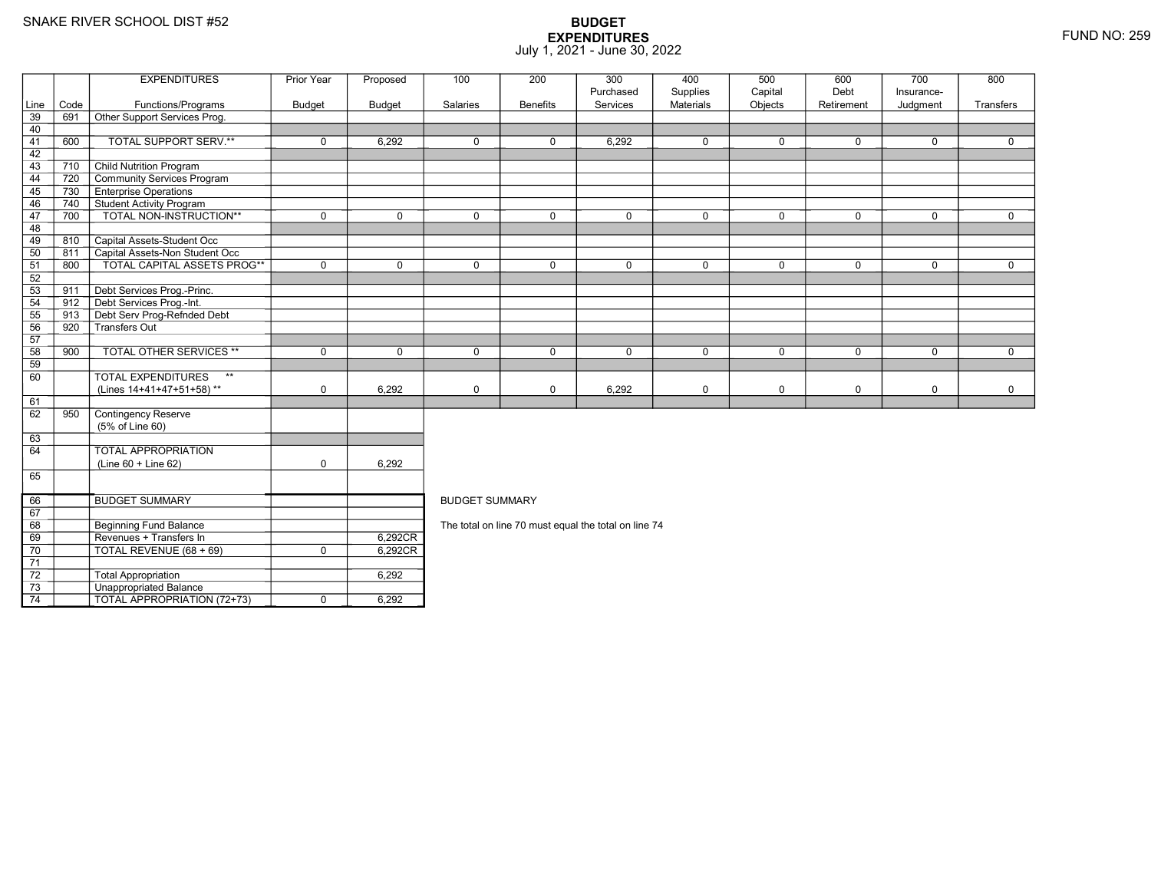69

70

71 72

73

74

**Beginning Fund Balance** 

3 **Unappropriated Balance** 

9 | Revenues + Transfers In | 6,292CR

TOTAL REVENUE (68 + 69) <sup>0</sup> 6,292CR

 $\overline{TOTAL}$  APPROPRIATION (72+73)  $\overline{1}$  0 6,292

Total Appropriation 6,292

### **BUDGET EXPENDITURES**July 1, 2021 - June 30, 2022

|      |      | <b>EXPENDITURES</b>                       | Prior Year    | Proposed      | 100                   | 200             | 300         | 400              | 500         | 600         | 700          | 800          |  |  |
|------|------|-------------------------------------------|---------------|---------------|-----------------------|-----------------|-------------|------------------|-------------|-------------|--------------|--------------|--|--|
|      |      |                                           |               |               |                       |                 | Purchased   | Supplies         | Capital     | Debt        | Insurance-   |              |  |  |
| Line | Code | Functions/Programs                        | <b>Budget</b> | <b>Budget</b> | Salaries              | <b>Benefits</b> | Services    | <b>Materials</b> | Objects     | Retirement  | Judgment     | Transfers    |  |  |
| 39   | 691  | Other Support Services Prog.              |               |               |                       |                 |             |                  |             |             |              |              |  |  |
| 40   |      |                                           |               |               |                       |                 |             |                  |             |             |              |              |  |  |
| 41   | 600  | TOTAL SUPPORT SERV.**                     | $\mathbf 0$   | 6.292         | $\mathbf 0$           | $\mathbf 0$     | 6,292       | $\mathbf 0$      | $\mathbf 0$ | $\mathbf 0$ | $\mathbf 0$  | $\mathbf{0}$ |  |  |
| 42   |      |                                           |               |               |                       |                 |             |                  |             |             |              |              |  |  |
| 43   | 710  | <b>Child Nutrition Program</b>            |               |               |                       |                 |             |                  |             |             |              |              |  |  |
| 44   | 720  | Community Services Program                |               |               |                       |                 |             |                  |             |             |              |              |  |  |
| 45   | 730  | <b>Enterprise Operations</b>              |               |               |                       |                 |             |                  |             |             |              |              |  |  |
| 46   | 740  | <b>Student Activity Program</b>           |               |               |                       |                 |             |                  |             |             |              |              |  |  |
| 47   | 700  | TOTAL NON-INSTRUCTION**                   | $\mathbf 0$   | $\Omega$      | $\Omega$              | $\mathbf 0$     | $\Omega$    | $\mathbf 0$      | $\Omega$    | $\mathbf 0$ | $\mathbf 0$  | $\mathbf{0}$ |  |  |
| 48   |      |                                           |               |               |                       |                 |             |                  |             |             |              |              |  |  |
| 49   | 810  | Capital Assets-Student Occ                |               |               |                       |                 |             |                  |             |             |              |              |  |  |
| 50   | 811  | Capital Assets-Non Student Occ            |               |               |                       |                 |             |                  |             |             |              |              |  |  |
| 51   | 800  | <b>TOTAL CAPITAL ASSETS PROG**</b>        | $\mathbf 0$   | $\mathbf 0$   | $\mathbf 0$           | $\mathbf 0$     | $\mathbf 0$ | $\mathsf{O}$     | $\mathbf 0$ | $\mathbf 0$ | $\mathbf 0$  | $\mathbf 0$  |  |  |
| 52   |      |                                           |               |               |                       |                 |             |                  |             |             |              |              |  |  |
| 53   | 911  | Debt Services Prog.-Princ.                |               |               |                       |                 |             |                  |             |             |              |              |  |  |
| 54   | 912  | Debt Services Prog.-Int.                  |               |               |                       |                 |             |                  |             |             |              |              |  |  |
| 55   | 913  | Debt Serv Prog-Refnded Debt               |               |               |                       |                 |             |                  |             |             |              |              |  |  |
| 56   | 920  | Transfers Out                             |               |               |                       |                 |             |                  |             |             |              |              |  |  |
| 57   |      |                                           |               |               |                       |                 |             |                  |             |             |              |              |  |  |
| 58   | 900  | <b>TOTAL OTHER SERVICES **</b>            | $\mathbf 0$   | $\Omega$      | $\Omega$              | $\Omega$        | $\mathbf 0$ | $\mathbf 0$      | $\Omega$    | $\Omega$    | $\mathbf{0}$ | $\Omega$     |  |  |
| 59   |      |                                           |               |               |                       |                 |             |                  |             |             |              |              |  |  |
| 60   |      | <b>TOTAL EXPENDITURES</b><br>$\star\star$ |               |               |                       |                 |             |                  |             |             |              |              |  |  |
|      |      | (Lines 14+41+47+51+58)**                  | $\mathbf 0$   | 6.292         | $\mathbf 0$           | 0               | 6,292       | 0                | $\mathbf 0$ | 0           | $\mathsf 0$  | $\mathbf 0$  |  |  |
| 61   |      |                                           |               |               |                       |                 |             |                  |             |             |              |              |  |  |
| 62   | 950  | Contingency Reserve                       |               |               |                       |                 |             |                  |             |             |              |              |  |  |
|      |      | (5% of Line 60)                           |               |               |                       |                 |             |                  |             |             |              |              |  |  |
| 63   |      |                                           |               |               |                       |                 |             |                  |             |             |              |              |  |  |
| 64   |      | <b>TOTAL APPROPRIATION</b>                |               |               |                       |                 |             |                  |             |             |              |              |  |  |
|      |      | $(Line 60 + Line 62)$                     | $\mathbf 0$   | 6,292         |                       |                 |             |                  |             |             |              |              |  |  |
| 65   |      |                                           |               |               |                       |                 |             |                  |             |             |              |              |  |  |
|      |      |                                           |               |               |                       |                 |             |                  |             |             |              |              |  |  |
| 66   |      | <b>BUDGET SUMMARY</b>                     |               |               | <b>BUDGET SUMMARY</b> |                 |             |                  |             |             |              |              |  |  |

The total on line 70 must equal the total on line 74

 $6,292CR$ <br> $6,292CR$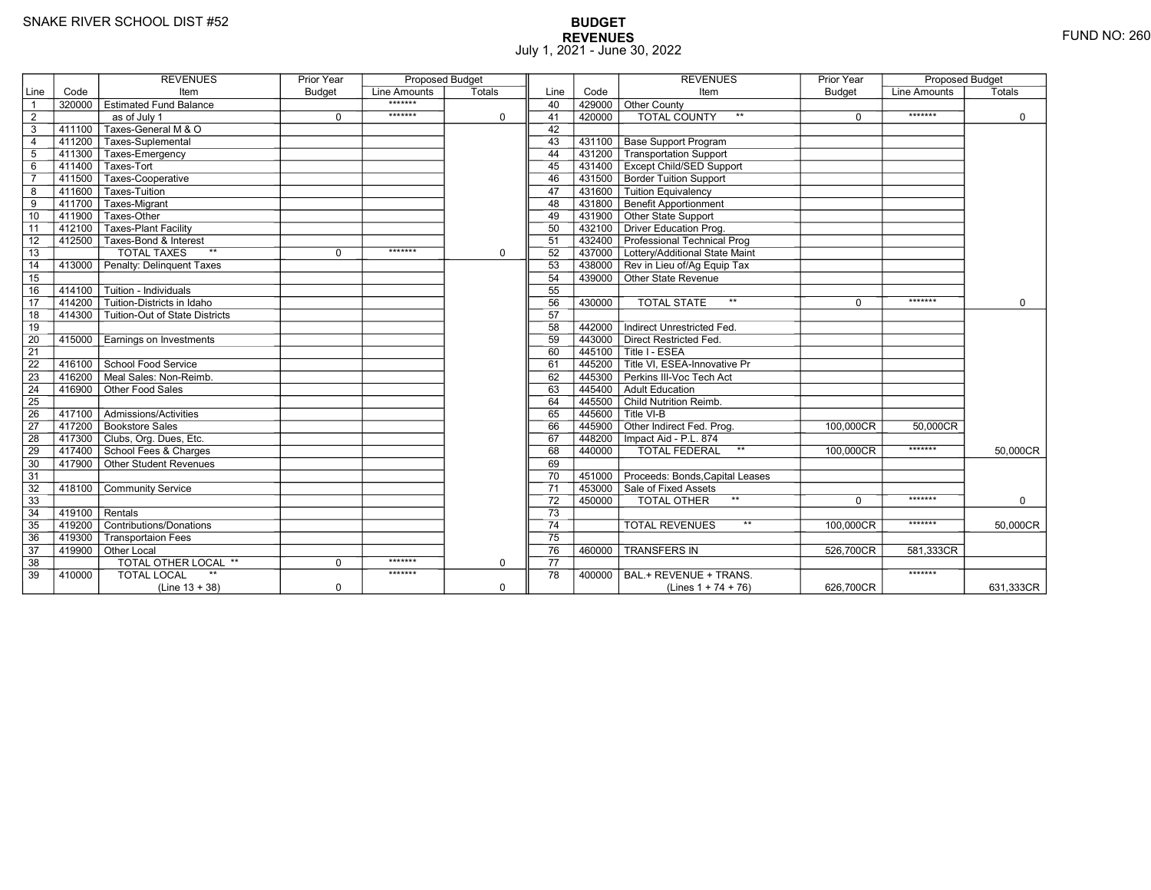# **BUDGET REVENUES** FUND NO: 260 July 1, 2021 - June 30, 2022

|                 |        | <b>REVENUES</b>                         | Prior Year    | <b>Proposed Budget</b> |             |                 |        | <b>REVENUES</b>                        | Prior Year    | <b>Proposed Budget</b> |           |
|-----------------|--------|-----------------------------------------|---------------|------------------------|-------------|-----------------|--------|----------------------------------------|---------------|------------------------|-----------|
| Line            | Code   | Item                                    | <b>Budget</b> | Line Amounts           | Totals      | Line            | Code   | Item                                   | <b>Budget</b> | Line Amounts           | Totals    |
| $\overline{1}$  | 320000 | Estimated Fund Balance                  |               | *******                |             | 40              | 429000 | Other County                           |               |                        |           |
| 2               |        | as of July 1                            | $\mathbf 0$   | *******                | $\mathbf 0$ | 41              | 420000 | <b>TOTAL COUNTY</b><br>$***$           | $\Omega$      | *******                | 0         |
| $\overline{3}$  |        | 411100 Taxes-General M & O              |               |                        |             | 42              |        |                                        |               |                        |           |
| $\overline{4}$  |        | 411200 Taxes-Suplemental                |               |                        |             | 43              |        | 431100   Base Support Program          |               |                        |           |
| $5\phantom{.0}$ |        | 411300 Taxes-Emergency                  |               |                        |             | 44              |        | 431200 Transportation Support          |               |                        |           |
| 6               | 411400 | Taxes-Tort                              |               |                        |             | 45              |        | 431400 Except Child/SED Support        |               |                        |           |
| $\overline{7}$  |        | 411500 Taxes-Cooperative                |               |                        |             | 46              |        | 431500 Border Tuition Support          |               |                        |           |
| 8               |        | 411600 Taxes-Tuition                    |               |                        |             | 47              |        | 431600 Tuition Equivalency             |               |                        |           |
| $\overline{9}$  |        | 411700 Taxes-Migrant                    |               |                        |             | 48              |        | 431800 Benefit Apportionment           |               |                        |           |
| 10              | 411900 | Taxes-Other                             |               |                        |             | 49              |        | 431900 Other State Support             |               |                        |           |
| 11              | 412100 | Taxes-Plant Facility                    |               |                        |             | 50              |        | 432100 Driver Education Prog.          |               |                        |           |
| 12              |        | 412500 Taxes-Bond & Interest            |               |                        |             | 51              |        | 432400 Professional Technical Prog     |               |                        |           |
| 13              |        | <b>TOTAL TAXES</b><br>$*$               | $\Omega$      | *******                | $\mathbf 0$ | 52              |        | 437000 Lottery/Additional State Maint  |               |                        |           |
| 14              |        | 413000 Penalty: Delinguent Taxes        |               |                        |             | 53              |        | 438000 Rev in Lieu of/Ag Equip Tax     |               |                        |           |
| 15              |        |                                         |               |                        |             | 54              |        | 439000 Other State Revenue             |               |                        |           |
| 16              |        | 414100 Tuition - Individuals            |               |                        |             | 55              |        |                                        |               |                        |           |
| $\overline{17}$ | 414200 | Tuition-Districts in Idaho              |               |                        |             | 56              | 430000 | <b>TOTAL STATE</b><br>$\star\star$     | $\Omega$      | *******                | $\Omega$  |
| 18              |        | 414300   Tuition-Out of State Districts |               |                        |             | 57              |        |                                        |               |                        |           |
| 19              |        |                                         |               |                        |             | 58              | 442000 | Indirect Unrestricted Fed.             |               |                        |           |
| 20              |        | 415000 Earnings on Investments          |               |                        |             | 59              |        | 443000 Direct Restricted Fed.          |               |                        |           |
| $\overline{21}$ |        |                                         |               |                        |             | 60              |        | 445100 Title I - ESEA                  |               |                        |           |
| 22              |        | 416100 School Food Service              |               |                        |             | 61              |        | 445200 Title VI. ESEA-Innovative Pr    |               |                        |           |
| 23              |        | 416200 Meal Sales: Non-Reimb.           |               |                        |             | 62              |        | 445300 Perkins III-Voc Tech Act        |               |                        |           |
| 24              | 416900 | Other Food Sales                        |               |                        |             | 63              |        | 445400 Adult Education                 |               |                        |           |
| $\overline{25}$ |        |                                         |               |                        |             | 64              |        | 445500 Child Nutrition Reimb.          |               |                        |           |
| 26              |        | 417100 Admissions/Activities            |               |                        |             | 65              |        | $445600$ Title VI-B                    |               |                        |           |
| $\overline{27}$ |        | 417200 Bookstore Sales                  |               |                        |             | 66              |        | 445900 Other Indirect Fed. Prog.       | 100.000CR     | 50.000CR               |           |
| 28              |        | 417300 Clubs, Org. Dues, Etc.           |               |                        |             | 67              |        | 448200   Impact Aid - P.L. 874         |               |                        |           |
| 29              |        | 417400 School Fees & Charges            |               |                        |             | 68              | 440000 | $\star\star$<br>TOTAL FEDERAL          | 100,000CR     | *******                | 50,000CR  |
| 30              |        | 417900 Other Student Revenues           |               |                        |             | 69              |        |                                        |               |                        |           |
| 31              |        |                                         |               |                        |             | 70              |        | 451000 Proceeds: Bonds, Capital Leases |               |                        |           |
| 32              | 418100 | Community Service                       |               |                        |             | $\overline{71}$ |        | 453000 Sale of Fixed Assets            |               |                        |           |
| $\overline{33}$ |        |                                         |               |                        |             | 72              | 450000 | TOTAL OTHER                            | $\Omega$      | *******                | $\Omega$  |
| 34              | 419100 | Rentals                                 |               |                        |             | 73              |        |                                        |               |                        |           |
| 35              |        | 419200 Contributions/Donations          |               |                        |             | 74              |        | $\star\star$<br><b>TOTAL REVENUES</b>  | 100,000CR     | *******                | 50.000CR  |
| 36              | 419300 | <b>Transportaion Fees</b>               |               |                        |             | 75              |        |                                        |               |                        |           |
| 37              |        | 419900 Other Local                      |               |                        |             | 76              | 460000 | <b>TRANSFERS IN</b>                    | 526,700CR     | 581,333CR              |           |
| 38              |        | TOTAL OTHER LOCAL **                    | $\mathbf 0$   | *******                | $\mathbf 0$ | 77              |        |                                        |               |                        |           |
| 39              | 410000 | <b>TOTAL LOCAL</b>                      |               | *******                |             | 78              | 400000 | BAL.+ REVENUE + TRANS.                 |               | *******                |           |
|                 |        | $(Line 13 + 38)$                        | $\mathbf 0$   |                        | $\mathbf 0$ |                 |        | (Lines $1 + 74 + 76$ )                 | 626.700CR     |                        | 631,333CR |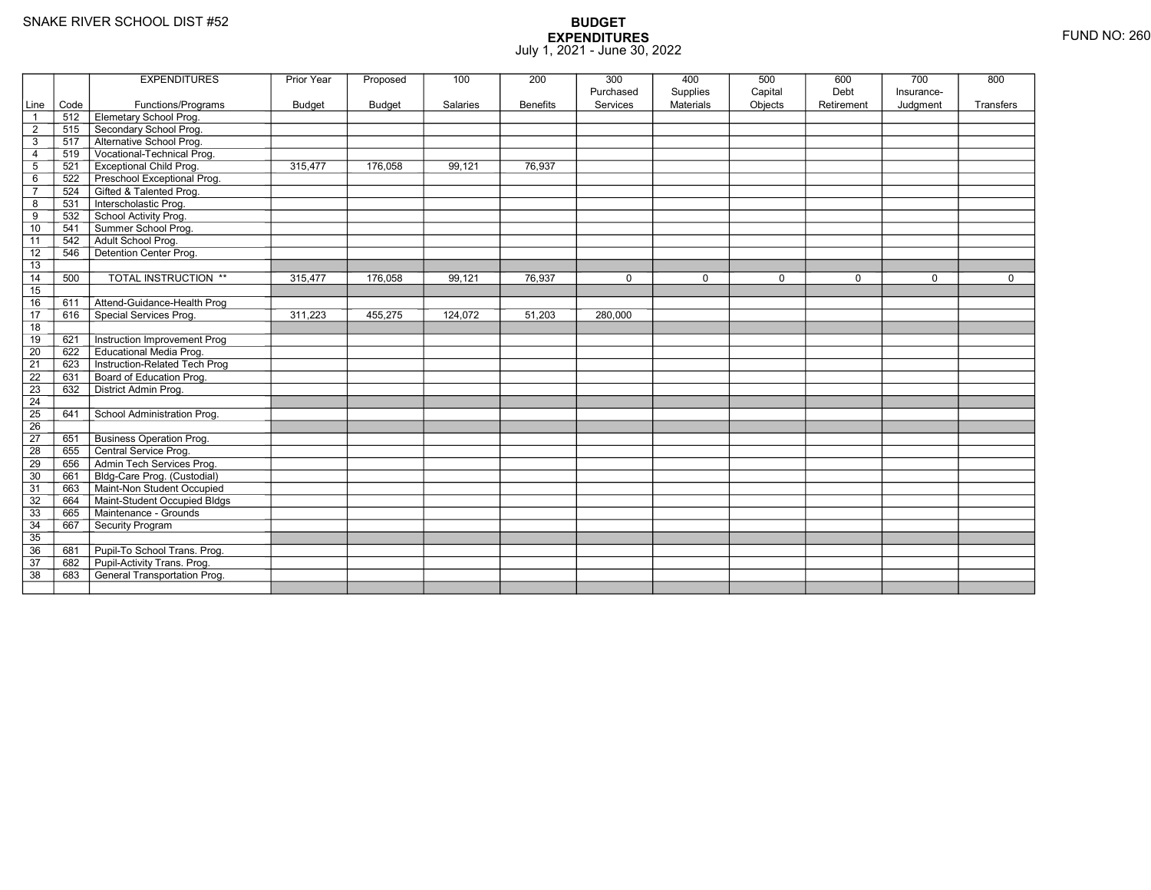|                 |      | <b>EXPENDITURES</b>             | Prior Year | Proposed      | 100      | 200             | 300                   | 400                          | 500                | 600                | 700                    | 800         |
|-----------------|------|---------------------------------|------------|---------------|----------|-----------------|-----------------------|------------------------------|--------------------|--------------------|------------------------|-------------|
| Line            | Code | Functions/Programs              | Budget     | <b>Budget</b> | Salaries | <b>Benefits</b> | Purchased<br>Services | Supplies<br><b>Materials</b> | Capital<br>Objects | Debt<br>Retirement | Insurance-<br>Judgment | Transfers   |
| $\overline{1}$  | 512  | Elemetary School Prog.          |            |               |          |                 |                       |                              |                    |                    |                        |             |
| $\overline{2}$  | 515  | Secondary School Prog.          |            |               |          |                 |                       |                              |                    |                    |                        |             |
| 3               | 517  | Alternative School Prog.        |            |               |          |                 |                       |                              |                    |                    |                        |             |
| $\overline{4}$  | 519  | Vocational-Technical Prog.      |            |               |          |                 |                       |                              |                    |                    |                        |             |
| $\overline{5}$  | 521  | Exceptional Child Prog.         | 315.477    | 176.058       | 99.121   | 76,937          |                       |                              |                    |                    |                        |             |
| 6               | 522  | Preschool Exceptional Prog.     |            |               |          |                 |                       |                              |                    |                    |                        |             |
| $\overline{7}$  | 524  | Gifted & Talented Prog.         |            |               |          |                 |                       |                              |                    |                    |                        |             |
| 8               | 531  | Interscholastic Prog.           |            |               |          |                 |                       |                              |                    |                    |                        |             |
| 9               | 532  | School Activity Prog.           |            |               |          |                 |                       |                              |                    |                    |                        |             |
| 10              | 541  | Summer School Prog.             |            |               |          |                 |                       |                              |                    |                    |                        |             |
| 11              | 542  | Adult School Prog.              |            |               |          |                 |                       |                              |                    |                    |                        |             |
| 12              | 546  | Detention Center Prog.          |            |               |          |                 |                       |                              |                    |                    |                        |             |
| 13              |      |                                 |            |               |          |                 |                       |                              |                    |                    |                        |             |
| 14              | 500  | TOTAL INSTRUCTION **            | 315,477    | 176,058       | 99,121   | 76,937          | $\mathbf 0$           | $\mathbf 0$                  | 0                  | $\mathbf 0$        | $\Omega$               | $\mathbf 0$ |
| 15              |      |                                 |            |               |          |                 |                       |                              |                    |                    |                        |             |
| 16              | 611  | Attend-Guidance-Health Prog     |            |               |          |                 |                       |                              |                    |                    |                        |             |
| 17              | 616  | Special Services Prog.          | 311,223    | 455,275       | 124,072  | 51,203          | 280,000               |                              |                    |                    |                        |             |
| 18              |      |                                 |            |               |          |                 |                       |                              |                    |                    |                        |             |
| 19              | 621  | Instruction Improvement Prog    |            |               |          |                 |                       |                              |                    |                    |                        |             |
| $\overline{20}$ | 622  | <b>Educational Media Prog.</b>  |            |               |          |                 |                       |                              |                    |                    |                        |             |
| 21              | 623  | Instruction-Related Tech Prog   |            |               |          |                 |                       |                              |                    |                    |                        |             |
| 22              | 631  | Board of Education Prog.        |            |               |          |                 |                       |                              |                    |                    |                        |             |
| 23              | 632  | District Admin Prog.            |            |               |          |                 |                       |                              |                    |                    |                        |             |
| 24              |      |                                 |            |               |          |                 |                       |                              |                    |                    |                        |             |
| $\overline{25}$ | 641  | School Administration Prog.     |            |               |          |                 |                       |                              |                    |                    |                        |             |
| 26              |      |                                 |            |               |          |                 |                       |                              |                    |                    |                        |             |
| 27              | 651  | <b>Business Operation Prog.</b> |            |               |          |                 |                       |                              |                    |                    |                        |             |
| $\overline{28}$ | 655  | Central Service Prog.           |            |               |          |                 |                       |                              |                    |                    |                        |             |
| 29              | 656  | Admin Tech Services Prog.       |            |               |          |                 |                       |                              |                    |                    |                        |             |
| 30              | 661  | Bldg-Care Prog. (Custodial)     |            |               |          |                 |                       |                              |                    |                    |                        |             |
| 31              | 663  | Maint-Non Student Occupied      |            |               |          |                 |                       |                              |                    |                    |                        |             |
| 32              | 664  | Maint-Student Occupied Bldgs    |            |               |          |                 |                       |                              |                    |                    |                        |             |
| 33              | 665  | Maintenance - Grounds           |            |               |          |                 |                       |                              |                    |                    |                        |             |
| 34              | 667  | Security Program                |            |               |          |                 |                       |                              |                    |                    |                        |             |
| 35              |      |                                 |            |               |          |                 |                       |                              |                    |                    |                        |             |
| 36              | 681  | Pupil-To School Trans. Prog.    |            |               |          |                 |                       |                              |                    |                    |                        |             |
| 37              | 682  | Pupil-Activity Trans. Prog.     |            |               |          |                 |                       |                              |                    |                    |                        |             |
| $\overline{38}$ | 683  | General Transportation Prog.    |            |               |          |                 |                       |                              |                    |                    |                        |             |
|                 |      |                                 |            |               |          |                 |                       |                              |                    |                    |                        |             |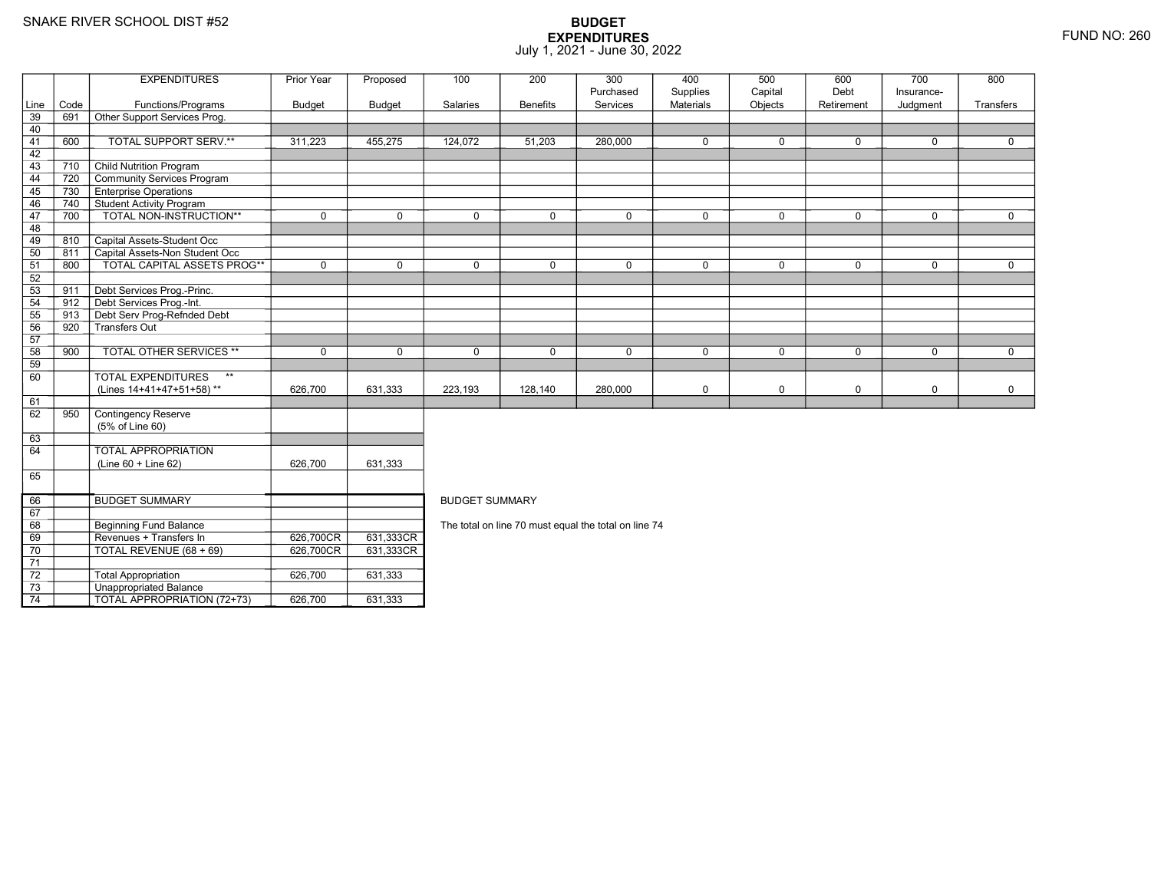71 72

73

74

0 | TOTAL REVENUE (68 + 69) | 626,700CR

3 **Unappropriated Balance** 

2 Total Appropriation 1626,700 631,333

TOTAL APPROPRIATION (72+73) 626,700 631,333

R 631,333CR

|      |      | <b>EXPENDITURES</b>                       | Prior Year    | Proposed                           | 100                   | 200                                                  | 300         | 400         | 500         | 600        | 700         | 800         |  |  |
|------|------|-------------------------------------------|---------------|------------------------------------|-----------------------|------------------------------------------------------|-------------|-------------|-------------|------------|-------------|-------------|--|--|
|      |      |                                           |               |                                    |                       |                                                      | Purchased   | Supplies    | Capital     | Debt       | Insurance-  |             |  |  |
| Line | Code | Functions/Programs                        | <b>Budget</b> | <b>Budget</b>                      | Salaries              | <b>Benefits</b>                                      | Services    | Materials   | Objects     | Retirement | Judgment    | Transfers   |  |  |
| 39   | 691  | Other Support Services Prog.              |               |                                    |                       |                                                      |             |             |             |            |             |             |  |  |
| 40   |      |                                           |               |                                    |                       |                                                      |             |             |             |            |             |             |  |  |
| 41   | 600  | TOTAL SUPPORT SERV.**                     | 311,223       | 455,275                            | 124,072               | 51,203                                               | 280,000     | $\mathbf 0$ | $\Omega$    | 0          | $\mathbf 0$ | 0           |  |  |
| 42   |      |                                           |               |                                    |                       |                                                      |             |             |             |            |             |             |  |  |
| 43   | 710  | <b>Child Nutrition Program</b>            |               |                                    |                       |                                                      |             |             |             |            |             |             |  |  |
| 44   | 720  | Community Services Program                |               |                                    |                       |                                                      |             |             |             |            |             |             |  |  |
| 45   | 730  | <b>Enterprise Operations</b>              |               |                                    |                       |                                                      |             |             |             |            |             |             |  |  |
| 46   | 740  | <b>Student Activity Program</b>           |               |                                    |                       |                                                      |             |             |             |            |             |             |  |  |
| 47   | 700  | TOTAL NON-INSTRUCTION**                   | $\mathbf 0$   | $\mathbf 0$                        | $\mathbf 0$           | 0                                                    | $\mathbf 0$ | $\mathbf 0$ | $\mathbf 0$ | 0          | $\mathbf 0$ | $\mathbf 0$ |  |  |
| 48   |      |                                           |               |                                    |                       |                                                      |             |             |             |            |             |             |  |  |
| 49   | 810  | Capital Assets-Student Occ                |               |                                    |                       |                                                      |             |             |             |            |             |             |  |  |
| 50   | 811  | Capital Assets-Non Student Occ            |               |                                    |                       |                                                      |             |             |             |            |             |             |  |  |
| 51   | 800  | <b>TOTAL CAPITAL ASSETS PROG**</b>        | $\mathbf 0$   | $\mathbf 0$                        | $\mathbf 0$           | 0                                                    | $\mathbf 0$ | $\mathbf 0$ | $\mathbf 0$ | 0          | $\mathbf 0$ | $\Omega$    |  |  |
| 52   |      |                                           |               |                                    |                       |                                                      |             |             |             |            |             |             |  |  |
| $53$ | 911  | Debt Services Prog.-Princ.                |               |                                    |                       |                                                      |             |             |             |            |             |             |  |  |
| 54   | 912  | Debt Services Prog.-Int.                  |               |                                    |                       |                                                      |             |             |             |            |             |             |  |  |
| 55   | 913  | Debt Serv Prog-Refnded Debt               |               |                                    |                       |                                                      |             |             |             |            |             |             |  |  |
| 56   | 920  | Transfers Out                             |               |                                    |                       |                                                      |             |             |             |            |             |             |  |  |
| 57   |      |                                           |               |                                    |                       |                                                      |             |             |             |            |             |             |  |  |
| 58   | 900  | <b>TOTAL OTHER SERVICES **</b>            | $\mathbf 0$   | $\Omega$                           | $\mathbf{0}$          | $\Omega$                                             | $\Omega$    | $\mathbf 0$ | $\Omega$    | $\Omega$   | $\Omega$    | $\Omega$    |  |  |
| 59   |      |                                           |               |                                    |                       |                                                      |             |             |             |            |             |             |  |  |
| 60   |      | <b>TOTAL EXPENDITURES</b><br>$\star\star$ |               |                                    |                       |                                                      |             |             |             |            |             |             |  |  |
|      |      | (Lines 14+41+47+51+58)**                  | 626,700       | 631,333                            | 223,193               | 128,140                                              | 280,000     | 0           | $\mathbf 0$ | 0          | $\mathbf 0$ | 0           |  |  |
| 61   |      |                                           |               |                                    |                       |                                                      |             |             |             |            |             |             |  |  |
| 62   | 950  | Contingency Reserve                       |               |                                    |                       |                                                      |             |             |             |            |             |             |  |  |
|      |      | (5% of Line 60)                           |               |                                    |                       |                                                      |             |             |             |            |             |             |  |  |
| 63   |      |                                           |               |                                    |                       |                                                      |             |             |             |            |             |             |  |  |
| 64   |      | TOTAL APPROPRIATION                       |               |                                    |                       |                                                      |             |             |             |            |             |             |  |  |
|      |      | (Line 60 + Line 62)                       | 626,700       | 631,333                            |                       |                                                      |             |             |             |            |             |             |  |  |
| 65   |      |                                           |               |                                    |                       |                                                      |             |             |             |            |             |             |  |  |
| 66   |      | <b>BUDGET SUMMARY</b>                     |               |                                    | <b>BUDGET SUMMARY</b> |                                                      |             |             |             |            |             |             |  |  |
| 67   |      |                                           |               |                                    |                       |                                                      |             |             |             |            |             |             |  |  |
| 68   |      | Beginning Fund Balance                    |               |                                    |                       | The total on line 70 must equal the total on line 74 |             |             |             |            |             |             |  |  |
| 69   |      | Revenues + Transfers In                   |               | 631,333CR                          |                       |                                                      |             |             |             |            |             |             |  |  |
|      |      | $\tau$                                    |               | $\sim$ $\sim$ $\sim$ $\sim$ $\sim$ |                       |                                                      |             |             |             |            |             |             |  |  |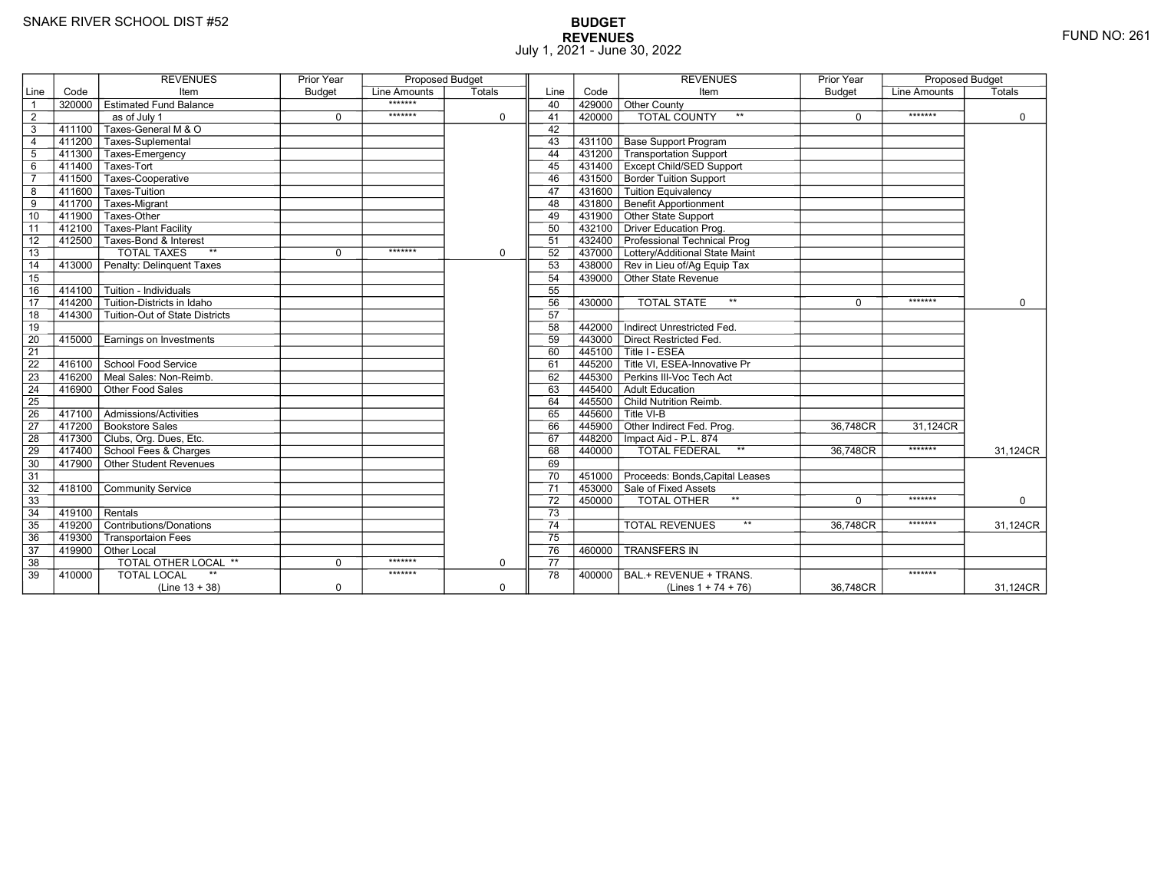# **BUDGET REVENUES** FUND NO: 261 July 1, 2021 - June 30, 2022

|                 |           | <b>REVENUES</b>                            | <b>Prior Year</b> | <b>Proposed Budget</b> |             |                 |        | <b>REVENUES</b>                        | <b>Prior Year</b> | <b>Proposed Budget</b> |             |
|-----------------|-----------|--------------------------------------------|-------------------|------------------------|-------------|-----------------|--------|----------------------------------------|-------------------|------------------------|-------------|
| Line            | Code      | Item                                       | <b>Budget</b>     | Line Amounts           | Totals      | Line            | Code   | Item                                   | <b>Budget</b>     | Line Amounts           | Totals      |
| $\overline{1}$  | 320000    | $\top$ Estimated Fund Balance              |                   | *******                |             | 40              |        | 429000 Other County                    |                   |                        |             |
| $\overline{2}$  |           | as of July 1                               | $\mathbf 0$       | *******                | $\mathbf 0$ | 41              | 420000 | <b>TOTAL COUNTY</b><br>$***$           | 0                 | *******                | 0           |
| 3               | $-411100$ | Taxes-General M & O                        |                   |                        |             | 42              |        |                                        |                   |                        |             |
| $\overline{4}$  |           | 411200 Taxes-Suplemental                   |                   |                        |             | 43              |        | 431100   Base Support Program          |                   |                        |             |
| 5               |           | 411300 Taxes-Emergency                     |                   |                        |             | 44              |        | 431200 Transportation Support          |                   |                        |             |
| 6               |           | 411400 Taxes-Tort                          |                   |                        |             | 45              |        | 431400   Except Child/SED Support      |                   |                        |             |
| $\overline{7}$  | $-411500$ | Taxes-Cooperative                          |                   |                        |             | 46              |        | 431500 Border Tuition Support          |                   |                        |             |
| 8               | 411600    | Taxes-Tuition                              |                   |                        |             | 47              |        | 431600 Tuition Equivalency             |                   |                        |             |
| 9               | $-411700$ | <b>Taxes-Migrant</b>                       |                   |                        |             | 48              |        | 431800 Benefit Apportionment           |                   |                        |             |
| 10              | 411900    | Taxes-Other                                |                   |                        |             | 49              |        | 431900 Other State Support             |                   |                        |             |
| 11              | 412100    | <b>Taxes-Plant Facility</b>                |                   |                        |             | 50              |        | 432100 Driver Education Prog.          |                   |                        |             |
| 12              | 412500    | Taxes-Bond & Interest                      |                   |                        |             | 51              |        | 432400 Professional Technical Prog     |                   |                        |             |
| 13              |           | <b>TOTAL TAXES</b><br>$**$                 | 0                 | *******                | $\mathbf 0$ | 52              |        | 437000 Lottery/Additional State Maint  |                   |                        |             |
| 14              | 413000    | Penalty: Delinguent Taxes                  |                   |                        |             | 53              |        | 438000 Rev in Lieu of/Ag Equip Tax     |                   |                        |             |
| 15              |           |                                            |                   |                        |             | 54              |        | 439000 Other State Revenue             |                   |                        |             |
| 16              |           | 414100   Tuition - Individuals             |                   |                        |             | 55              |        |                                        |                   |                        |             |
| $\overline{17}$ | 414200    | Tuition-Districts in Idaho                 |                   |                        |             | 56              | 430000 | $\star\star$<br><b>TOTAL STATE</b>     | $\Omega$          | *******                | $\mathbf 0$ |
| 18              |           | 414300   Tuition-Out of State Districts    |                   |                        |             | 57              |        |                                        |                   |                        |             |
| 19              |           |                                            |                   |                        |             | 58              | 442000 | Indirect Unrestricted Fed.             |                   |                        |             |
| 20              | 415000    | Earnings on Investments                    |                   |                        |             | 59              |        | 443000 Direct Restricted Fed.          |                   |                        |             |
| $\overline{21}$ |           |                                            |                   |                        |             | 60              |        | 445100 Title I - ESEA                  |                   |                        |             |
| 22              |           | 416100 School Food Service                 |                   |                        |             | 61              |        | 445200 Title VI. ESEA-Innovative Pr    |                   |                        |             |
| 23              | 416200    | $\overline{\Gamma}$ Meal Sales: Non-Reimb. |                   |                        |             | 62              |        | 445300 Perkins III-Voc Tech Act        |                   |                        |             |
| 24              | 416900    | Other Food Sales                           |                   |                        |             | 63              |        | 445400 Adult Education                 |                   |                        |             |
| 25              |           |                                            |                   |                        |             | 64              |        | 445500 Child Nutrition Reimb.          |                   |                        |             |
| 26              |           | 417100   Admissions/Activities             |                   |                        |             | 65              |        | $445600$ Title VI-B                    |                   |                        |             |
| 27              |           | 417200 Bookstore Sales                     |                   |                        |             | 66              |        | 445900 Other Indirect Fed. Prog.       | 36,748CR          | 31,124CR               |             |
| 28              |           | 417300 Clubs, Org. Dues, Etc.              |                   |                        |             | 67              |        | 448200   Impact Aid - P.L. 874         |                   |                        |             |
| 29              |           | 417400 School Fees & Charges               |                   |                        |             | 68              | 440000 | TOTAL FEDERAL<br>$^{\star\star}$       | 36.748CR          | *******                | 31,124CR    |
| 30              |           | $417900$ Other Student Revenues            |                   |                        |             | 69              |        |                                        |                   |                        |             |
| 31              |           |                                            |                   |                        |             | 70              |        | 451000 Proceeds: Bonds, Capital Leases |                   |                        |             |
| $\overline{32}$ | 418100    | <b>Community Service</b>                   |                   |                        |             | $\overline{71}$ |        | 453000 Sale of Fixed Assets            |                   |                        |             |
| 33              |           |                                            |                   |                        |             | 72              | 450000 | TOTAL OTHER                            | $\Omega$          | *******                | $\mathbf 0$ |
| 34              | 419100    | Rentals                                    |                   |                        |             | 73              |        |                                        |                   |                        |             |
| 35              |           | 419200 Contributions/Donations             |                   |                        |             | 74              |        | $***$<br><b>TOTAL REVENUES</b>         | 36.748CR          | *******                | 31,124CR    |
| 36              | 419300    | <b>Transportaion Fees</b>                  |                   |                        |             | 75              |        |                                        |                   |                        |             |
| 37              |           | 419900 Other Local                         |                   |                        |             | 76              | 460000 | <b>TRANSFERS IN</b>                    |                   |                        |             |
| 38              |           | <b>TOTAL OTHER LOCAL **</b>                | $\Omega$          | *******                | $\mathbf 0$ | 77              |        |                                        |                   |                        |             |
| 39              | 410000    | <b>TOTAL LOCAL</b>                         |                   | *******                |             | 78              | 400000 | BAL.+ REVENUE + TRANS.                 |                   | *******                |             |
|                 |           | $(Line 13 + 38)$                           | $\mathbf 0$       |                        | $\mathbf 0$ |                 |        | (Lines $1 + 74 + 76$ )                 | 36,748CR          |                        | 31,124CR    |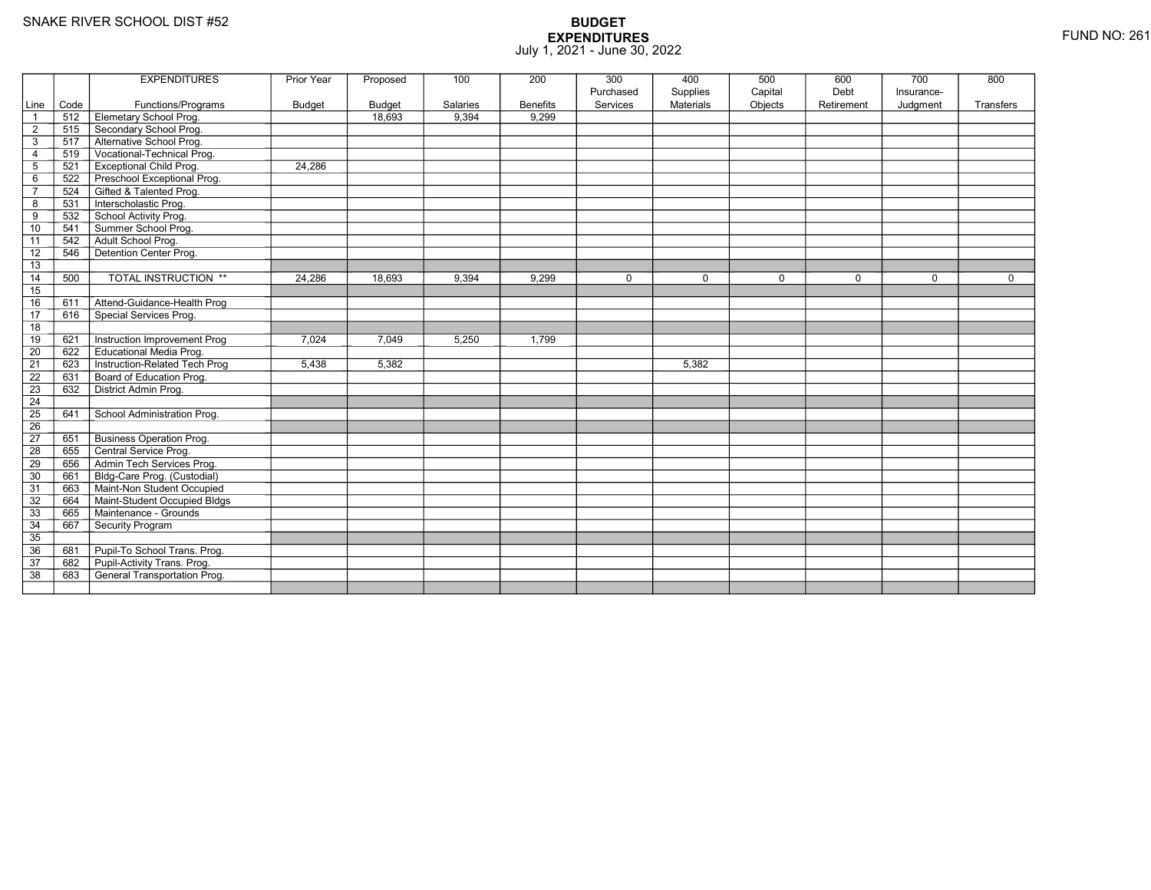|                 |      | <b>EXPENDITURES</b>             | Prior Year | Proposed      | 100      | 200             | 300       | 400              | 500         | 600         | 700         | 800         |
|-----------------|------|---------------------------------|------------|---------------|----------|-----------------|-----------|------------------|-------------|-------------|-------------|-------------|
|                 |      |                                 |            |               |          |                 | Purchased | Supplies         | Capital     | Debt        | Insurance-  |             |
| Line            | Code | Functions/Programs              | Budget     | <b>Budget</b> | Salaries | <b>Benefits</b> | Services  | <b>Materials</b> | Objects     | Retirement  | Judgment    | Transfers   |
| $\mathbf{1}$    | 512  | Elemetary School Prog.          |            | 18,693        | 9,394    | 9.299           |           |                  |             |             |             |             |
| $\overline{2}$  | 515  | Secondary School Prog.          |            |               |          |                 |           |                  |             |             |             |             |
| 3               | 517  | Alternative School Prog.        |            |               |          |                 |           |                  |             |             |             |             |
| 4               | 519  | Vocational-Technical Prog.      |            |               |          |                 |           |                  |             |             |             |             |
| 5               | 521  | <b>Exceptional Child Prog.</b>  | 24.286     |               |          |                 |           |                  |             |             |             |             |
| 6               | 522  | Preschool Exceptional Prog.     |            |               |          |                 |           |                  |             |             |             |             |
| $\overline{7}$  | 524  | Gifted & Talented Prog.         |            |               |          |                 |           |                  |             |             |             |             |
| 8               | 531  | Interscholastic Prog.           |            |               |          |                 |           |                  |             |             |             |             |
| 9               | 532  | School Activity Prog.           |            |               |          |                 |           |                  |             |             |             |             |
| 10              | 541  | Summer School Prog.             |            |               |          |                 |           |                  |             |             |             |             |
| 11              | 542  | Adult School Prog.              |            |               |          |                 |           |                  |             |             |             |             |
| 12              | 546  | Detention Center Prog.          |            |               |          |                 |           |                  |             |             |             |             |
| 13              |      |                                 |            |               |          |                 |           |                  |             |             |             |             |
| 14              | 500  | <b>TOTAL INSTRUCTION **</b>     | 24,286     | 18,693        | 9,394    | 9,299           | $\Omega$  | $\mathbf 0$      | $\mathbf 0$ | $\mathbf 0$ | $\mathbf 0$ | $\mathbf 0$ |
| 15              |      |                                 |            |               |          |                 |           |                  |             |             |             |             |
| $\overline{16}$ | 611  | Attend-Guidance-Health Prog     |            |               |          |                 |           |                  |             |             |             |             |
| $\overline{17}$ | 616  | Special Services Prog.          |            |               |          |                 |           |                  |             |             |             |             |
| 18              |      |                                 |            |               |          |                 |           |                  |             |             |             |             |
| 19              | 621  | Instruction Improvement Prog    | 7.024      | 7.049         | 5,250    | 1,799           |           |                  |             |             |             |             |
| $\overline{20}$ | 622  | <b>Educational Media Prog.</b>  |            |               |          |                 |           |                  |             |             |             |             |
| 21              | 623  | Instruction-Related Tech Prog   | 5,438      | 5,382         |          |                 |           | 5,382            |             |             |             |             |
| $\overline{22}$ | 631  | Board of Education Prog.        |            |               |          |                 |           |                  |             |             |             |             |
| 23              | 632  | District Admin Prog.            |            |               |          |                 |           |                  |             |             |             |             |
| $\overline{24}$ |      |                                 |            |               |          |                 |           |                  |             |             |             |             |
| $\overline{25}$ | 641  | School Administration Prog.     |            |               |          |                 |           |                  |             |             |             |             |
| 26              |      |                                 |            |               |          |                 |           |                  |             |             |             |             |
| $\overline{27}$ | 651  | <b>Business Operation Prog.</b> |            |               |          |                 |           |                  |             |             |             |             |
| 28              | 655  | Central Service Prog.           |            |               |          |                 |           |                  |             |             |             |             |
| 29              | 656  | Admin Tech Services Prog.       |            |               |          |                 |           |                  |             |             |             |             |
| 30              | 661  | Bldg-Care Prog. (Custodial)     |            |               |          |                 |           |                  |             |             |             |             |
| $\overline{31}$ | 663  | Maint-Non Student Occupied      |            |               |          |                 |           |                  |             |             |             |             |
| 32              | 664  | Maint-Student Occupied Bldgs    |            |               |          |                 |           |                  |             |             |             |             |
| 33              | 665  | Maintenance - Grounds           |            |               |          |                 |           |                  |             |             |             |             |
| 34              | 667  | Security Program                |            |               |          |                 |           |                  |             |             |             |             |
| 35              |      |                                 |            |               |          |                 |           |                  |             |             |             |             |
| 36              | 681  | Pupil-To School Trans. Prog.    |            |               |          |                 |           |                  |             |             |             |             |
| 37              | 682  | Pupil-Activity Trans. Prog.     |            |               |          |                 |           |                  |             |             |             |             |
| $\overline{38}$ | 683  | General Transportation Prog.    |            |               |          |                 |           |                  |             |             |             |             |
|                 |      |                                 |            |               |          |                 |           |                  |             |             |             |             |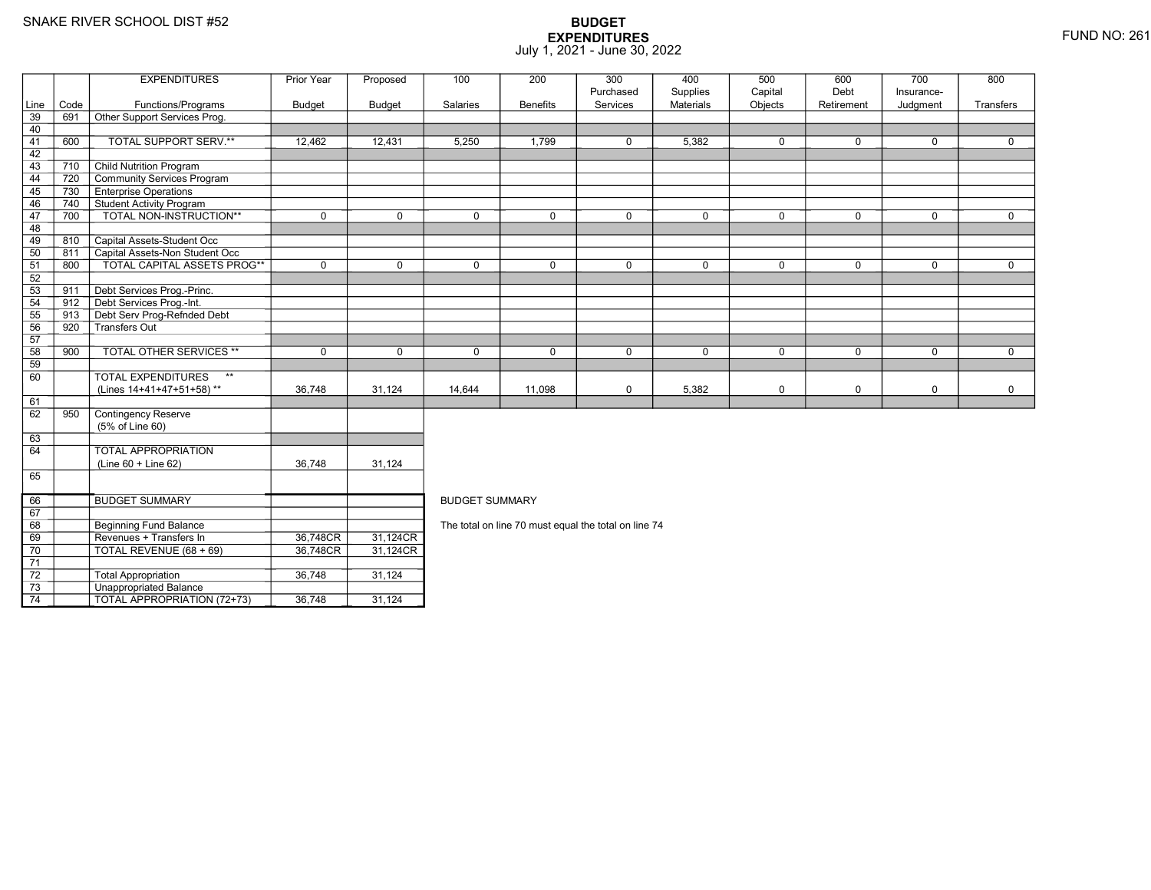70

71 72

73

74

Revenues + Transfers In 36,748CR

TOTAL REVENUE (68 + 69) 36,748CR

3 **Unappropriated Balance** 

2 Total Appropriation 1 36,748 31,124

TOTAL APPROPRIATION (72+73) 36,748 31,124

### **BUDGET EXPENDITURES**July 1, 2021 - June 30, 2022

|      |      | <b>EXPENDITURES</b>                       | Prior Year    | Proposed      | 100                                                  | 200             | 300         | 400         | 500         | 600         | 700         | 800         |  |  |
|------|------|-------------------------------------------|---------------|---------------|------------------------------------------------------|-----------------|-------------|-------------|-------------|-------------|-------------|-------------|--|--|
|      |      |                                           |               |               |                                                      |                 | Purchased   | Supplies    | Capital     | Debt        | Insurance-  |             |  |  |
| Line | Code | Functions/Programs                        | <b>Budget</b> | <b>Budget</b> | Salaries                                             | <b>Benefits</b> | Services    | Materials   | Objects     | Retirement  | Judgment    | Transfers   |  |  |
| 39   | 691  | Other Support Services Prog.              |               |               |                                                      |                 |             |             |             |             |             |             |  |  |
| 40   |      |                                           |               |               |                                                      |                 |             |             |             |             |             |             |  |  |
| 41   | 600  | TOTAL SUPPORT SERV.**                     | 12,462        | 12,431        | 5,250                                                | 1,799           | $\mathbf 0$ | 5,382       | $\mathbf 0$ | $\mathbf 0$ | $\mathbf 0$ | $\mathbf 0$ |  |  |
| 42   |      |                                           |               |               |                                                      |                 |             |             |             |             |             |             |  |  |
| 43   | 710  | <b>Child Nutrition Program</b>            |               |               |                                                      |                 |             |             |             |             |             |             |  |  |
| 44   | 720  | Community Services Program                |               |               |                                                      |                 |             |             |             |             |             |             |  |  |
| 45   | 730  | <b>Enterprise Operations</b>              |               |               |                                                      |                 |             |             |             |             |             |             |  |  |
| 46   | 740  | Student Activity Program                  |               |               |                                                      |                 |             |             |             |             |             |             |  |  |
| 47   | 700  | TOTAL NON-INSTRUCTION**                   | $\mathbf 0$   | $\mathbf 0$   | $\mathbf 0$                                          | $\mathbf 0$     | $\mathbf 0$ | $\mathbf 0$ | $\mathbf 0$ | $\mathbf 0$ | $\mathbf 0$ | $\mathbf 0$ |  |  |
| 48   |      |                                           |               |               |                                                      |                 |             |             |             |             |             |             |  |  |
| 49   | 810  | Capital Assets-Student Occ                |               |               |                                                      |                 |             |             |             |             |             |             |  |  |
| 50   | 811  | Capital Assets-Non Student Occ            |               |               |                                                      |                 |             |             |             |             |             |             |  |  |
| 51   | 800  | <b>TOTAL CAPITAL ASSETS PROG**</b>        | $\mathbf 0$   | $\mathbf 0$   | $\Omega$                                             | $\mathbf 0$     | $\mathbf 0$ | $\mathbf 0$ | $\mathbf 0$ | $\mathbf 0$ | $\mathbf 0$ | $\mathbf 0$ |  |  |
| 52   |      |                                           |               |               |                                                      |                 |             |             |             |             |             |             |  |  |
| 53   | 911  | Debt Services Prog.-Princ.                |               |               |                                                      |                 |             |             |             |             |             |             |  |  |
| 54   | 912  | Debt Services Prog.-Int.                  |               |               |                                                      |                 |             |             |             |             |             |             |  |  |
| 55   | 913  | Debt Serv Prog-Refnded Debt               |               |               |                                                      |                 |             |             |             |             |             |             |  |  |
| 56   | 920  | -<br>Transfers Out                        |               |               |                                                      |                 |             |             |             |             |             |             |  |  |
| 57   |      |                                           |               |               |                                                      |                 |             |             |             |             |             |             |  |  |
| 58   | 900  | <b>TOTAL OTHER SERVICES **</b>            | $\mathbf 0$   | $\mathbf 0$   | $\mathbf 0$                                          | $\mathbf 0$     | $\mathbf 0$ | $\mathbf 0$ | $\mathbf 0$ | $\mathbf 0$ | $\mathbf 0$ | $\mathbf 0$ |  |  |
| 59   |      |                                           |               |               |                                                      |                 |             |             |             |             |             |             |  |  |
| 60   |      | $\star\star$<br><b>TOTAL EXPENDITURES</b> |               |               |                                                      |                 |             |             |             |             |             |             |  |  |
|      |      | (Lines 14+41+47+51+58)**                  | 36,748        | 31,124        | 14,644                                               | 11,098          | $\mathbf 0$ | 5,382       | $\mathbf 0$ | $\mathbf 0$ | $\mathbf 0$ | $\mathbf 0$ |  |  |
| 61   |      |                                           |               |               |                                                      |                 |             |             |             |             |             |             |  |  |
| 62   | 950  | Contingency Reserve                       |               |               |                                                      |                 |             |             |             |             |             |             |  |  |
|      |      | (5% of Line 60)                           |               |               |                                                      |                 |             |             |             |             |             |             |  |  |
| 63   |      |                                           |               |               |                                                      |                 |             |             |             |             |             |             |  |  |
| 64   |      | <b>TOTAL APPROPRIATION</b>                |               |               |                                                      |                 |             |             |             |             |             |             |  |  |
|      |      | $(Line 60 + Line 62)$                     | 36,748        | 31,124        |                                                      |                 |             |             |             |             |             |             |  |  |
| 65   |      |                                           |               |               |                                                      |                 |             |             |             |             |             |             |  |  |
|      |      |                                           |               |               |                                                      |                 |             |             |             |             |             |             |  |  |
| 66   |      | <b>BUDGET SUMMARY</b>                     |               |               | <b>BUDGET SUMMARY</b>                                |                 |             |             |             |             |             |             |  |  |
| 67   |      |                                           |               |               |                                                      |                 |             |             |             |             |             |             |  |  |
| 68   |      | <b>Beginning Fund Balance</b>             |               |               | The total on line 70 must equal the total on line 74 |                 |             |             |             |             |             |             |  |  |
|      |      |                                           |               |               |                                                      |                 |             |             |             |             |             |             |  |  |

R\_| 31,124CR<br>n+ 31,124CR

R 31,124CR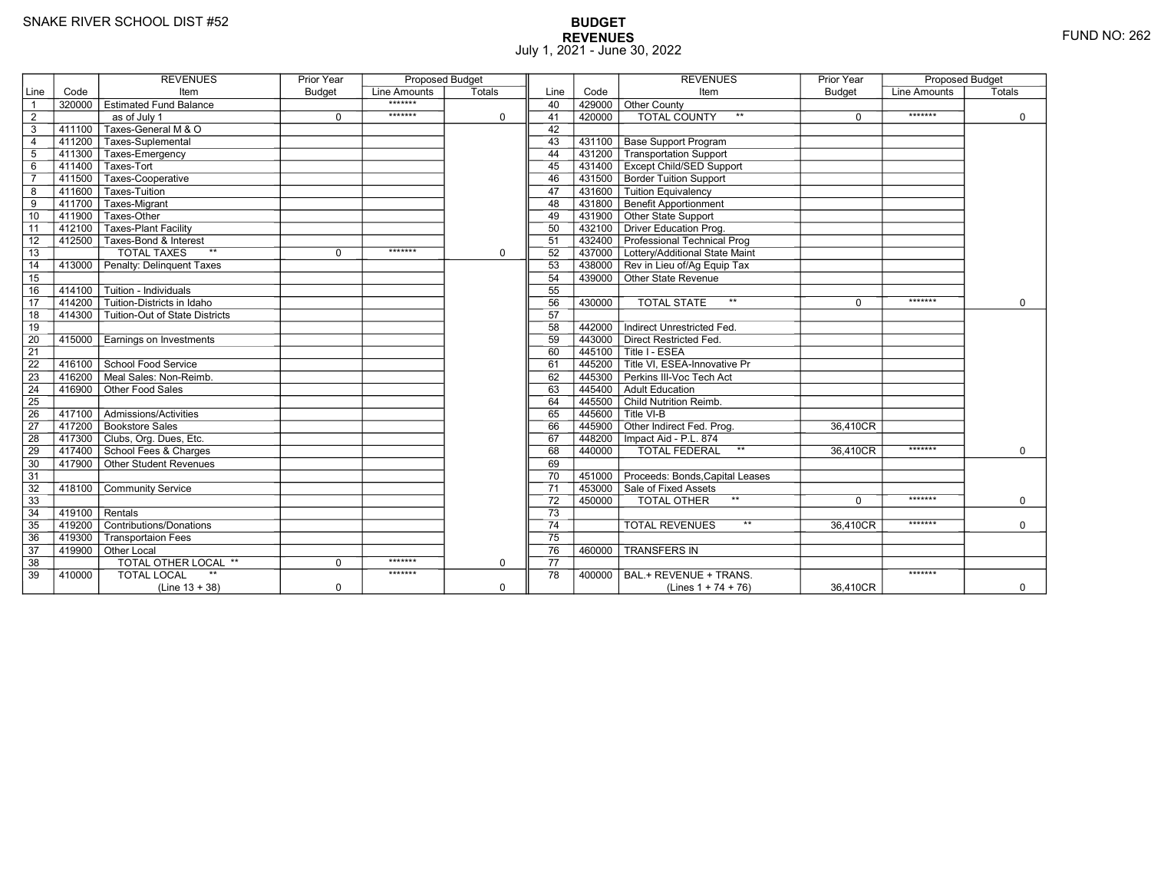# **BUDGET REVENUES** FUND NO: 262 July 1, 2021 - June 30, 2022

|                 |        | <b>REVENUES</b>                           | <b>Prior Year</b> | <b>Proposed Budget</b> |             |                 |        | <b>REVENUES</b>                                                      | <b>Prior Year</b> | <b>Proposed Budget</b> |             |
|-----------------|--------|-------------------------------------------|-------------------|------------------------|-------------|-----------------|--------|----------------------------------------------------------------------|-------------------|------------------------|-------------|
| Line            | Code   | Item                                      | <b>Budget</b>     | Line Amounts           | Totals      | Line            | Code   | Item                                                                 | <b>Budget</b>     | Line Amounts           | Totals      |
| $\overline{1}$  | 320000 | <b>Estimated Fund Balance</b>             |                   | *******                |             | 40              | 429000 | Other County                                                         |                   |                        |             |
| 2               |        | $\overline{as}$ of July 1                 | $\mathbf 0$       | *******                | $\mathbf 0$ | 41              | 420000 | <b>TOTAL COUNTY</b><br>$**$                                          | $\mathbf 0$       | *******                | $\mathbf 0$ |
| 3               | 411100 | Taxes-General M & O                       |                   |                        |             | 42              |        |                                                                      |                   |                        |             |
| $\overline{4}$  |        | 411200 Taxes-Suplemental                  |                   |                        |             | 43              | 431100 | <b>Base Support Program</b>                                          |                   |                        |             |
| $5\phantom{.0}$ | 411300 | Taxes-Emergency                           |                   |                        |             | 44              | 431200 | Transportation Support                                               |                   |                        |             |
| 6               | 411400 | Taxes-Tort                                |                   |                        |             | 45              |        | 431400 Except Child/SED Support                                      |                   |                        |             |
| $\overline{7}$  | 411500 | Taxes-Cooperative                         |                   |                        |             | 46              |        | 431500 Border Tuition Support                                        |                   |                        |             |
| 8               | 411600 | Taxes-Tuition                             |                   |                        |             | 47              | 431600 | Tuition Equivalency                                                  |                   |                        |             |
| $\overline{9}$  | 411700 | Taxes-Migrant                             |                   |                        |             | 48              | 431800 | <b>Benefit Apportionment</b>                                         |                   |                        |             |
| 10              | 411900 | Taxes-Other                               |                   |                        |             | 49              |        | 431900 Other State Support                                           |                   |                        |             |
| 11              | 412100 | <b>Taxes-Plant Facility</b>               |                   |                        |             | 50              |        | 432100 Driver Education Prog.                                        |                   |                        |             |
| 12              | 412500 | Taxes-Bond & Interest                     |                   |                        |             | 51              |        | 432400 Professional Technical Prog                                   |                   |                        |             |
| $\overline{13}$ |        | <b>TOTAL TAXES</b><br>$**$                | $\mathbf 0$       | *******                | $\mathbf 0$ | 52              |        | 437000 Lottery/Additional State Maint                                |                   |                        |             |
| 14              | 413000 | Penalty: Delinquent Taxes                 |                   |                        |             | 53              |        | 438000 Rev in Lieu of/Ag Equip Tax                                   |                   |                        |             |
| 15              |        |                                           |                   |                        |             | 54              |        | 439000 Other State Revenue                                           |                   |                        |             |
| 16              | 414100 | Tuition - Individuals                     |                   |                        |             | 55              |        |                                                                      |                   |                        |             |
| $\overline{17}$ | 414200 | Tuition-Districts in Idaho                |                   |                        |             | 56              | 430000 | $\star\star$<br><b>TOTAL STATE</b>                                   | $\Omega$          | *******                | $\Omega$    |
| 18              | 414300 | Tuition-Out of State Districts            |                   |                        |             | 57              |        |                                                                      |                   |                        |             |
| 19              |        |                                           |                   |                        |             | 58              | 442000 | Indirect Unrestricted Fed.                                           |                   |                        |             |
| 20              | 415000 | Earnings on Investments                   |                   |                        |             | 59              |        | 443000 Direct Restricted Fed.                                        |                   |                        |             |
| $\overline{21}$ |        |                                           |                   |                        |             | 60              |        | 445100 Title I - ESEA                                                |                   |                        |             |
| $\overline{22}$ |        | 416100 School Food Service                |                   |                        |             | 61              |        | $\overline{1}$ 445200 $\overline{\top}$ Title VI. ESEA-Innovative Pr |                   |                        |             |
| 23              | 416200 | Meal Sales: Non-Reimb.                    |                   |                        |             | 62              | 445300 | Perkins III-Voc Tech Act                                             |                   |                        |             |
| 24              | 416900 | Other Food Sales                          |                   |                        |             | 63              |        | 445400 Adult Education                                               |                   |                        |             |
| 25              |        |                                           |                   |                        |             | 64              |        | 445500 Child Nutrition Reimb.                                        |                   |                        |             |
| 26              | 417100 | $\overline{\Gamma}$ Admissions/Activities |                   |                        |             | 65              |        | $7445600$ T Title VI-B                                               |                   |                        |             |
| $\overline{27}$ |        | 417200 Bookstore Sales                    |                   |                        |             | 66              |        | 445900 Other Indirect Fed. Prog.                                     | 36,410CR          |                        |             |
| 28              |        | 417300 Clubs, Org. Dues, Etc.             |                   |                        |             | 67              |        | 448200   Impact Aid - P.L. 874                                       |                   |                        |             |
| 29              |        | 417400 School Fees & Charges              |                   |                        |             | 68              | 440000 | $^{\star\star}$<br><b>TOTAL FEDERAL</b>                              | 36,410CR          | *******                | $\Omega$    |
| 30              |        | 417900 Other Student Revenues             |                   |                        |             | 69              |        |                                                                      |                   |                        |             |
| 31              |        |                                           |                   |                        |             | 70              |        | 451000 Proceeds: Bonds, Capital Leases                               |                   |                        |             |
| 32              | 418100 | <b>Community Service</b>                  |                   |                        |             | $\overline{71}$ |        | 453000 Sale of Fixed Assets                                          |                   |                        |             |
| 33              |        |                                           |                   |                        |             | 72              | 450000 | $\star\star$<br>TOTAL OTHER                                          | $\Omega$          | *******                | $\Omega$    |
| 34              | 419100 | Rentals                                   |                   |                        |             | $\overline{73}$ |        |                                                                      |                   |                        |             |
| 35              | 419200 | Contributions/Donations                   |                   |                        |             | 74              |        | $**$<br><b>TOTAL REVENUES</b>                                        | 36.410CR          | *******                | $\mathbf 0$ |
| 36              | 419300 | <b>Transportaion Fees</b>                 |                   |                        |             | $\overline{75}$ |        |                                                                      |                   |                        |             |
| 37              |        | 419900 Other Local                        |                   |                        |             | 76              | 460000 | <b>TRANSFERS IN</b>                                                  |                   |                        |             |
| 38              |        | <b>TOTAL OTHER LOCAL **</b>               | $\mathbf 0$       | *******                | $\mathbf 0$ | 77              |        |                                                                      |                   |                        |             |
| 39              | 410000 | <b>TOTAL LOCAL</b>                        |                   | *******                |             | 78              | 400000 | BAL.+ REVENUE + TRANS.                                               |                   | *******                |             |
|                 |        | $(Line 13 + 38)$                          | $\mathbf 0$       |                        | $\mathbf 0$ |                 |        | (Lines $1 + 74 + 76$ )                                               | 36,410CR          |                        | $\mathbf 0$ |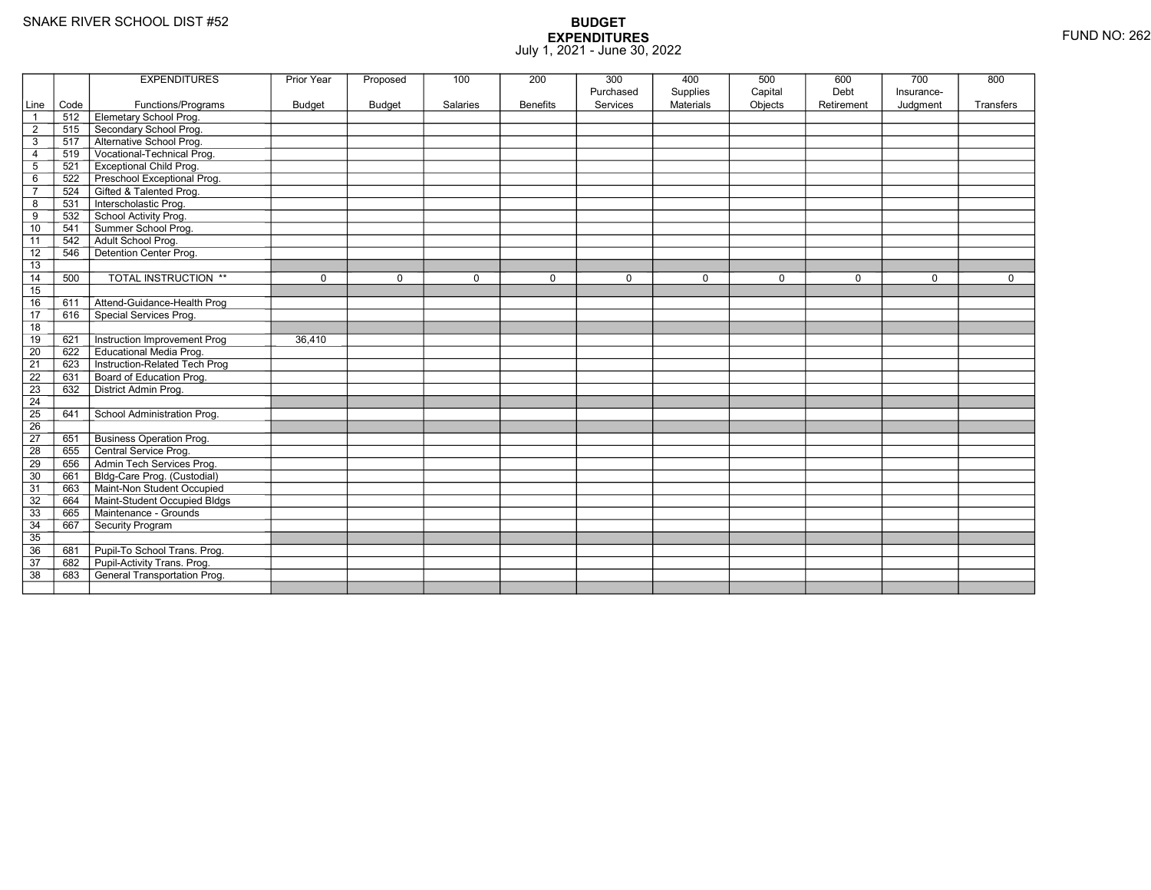|                         |      | <b>EXPENDITURES</b>             | Prior Year    | Proposed      | 100      | 200             | 300                   | 400                          | 500                | 600                | 700                    | 800       |
|-------------------------|------|---------------------------------|---------------|---------------|----------|-----------------|-----------------------|------------------------------|--------------------|--------------------|------------------------|-----------|
| Line                    | Code | Functions/Programs              | <b>Budget</b> | <b>Budget</b> | Salaries | <b>Benefits</b> | Purchased<br>Services | Supplies<br><b>Materials</b> | Capital<br>Objects | Debt<br>Retirement | Insurance-<br>Judgment | Transfers |
| $\overline{1}$          | 512  | Elemetary School Prog.          |               |               |          |                 |                       |                              |                    |                    |                        |           |
| $\overline{\mathbf{c}}$ | 515  | Secondary School Prog.          |               |               |          |                 |                       |                              |                    |                    |                        |           |
| $\sqrt{3}$              | 517  | Alternative School Prog.        |               |               |          |                 |                       |                              |                    |                    |                        |           |
| 4                       | 519  | Vocational-Technical Prog.      |               |               |          |                 |                       |                              |                    |                    |                        |           |
| $\mathbf 5$             | 521  | <b>Exceptional Child Prog.</b>  |               |               |          |                 |                       |                              |                    |                    |                        |           |
| 6                       | 522  | Preschool Exceptional Prog.     |               |               |          |                 |                       |                              |                    |                    |                        |           |
| $\overline{7}$          | 524  | Gifted & Talented Prog.         |               |               |          |                 |                       |                              |                    |                    |                        |           |
| 8                       | 531  | Interscholastic Prog.           |               |               |          |                 |                       |                              |                    |                    |                        |           |
| 9                       | 532  | School Activity Prog.           |               |               |          |                 |                       |                              |                    |                    |                        |           |
| 10                      | 541  | Summer School Prog.             |               |               |          |                 |                       |                              |                    |                    |                        |           |
| 11                      | 542  | Adult School Prog.              |               |               |          |                 |                       |                              |                    |                    |                        |           |
| $\overline{12}$         | 546  | Detention Center Prog.          |               |               |          |                 |                       |                              |                    |                    |                        |           |
| 13                      |      |                                 |               |               |          |                 |                       |                              |                    |                    |                        |           |
| 14                      | 500  | <b>TOTAL INSTRUCTION **</b>     | $\mathbf 0$   | $\Omega$      | $\Omega$ | $\mathbf 0$     | 0                     | $\mathbf 0$                  | $\pmb{0}$          | $\mathbf 0$        | $\Omega$               | 0         |
| 15                      |      |                                 |               |               |          |                 |                       |                              |                    |                    |                        |           |
| 16                      | 611  | Attend-Guidance-Health Prog     |               |               |          |                 |                       |                              |                    |                    |                        |           |
| $\overline{17}$         | 616  | Special Services Prog.          |               |               |          |                 |                       |                              |                    |                    |                        |           |
| 18                      |      |                                 |               |               |          |                 |                       |                              |                    |                    |                        |           |
| 19                      | 621  | Instruction Improvement Prog    | 36,410        |               |          |                 |                       |                              |                    |                    |                        |           |
| $\overline{20}$         | 622  | <b>Educational Media Prog.</b>  |               |               |          |                 |                       |                              |                    |                    |                        |           |
| 21                      | 623  | Instruction-Related Tech Prog   |               |               |          |                 |                       |                              |                    |                    |                        |           |
| $\overline{22}$         | 631  | Board of Education Prog.        |               |               |          |                 |                       |                              |                    |                    |                        |           |
| 23                      | 632  | District Admin Prog.            |               |               |          |                 |                       |                              |                    |                    |                        |           |
| 24                      |      |                                 |               |               |          |                 |                       |                              |                    |                    |                        |           |
| $\overline{25}$         | 641  | School Administration Prog.     |               |               |          |                 |                       |                              |                    |                    |                        |           |
| 26                      |      |                                 |               |               |          |                 |                       |                              |                    |                    |                        |           |
| $\overline{27}$         | 651  | <b>Business Operation Prog.</b> |               |               |          |                 |                       |                              |                    |                    |                        |           |
| 28                      | 655  | Central Service Prog.           |               |               |          |                 |                       |                              |                    |                    |                        |           |
| 29                      | 656  | Admin Tech Services Prog.       |               |               |          |                 |                       |                              |                    |                    |                        |           |
| 30                      | 661  | Bldg-Care Prog. (Custodial)     |               |               |          |                 |                       |                              |                    |                    |                        |           |
| 31                      | 663  | Maint-Non Student Occupied      |               |               |          |                 |                       |                              |                    |                    |                        |           |
| 32                      | 664  | Maint-Student Occupied Bldgs    |               |               |          |                 |                       |                              |                    |                    |                        |           |
| 33                      | 665  | Maintenance - Grounds           |               |               |          |                 |                       |                              |                    |                    |                        |           |
| 34                      | 667  | Security Program                |               |               |          |                 |                       |                              |                    |                    |                        |           |
| $\overline{35}$         |      |                                 |               |               |          |                 |                       |                              |                    |                    |                        |           |
| 36                      | 681  | Pupil-To School Trans. Prog.    |               |               |          |                 |                       |                              |                    |                    |                        |           |
| 37                      | 682  | Pupil-Activity Trans. Prog.     |               |               |          |                 |                       |                              |                    |                    |                        |           |
| $\overline{38}$         | 683  | General Transportation Prog.    |               |               |          |                 |                       |                              |                    |                    |                        |           |
|                         |      |                                 |               |               |          |                 |                       |                              |                    |                    |                        |           |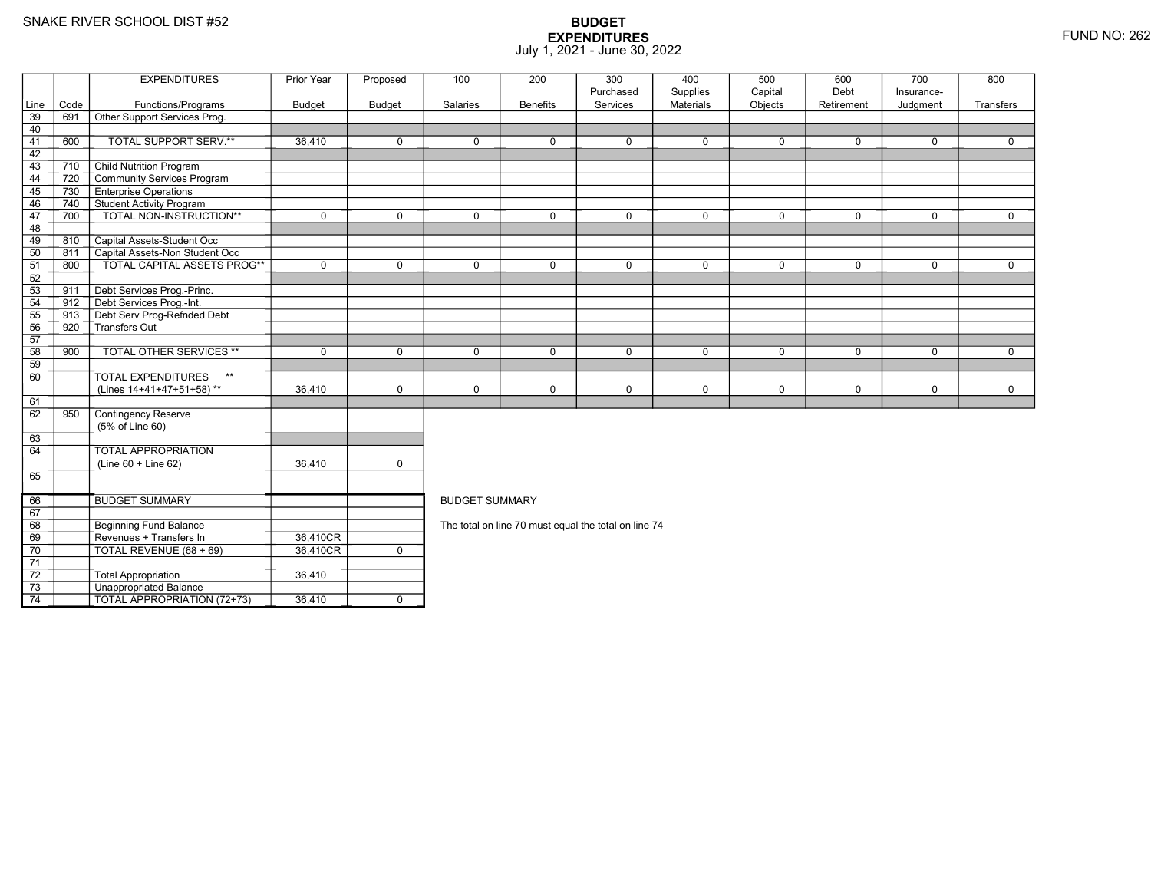Total Appropriation 36,410

TOTAL APPROPRIATION (72+73) 36,410 <sup>0</sup>

3 **Unappropriated Balance** 

73

74

|                 |      | <b>EXPENDITURES</b>                       | Prior Year  | Proposed      | 100                   | 200             | 300<br>Purchased                                     | 400<br>Supplies | 500<br>Capital | 600<br>Debt | 700<br>Insurance- | 800         |
|-----------------|------|-------------------------------------------|-------------|---------------|-----------------------|-----------------|------------------------------------------------------|-----------------|----------------|-------------|-------------------|-------------|
| Line            | Code | Functions/Programs                        | Budget      | <b>Budget</b> | Salaries              | <b>Benefits</b> | Services                                             | Materials       | Objects        | Retirement  | Judgment          | Transfers   |
| 39              | 691  | Other Support Services Prog.              |             |               |                       |                 |                                                      |                 |                |             |                   |             |
| 40              |      |                                           |             |               |                       |                 |                                                      |                 |                |             |                   |             |
| 41              | 600  | TOTAL SUPPORT SERV.**                     | 36,410      | $\Omega$      | $\Omega$              | $\mathbf 0$     | $\mathbf 0$                                          | $\mathbf 0$     | $\mathbf 0$    | $\mathbf 0$ | $\mathbf 0$       | $\Omega$    |
| 42              |      |                                           |             |               |                       |                 |                                                      |                 |                |             |                   |             |
| 43              | 710  | <b>Child Nutrition Program</b>            |             |               |                       |                 |                                                      |                 |                |             |                   |             |
| 44              | 720  | Community Services Program                |             |               |                       |                 |                                                      |                 |                |             |                   |             |
| 45              | 730  | <b>Enterprise Operations</b>              |             |               |                       |                 |                                                      |                 |                |             |                   |             |
| 46              | 740  | Student Activity Program                  |             |               |                       |                 |                                                      |                 |                |             |                   |             |
| 47              | 700  | TOTAL NON-INSTRUCTION**                   | $\mathbf 0$ | $\mathbf 0$   | $\mathbf 0$           | $\mathbf 0$     | $\mathbf 0$                                          | $\mathbf 0$     | $\mathbf 0$    | $\mathbf 0$ | $\mathbf 0$       | $\mathbf 0$ |
| 48              |      |                                           |             |               |                       |                 |                                                      |                 |                |             |                   |             |
| 49              | 810  | Capital Assets-Student Occ                |             |               |                       |                 |                                                      |                 |                |             |                   |             |
| 50              | 811  | Capital Assets-Non Student Occ            |             |               |                       |                 |                                                      |                 |                |             |                   |             |
| 51              | 800  | TOTAL CAPITAL ASSETS PROG**               | $\mathbf 0$ | $\Omega$      | $\mathbf{0}$          | $\Omega$        | $\mathbf 0$                                          | $\mathbf 0$     | $\mathbf 0$    | $\mathbf 0$ | $\mathbf 0$       | $\mathbf 0$ |
| 52              |      |                                           |             |               |                       |                 |                                                      |                 |                |             |                   |             |
| 53              | 911  | Debt Services Prog.-Princ.                |             |               |                       |                 |                                                      |                 |                |             |                   |             |
| 54              | 912  | Debt Services Prog.-Int.                  |             |               |                       |                 |                                                      |                 |                |             |                   |             |
| 55              | 913  | Debt Serv Prog-Refnded Debt               |             |               |                       |                 |                                                      |                 |                |             |                   |             |
| 56              | 920  | Transfers Out                             |             |               |                       |                 |                                                      |                 |                |             |                   |             |
| 57              |      |                                           |             |               |                       |                 |                                                      |                 |                |             |                   |             |
| 58              | 900  | <b>TOTAL OTHER SERVICES **</b>            | $\mathbf 0$ | $\mathbf 0$   | $\mathbf 0$           | $\mathbf 0$     | $\mathbf 0$                                          | $\mathbf 0$     | $\mathbf 0$    | $\mathbf 0$ | $\mathbf 0$       | $\mathbf 0$ |
| 59              |      |                                           |             |               |                       |                 |                                                      |                 |                |             |                   |             |
| 60              |      | <b>TOTAL EXPENDITURES</b><br>$\star\star$ |             |               |                       |                 |                                                      |                 |                |             |                   |             |
|                 |      | (Lines 14+41+47+51+58)**                  | 36,410      | $\mathbf 0$   | $\mathbf 0$           | 0               | $\mathsf 0$                                          | $\mathbf 0$     | 0              | 0           | $\mathbf 0$       | $\mathbf 0$ |
| 61              |      |                                           |             |               |                       |                 |                                                      |                 |                |             |                   |             |
| 62              | 950  | Contingency Reserve                       |             |               |                       |                 |                                                      |                 |                |             |                   |             |
|                 |      | (5% of Line 60)                           |             |               |                       |                 |                                                      |                 |                |             |                   |             |
| 63              |      |                                           |             |               |                       |                 |                                                      |                 |                |             |                   |             |
| 64              |      | <b>TOTAL APPROPRIATION</b>                |             |               |                       |                 |                                                      |                 |                |             |                   |             |
|                 |      | (Line 60 + Line 62)                       | 36,410      | $\mathbf 0$   |                       |                 |                                                      |                 |                |             |                   |             |
| 65              |      |                                           |             |               |                       |                 |                                                      |                 |                |             |                   |             |
| 66              |      | <b>BUDGET SUMMARY</b>                     |             |               | <b>BUDGET SUMMARY</b> |                 |                                                      |                 |                |             |                   |             |
| 67              |      |                                           |             |               |                       |                 |                                                      |                 |                |             |                   |             |
| 68              |      | <b>Beginning Fund Balance</b>             |             |               |                       |                 | The total on line 70 must equal the total on line 74 |                 |                |             |                   |             |
| 69              |      | Revenues + Transfers In                   | 36,410CR    |               |                       |                 |                                                      |                 |                |             |                   |             |
| 70              |      | TOTAL REVENUE (68 + 69)                   | 36,410CR    | $\mathbf{0}$  |                       |                 |                                                      |                 |                |             |                   |             |
| $\overline{71}$ |      |                                           |             |               |                       |                 |                                                      |                 |                |             |                   |             |
| 72              |      | <b>Total Appropriation</b>                | 36.410      |               |                       |                 |                                                      |                 |                |             |                   |             |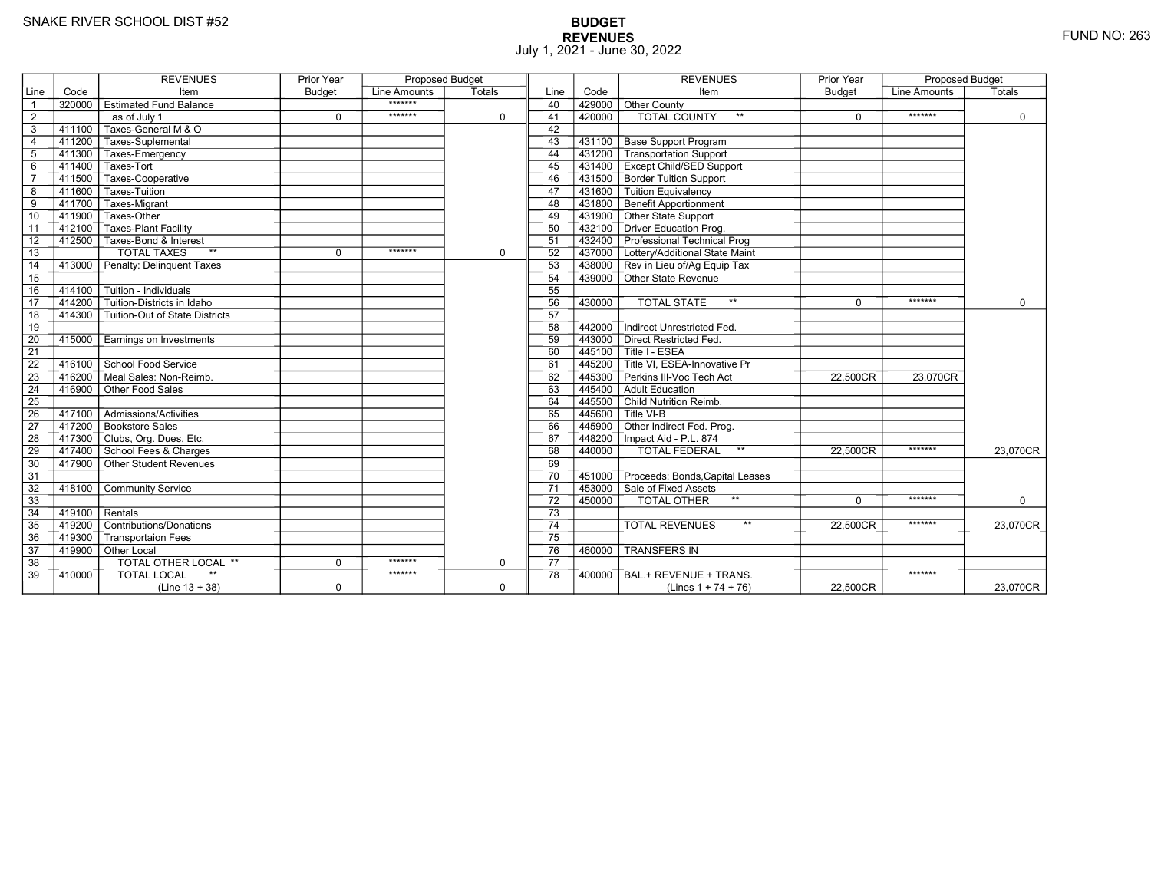# **BUDGET REVENUES** FUND NO: 263 July 1, 2021 - June 30, 2022

|                |                     | <b>REVENUES</b>                        | <b>Prior Year</b> | <b>Proposed Budget</b> |             |                 |        | <b>REVENUES</b>                      | <b>Prior Year</b> | <b>Proposed Budget</b> |             |
|----------------|---------------------|----------------------------------------|-------------------|------------------------|-------------|-----------------|--------|--------------------------------------|-------------------|------------------------|-------------|
| Line           | Code                | Item                                   | <b>Budget</b>     | Line Amounts           | Totals      | Line            | Code   | Item                                 | <b>Budget</b>     | Line Amounts           | Totals      |
| $\overline{1}$ |                     | 320000 Estimated Fund Balance          |                   | *******                |             | 40              | 429000 | Other County                         |                   |                        |             |
| $\overline{2}$ |                     | $\overline{as}$ of July 1              | $\mathbf 0$       | *******                | $\mathbf 0$ | 41              | 420000 | <b>TOTAL COUNTY</b><br>$\star\star$  | $\mathbf 0$       | *******                | $\mathbf 0$ |
| 3              | 411100              | Taxes-General M & O                    |                   |                        |             | 42              |        |                                      |                   |                        |             |
| $\overline{4}$ |                     | 411200 Taxes-Suplemental               |                   |                        |             | 43              | 431100 | <b>Base Support Program</b>          |                   |                        |             |
| 5              |                     | 411300 Taxes-Emergency                 |                   |                        |             | 44              | 431200 | Transportation Support               |                   |                        |             |
| 6              |                     | 411400 Taxes-Tort                      |                   |                        |             | 45              | 431400 | <b>Except Child/SED Support</b>      |                   |                        |             |
| $\overline{7}$ |                     | 411500 Taxes-Cooperative               |                   |                        |             | 46              | 431500 | <b>Border Tuition Support</b>        |                   |                        |             |
| 8              |                     | 411600 Taxes-Tuition                   |                   |                        |             | 47              | 431600 | Tuition Equivalency                  |                   |                        |             |
| 9              | $411\overline{700}$ | Taxes-Migrant                          |                   |                        |             | 48              | 431800 | <b>Benefit Apportionment</b>         |                   |                        |             |
| 10             | 411900              | Taxes-Other                            |                   |                        |             | 49              | 431900 | Other State Support                  |                   |                        |             |
| 11             | 412100              | <b>Taxes-Plant Facility</b>            |                   |                        |             | 50              | 432100 | <b>Driver Education Prog.</b>        |                   |                        |             |
| 12             |                     | 412500 Taxes-Bond & Interest           |                   |                        |             | 51              | 432400 | Professional Technical Prog          |                   |                        |             |
| 13             |                     | <b>TOTAL TAXES</b><br>$**$             | $\Omega$          | *******                | $\mathbf 0$ | 52              | 437000 | Lottery/Additional State Maint       |                   |                        |             |
| 14             | 413000              | Penalty: Delinguent Taxes              |                   |                        |             | 53              |        | 438000 Rev in Lieu of/Ag Equip Tax   |                   |                        |             |
| 15             |                     |                                        |                   |                        |             | 54              | 439000 | Other State Revenue                  |                   |                        |             |
| 16             |                     | 414100   Tuition - Individuals         |                   |                        |             | 55              |        |                                      |                   |                        |             |
| 17             | 414200              | Tuition-Districts in Idaho             |                   |                        |             | 56              | 430000 | $\star\star$<br><b>TOTAL STATE</b>   | $\Omega$          | *******                | $\Omega$    |
| 18             |                     | 414300 Tuition-Out of State Districts  |                   |                        |             | 57              |        |                                      |                   |                        |             |
| 19             |                     |                                        |                   |                        |             | 58              | 442000 | Indirect Unrestricted Fed.           |                   |                        |             |
| 20             |                     | 415000 Earnings on Investments         |                   |                        |             | 59              | 443000 | Direct Restricted Fed.               |                   |                        |             |
| 21             |                     |                                        |                   |                        |             | 60              | 445100 | Title I - ESEA                       |                   |                        |             |
| 22             |                     | 416100 School Food Service             |                   |                        |             | 61              | 445200 | Title VI, ESEA-Innovative Pr         |                   |                        |             |
| 23             | $-416200$           | Meal Sales: Non-Reimb.                 |                   |                        |             | 62              | 445300 | Perkins III-Voc Tech Act             | 22.500CR          | 23.070CR               |             |
| 24             | 416900              | Other Food Sales                       |                   |                        |             | 63              | 445400 | Adult Education                      |                   |                        |             |
| 25             |                     |                                        |                   |                        |             | 64              |        | 445500 Child Nutrition Reimb.        |                   |                        |             |
| 26             |                     | 417100   Admissions/Activities         |                   |                        |             | 65              | 445600 | $\mathsf{\Gamma}$ Title VI-B         |                   |                        |             |
| 27             |                     | 417200 Bookstore Sales                 |                   |                        |             | 66              | 445900 | Other Indirect Fed. Prog.            |                   |                        |             |
| 28             |                     | 417300 Clubs, Org. Dues, Etc.          |                   |                        |             | 67              | 448200 | Impact Aid - P.L. 874                |                   |                        |             |
| 29             |                     | 417400 School Fees & Charges           |                   |                        |             | 68              | 440000 | <b>TOTAL FEDERAL</b><br>$\star\star$ | 22,500CR          | *******                | 23,070CR    |
| 30             |                     | $\sqrt{417900}$ Other Student Revenues |                   |                        |             | 69              |        |                                      |                   |                        |             |
| 31             |                     |                                        |                   |                        |             | 70              | 451000 | Proceeds: Bonds, Capital Leases      |                   |                        |             |
| 32             | 418100              | <b>Community Service</b>               |                   |                        |             | $\overline{71}$ | 453000 | Sale of Fixed Assets                 |                   |                        |             |
| 33             |                     |                                        |                   |                        |             | 72              | 450000 | $***$<br>TOTAL OTHER                 | $\Omega$          | *******                | 0           |
| 34             | 419100              | Rentals                                |                   |                        |             | $\overline{73}$ |        |                                      |                   |                        |             |
| 35             |                     | 419200 Contributions/Donations         |                   |                        |             | $\overline{74}$ |        | $***$<br><b>TOTAL REVENUES</b>       | 22.500CR          | *******                | 23,070CR    |
| 36             | 419300              | <b>Transportaion Fees</b>              |                   |                        |             | $\overline{75}$ |        |                                      |                   |                        |             |
| 37             |                     | 419900 Other Local                     |                   |                        |             | 76              | 460000 | <b>TRANSFERS IN</b>                  |                   |                        |             |
| 38             |                     | <b>TOTAL OTHER LOCAL **</b>            | $\mathbf 0$       | *******                | $\mathbf 0$ | 77              |        |                                      |                   |                        |             |
| 39             | 410000              | <b>TOTAL LOCAL</b>                     |                   | *******                |             | 78              | 400000 | BAL.+ REVENUE + TRANS.               |                   | *******                |             |
|                |                     | $(Line 13 + 38)$                       | $\mathbf 0$       |                        | $\mathbf 0$ |                 |        | (Lines $1 + 74 + 76$ )               | 22,500CR          |                        | 23,070CR    |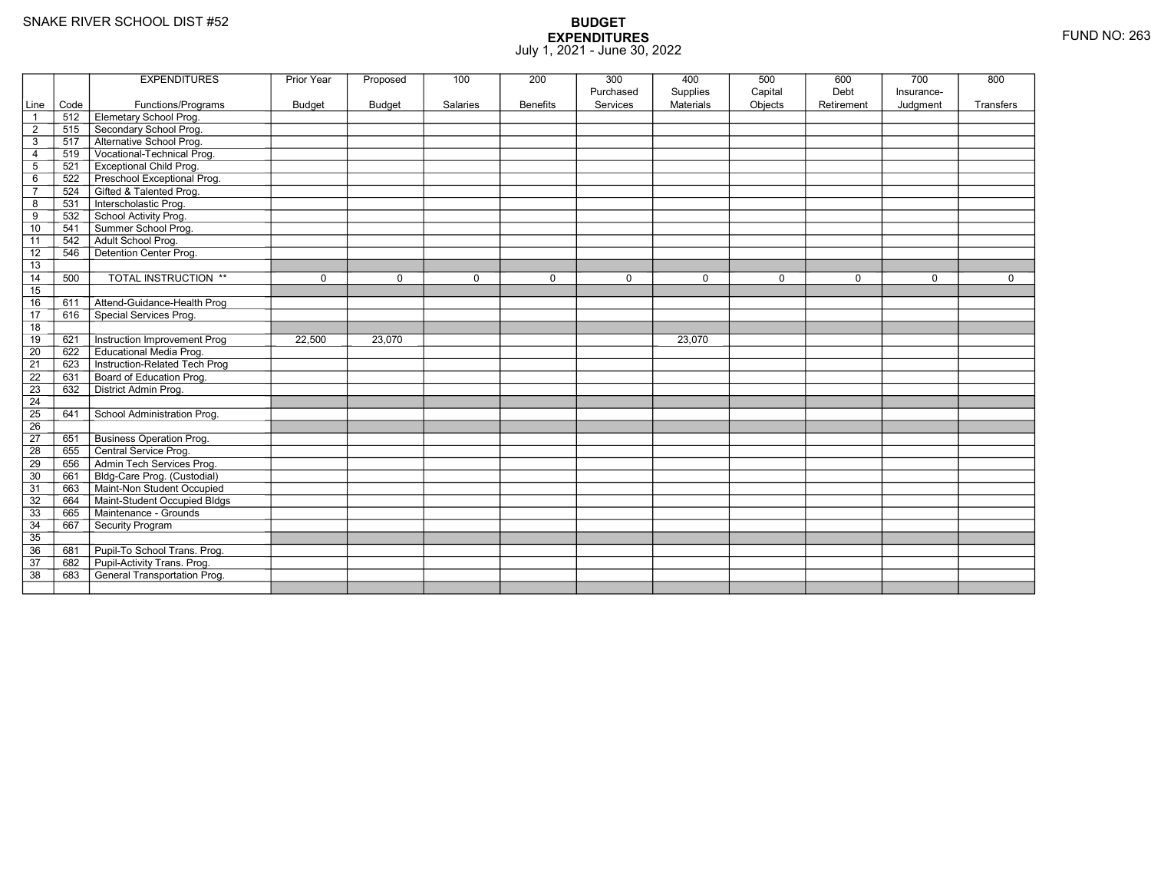|                 |      | <b>EXPENDITURES</b>             | <b>Prior Year</b> | Proposed      | 100      | 200             | 300       | 400              | 500         | 600         | 700         | 800              |
|-----------------|------|---------------------------------|-------------------|---------------|----------|-----------------|-----------|------------------|-------------|-------------|-------------|------------------|
|                 |      |                                 |                   |               |          |                 | Purchased | Supplies         | Capital     | Debt        | Insurance-  |                  |
| Line            | Code | Functions/Programs              | <b>Budget</b>     | <b>Budget</b> | Salaries | <b>Benefits</b> | Services  | <b>Materials</b> | Objects     | Retirement  | Judgment    | <b>Transfers</b> |
|                 | 512  | Elemetary School Prog.          |                   |               |          |                 |           |                  |             |             |             |                  |
| $\overline{2}$  | 515  | Secondary School Prog.          |                   |               |          |                 |           |                  |             |             |             |                  |
| 3               | 517  | Alternative School Prog.        |                   |               |          |                 |           |                  |             |             |             |                  |
| 4               | 519  | Vocational-Technical Prog.      |                   |               |          |                 |           |                  |             |             |             |                  |
| 5               | 521  | <b>Exceptional Child Prog.</b>  |                   |               |          |                 |           |                  |             |             |             |                  |
| 6               | 522  | Preschool Exceptional Prog.     |                   |               |          |                 |           |                  |             |             |             |                  |
| $\overline{7}$  | 524  | Gifted & Talented Prog.         |                   |               |          |                 |           |                  |             |             |             |                  |
| 8               | 531  | Interscholastic Prog.           |                   |               |          |                 |           |                  |             |             |             |                  |
| 9               | 532  | School Activity Prog.           |                   |               |          |                 |           |                  |             |             |             |                  |
| 10              | 541  | Summer School Prog.             |                   |               |          |                 |           |                  |             |             |             |                  |
| 11              | 542  | Adult School Prog.              |                   |               |          |                 |           |                  |             |             |             |                  |
| 12              | 546  | Detention Center Prog.          |                   |               |          |                 |           |                  |             |             |             |                  |
| 13              |      |                                 |                   |               |          |                 |           |                  |             |             |             |                  |
| 14              | 500  | TOTAL INSTRUCTION **            | 0                 | $\Omega$      | 0        | $\mathbf 0$     | 0         | $\mathbf 0$      | $\mathbf 0$ | $\mathbf 0$ | $\mathbf 0$ | $\mathbf 0$      |
| 15              |      |                                 |                   |               |          |                 |           |                  |             |             |             |                  |
| 16              | 611  | Attend-Guidance-Health Prog     |                   |               |          |                 |           |                  |             |             |             |                  |
| $\overline{17}$ | 616  | Special Services Prog.          |                   |               |          |                 |           |                  |             |             |             |                  |
| 18              |      |                                 |                   |               |          |                 |           |                  |             |             |             |                  |
| 19              | 621  | Instruction Improvement Prog    | 22,500            | 23,070        |          |                 |           | 23,070           |             |             |             |                  |
| $\overline{20}$ | 622  | <b>Educational Media Prog.</b>  |                   |               |          |                 |           |                  |             |             |             |                  |
| 21              | 623  | Instruction-Related Tech Prog   |                   |               |          |                 |           |                  |             |             |             |                  |
| $\overline{22}$ | 631  | Board of Education Prog.        |                   |               |          |                 |           |                  |             |             |             |                  |
| 23              | 632  | District Admin Prog.            |                   |               |          |                 |           |                  |             |             |             |                  |
| 24              |      |                                 |                   |               |          |                 |           |                  |             |             |             |                  |
| $\overline{25}$ | 641  | School Administration Prog.     |                   |               |          |                 |           |                  |             |             |             |                  |
| 26              |      |                                 |                   |               |          |                 |           |                  |             |             |             |                  |
| $\overline{27}$ | 651  | <b>Business Operation Prog.</b> |                   |               |          |                 |           |                  |             |             |             |                  |
| 28              | 655  | Central Service Prog.           |                   |               |          |                 |           |                  |             |             |             |                  |
| 29              | 656  | Admin Tech Services Prog.       |                   |               |          |                 |           |                  |             |             |             |                  |
| 30              | 661  | Bldg-Care Prog. (Custodial)     |                   |               |          |                 |           |                  |             |             |             |                  |
| 31              | 663  | Maint-Non Student Occupied      |                   |               |          |                 |           |                  |             |             |             |                  |
| 32              | 664  | Maint-Student Occupied Bldgs    |                   |               |          |                 |           |                  |             |             |             |                  |
| 33              | 665  | Maintenance - Grounds           |                   |               |          |                 |           |                  |             |             |             |                  |
| 34              | 667  | Security Program                |                   |               |          |                 |           |                  |             |             |             |                  |
| 35              |      |                                 |                   |               |          |                 |           |                  |             |             |             |                  |
| 36              | 681  | Pupil-To School Trans. Prog.    |                   |               |          |                 |           |                  |             |             |             |                  |
| 37              | 682  | Pupil-Activity Trans. Prog.     |                   |               |          |                 |           |                  |             |             |             |                  |
| $\overline{38}$ | 683  | General Transportation Prog.    |                   |               |          |                 |           |                  |             |             |             |                  |
|                 |      |                                 |                   |               |          |                 |           |                  |             |             |             |                  |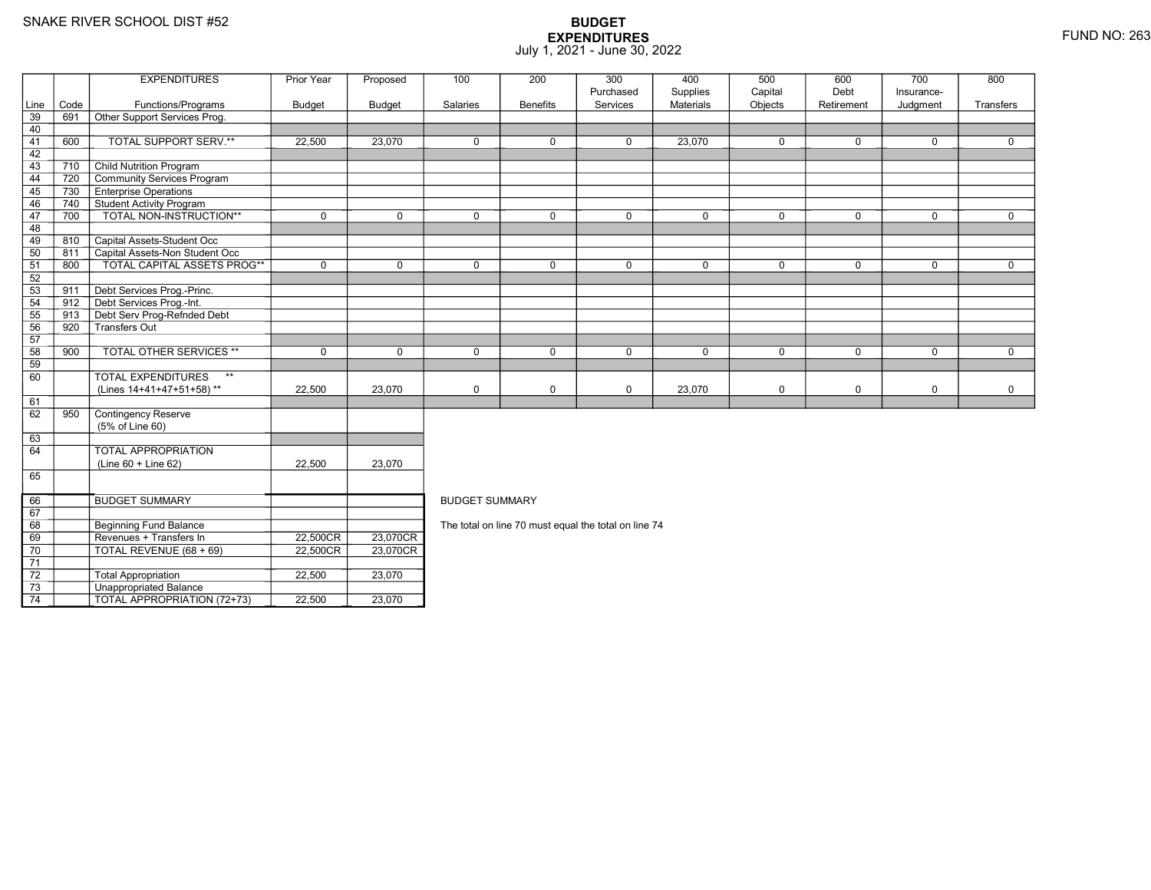67 68

69

70

71 72

73

74

**Beginning Fund Balance** 

3 **Unappropriated Balance** 

Revenues + Transfers In 22,500CR

0 | TOTAL REVENUE (68 + 69) | 22,500CR

2 Total Appropriation 122,500 23,070

TOTAL APPROPRIATION (72+73) 22,500 23,070

### **BUDGET EXPENDITURES**July 1, 2021 - June 30, 2022

|                 |      | <b>EXPENDITURES</b>                       | Prior Year    | Proposed      | 100                   | 200             | 300         | 400              | 500         | 600        | 700         | 800       |  |
|-----------------|------|-------------------------------------------|---------------|---------------|-----------------------|-----------------|-------------|------------------|-------------|------------|-------------|-----------|--|
|                 |      |                                           |               |               |                       |                 | Purchased   | Supplies         | Capital     | Debt       | Insurance-  |           |  |
| Line            | Code | Functions/Programs                        | <b>Budget</b> | <b>Budget</b> | Salaries              | <b>Benefits</b> | Services    | <b>Materials</b> | Objects     | Retirement | Judgment    | Transfers |  |
| $\overline{39}$ | 691  | Other Support Services Prog.              |               |               |                       |                 |             |                  |             |            |             |           |  |
| 40              |      |                                           |               |               |                       |                 |             |                  |             |            |             |           |  |
| 41              | 600  | TOTAL SUPPORT SERV.**                     | 22,500        | 23.070        | $\mathbf 0$           | $\mathbf 0$     | $\mathbf 0$ | 23,070           | $\mathbf 0$ | 0          | $\mathbf 0$ | $\Omega$  |  |
| 42              |      |                                           |               |               |                       |                 |             |                  |             |            |             |           |  |
| 43              | 710  | <b>Child Nutrition Program</b>            |               |               |                       |                 |             |                  |             |            |             |           |  |
| 44              | 720  | Community Services Program                |               |               |                       |                 |             |                  |             |            |             |           |  |
| 45              | 730  | <b>Enterprise Operations</b>              |               |               |                       |                 |             |                  |             |            |             |           |  |
| 46              | 740  | Student Activity Program                  |               |               |                       |                 |             |                  |             |            |             |           |  |
| 47              | 700  | TOTAL NON-INSTRUCTION**                   | $\Omega$      | $\Omega$      | $\Omega$              | $\Omega$        | $\Omega$    | $\mathbf 0$      | $\Omega$    | $\Omega$   | $\Omega$    | $\Omega$  |  |
| 48              |      |                                           |               |               |                       |                 |             |                  |             |            |             |           |  |
| 49              | 810  | Capital Assets-Student Occ                |               |               |                       |                 |             |                  |             |            |             |           |  |
| 50              | 811  | Capital Assets-Non Student Occ            |               |               |                       |                 |             |                  |             |            |             |           |  |
| 51              | 800  | TOTAL CAPITAL ASSETS PROG**               | $\mathbf 0$   | $\Omega$      | $\Omega$              | $\Omega$        | $\mathbf 0$ | $\mathbf 0$      | $\mathbf 0$ | $\Omega$   | $\mathbf 0$ | $\Omega$  |  |
| 52              |      |                                           |               |               |                       |                 |             |                  |             |            |             |           |  |
| 53              | 911  | Debt Services Prog.-Princ.                |               |               |                       |                 |             |                  |             |            |             |           |  |
| 54              | 912  | Debt Services Prog.-Int.                  |               |               |                       |                 |             |                  |             |            |             |           |  |
| 55              | 913  | Debt Serv Prog-Refnded Debt               |               |               |                       |                 |             |                  |             |            |             |           |  |
| 56              | 920  | Transfers Out                             |               |               |                       |                 |             |                  |             |            |             |           |  |
| 57              |      |                                           |               |               |                       |                 |             |                  |             |            |             |           |  |
| 58              | 900  | <b>TOTAL OTHER SERVICES **</b>            | $\Omega$      | $\Omega$      | $\Omega$              | 0               | $\Omega$    | $\mathbf 0$      | $\Omega$    | $\Omega$   | $\Omega$    | $\Omega$  |  |
| 59              |      |                                           |               |               |                       |                 |             |                  |             |            |             |           |  |
| 60              |      | $\star\star$<br><b>TOTAL EXPENDITURES</b> |               |               |                       |                 |             |                  |             |            |             |           |  |
|                 |      | (Lines 14+41+47+51+58)**                  | 22,500        | 23,070        | $\mathbf 0$           | 0               | $\pmb{0}$   | 23,070           | 0           | 0          | $\pmb{0}$   | 0         |  |
| 61              |      |                                           |               |               |                       |                 |             |                  |             |            |             |           |  |
| 62              | 950  | <b>Contingency Reserve</b>                |               |               |                       |                 |             |                  |             |            |             |           |  |
|                 |      | (5% of Line 60)                           |               |               |                       |                 |             |                  |             |            |             |           |  |
| 63              |      |                                           |               |               |                       |                 |             |                  |             |            |             |           |  |
| 64              |      | <b>TOTAL APPROPRIATION</b>                |               |               |                       |                 |             |                  |             |            |             |           |  |
|                 |      | $(Line 60 + Line 62)$                     | 22,500        | 23,070        |                       |                 |             |                  |             |            |             |           |  |
| 65              |      |                                           |               |               |                       |                 |             |                  |             |            |             |           |  |
|                 |      |                                           |               |               |                       |                 |             |                  |             |            |             |           |  |
| 66              |      | <b>BUDGET SUMMARY</b>                     |               |               | <b>BUDGET SUMMARY</b> |                 |             |                  |             |            |             |           |  |

| <b>BUDGET SUMMARY</b> |
|-----------------------|
|-----------------------|

R\_| 23,070CR<br>DT 00.070CR

R 23,070CR

The total on line 70 must equal the total on line 74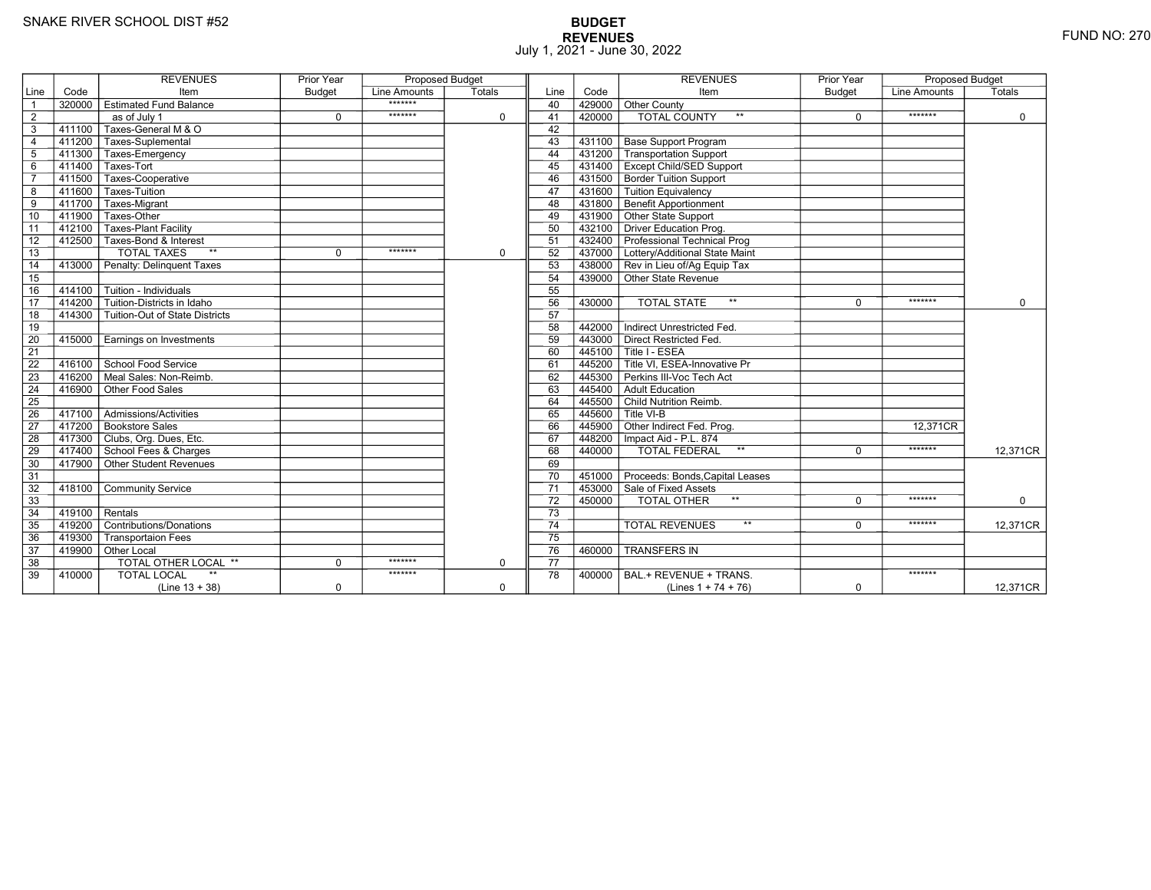# **BUDGET REVENUES** FUND NO: 270 July 1, 2021 - June 30, 2022

|                 |                  | <b>REVENUES</b>                         | Prior Year    | <b>Proposed Budget</b> |             |                 |        | <b>REVENUES</b>                        | Prior Year    | <b>Proposed Budget</b> |             |
|-----------------|------------------|-----------------------------------------|---------------|------------------------|-------------|-----------------|--------|----------------------------------------|---------------|------------------------|-------------|
| Line            | Code             | Item                                    | <b>Budget</b> | Line Amounts           | Totals      | Line            | Code   | Item                                   | <b>Budget</b> | Line Amounts           | Totals      |
| $\overline{1}$  |                  | 320000 Estimated Fund Balance           |               | *******                |             | 40              | 429000 | Other County                           |               |                        |             |
| $\overline{2}$  |                  | as of July 1                            | $\mathbf 0$   | *******                | $\mathbf 0$ | 41              | 420000 | <b>TOTAL COUNTY</b><br>$***$           | 0             | *******                | $\mathbf 0$ |
| 3               |                  | 411100 Taxes-General M & O              |               |                        |             | 42              |        |                                        |               |                        |             |
| $\overline{4}$  |                  | 411200 Taxes-Suplemental                |               |                        |             | 43              |        | 431100 Base Support Program            |               |                        |             |
| $5\phantom{.0}$ |                  | 411300 Taxes-Emergency                  |               |                        |             | 44              |        | 431200 Transportation Support          |               |                        |             |
| $6\overline{6}$ |                  | 411400 Taxes-Tort                       |               |                        |             | 45              |        | 431400 Except Child/SED Support        |               |                        |             |
| $\overline{7}$  | 411500           | │ Taxes-Cooperative                     |               |                        |             | 46              |        | 431500 Border Tuition Support          |               |                        |             |
| 8               | 411600           | Taxes-Tuition                           |               |                        |             | 47              |        | 431600 Tuition Equivalency             |               |                        |             |
| $\overline{9}$  |                  | 411700 Taxes-Migrant                    |               |                        |             | 48              |        | 431800 Benefit Apportionment           |               |                        |             |
| 10              | 411900           | Taxes-Other                             |               |                        |             | 49              |        | 431900 Other State Support             |               |                        |             |
| 11              | 412100           | <b>Taxes-Plant Facility</b>             |               |                        |             | 50              |        | 432100 Driver Education Prog.          |               |                        |             |
| 12              |                  | 412500 Taxes-Bond & Interest            |               |                        |             | 51              |        | 432400 Professional Technical Prog     |               |                        |             |
| $\overline{13}$ |                  | <b>TOTAL TAXES</b><br>$**$              | $\Omega$      | *******                | $\mathbf 0$ | 52              |        | 437000 Lottery/Additional State Maint  |               |                        |             |
| 14              |                  | 413000 Penalty: Delinguent Taxes        |               |                        |             | 53              |        | 438000 Rev in Lieu of/Ag Equip Tax     |               |                        |             |
| 15              |                  |                                         |               |                        |             | 54              |        | 439000 Other State Revenue             |               |                        |             |
| 16              |                  | 414100 Tuition - Individuals            |               |                        |             | 55              |        |                                        |               |                        |             |
| $\overline{17}$ |                  | $414200$ Tuition-Districts in Idaho     |               |                        |             | 56              | 430000 | $**$<br><b>TOTAL STATE</b>             | $\Omega$      | *******                | $\mathbf 0$ |
| 18              |                  | 414300   Tuition-Out of State Districts |               |                        |             | 57              |        |                                        |               |                        |             |
| 19              |                  |                                         |               |                        |             | 58              | 442000 | Indirect Unrestricted Fed.             |               |                        |             |
| 20              |                  | 415000 Earnings on Investments          |               |                        |             | 59              | 443000 | Direct Restricted Fed.                 |               |                        |             |
| $\overline{21}$ |                  |                                         |               |                        |             | 60              |        | 445100   Title I - ESEA                |               |                        |             |
| 22              |                  | 416100 School Food Service              |               |                        |             | 61              |        | 445200 Title VI. ESEA-Innovative Pr    |               |                        |             |
| 23              |                  | 416200 Meal Sales: Non-Reimb.           |               |                        |             | 62              |        | 445300 Perkins III-Voc Tech Act        |               |                        |             |
| $\overline{24}$ | 416900           | Other Food Sales                        |               |                        |             | 63              | 445400 | Adult Education                        |               |                        |             |
| $\overline{25}$ |                  |                                         |               |                        |             | 64              |        | 445500 Child Nutrition Reimb.          |               |                        |             |
| 26              |                  | 417100   Admissions/Activities          |               |                        |             | 65              |        | $445600$ Title VI-B                    |               |                        |             |
| 27              |                  | 417200 Bookstore Sales                  |               |                        |             | 66              |        | 445900 Other Indirect Fed. Prog.       |               | 12.371CR               |             |
| 28              |                  | 417300 Clubs, Org. Dues, Etc.           |               |                        |             | 67              |        | 448200   Impact Aid - P.L. 874         |               |                        |             |
| 29              |                  | 417400 School Fees & Charges            |               |                        |             | 68              | 440000 | $\star\star$<br><b>TOTAL FEDERAL</b>   | $\Omega$      | *******                | 12,371CR    |
| 30              |                  | 417900 Other Student Revenues           |               |                        |             | 69              |        |                                        |               |                        |             |
| 31              |                  |                                         |               |                        |             | 70              |        | 451000 Proceeds: Bonds, Capital Leases |               |                        |             |
| 32              |                  | 418100 Community Service                |               |                        |             | $\overline{71}$ |        | 453000 Sale of Fixed Assets            |               |                        |             |
| 33              |                  |                                         |               |                        |             | 72              | 450000 | TOTAL OTHER                            | $\Omega$      | *******                | 0           |
| 34              | $419100$ Rentals |                                         |               |                        |             | 73              |        |                                        |               |                        |             |
| 35              |                  | 419200 Contributions/Donations          |               |                        |             | $\overline{74}$ |        | $\star\star$<br><b>TOTAL REVENUES</b>  | $\Omega$      | *******                | 12.371CR    |
| 36              | 419300           | Transportaion Fees                      |               |                        |             | 75              |        |                                        |               |                        |             |
| 37              |                  | 419900 Other Local                      |               |                        |             | 76              | 460000 | <b>TRANSFERS IN</b>                    |               |                        |             |
| 38              |                  | TOTAL OTHER LOCAL **                    | $\Omega$      | *******                | $\mathbf 0$ | 77              |        |                                        |               |                        |             |
| 39              | 410000           | $\star\star$<br><b>TOTAL LOCAL</b>      |               | *******                |             | 78              | 400000 | BAL.+ REVENUE + TRANS.                 |               | *******                |             |
|                 |                  | $(Line 13 + 38)$                        | 0             |                        | $\mathbf 0$ |                 |        | (Lines $1 + 74 + 76$ )                 | $\mathbf 0$   |                        | 12,371CR    |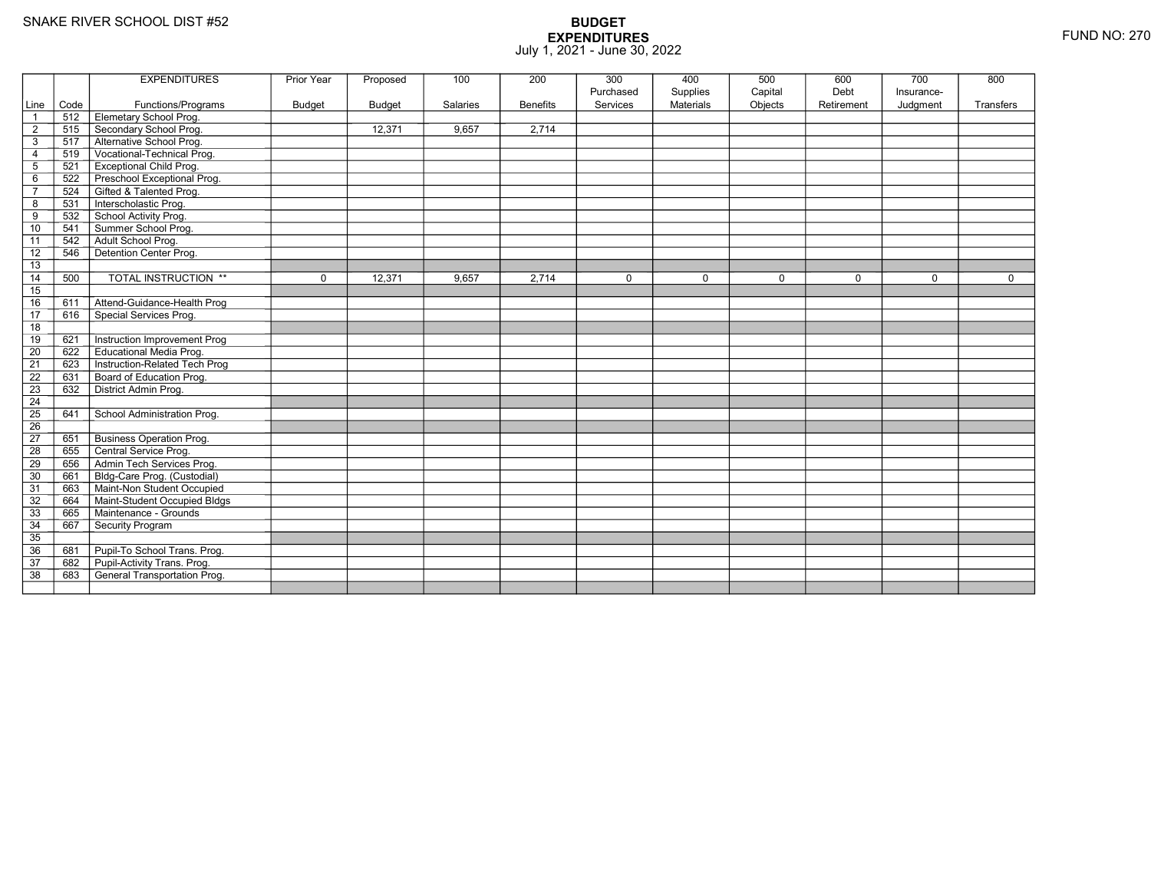|                 |      | <b>EXPENDITURES</b>                 | Prior Year    | Proposed      | 100      | 200             | 300                   | 400                          | 500                | 600                | 700                    | 800         |
|-----------------|------|-------------------------------------|---------------|---------------|----------|-----------------|-----------------------|------------------------------|--------------------|--------------------|------------------------|-------------|
| Line            | Code | Functions/Programs                  | <b>Budget</b> | <b>Budget</b> | Salaries | <b>Benefits</b> | Purchased<br>Services | Supplies<br><b>Materials</b> | Capital<br>Objects | Debt<br>Retirement | Insurance-<br>Judgment | Transfers   |
| $\overline{1}$  | 512  | Elemetary School Prog.              |               |               |          |                 |                       |                              |                    |                    |                        |             |
| $\overline{2}$  | 515  | Secondary School Prog.              |               | 12,371        | 9.657    | 2,714           |                       |                              |                    |                    |                        |             |
| 3               | 517  | Alternative School Prog.            |               |               |          |                 |                       |                              |                    |                    |                        |             |
| $\overline{4}$  | 519  | Vocational-Technical Prog.          |               |               |          |                 |                       |                              |                    |                    |                        |             |
| $\mathbf 5$     | 521  | <b>Exceptional Child Prog.</b>      |               |               |          |                 |                       |                              |                    |                    |                        |             |
| 6               | 522  | Preschool Exceptional Prog.         |               |               |          |                 |                       |                              |                    |                    |                        |             |
| $\overline{7}$  | 524  | Gifted & Talented Prog.             |               |               |          |                 |                       |                              |                    |                    |                        |             |
| 8               | 531  | Interscholastic Prog.               |               |               |          |                 |                       |                              |                    |                    |                        |             |
| 9               | 532  | School Activity Prog.               |               |               |          |                 |                       |                              |                    |                    |                        |             |
| 10              | 541  | Summer School Prog.                 |               |               |          |                 |                       |                              |                    |                    |                        |             |
| 11              | 542  | Adult School Prog.                  |               |               |          |                 |                       |                              |                    |                    |                        |             |
| 12              | 546  | Detention Center Prog.              |               |               |          |                 |                       |                              |                    |                    |                        |             |
| 13              |      |                                     |               |               |          |                 |                       |                              |                    |                    |                        |             |
| 14              | 500  | <b>TOTAL INSTRUCTION **</b>         | $\mathbf 0$   | 12,371        | 9,657    | 2,714           | $\mathbf 0$           | $\mathbf 0$                  | $\mathbf 0$        | $\mathbf 0$        | $\Omega$               | $\mathbf 0$ |
| 15              |      |                                     |               |               |          |                 |                       |                              |                    |                    |                        |             |
| 16              | 611  | Attend-Guidance-Health Prog         |               |               |          |                 |                       |                              |                    |                    |                        |             |
| 17              | 616  | Special Services Prog.              |               |               |          |                 |                       |                              |                    |                    |                        |             |
| 18              |      |                                     |               |               |          |                 |                       |                              |                    |                    |                        |             |
| 19              | 621  | Instruction Improvement Prog        |               |               |          |                 |                       |                              |                    |                    |                        |             |
| $\overline{20}$ | 622  | <b>Educational Media Prog.</b>      |               |               |          |                 |                       |                              |                    |                    |                        |             |
| 21              | 623  | Instruction-Related Tech Prog       |               |               |          |                 |                       |                              |                    |                    |                        |             |
| $\overline{22}$ | 631  | Board of Education Prog.            |               |               |          |                 |                       |                              |                    |                    |                        |             |
| $\overline{23}$ | 632  | District Admin Prog.                |               |               |          |                 |                       |                              |                    |                    |                        |             |
| 24              |      |                                     |               |               |          |                 |                       |                              |                    |                    |                        |             |
| $\overline{25}$ | 641  | School Administration Prog.         |               |               |          |                 |                       |                              |                    |                    |                        |             |
| 26              |      |                                     |               |               |          |                 |                       |                              |                    |                    |                        |             |
| $\overline{27}$ | 651  | <b>Business Operation Prog.</b>     |               |               |          |                 |                       |                              |                    |                    |                        |             |
| 28              | 655  | Central Service Prog.               |               |               |          |                 |                       |                              |                    |                    |                        |             |
| 29              | 656  | Admin Tech Services Prog.           |               |               |          |                 |                       |                              |                    |                    |                        |             |
| 30              | 661  | Bldg-Care Prog. (Custodial)         |               |               |          |                 |                       |                              |                    |                    |                        |             |
| 31              | 663  | Maint-Non Student Occupied          |               |               |          |                 |                       |                              |                    |                    |                        |             |
| 32              | 664  | Maint-Student Occupied Bldgs        |               |               |          |                 |                       |                              |                    |                    |                        |             |
| 33              | 665  | Maintenance - Grounds               |               |               |          |                 |                       |                              |                    |                    |                        |             |
| 34              | 667  | Security Program                    |               |               |          |                 |                       |                              |                    |                    |                        |             |
| $\overline{35}$ |      |                                     |               |               |          |                 |                       |                              |                    |                    |                        |             |
| 36              | 681  | Pupil-To School Trans. Prog.        |               |               |          |                 |                       |                              |                    |                    |                        |             |
| 37              | 682  | Pupil-Activity Trans. Prog.         |               |               |          |                 |                       |                              |                    |                    |                        |             |
| $\overline{38}$ | 683  | <b>General Transportation Prog.</b> |               |               |          |                 |                       |                              |                    |                    |                        |             |
|                 |      |                                     |               |               |          |                 |                       |                              |                    |                    |                        |             |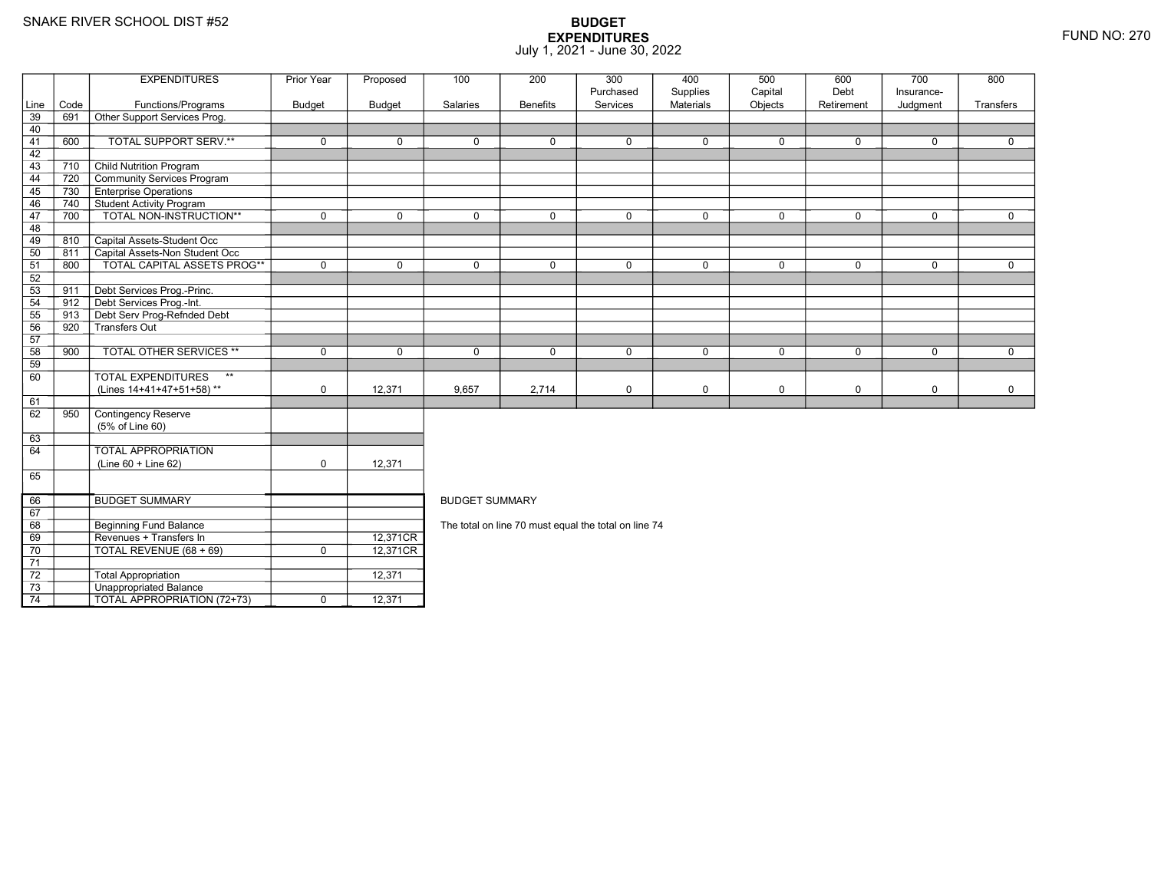70

71 72

73

74

3 **Unappropriated Balance** 

9 | Revenues + Transfers In | 12,371CR

TOTAL REVENUE (68 + 69) <sup>0</sup> 12,371CR

 $\overline{1}$  TOTAL APPROPRIATION (72+73)  $\overline{1}$  0 12,371

Total Appropriation 12,371

### **BUDGET EXPENDITURES**July 1, 2021 - June 30, 2022

|      |      | <b>EXPENDITURES</b>               | Prior Year    | Proposed    | 100                                                  | 200             | 300                   | 400                          | 500                | 600                | 700                    | 800         |  |  |
|------|------|-----------------------------------|---------------|-------------|------------------------------------------------------|-----------------|-----------------------|------------------------------|--------------------|--------------------|------------------------|-------------|--|--|
| Line | Code | Functions/Programs                | <b>Budget</b> | Budget      | Salaries                                             | <b>Benefits</b> | Purchased<br>Services | Supplies<br><b>Materials</b> | Capital<br>Objects | Debt<br>Retirement | Insurance-<br>Judgment | Transfers   |  |  |
| 39   | 691  | Other Support Services Prog.      |               |             |                                                      |                 |                       |                              |                    |                    |                        |             |  |  |
| 40   |      |                                   |               |             |                                                      |                 |                       |                              |                    |                    |                        |             |  |  |
| 41   | 600  | TOTAL SUPPORT SERV.**             | $\mathbf 0$   | $\mathbf 0$ | $\mathbf 0$                                          | $\mathbf 0$     | $\mathbf 0$           | $\mathbf 0$                  | $\mathbf 0$        | 0                  | $\mathbf 0$            | 0           |  |  |
| 42   |      |                                   |               |             |                                                      |                 |                       |                              |                    |                    |                        |             |  |  |
| 43   | 710  | Child Nutrition Program           |               |             |                                                      |                 |                       |                              |                    |                    |                        |             |  |  |
| 44   | 720  | Community Services Program        |               |             |                                                      |                 |                       |                              |                    |                    |                        |             |  |  |
| 45   | 730  | <b>Enterprise Operations</b>      |               |             |                                                      |                 |                       |                              |                    |                    |                        |             |  |  |
| 46   | 740  | Student Activity Program          |               |             |                                                      |                 |                       |                              |                    |                    |                        |             |  |  |
| 47   | 700  | TOTAL NON-INSTRUCTION**           | $\mathbf 0$   | $\mathbf 0$ | $\mathbf 0$                                          | $\mathbf 0$     | $\mathbf 0$           | $\mathbf 0$                  | $\mathbf 0$        | $\mathbf 0$        | $\mathbf 0$            | $\mathbf 0$ |  |  |
| 48   |      |                                   |               |             |                                                      |                 |                       |                              |                    |                    |                        |             |  |  |
| 49   | 810  | Capital Assets-Student Occ        |               |             |                                                      |                 |                       |                              |                    |                    |                        |             |  |  |
| 50   | 811  | Capital Assets-Non Student Occ    |               |             |                                                      |                 |                       |                              |                    |                    |                        |             |  |  |
| 51   | 800  | TOTAL CAPITAL ASSETS PROG**       | $\mathbf 0$   | $\mathbf 0$ | $\mathbf 0$                                          | $\mathbf 0$     | $\mathbf 0$           | $\mathbf 0$                  | $\mathbf 0$        | $\mathbf 0$        | $\mathbf 0$            | $\mathbf 0$ |  |  |
| 52   |      |                                   |               |             |                                                      |                 |                       |                              |                    |                    |                        |             |  |  |
| 53   | 911  | Debt Services Prog.-Princ.        |               |             |                                                      |                 |                       |                              |                    |                    |                        |             |  |  |
| 54   | 912  | Debt Services Prog.-Int.          |               |             |                                                      |                 |                       |                              |                    |                    |                        |             |  |  |
| 55   | 913  | Debt Serv Prog-Refnded Debt       |               |             |                                                      |                 |                       |                              |                    |                    |                        |             |  |  |
| 56   | 920  | -<br>Transfers Out                |               |             |                                                      |                 |                       |                              |                    |                    |                        |             |  |  |
| 57   |      |                                   |               |             |                                                      |                 |                       |                              |                    |                    |                        |             |  |  |
| 58   | 900  | <b>TOTAL OTHER SERVICES **</b>    | $\mathbf 0$   | $\mathbf 0$ | $\mathbf 0$                                          | $\mathbf 0$     | $\mathbf 0$           | $\mathbf 0$                  | $\mathbf 0$        | $\mathbf 0$        | $\mathbf 0$            | $\mathbf 0$ |  |  |
| 59   |      |                                   |               |             |                                                      |                 |                       |                              |                    |                    |                        |             |  |  |
| 60   |      | $**$<br><b>TOTAL EXPENDITURES</b> |               |             |                                                      |                 |                       |                              |                    |                    |                        |             |  |  |
|      |      | (Lines 14+41+47+51+58)**          | $\mathbf 0$   | 12,371      | 9,657                                                | 2,714           | $\mathbf 0$           | $\mathbf 0$                  | $\mathbf 0$        | 0                  | $\mathbf 0$            | 0           |  |  |
| 61   |      |                                   |               |             |                                                      |                 |                       |                              |                    |                    |                        |             |  |  |
| 62   | 950  | Contingency Reserve               |               |             |                                                      |                 |                       |                              |                    |                    |                        |             |  |  |
|      |      | (5% of Line 60)                   |               |             |                                                      |                 |                       |                              |                    |                    |                        |             |  |  |
| 63   |      |                                   |               |             |                                                      |                 |                       |                              |                    |                    |                        |             |  |  |
| 64   |      | <b>TOTAL APPROPRIATION</b>        |               |             |                                                      |                 |                       |                              |                    |                    |                        |             |  |  |
|      |      | $(Line 60 + Line 62)$             | 0             | 12,371      |                                                      |                 |                       |                              |                    |                    |                        |             |  |  |
| 65   |      |                                   |               |             |                                                      |                 |                       |                              |                    |                    |                        |             |  |  |
| 66   |      | <b>BUDGET SUMMARY</b>             |               |             | <b>BUDGET SUMMARY</b>                                |                 |                       |                              |                    |                    |                        |             |  |  |
| 67   |      |                                   |               |             |                                                      |                 |                       |                              |                    |                    |                        |             |  |  |
| 68   |      | <b>Beginning Fund Balance</b>     |               |             | The total on line 70 must equal the total on line 74 |                 |                       |                              |                    |                    |                        |             |  |  |
|      |      |                                   |               |             |                                                      |                 |                       |                              |                    |                    |                        |             |  |  |

12,371CR<br>12,371CR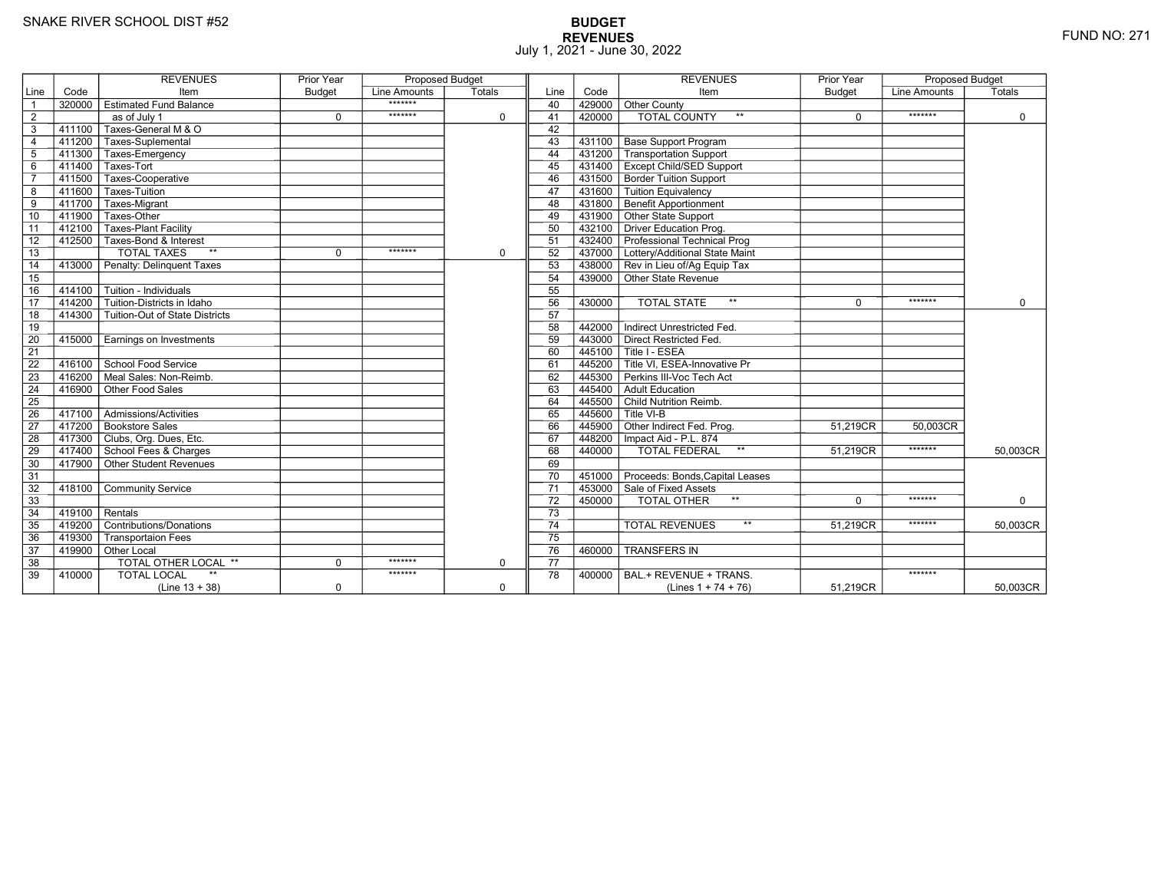# **BUDGET REVENUES** FUND NO: 271 July 1, 2021 - June 30, 2022

|                |                     | <b>REVENUES</b>                        | <b>Prior Year</b> | <b>Proposed Budget</b> |             |                 |        | <b>REVENUES</b>                      | <b>Prior Year</b> | <b>Proposed Budget</b> |             |
|----------------|---------------------|----------------------------------------|-------------------|------------------------|-------------|-----------------|--------|--------------------------------------|-------------------|------------------------|-------------|
| Line           | Code                | Item                                   | <b>Budget</b>     | Line Amounts           | Totals      | Line            | Code   | Item                                 | <b>Budget</b>     | Line Amounts           | Totals      |
| $\overline{1}$ |                     | 320000 Estimated Fund Balance          |                   | *******                |             | 40              | 429000 | Other County                         |                   |                        |             |
| $\overline{2}$ |                     | as of July 1                           | $\mathbf 0$       | *******                | $\mathbf 0$ | 41              | 420000 | <b>TOTAL COUNTY</b><br>$\star\star$  | $\mathbf 0$       | *******                | $\mathbf 0$ |
| 3              | 411100              | Taxes-General M & O                    |                   |                        |             | 42              |        |                                      |                   |                        |             |
| $\overline{4}$ |                     | 411200 Taxes-Suplemental               |                   |                        |             | 43              | 431100 | <b>Base Support Program</b>          |                   |                        |             |
| 5              |                     | 411300 Taxes-Emergency                 |                   |                        |             | 44              | 431200 | Transportation Support               |                   |                        |             |
| 6              |                     | 411400 Taxes-Tort                      |                   |                        |             | 45              | 431400 | <b>Except Child/SED Support</b>      |                   |                        |             |
| $\overline{7}$ |                     | 411500 Taxes-Cooperative               |                   |                        |             | 46              | 431500 | <b>Border Tuition Support</b>        |                   |                        |             |
| 8              |                     | 411600 Taxes-Tuition                   |                   |                        |             | 47              | 431600 | Tuition Equivalency                  |                   |                        |             |
| 9              | $411\overline{700}$ | Taxes-Migrant                          |                   |                        |             | 48              | 431800 | <b>Benefit Apportionment</b>         |                   |                        |             |
| 10             | 411900              | Taxes-Other                            |                   |                        |             | 49              | 431900 | Other State Support                  |                   |                        |             |
| 11             | 412100              | <b>Taxes-Plant Facility</b>            |                   |                        |             | 50              | 432100 | <b>Driver Education Prog.</b>        |                   |                        |             |
| 12             |                     | 412500 Taxes-Bond & Interest           |                   |                        |             | 51              | 432400 | Professional Technical Prog          |                   |                        |             |
| 13             |                     | <b>TOTAL TAXES</b><br>$**$             | $\Omega$          | *******                | $\mathbf 0$ | 52              | 437000 | Lottery/Additional State Maint       |                   |                        |             |
| 14             | 413000              | Penalty: Delinguent Taxes              |                   |                        |             | 53              |        | 438000 Rev in Lieu of/Ag Equip Tax   |                   |                        |             |
| 15             |                     |                                        |                   |                        |             | 54              | 439000 | Other State Revenue                  |                   |                        |             |
| 16             |                     | 414100   Tuition - Individuals         |                   |                        |             | 55              |        |                                      |                   |                        |             |
| 17             | 414200              | Tuition-Districts in Idaho             |                   |                        |             | 56              | 430000 | $\star\star$<br><b>TOTAL STATE</b>   | $\Omega$          | *******                | $\Omega$    |
| 18             |                     | 414300 Tuition-Out of State Districts  |                   |                        |             | 57              |        |                                      |                   |                        |             |
| 19             |                     |                                        |                   |                        |             | 58              | 442000 | Indirect Unrestricted Fed.           |                   |                        |             |
| 20             |                     | 415000 Earnings on Investments         |                   |                        |             | 59              | 443000 | Direct Restricted Fed.               |                   |                        |             |
| 21             |                     |                                        |                   |                        |             | 60              | 445100 | Title I - ESEA                       |                   |                        |             |
| 22             |                     | 416100 School Food Service             |                   |                        |             | 61              | 445200 | Title VI, ESEA-Innovative Pr         |                   |                        |             |
| 23             | $-416200$           | Meal Sales: Non-Reimb.                 |                   |                        |             | 62              | 445300 | Perkins III-Voc Tech Act             |                   |                        |             |
| 24             | 416900              | Other Food Sales                       |                   |                        |             | 63              | 445400 | Adult Education                      |                   |                        |             |
| 25             |                     |                                        |                   |                        |             | 64              |        | 445500 Child Nutrition Reimb.        |                   |                        |             |
| 26             |                     | 417100   Admissions/Activities         |                   |                        |             | 65              |        | 445600 Title VI-B                    |                   |                        |             |
| 27             |                     | 417200 Bookstore Sales                 |                   |                        |             | 66              | 445900 | Other Indirect Fed. Prog.            | 51,219CR          | 50,003CR               |             |
| 28             |                     | 417300 Clubs, Org. Dues, Etc.          |                   |                        |             | 67              | 448200 | Impact Aid - P.L. 874                |                   |                        |             |
| 29             |                     | 417400 School Fees & Charges           |                   |                        |             | 68              | 440000 | <b>TOTAL FEDERAL</b><br>$\star\star$ | 51,219CR          | *******                | 50,003CR    |
| 30             |                     | $\sqrt{417900}$ Other Student Revenues |                   |                        |             | 69              |        |                                      |                   |                        |             |
| 31             |                     |                                        |                   |                        |             | 70              | 451000 | Proceeds: Bonds, Capital Leases      |                   |                        |             |
| 32             | 418100              | <b>Community Service</b>               |                   |                        |             | $\overline{71}$ | 453000 | Sale of Fixed Assets                 |                   |                        |             |
| 33             |                     |                                        |                   |                        |             | 72              | 450000 | $***$<br>TOTAL OTHER                 | $\Omega$          | *******                | 0           |
| 34             | 419100              | $\overline{\mathsf{R}}$ entals         |                   |                        |             | $\overline{73}$ |        |                                      |                   |                        |             |
| 35             |                     | 419200 Contributions/Donations         |                   |                        |             | $\overline{74}$ |        | $***$<br><b>TOTAL REVENUES</b>       | 51.219CR          | *******                | 50,003CR    |
| 36             | 419300              | <b>Transportaion Fees</b>              |                   |                        |             | $\overline{75}$ |        |                                      |                   |                        |             |
| 37             |                     | 419900 Other Local                     |                   |                        |             | 76              | 460000 | <b>TRANSFERS IN</b>                  |                   |                        |             |
| 38             |                     | <b>TOTAL OTHER LOCAL **</b>            | $\mathbf 0$       | *******                | $\mathbf 0$ | 77              |        |                                      |                   |                        |             |
| 39             | 410000              | <b>TOTAL LOCAL</b>                     |                   | *******                |             | 78              | 400000 | BAL.+ REVENUE + TRANS.               |                   | *******                |             |
|                |                     | $(Line 13 + 38)$                       | $\mathbf 0$       |                        | $\mathbf 0$ |                 |        | (Lines $1 + 74 + 76$ )               | 51,219CR          |                        | 50,003CR    |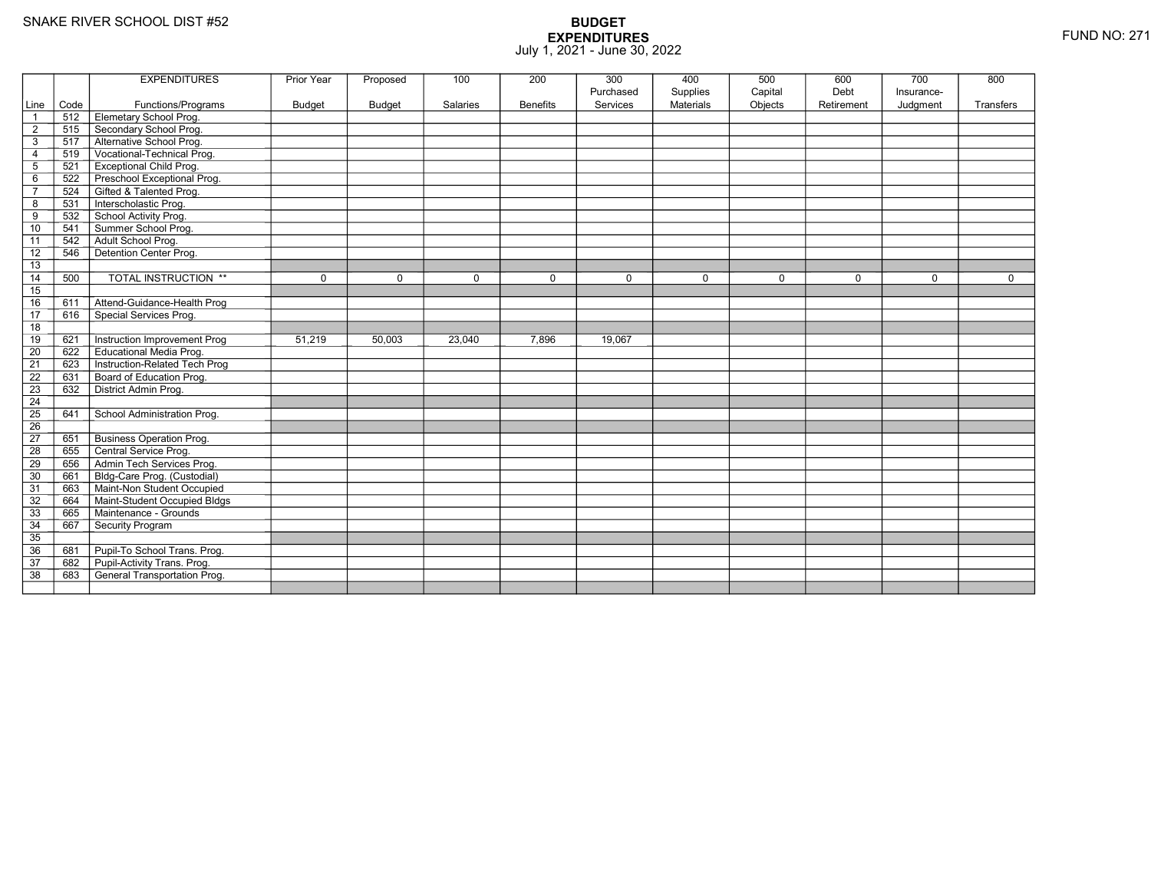|                 |      | <b>EXPENDITURES</b>                 | <b>Prior Year</b> | Proposed      | 100      | 200             | 300       | 400              | 500     | 600        | 700        | 800       |
|-----------------|------|-------------------------------------|-------------------|---------------|----------|-----------------|-----------|------------------|---------|------------|------------|-----------|
|                 |      |                                     |                   |               |          |                 | Purchased | Supplies         | Capital | Debt       | Insurance- |           |
| Line            | Code | Functions/Programs                  | <b>Budget</b>     | <b>Budget</b> | Salaries | <b>Benefits</b> | Services  | <b>Materials</b> | Objects | Retirement | Judgment   | Transfers |
|                 | 512  | Elemetary School Prog.              |                   |               |          |                 |           |                  |         |            |            |           |
| $\overline{2}$  | 515  | Secondary School Prog.              |                   |               |          |                 |           |                  |         |            |            |           |
| 3               | 517  | Alternative School Prog.            |                   |               |          |                 |           |                  |         |            |            |           |
| $\overline{4}$  | 519  | Vocational-Technical Prog.          |                   |               |          |                 |           |                  |         |            |            |           |
| $\overline{5}$  | 521  | <b>Exceptional Child Prog.</b>      |                   |               |          |                 |           |                  |         |            |            |           |
| 6               | 522  | Preschool Exceptional Prog.         |                   |               |          |                 |           |                  |         |            |            |           |
| $\overline{7}$  | 524  | Gifted & Talented Prog.             |                   |               |          |                 |           |                  |         |            |            |           |
| 8               | 531  | Interscholastic Prog.               |                   |               |          |                 |           |                  |         |            |            |           |
| 9               | 532  | School Activity Prog.               |                   |               |          |                 |           |                  |         |            |            |           |
| 10              | 541  | Summer School Prog.                 |                   |               |          |                 |           |                  |         |            |            |           |
| 11              | 542  | Adult School Prog.                  |                   |               |          |                 |           |                  |         |            |            |           |
| 12              | 546  | Detention Center Prog.              |                   |               |          |                 |           |                  |         |            |            |           |
| 13              |      |                                     |                   |               |          |                 |           |                  |         |            |            |           |
| 14              | 500  | TOTAL INSTRUCTION **                | 0                 | $\Omega$      | $\Omega$ | $\mathbf 0$     | $\Omega$  | 0                | 0       | 0          | $\Omega$   | 0         |
| 15              |      |                                     |                   |               |          |                 |           |                  |         |            |            |           |
| 16              | 611  | Attend-Guidance-Health Prog         |                   |               |          |                 |           |                  |         |            |            |           |
| 17              | 616  | Special Services Prog.              |                   |               |          |                 |           |                  |         |            |            |           |
| 18              |      |                                     |                   |               |          |                 |           |                  |         |            |            |           |
| 19              | 621  | Instruction Improvement Prog        | 51,219            | 50,003        | 23,040   | 7,896           | 19,067    |                  |         |            |            |           |
| 20              | 622  | <b>Educational Media Prog.</b>      |                   |               |          |                 |           |                  |         |            |            |           |
| 21              | 623  | Instruction-Related Tech Prog       |                   |               |          |                 |           |                  |         |            |            |           |
| 22              | 631  | Board of Education Prog.            |                   |               |          |                 |           |                  |         |            |            |           |
| 23              | 632  | District Admin Prog.                |                   |               |          |                 |           |                  |         |            |            |           |
| $\overline{24}$ |      |                                     |                   |               |          |                 |           |                  |         |            |            |           |
| $\overline{25}$ | 641  | School Administration Prog.         |                   |               |          |                 |           |                  |         |            |            |           |
| 26              |      |                                     |                   |               |          |                 |           |                  |         |            |            |           |
| 27              | 651  | <b>Business Operation Prog.</b>     |                   |               |          |                 |           |                  |         |            |            |           |
| 28              | 655  | Central Service Prog.               |                   |               |          |                 |           |                  |         |            |            |           |
| 29              | 656  | Admin Tech Services Prog.           |                   |               |          |                 |           |                  |         |            |            |           |
| 30              | 661  | Bldg-Care Prog. (Custodial)         |                   |               |          |                 |           |                  |         |            |            |           |
| 31              | 663  | Maint-Non Student Occupied          |                   |               |          |                 |           |                  |         |            |            |           |
| 32              | 664  | Maint-Student Occupied Bldgs        |                   |               |          |                 |           |                  |         |            |            |           |
| 33              | 665  | Maintenance - Grounds               |                   |               |          |                 |           |                  |         |            |            |           |
| 34              | 667  | Security Program                    |                   |               |          |                 |           |                  |         |            |            |           |
| 35              |      |                                     |                   |               |          |                 |           |                  |         |            |            |           |
| 36              | 681  | Pupil-To School Trans. Prog.        |                   |               |          |                 |           |                  |         |            |            |           |
| 37              | 682  | Pupil-Activity Trans. Prog.         |                   |               |          |                 |           |                  |         |            |            |           |
| 38              | 683  | <b>General Transportation Prog.</b> |                   |               |          |                 |           |                  |         |            |            |           |
|                 |      |                                     |                   |               |          |                 |           |                  |         |            |            |           |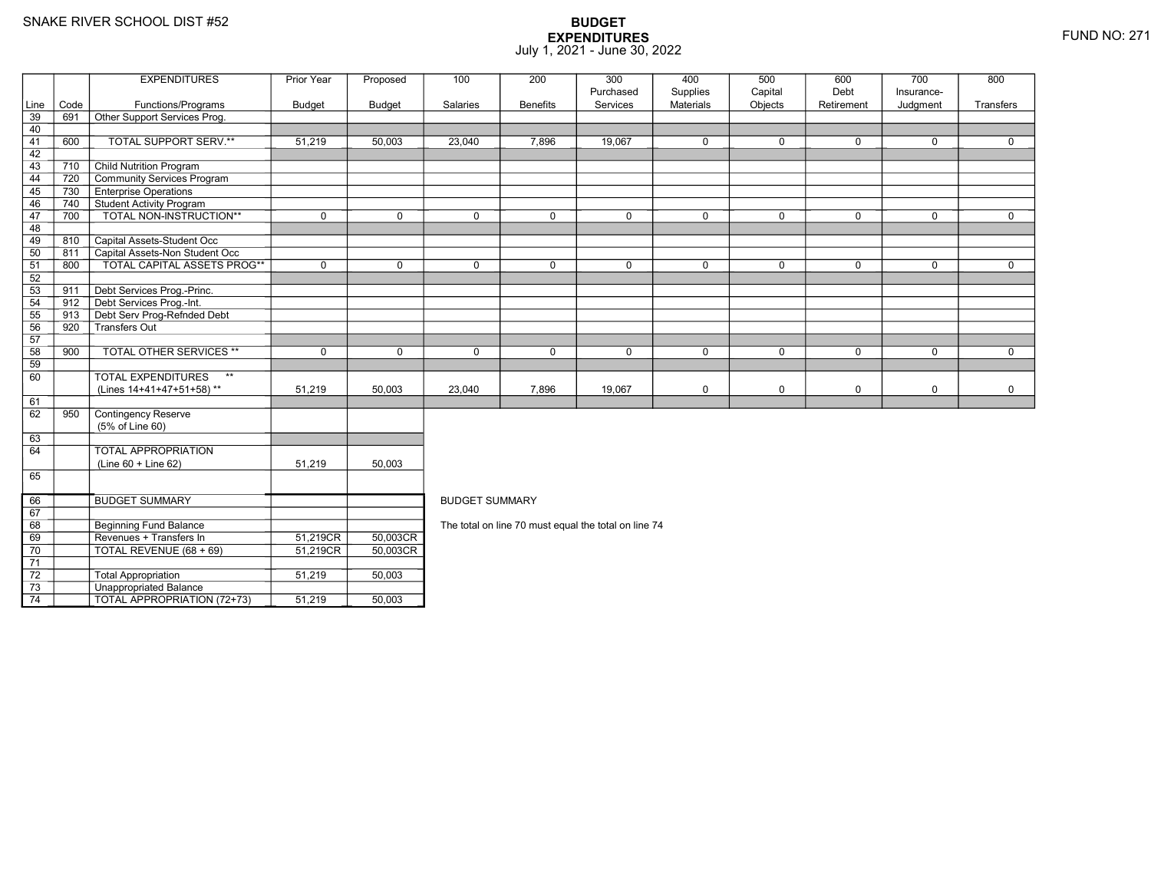8 Beginning Fund Balance

3 **Unappropriated Balance** 

Revenues + Transfers In 51,219CR

TOTAL REVENUE (68 + 69) 51,219CR

2 Total Appropriation 151,219 50,003

TOTAL APPROPRIATION (72+73) 51,219 50,003

69

70

71 72

73

74

### **BUDGET EXPENDITURES**July 1, 2021 - June 30, 2022

|      |      | <b>EXPENDITURES</b>                          | Prior Year    | Proposed | 100                                                  | 200             | 300          | 400         | 500         | 600         | 700         | 800         |  |  |
|------|------|----------------------------------------------|---------------|----------|------------------------------------------------------|-----------------|--------------|-------------|-------------|-------------|-------------|-------------|--|--|
|      |      |                                              |               |          |                                                      |                 | Purchased    | Supplies    | Capital     | Debt        | Insurance-  |             |  |  |
| Line | Code | Functions/Programs                           | <b>Budget</b> | Budget   | Salaries                                             | <b>Benefits</b> | Services     | Materials   | Objects     | Retirement  | Judgment    | Transfers   |  |  |
| 39   | 691  | Other Support Services Prog.                 |               |          |                                                      |                 |              |             |             |             |             |             |  |  |
| 40   |      |                                              |               |          |                                                      |                 |              |             |             |             |             |             |  |  |
| 41   | 600  | TOTAL SUPPORT SERV.**                        | 51,219        | 50,003   | 23,040                                               | 7,896           | 19,067       | 0           | $\Omega$    | 0           | $\mathbf 0$ | $\mathbf 0$ |  |  |
| 42   |      |                                              |               |          |                                                      |                 |              |             |             |             |             |             |  |  |
| 43   | 710  | <b>Child Nutrition Program</b>               |               |          |                                                      |                 |              |             |             |             |             |             |  |  |
| 44   | 720  | Community Services Program                   |               |          |                                                      |                 |              |             |             |             |             |             |  |  |
| 45   | 730  | <b>Enterprise Operations</b>                 |               |          |                                                      |                 |              |             |             |             |             |             |  |  |
| 46   | 740  | <b>Student Activity Program</b>              |               |          |                                                      |                 |              |             |             |             |             |             |  |  |
| 47   | 700  | TOTAL NON-INSTRUCTION**                      | $\mathbf 0$   | $\Omega$ | $\Omega$                                             | $\Omega$        | $\mathbf 0$  | 0           | $\Omega$    | $\mathbf 0$ | $\mathbf 0$ | $\Omega$    |  |  |
| 48   |      |                                              |               |          |                                                      |                 |              |             |             |             |             |             |  |  |
| 49   | 810  | Capital Assets-Student Occ                   |               |          |                                                      |                 |              |             |             |             |             |             |  |  |
| 50   | 811  | Capital Assets-Non Student Occ               |               |          |                                                      |                 |              |             |             |             |             |             |  |  |
| 51   | 800  | <b>TOTAL CAPITAL ASSETS PROG**</b>           | $\mathbf 0$   | $\Omega$ | $\Omega$                                             | $\Omega$        | $\Omega$     | $\mathbf 0$ | $\Omega$    | $\Omega$    | $\Omega$    | $\Omega$    |  |  |
| 52   |      |                                              |               |          |                                                      |                 |              |             |             |             |             |             |  |  |
| 53   | 911  | Debt Services Prog.-Princ.                   |               |          |                                                      |                 |              |             |             |             |             |             |  |  |
| 54   | 912  | Debt Services Prog.-Int.                     |               |          |                                                      |                 |              |             |             |             |             |             |  |  |
| 55   | 913  | Debt Serv Prog-Refnded Debt                  |               |          |                                                      |                 |              |             |             |             |             |             |  |  |
| 56   | 920  | Transfers Out                                |               |          |                                                      |                 |              |             |             |             |             |             |  |  |
| 57   |      |                                              |               |          |                                                      |                 |              |             |             |             |             |             |  |  |
| 58   | 900  | <b>TOTAL OTHER SERVICES **</b>               | $\mathbf 0$   | $\Omega$ | $\Omega$                                             | 0               | $\mathbf{0}$ | 0           | $\mathbf 0$ | $\mathbf 0$ | $\mathbf 0$ | $\Omega$    |  |  |
| 59   |      |                                              |               |          |                                                      |                 |              |             |             |             |             |             |  |  |
| 60   |      | <b>TOTAL EXPENDITURES</b><br>$^{\star\star}$ |               |          |                                                      |                 |              |             |             |             |             |             |  |  |
|      |      | (Lines 14+41+47+51+58)**                     | 51,219        | 50,003   | 23,040                                               | 7,896           | 19,067       | 0           | $\mathbf 0$ | 0           | $\mathbf 0$ | 0           |  |  |
| 61   |      |                                              |               |          |                                                      |                 |              |             |             |             |             |             |  |  |
| 62   | 950  | Contingency Reserve                          |               |          |                                                      |                 |              |             |             |             |             |             |  |  |
|      |      | (5% of Line 60)                              |               |          |                                                      |                 |              |             |             |             |             |             |  |  |
| 63   |      |                                              |               |          |                                                      |                 |              |             |             |             |             |             |  |  |
| 64   |      | <b>TOTAL APPROPRIATION</b>                   |               |          |                                                      |                 |              |             |             |             |             |             |  |  |
|      |      | $(Line 60 + Line 62)$                        | 51,219        | 50,003   |                                                      |                 |              |             |             |             |             |             |  |  |
| 65   |      |                                              |               |          |                                                      |                 |              |             |             |             |             |             |  |  |
| 66   |      | <b>BUDGET SUMMARY</b>                        |               |          | <b>BUDGET SUMMARY</b>                                |                 |              |             |             |             |             |             |  |  |
| 67   |      |                                              |               |          |                                                      |                 |              |             |             |             |             |             |  |  |
| 68   |      | Beginning Fund Balance                       |               |          | The total on line 70 must equal the total on line 74 |                 |              |             |             |             |             |             |  |  |

The total on line 70 must equal the total on line 74

R\_| 50,003CR<br>DT 50,003CR

R 50,003CR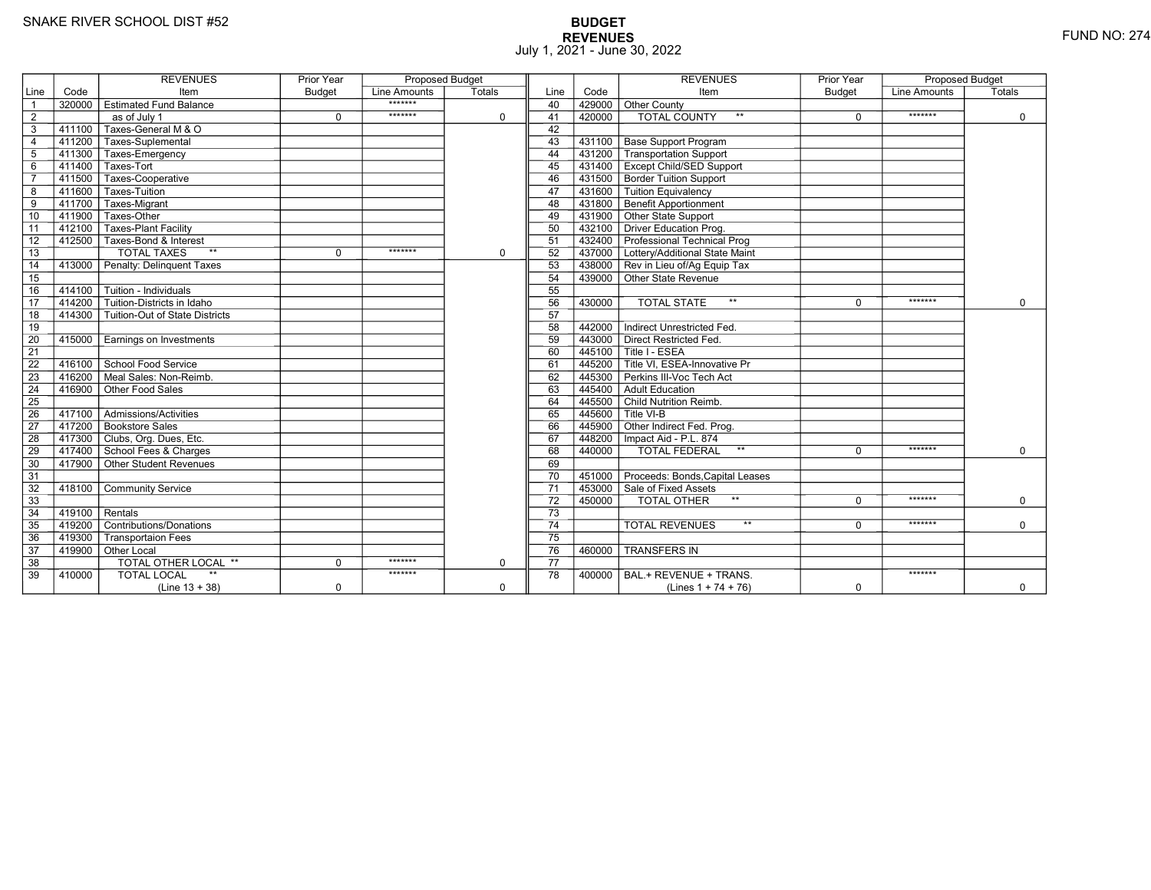# **BUDGET REVENUES** FUND NO: 274 July 1, 2021 - June 30, 2022

|                 |                         | <b>REVENUES</b>                           | <b>Prior Year</b> | <b>Proposed Budget</b> |             |                 |           | <b>REVENUES</b>                                           | <b>Prior Year</b> | <b>Proposed Budget</b> |             |
|-----------------|-------------------------|-------------------------------------------|-------------------|------------------------|-------------|-----------------|-----------|-----------------------------------------------------------|-------------------|------------------------|-------------|
| Line            | Code                    | Item                                      | <b>Budget</b>     | Line Amounts           | Totals      | Line            | Code      | Item                                                      | <b>Budget</b>     | Line Amounts           | Totals      |
| $\overline{1}$  |                         | 320000 Estimated Fund Balance             |                   | *******                |             | 40              | 429000    | <b>Other County</b>                                       |                   |                        |             |
| $\overline{2}$  |                         | as of July 1                              | $\Omega$          | *******                | $\mathbf 0$ | 41              | 420000    | <b>TOTAL COUNTY</b><br>$**$                               | $\Omega$          | *******                | $\Omega$    |
| 3               | 411100                  | Taxes-General M & O                       |                   |                        |             | 42              |           |                                                           |                   |                        |             |
| $\overline{4}$  |                         | 411200 Taxes-Suplemental                  |                   |                        |             | 43              | 431100    | <b>Base Support Program</b>                               |                   |                        |             |
| 5               |                         | 411300 Taxes-Emergency                    |                   |                        |             | 44              | 431200    | Transportation Support                                    |                   |                        |             |
| 6               |                         | 411400 Taxes-Tort                         |                   |                        |             | 45              | 431400    | <b>Except Child/SED Support</b>                           |                   |                        |             |
| $\overline{7}$  |                         | 411500 Taxes-Cooperative                  |                   |                        |             | 46              | 431500    | <b>Border Tuition Support</b>                             |                   |                        |             |
| 8               | 411600                  | Taxes-Tuition                             |                   |                        |             | 47              | 431600    | Tuition Equivalency                                       |                   |                        |             |
| 9               | $-411\overline{700}$    | Taxes-Migrant                             |                   |                        |             | 48              | 431800    | <b>Benefit Apportionment</b>                              |                   |                        |             |
| 10              | 411900                  | Taxes-Other                               |                   |                        |             | 49              | 431900    | Other State Support                                       |                   |                        |             |
| $\overline{11}$ |                         | 412100   Taxes-Plant Facility             |                   |                        |             | 50              | 432100    | Driver Education Prog.                                    |                   |                        |             |
| 12              |                         | 412500 Taxes-Bond & Interest              |                   |                        |             | 51              |           | 432400 Professional Technical Prog                        |                   |                        |             |
| 13              |                         | $**$<br><b>TOTAL TAXES</b>                | $\mathbf 0$       | *******                | $\mathbf 0$ | 52              |           | 437000 Lottery/Additional State Maint                     |                   |                        |             |
| 14              |                         | 413000 Penalty: Delinguent Taxes          |                   |                        |             | 53              |           | 438000 Rev in Lieu of/Ag Equip Tax                        |                   |                        |             |
| 15              |                         |                                           |                   |                        |             | 54              |           | 439000 Other State Revenue                                |                   |                        |             |
| 16              | 414100                  | $\overline{\Gamma}$ Tuition - Individuals |                   |                        |             | 55              |           |                                                           |                   |                        |             |
| $\overline{17}$ | 414200                  | Tuition-Districts in Idaho                |                   |                        |             | 56              | 430000    | $**$<br><b>TOTAL STATE</b>                                | $\Omega$          | *******                | $\Omega$    |
| 18              |                         | 414300 Tuition-Out of State Districts     |                   |                        |             | 57              |           |                                                           |                   |                        |             |
| 19              |                         |                                           |                   |                        |             | 58              | 442000    | Indirect Unrestricted Fed.                                |                   |                        |             |
| 20              |                         | 415000 Earnings on Investments            |                   |                        |             | 59              | 443000    | Direct Restricted Fed.                                    |                   |                        |             |
| $\overline{21}$ |                         |                                           |                   |                        |             | 60              | 445100    | Title I - ESEA                                            |                   |                        |             |
| 22              |                         | 416100 School Food Service                |                   |                        |             | 61              | 445200    | $\overline{\mathsf{\Gamma}}$ Title VI. ESEA-Innovative Pr |                   |                        |             |
| 23              | 416200                  | ∏Meal Sales: Non-Reimb.                   |                   |                        |             | 62              | 445300    | Perkins III-Voc Tech Act                                  |                   |                        |             |
| 24              | 416900                  | Other Food Sales                          |                   |                        |             | 63              | 445400    | Adult Education                                           |                   |                        |             |
| 25              |                         |                                           |                   |                        |             | 64              | 445500    | Child Nutrition Reimb.                                    |                   |                        |             |
| 26              |                         | 417100   Admissions/Activities            |                   |                        |             | 65              | 445600    | Title VI-B                                                |                   |                        |             |
| 27              |                         | 417200 Bookstore Sales                    |                   |                        |             | 66              | 445900    | Other Indirect Fed. Prog.                                 |                   |                        |             |
| 28              |                         | 417300 Clubs, Org. Dues, Etc.             |                   |                        |             | 67              |           | 448200   Impact Aid - P.L. 874                            |                   |                        |             |
| 29              |                         | 417400 School Fees & Charges              |                   |                        |             | 68              | 440000    | <b>TOTAL FEDERAL</b><br>$***$                             | $\Omega$          | *******                | $\Omega$    |
| 30              |                         | $-$ 417900 $\top$ Other Student Revenues  |                   |                        |             | 69              |           |                                                           |                   |                        |             |
| 31              |                         |                                           |                   |                        |             | 70              | 451000    | Proceeds: Bonds, Capital Leases                           |                   |                        |             |
| 32              |                         | 418100 Community Service                  |                   |                        |             | $\overline{71}$ |           | 453000 Sale of Fixed Assets                               |                   |                        |             |
| 33              |                         |                                           |                   |                        |             | 72              | $-450000$ | TOTAL OTHER                                               | $\Omega$          | *******                | $\mathbf 0$ |
| $\overline{34}$ | $\sqrt{419100}$ Rentals |                                           |                   |                        |             | $\overline{73}$ |           |                                                           |                   |                        |             |
| 35              |                         | 419200 Contributions/Donations            |                   |                        |             | $\overline{74}$ |           | $***$<br><b>TOTAL REVENUES</b>                            | $\Omega$          | *******                | $\Omega$    |
| 36              | 419300                  | <b>Transportaion Fees</b>                 |                   |                        |             | 75              |           |                                                           |                   |                        |             |
| 37              |                         | 419900 Other Local                        |                   |                        |             | 76              | 460000    | <b>TRANSFERS IN</b>                                       |                   |                        |             |
| 38              |                         | TOTAL OTHER LOCAL **                      | $\Omega$          | *******                | $\mathbf 0$ | 77              |           |                                                           |                   |                        |             |
| 39              | 410000                  | $**$<br><b>TOTAL LOCAL</b>                |                   | *******                |             | 78              | 400000    | BAL.+ REVENUE + TRANS.                                    |                   | *******                |             |
|                 |                         | $(Line 13 + 38)$                          | $\mathbf 0$       |                        | $\mathbf 0$ |                 |           | (Lines $1 + 74 + 76$ )                                    | $\mathbf 0$       |                        | $\mathbf 0$ |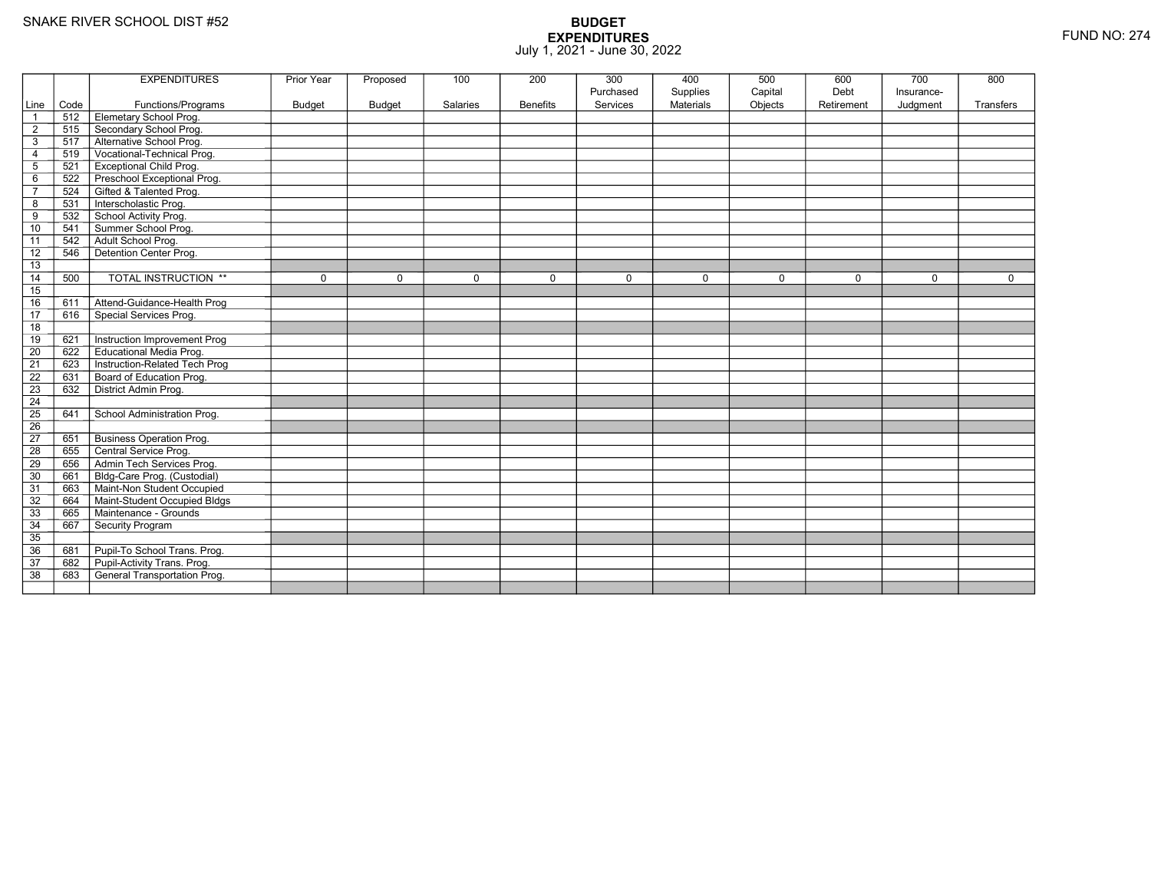|                 |      | <b>EXPENDITURES</b>                 | <b>Prior Year</b> | Proposed      | 100         | 200             | 300<br>Purchased | 400<br>Supplies  | 500<br>Capital | 600<br>Debt | 700<br>Insurance- | 800              |
|-----------------|------|-------------------------------------|-------------------|---------------|-------------|-----------------|------------------|------------------|----------------|-------------|-------------------|------------------|
| Line            | Code | Functions/Programs                  | <b>Budget</b>     | <b>Budget</b> | Salaries    | <b>Benefits</b> | Services         | <b>Materials</b> | Objects        | Retirement  | Judgment          | <b>Transfers</b> |
| $\overline{1}$  | 512  | Elemetary School Prog.              |                   |               |             |                 |                  |                  |                |             |                   |                  |
| $\overline{2}$  | 515  | Secondary School Prog.              |                   |               |             |                 |                  |                  |                |             |                   |                  |
| $\sqrt{3}$      | 517  | Alternative School Prog.            |                   |               |             |                 |                  |                  |                |             |                   |                  |
| 4               | 519  | Vocational-Technical Prog.          |                   |               |             |                 |                  |                  |                |             |                   |                  |
| $\overline{5}$  | 521  | <b>Exceptional Child Prog.</b>      |                   |               |             |                 |                  |                  |                |             |                   |                  |
| 6               | 522  | Preschool Exceptional Prog.         |                   |               |             |                 |                  |                  |                |             |                   |                  |
| $\overline{7}$  | 524  | Gifted & Talented Prog.             |                   |               |             |                 |                  |                  |                |             |                   |                  |
| 8               | 531  | Interscholastic Prog.               |                   |               |             |                 |                  |                  |                |             |                   |                  |
| 9               | 532  | School Activity Prog.               |                   |               |             |                 |                  |                  |                |             |                   |                  |
| 10              | 541  | Summer School Prog.                 |                   |               |             |                 |                  |                  |                |             |                   |                  |
| 11              | 542  | Adult School Prog.                  |                   |               |             |                 |                  |                  |                |             |                   |                  |
| $\overline{12}$ | 546  | Detention Center Prog.              |                   |               |             |                 |                  |                  |                |             |                   |                  |
| 13              |      |                                     |                   |               |             |                 |                  |                  |                |             |                   |                  |
| 14              | 500  | <b>TOTAL INSTRUCTION **</b>         | $\mathbf 0$       | $\Omega$      | $\mathbf 0$ | $\mathbf 0$     | $\mathbf 0$      | $\mathbf 0$      | $\mathbf 0$    | $\mathbf 0$ | $\mathbf 0$       | $\mathbf 0$      |
| 15              |      |                                     |                   |               |             |                 |                  |                  |                |             |                   |                  |
| 16              | 611  | Attend-Guidance-Health Prog         |                   |               |             |                 |                  |                  |                |             |                   |                  |
| $\overline{17}$ | 616  | Special Services Prog.              |                   |               |             |                 |                  |                  |                |             |                   |                  |
| 18              |      |                                     |                   |               |             |                 |                  |                  |                |             |                   |                  |
| 19              | 621  | <b>Instruction Improvement Prog</b> |                   |               |             |                 |                  |                  |                |             |                   |                  |
| $\overline{20}$ | 622  | <b>Educational Media Prog.</b>      |                   |               |             |                 |                  |                  |                |             |                   |                  |
| 21              | 623  | Instruction-Related Tech Prog       |                   |               |             |                 |                  |                  |                |             |                   |                  |
| $\overline{22}$ | 631  | Board of Education Prog.            |                   |               |             |                 |                  |                  |                |             |                   |                  |
| 23              | 632  | District Admin Prog.                |                   |               |             |                 |                  |                  |                |             |                   |                  |
| 24              |      |                                     |                   |               |             |                 |                  |                  |                |             |                   |                  |
| 25              | 641  | School Administration Prog.         |                   |               |             |                 |                  |                  |                |             |                   |                  |
| 26              |      |                                     |                   |               |             |                 |                  |                  |                |             |                   |                  |
| $\overline{27}$ | 651  | <b>Business Operation Prog.</b>     |                   |               |             |                 |                  |                  |                |             |                   |                  |
| $\overline{28}$ | 655  | Central Service Prog.               |                   |               |             |                 |                  |                  |                |             |                   |                  |
| 29              | 656  | Admin Tech Services Prog.           |                   |               |             |                 |                  |                  |                |             |                   |                  |
| 30              | 661  | Bldg-Care Prog. (Custodial)         |                   |               |             |                 |                  |                  |                |             |                   |                  |
| 31              | 663  | Maint-Non Student Occupied          |                   |               |             |                 |                  |                  |                |             |                   |                  |
| 32              | 664  | Maint-Student Occupied Bldgs        |                   |               |             |                 |                  |                  |                |             |                   |                  |
| 33              | 665  | Maintenance - Grounds               |                   |               |             |                 |                  |                  |                |             |                   |                  |
| 34              | 667  | Security Program                    |                   |               |             |                 |                  |                  |                |             |                   |                  |
| $\overline{35}$ |      |                                     |                   |               |             |                 |                  |                  |                |             |                   |                  |
| 36              | 681  | Pupil-To School Trans. Prog.        |                   |               |             |                 |                  |                  |                |             |                   |                  |
| 37              | 682  | Pupil-Activity Trans. Prog.         |                   |               |             |                 |                  |                  |                |             |                   |                  |
| $\overline{38}$ | 683  | <b>General Transportation Prog.</b> |                   |               |             |                 |                  |                  |                |             |                   |                  |
|                 |      |                                     |                   |               |             |                 |                  |                  |                |             |                   |                  |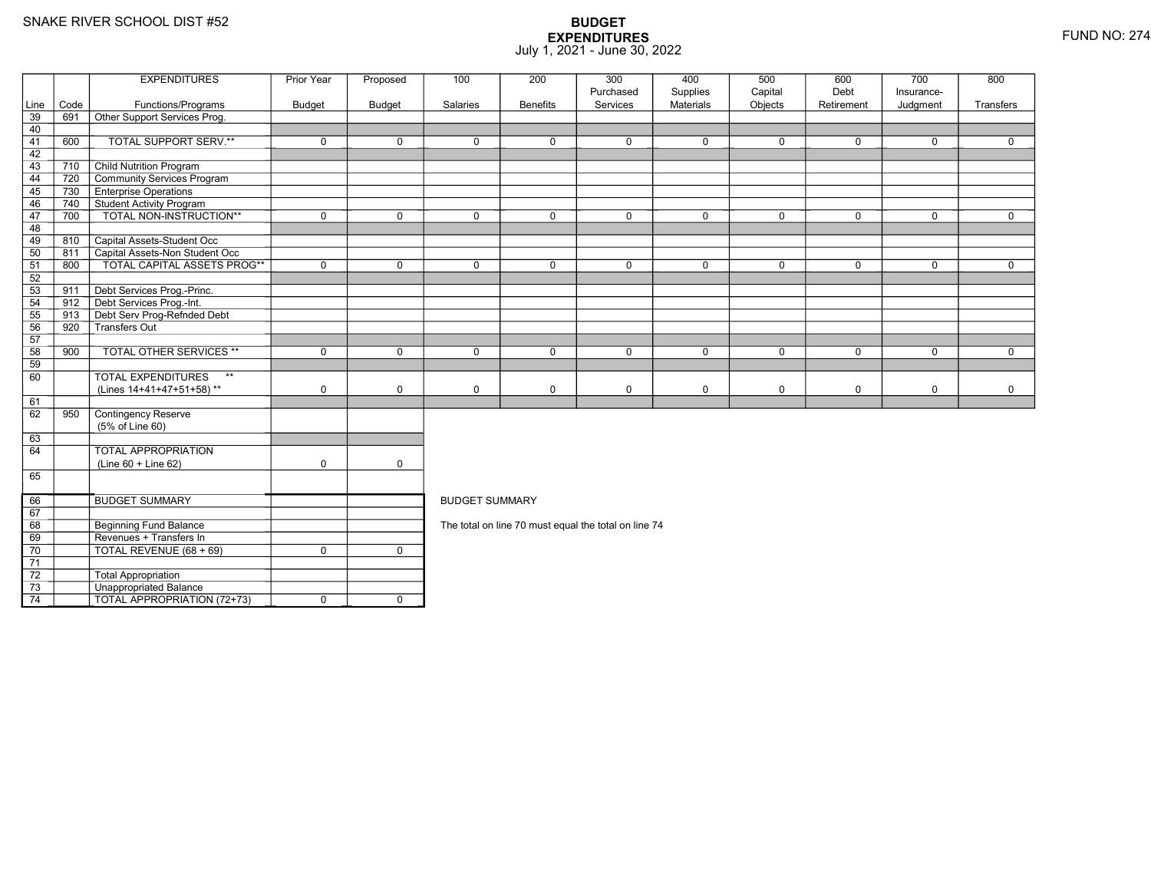74

3 **Unappropriated Balance** 

TOTAL APPROPRIATION (72+73) <sup>0</sup> <sup>0</sup>

|                 |      | <b>EXPENDITURES</b>                       | Prior Year    | Proposed      | 100                   | 200             | 300<br>Purchased                                     | 400<br>Supplies | 500<br>Capital | 600<br>Debt | 700<br>Insurance- | 800         |
|-----------------|------|-------------------------------------------|---------------|---------------|-----------------------|-----------------|------------------------------------------------------|-----------------|----------------|-------------|-------------------|-------------|
| Line            | Code | Functions/Programs                        | <b>Budget</b> | <b>Budget</b> | Salaries              | <b>Benefits</b> | Services                                             | Materials       | Objects        | Retirement  | Judgment          | Transfers   |
| 39              | 691  | Other Support Services Prog.              |               |               |                       |                 |                                                      |                 |                |             |                   |             |
| 40              |      |                                           |               |               |                       |                 |                                                      |                 |                |             |                   |             |
| 41              | 600  | TOTAL SUPPORT SERV.**                     | $\mathbf 0$   | $\Omega$      | $\mathbf{0}$          | $\mathbf 0$     | $\Omega$                                             | $\mathbf 0$     | $\mathbf 0$    | $\Omega$    | $\mathbf 0$       | $\Omega$    |
| 42              |      |                                           |               |               |                       |                 |                                                      |                 |                |             |                   |             |
| 43              | 710  | <b>Child Nutrition Program</b>            |               |               |                       |                 |                                                      |                 |                |             |                   |             |
| 44              | 720  | Community Services Program                |               |               |                       |                 |                                                      |                 |                |             |                   |             |
| 45              | 730  | <b>Enterprise Operations</b>              |               |               |                       |                 |                                                      |                 |                |             |                   |             |
| 46              |      | 740 Student Activity Program              |               |               |                       |                 |                                                      |                 |                |             |                   |             |
| 47              | 700  | TOTAL NON-INSTRUCTION**                   | $\mathbf 0$   | $\Omega$      | $\mathbf{0}$          | $\Omega$        | $\mathbf 0$                                          | $\mathbf 0$     | $\mathbf 0$    | $\Omega$    | $\mathbf 0$       | $\Omega$    |
| 48              |      |                                           |               |               |                       |                 |                                                      |                 |                |             |                   |             |
| 49              | 810  | Capital Assets-Student Occ                |               |               |                       |                 |                                                      |                 |                |             |                   |             |
| 50              | 811  | Capital Assets-Non Student Occ            |               |               |                       |                 |                                                      |                 |                |             |                   |             |
| 51              | 800  | TOTAL CAPITAL ASSETS PROG**               | $\mathbf 0$   | $\Omega$      | $\mathbf{0}$          | $\Omega$        | $\mathbf 0$                                          | $\mathbf 0$     | $\mathbf 0$    | $\Omega$    | $\Omega$          | $\Omega$    |
| 52              |      |                                           |               |               |                       |                 |                                                      |                 |                |             |                   |             |
| 53              | 911  | Debt Services Prog.-Princ.                |               |               |                       |                 |                                                      |                 |                |             |                   |             |
| 54              | 912  | Debt Services Prog.-Int.                  |               |               |                       |                 |                                                      |                 |                |             |                   |             |
| 55              |      | 913 Debt Serv Prog-Refnded Debt           |               |               |                       |                 |                                                      |                 |                |             |                   |             |
| 56              | 920  | Transfers Out                             |               |               |                       |                 |                                                      |                 |                |             |                   |             |
| 57              |      |                                           |               |               |                       |                 |                                                      |                 |                |             |                   |             |
| $\overline{58}$ | 900  | <b>TOTAL OTHER SERVICES **</b>            | $\mathbf 0$   | $\mathbf 0$   | $\mathbf 0$           | $\mathbf 0$     | $\mathbf 0$                                          | $\mathbf 0$     | $\mathbf 0$    | $\mathbf 0$ | $\mathbf 0$       | $\mathbf 0$ |
| 59              |      |                                           |               |               |                       |                 |                                                      |                 |                |             |                   |             |
| 60              |      | <b>TOTAL EXPENDITURES</b><br>$\star\star$ |               |               |                       |                 |                                                      |                 |                |             |                   |             |
|                 |      | (Lines 14+41+47+51+58)**                  | $\mathbf 0$   | $\Omega$      | $\Omega$              | $\mathbf 0$     | $\mathbf 0$                                          | $\mathbf 0$     | $\mathbf 0$    | $\mathbf 0$ | $\mathbf 0$       | $\mathbf 0$ |
| 61              |      |                                           |               |               |                       |                 |                                                      |                 |                |             |                   |             |
| 62              | 950  | Contingency Reserve                       |               |               |                       |                 |                                                      |                 |                |             |                   |             |
|                 |      | (5% of Line 60)                           |               |               |                       |                 |                                                      |                 |                |             |                   |             |
| 63              |      |                                           |               |               |                       |                 |                                                      |                 |                |             |                   |             |
| 64              |      | <b>TOTAL APPROPRIATION</b>                |               |               |                       |                 |                                                      |                 |                |             |                   |             |
|                 |      | $(Line 60 + Line 62)$                     | $\mathbf 0$   | $\mathbf 0$   |                       |                 |                                                      |                 |                |             |                   |             |
| 65              |      |                                           |               |               |                       |                 |                                                      |                 |                |             |                   |             |
|                 |      |                                           |               |               |                       |                 |                                                      |                 |                |             |                   |             |
| 66              |      | <b>BUDGET SUMMARY</b>                     |               |               | <b>BUDGET SUMMARY</b> |                 |                                                      |                 |                |             |                   |             |
| 67              |      |                                           |               |               |                       |                 |                                                      |                 |                |             |                   |             |
| 68              |      | Beginning Fund Balance                    |               |               |                       |                 | The total on line 70 must equal the total on line 74 |                 |                |             |                   |             |
| 69              |      | Revenues + Transfers In                   |               |               |                       |                 |                                                      |                 |                |             |                   |             |
| 70              |      | TOTAL REVENUE (68 + 69)                   | $\mathbf 0$   | $\mathbf 0$   |                       |                 |                                                      |                 |                |             |                   |             |
| $\overline{71}$ |      |                                           |               |               |                       |                 |                                                      |                 |                |             |                   |             |
| 72              |      | <b>Total Appropriation</b>                |               |               |                       |                 |                                                      |                 |                |             |                   |             |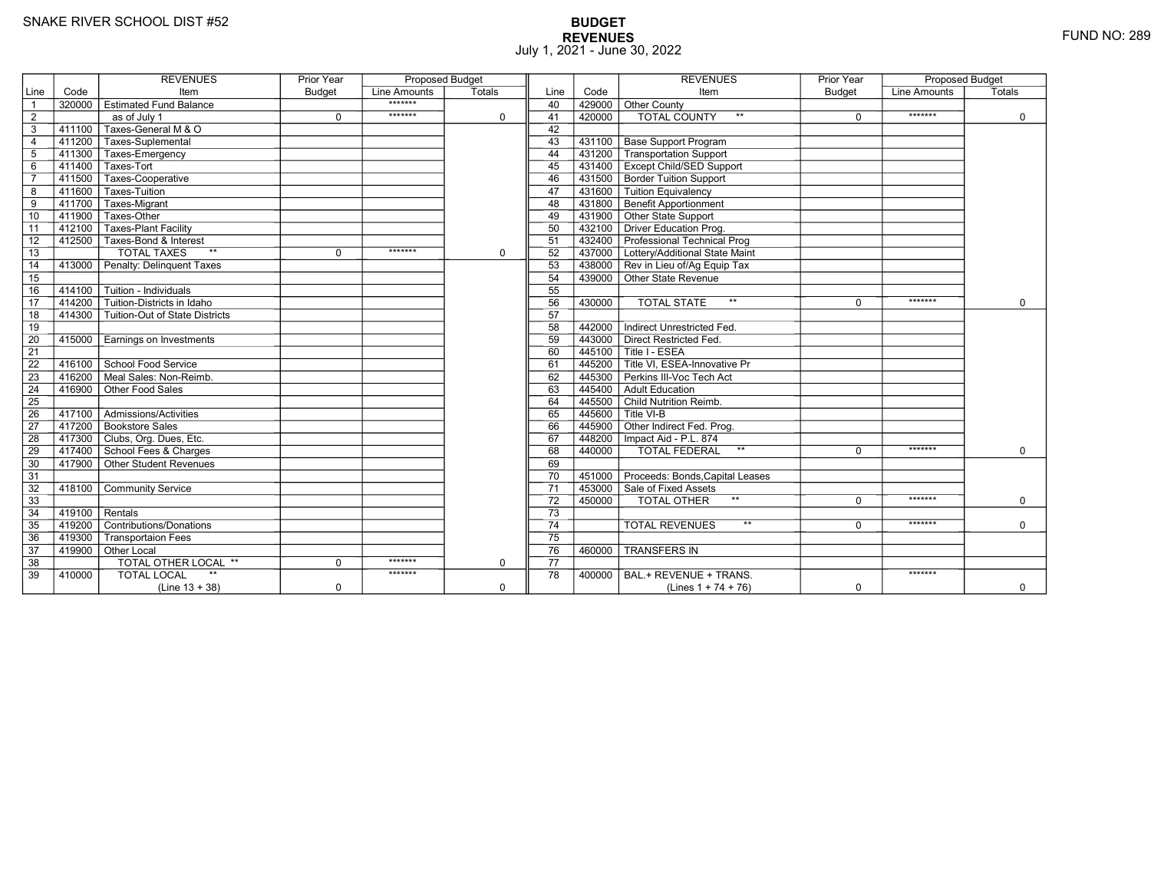# **BUDGET REVENUES** FUND NO: 289 July 1, 2021 - June 30, 2022

|                 |                         | <b>REVENUES</b>                           | <b>Prior Year</b> | <b>Proposed Budget</b> |             |                 |           | <b>REVENUES</b>                                           | <b>Prior Year</b> | <b>Proposed Budget</b> |             |
|-----------------|-------------------------|-------------------------------------------|-------------------|------------------------|-------------|-----------------|-----------|-----------------------------------------------------------|-------------------|------------------------|-------------|
| Line            | Code                    | Item                                      | <b>Budget</b>     | Line Amounts           | Totals      | Line            | Code      | Item                                                      | <b>Budget</b>     | Line Amounts           | Totals      |
| $\overline{1}$  |                         | 320000 Estimated Fund Balance             |                   | *******                |             | 40              | 429000    | <b>Other County</b>                                       |                   |                        |             |
| $\overline{2}$  |                         | as of July 1                              | $\Omega$          | *******                | $\mathbf 0$ | 41              | 420000    | <b>TOTAL COUNTY</b><br>$**$                               | $\Omega$          | *******                | $\Omega$    |
| 3               | 411100                  | Taxes-General M & O                       |                   |                        |             | 42              |           |                                                           |                   |                        |             |
| $\overline{4}$  |                         | 411200 Taxes-Suplemental                  |                   |                        |             | 43              | 431100    | <b>Base Support Program</b>                               |                   |                        |             |
| 5               |                         | 411300 Taxes-Emergency                    |                   |                        |             | 44              | 431200    | Transportation Support                                    |                   |                        |             |
| 6               |                         | 411400 Taxes-Tort                         |                   |                        |             | 45              | 431400    | <b>Except Child/SED Support</b>                           |                   |                        |             |
| $\overline{7}$  |                         | 411500 Taxes-Cooperative                  |                   |                        |             | 46              | 431500    | <b>Border Tuition Support</b>                             |                   |                        |             |
| 8               | 411600                  | Taxes-Tuition                             |                   |                        |             | 47              | 431600    | Tuition Equivalency                                       |                   |                        |             |
| 9               | $-411\overline{700}$    | Taxes-Migrant                             |                   |                        |             | 48              | 431800    | <b>Benefit Apportionment</b>                              |                   |                        |             |
| 10              | 411900                  | Taxes-Other                               |                   |                        |             | 49              | 431900    | Other State Support                                       |                   |                        |             |
| $\overline{11}$ |                         | 412100   Taxes-Plant Facility             |                   |                        |             | 50              | 432100    | Driver Education Prog.                                    |                   |                        |             |
| 12              |                         | 412500 Taxes-Bond & Interest              |                   |                        |             | 51              |           | 432400 Professional Technical Prog                        |                   |                        |             |
| 13              |                         | $**$<br><b>TOTAL TAXES</b>                | $\mathbf 0$       | *******                | $\mathbf 0$ | 52              |           | 437000 Lottery/Additional State Maint                     |                   |                        |             |
| 14              |                         | 413000 Penalty: Delinguent Taxes          |                   |                        |             | 53              |           | 438000 Rev in Lieu of/Ag Equip Tax                        |                   |                        |             |
| 15              |                         |                                           |                   |                        |             | 54              |           | 439000 Other State Revenue                                |                   |                        |             |
| 16              | 414100                  | $\overline{\Gamma}$ Tuition - Individuals |                   |                        |             | 55              |           |                                                           |                   |                        |             |
| $\overline{17}$ | 414200                  | Tuition-Districts in Idaho                |                   |                        |             | 56              | 430000    | $**$<br><b>TOTAL STATE</b>                                | $\Omega$          | *******                | $\Omega$    |
| 18              |                         | 414300 Tuition-Out of State Districts     |                   |                        |             | 57              |           |                                                           |                   |                        |             |
| 19              |                         |                                           |                   |                        |             | 58              | 442000    | Indirect Unrestricted Fed.                                |                   |                        |             |
| 20              |                         | 415000 Earnings on Investments            |                   |                        |             | 59              | 443000    | Direct Restricted Fed.                                    |                   |                        |             |
| $\overline{21}$ |                         |                                           |                   |                        |             | 60              | 445100    | Title I - ESEA                                            |                   |                        |             |
| 22              |                         | 416100 School Food Service                |                   |                        |             | 61              | 445200    | $\overline{\mathsf{\Gamma}}$ Title VI. ESEA-Innovative Pr |                   |                        |             |
| 23              | 416200                  | ∏Meal Sales: Non-Reimb.                   |                   |                        |             | 62              | 445300    | Perkins III-Voc Tech Act                                  |                   |                        |             |
| 24              | 416900                  | Other Food Sales                          |                   |                        |             | 63              | 445400    | Adult Education                                           |                   |                        |             |
| 25              |                         |                                           |                   |                        |             | 64              | 445500    | Child Nutrition Reimb.                                    |                   |                        |             |
| 26              |                         | 417100   Admissions/Activities            |                   |                        |             | 65              | 445600    | Title VI-B                                                |                   |                        |             |
| 27              |                         | 417200 Bookstore Sales                    |                   |                        |             | 66              | 445900    | Other Indirect Fed. Prog.                                 |                   |                        |             |
| 28              |                         | 417300 Clubs, Org. Dues, Etc.             |                   |                        |             | 67              |           | 448200   Impact Aid - P.L. 874                            |                   |                        |             |
| 29              |                         | 417400 School Fees & Charges              |                   |                        |             | 68              | 440000    | <b>TOTAL FEDERAL</b><br>$**$                              | $\Omega$          | *******                | $\Omega$    |
| 30              |                         | $-$ 417900 $\top$ Other Student Revenues  |                   |                        |             | 69              |           |                                                           |                   |                        |             |
| 31              |                         |                                           |                   |                        |             | 70              | 451000    | Proceeds: Bonds, Capital Leases                           |                   |                        |             |
| 32              |                         | 418100 Community Service                  |                   |                        |             | $\overline{71}$ |           | 453000 Sale of Fixed Assets                               |                   |                        |             |
| 33              |                         |                                           |                   |                        |             | 72              | $-450000$ | TOTAL OTHER                                               | $\Omega$          | *******                | $\mathbf 0$ |
| $\overline{34}$ | $\sqrt{419100}$ Rentals |                                           |                   |                        |             | $\overline{73}$ |           |                                                           |                   |                        |             |
| 35              |                         | 419200 Contributions/Donations            |                   |                        |             | $\overline{74}$ |           | $***$<br><b>TOTAL REVENUES</b>                            | $\Omega$          | *******                | $\Omega$    |
| 36              | 419300                  | <b>Transportaion Fees</b>                 |                   |                        |             | 75              |           |                                                           |                   |                        |             |
| 37              |                         | 419900 Other Local                        |                   |                        |             | 76              | 460000    | <b>TRANSFERS IN</b>                                       |                   |                        |             |
| 38              |                         | TOTAL OTHER LOCAL **                      | $\Omega$          | *******                | $\mathbf 0$ | 77              |           |                                                           |                   |                        |             |
| 39              | 410000                  | $**$<br><b>TOTAL LOCAL</b>                |                   | *******                |             | 78              | 400000    | BAL.+ REVENUE + TRANS.                                    |                   | *******                |             |
|                 |                         | $(Line 13 + 38)$                          | $\mathbf 0$       |                        | $\mathbf 0$ |                 |           | (Lines $1 + 74 + 76$ )                                    | $\mathbf 0$       |                        | $\mathbf 0$ |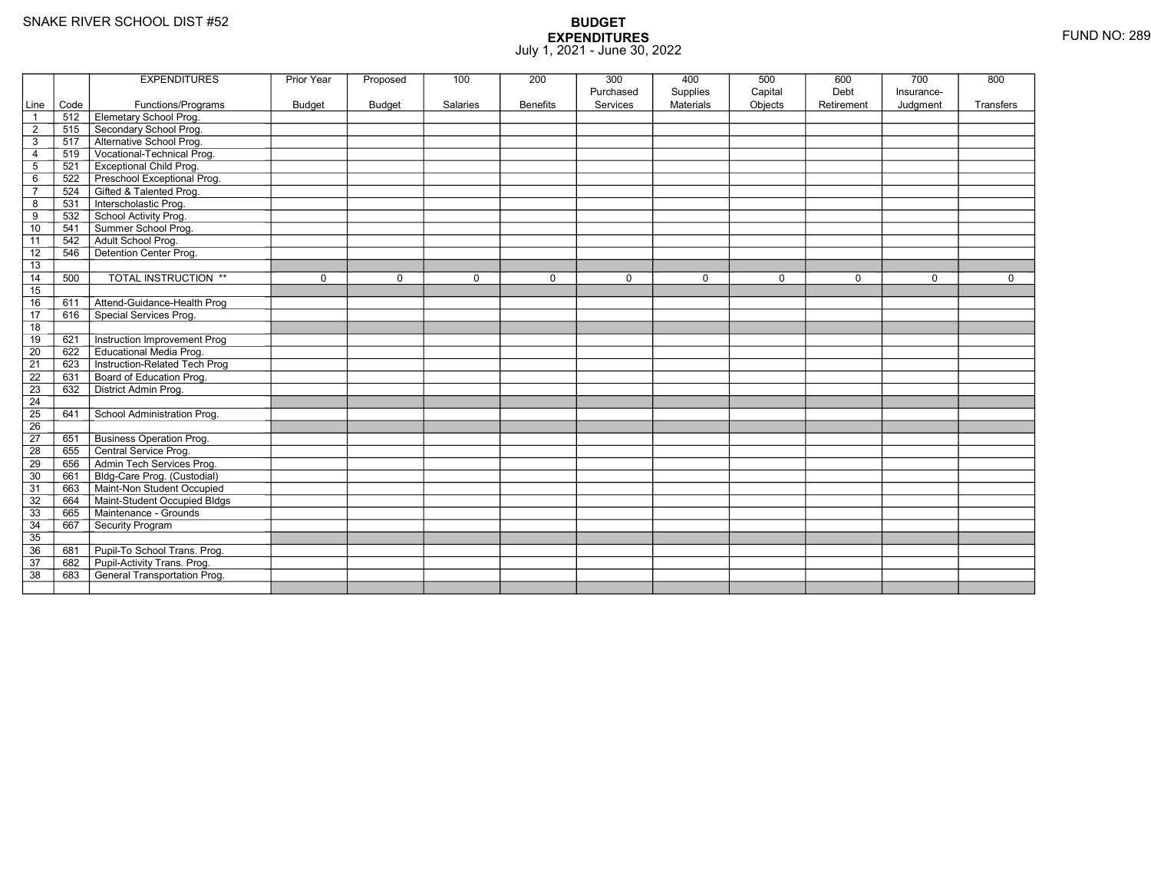|                 |      | <b>EXPENDITURES</b>             | Prior Year    | Proposed      | 100      | 200             | 300<br>Purchased | 400<br>Supplies | 500<br>Capital | 600<br>Debt | 700<br>Insurance- | 800       |
|-----------------|------|---------------------------------|---------------|---------------|----------|-----------------|------------------|-----------------|----------------|-------------|-------------------|-----------|
| Line            | Code | Functions/Programs              | <b>Budget</b> | <b>Budget</b> | Salaries | <b>Benefits</b> | Services         | Materials       | Objects        | Retirement  | Judgment          | Transfers |
| $\overline{1}$  | 512  | Elemetary School Prog.          |               |               |          |                 |                  |                 |                |             |                   |           |
| $\overline{2}$  | 515  | Secondary School Prog.          |               |               |          |                 |                  |                 |                |             |                   |           |
| $\mathsf 3$     | 517  | Alternative School Prog.        |               |               |          |                 |                  |                 |                |             |                   |           |
| $\overline{4}$  | 519  | Vocational-Technical Prog.      |               |               |          |                 |                  |                 |                |             |                   |           |
| $\overline{5}$  | 521  | <b>Exceptional Child Prog.</b>  |               |               |          |                 |                  |                 |                |             |                   |           |
| 6               | 522  | Preschool Exceptional Prog.     |               |               |          |                 |                  |                 |                |             |                   |           |
| $\overline{7}$  | 524  | Gifted & Talented Prog.         |               |               |          |                 |                  |                 |                |             |                   |           |
| 8               | 531  | Interscholastic Prog.           |               |               |          |                 |                  |                 |                |             |                   |           |
| 9               | 532  | School Activity Prog.           |               |               |          |                 |                  |                 |                |             |                   |           |
| 10              | 541  | Summer School Prog.             |               |               |          |                 |                  |                 |                |             |                   |           |
| 11              | 542  | Adult School Prog.              |               |               |          |                 |                  |                 |                |             |                   |           |
| 12              | 546  | Detention Center Prog.          |               |               |          |                 |                  |                 |                |             |                   |           |
| 13              |      |                                 |               |               |          |                 |                  |                 |                |             |                   |           |
| 14              | 500  | TOTAL INSTRUCTION **            | $\mathbf 0$   | $\Omega$      | 0        | $\mathbf 0$     | 0                | $\mathbf 0$     | $\mathbf 0$    | $\mathbf 0$ | $\mathbf 0$       | 0         |
| 15              |      |                                 |               |               |          |                 |                  |                 |                |             |                   |           |
| 16              | 611  | Attend-Guidance-Health Prog     |               |               |          |                 |                  |                 |                |             |                   |           |
| $\overline{17}$ | 616  | Special Services Prog.          |               |               |          |                 |                  |                 |                |             |                   |           |
| 18              |      |                                 |               |               |          |                 |                  |                 |                |             |                   |           |
| 19              | 621  | Instruction Improvement Prog    |               |               |          |                 |                  |                 |                |             |                   |           |
| $\overline{20}$ | 622  | <b>Educational Media Prog.</b>  |               |               |          |                 |                  |                 |                |             |                   |           |
| 21              | 623  | Instruction-Related Tech Prog   |               |               |          |                 |                  |                 |                |             |                   |           |
| $\overline{22}$ | 631  | Board of Education Prog.        |               |               |          |                 |                  |                 |                |             |                   |           |
| $\overline{23}$ | 632  | District Admin Prog.            |               |               |          |                 |                  |                 |                |             |                   |           |
| 24              |      |                                 |               |               |          |                 |                  |                 |                |             |                   |           |
| 25              | 641  | School Administration Prog.     |               |               |          |                 |                  |                 |                |             |                   |           |
| 26              |      |                                 |               |               |          |                 |                  |                 |                |             |                   |           |
| $\overline{27}$ | 651  | <b>Business Operation Prog.</b> |               |               |          |                 |                  |                 |                |             |                   |           |
| 28              | 655  | Central Service Prog.           |               |               |          |                 |                  |                 |                |             |                   |           |
| 29              | 656  | Admin Tech Services Prog.       |               |               |          |                 |                  |                 |                |             |                   |           |
| 30              | 661  | Bldg-Care Prog. (Custodial)     |               |               |          |                 |                  |                 |                |             |                   |           |
| 31              | 663  | Maint-Non Student Occupied      |               |               |          |                 |                  |                 |                |             |                   |           |
| 32              | 664  | Maint-Student Occupied Bldgs    |               |               |          |                 |                  |                 |                |             |                   |           |
| 33              | 665  | Maintenance - Grounds           |               |               |          |                 |                  |                 |                |             |                   |           |
| 34              | 667  | Security Program                |               |               |          |                 |                  |                 |                |             |                   |           |
| 35              |      |                                 |               |               |          |                 |                  |                 |                |             |                   |           |
| 36              | 681  | Pupil-To School Trans. Prog.    |               |               |          |                 |                  |                 |                |             |                   |           |
| 37              | 682  | Pupil-Activity Trans. Prog.     |               |               |          |                 |                  |                 |                |             |                   |           |
| 38              | 683  | General Transportation Prog.    |               |               |          |                 |                  |                 |                |             |                   |           |
|                 |      |                                 |               |               |          |                 |                  |                 |                |             |                   |           |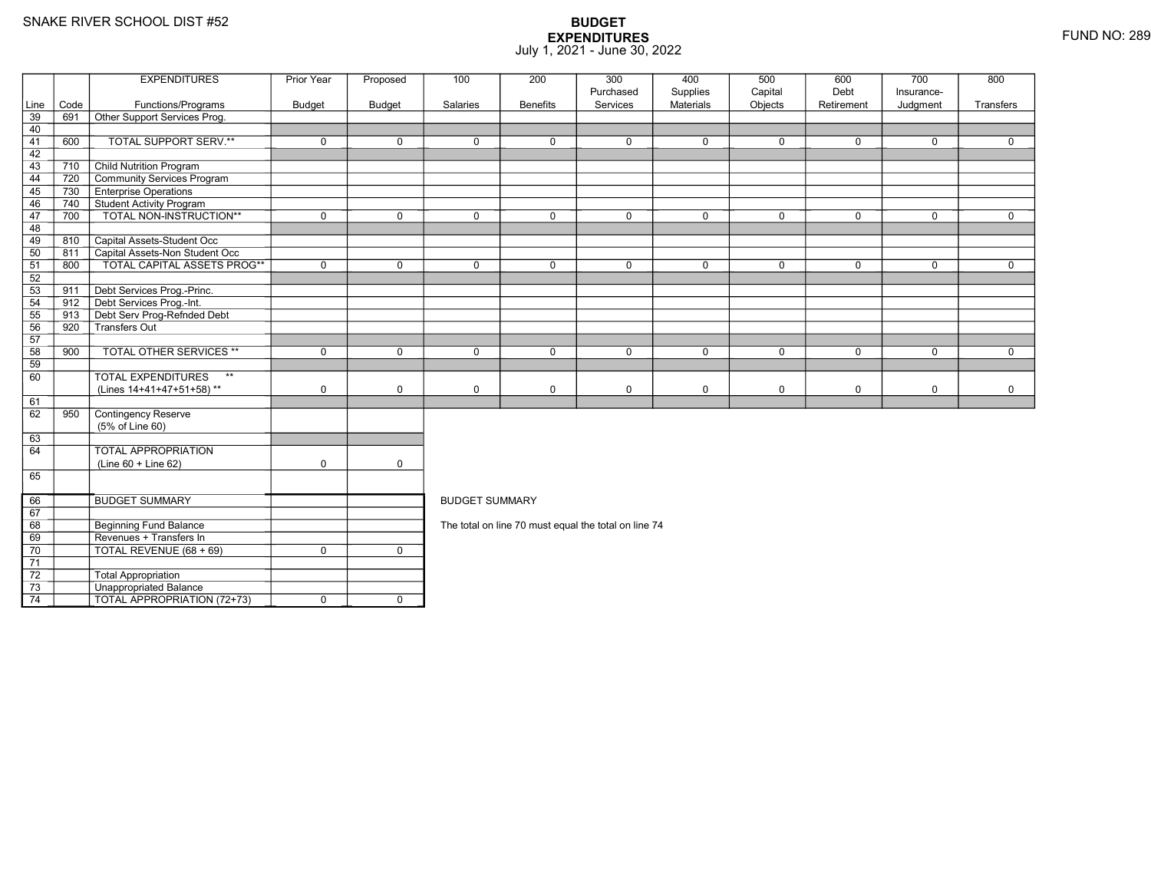74

3 **Unappropriated Balance** 

TOTAL APPROPRIATION (72+73) <sup>0</sup> <sup>0</sup>

|                 |      | <b>EXPENDITURES</b>                       | Prior Year    | Proposed      | 100                   | 200             | 300<br>Purchased                                     | 400<br>Supplies | 500<br>Capital | 600<br>Debt | 700<br>Insurance- | 800         |
|-----------------|------|-------------------------------------------|---------------|---------------|-----------------------|-----------------|------------------------------------------------------|-----------------|----------------|-------------|-------------------|-------------|
| Line            | Code | Functions/Programs                        | <b>Budget</b> | <b>Budget</b> | Salaries              | <b>Benefits</b> | Services                                             | Materials       | Objects        | Retirement  | Judgment          | Transfers   |
| 39              | 691  | Other Support Services Prog.              |               |               |                       |                 |                                                      |                 |                |             |                   |             |
| 40              |      |                                           |               |               |                       |                 |                                                      |                 |                |             |                   |             |
| 41              | 600  | TOTAL SUPPORT SERV.**                     | $\mathbf 0$   | $\Omega$      | $\mathbf{0}$          | $\mathbf 0$     | $\Omega$                                             | $\mathbf 0$     | $\mathbf 0$    | $\Omega$    | $\mathbf 0$       | $\Omega$    |
| 42              |      |                                           |               |               |                       |                 |                                                      |                 |                |             |                   |             |
| 43              | 710  | <b>Child Nutrition Program</b>            |               |               |                       |                 |                                                      |                 |                |             |                   |             |
| 44              | 720  | Community Services Program                |               |               |                       |                 |                                                      |                 |                |             |                   |             |
| 45              | 730  | <b>Enterprise Operations</b>              |               |               |                       |                 |                                                      |                 |                |             |                   |             |
| 46              |      | 740 Student Activity Program              |               |               |                       |                 |                                                      |                 |                |             |                   |             |
| 47              | 700  | TOTAL NON-INSTRUCTION**                   | $\mathbf 0$   | $\Omega$      | $\mathbf{0}$          | $\Omega$        | $\mathbf 0$                                          | $\mathbf 0$     | $\mathbf 0$    | $\Omega$    | $\mathbf 0$       | $\Omega$    |
| 48              |      |                                           |               |               |                       |                 |                                                      |                 |                |             |                   |             |
| 49              | 810  | Capital Assets-Student Occ                |               |               |                       |                 |                                                      |                 |                |             |                   |             |
| 50              | 811  | Capital Assets-Non Student Occ            |               |               |                       |                 |                                                      |                 |                |             |                   |             |
| 51              | 800  | TOTAL CAPITAL ASSETS PROG**               | $\mathbf 0$   | $\Omega$      | $\mathbf{0}$          | $\Omega$        | $\mathbf 0$                                          | $\mathbf 0$     | $\mathbf 0$    | $\Omega$    | $\Omega$          | $\Omega$    |
| 52              |      |                                           |               |               |                       |                 |                                                      |                 |                |             |                   |             |
| 53              | 911  | Debt Services Prog.-Princ.                |               |               |                       |                 |                                                      |                 |                |             |                   |             |
| 54              | 912  | Debt Services Prog.-Int.                  |               |               |                       |                 |                                                      |                 |                |             |                   |             |
| 55              |      | 913 Debt Serv Prog-Refnded Debt           |               |               |                       |                 |                                                      |                 |                |             |                   |             |
| 56              | 920  | Transfers Out                             |               |               |                       |                 |                                                      |                 |                |             |                   |             |
| 57              |      |                                           |               |               |                       |                 |                                                      |                 |                |             |                   |             |
| $\overline{58}$ | 900  | <b>TOTAL OTHER SERVICES **</b>            | $\mathbf 0$   | $\mathbf 0$   | $\mathbf 0$           | $\mathbf 0$     | $\mathbf 0$                                          | $\mathbf 0$     | $\mathbf 0$    | $\mathbf 0$ | $\mathbf 0$       | $\mathbf 0$ |
| 59              |      |                                           |               |               |                       |                 |                                                      |                 |                |             |                   |             |
| 60              |      | <b>TOTAL EXPENDITURES</b><br>$\star\star$ |               |               |                       |                 |                                                      |                 |                |             |                   |             |
|                 |      | (Lines 14+41+47+51+58)**                  | $\mathbf 0$   | $\Omega$      | $\Omega$              | $\mathbf 0$     | $\mathbf 0$                                          | $\mathbf 0$     | $\mathbf 0$    | $\mathbf 0$ | $\mathbf 0$       | $\mathbf 0$ |
| 61              |      |                                           |               |               |                       |                 |                                                      |                 |                |             |                   |             |
| 62              | 950  | Contingency Reserve                       |               |               |                       |                 |                                                      |                 |                |             |                   |             |
|                 |      | (5% of Line 60)                           |               |               |                       |                 |                                                      |                 |                |             |                   |             |
| 63              |      |                                           |               |               |                       |                 |                                                      |                 |                |             |                   |             |
| 64              |      | <b>TOTAL APPROPRIATION</b>                |               |               |                       |                 |                                                      |                 |                |             |                   |             |
|                 |      | $(Line 60 + Line 62)$                     | $\mathbf 0$   | $\mathbf 0$   |                       |                 |                                                      |                 |                |             |                   |             |
| 65              |      |                                           |               |               |                       |                 |                                                      |                 |                |             |                   |             |
|                 |      |                                           |               |               |                       |                 |                                                      |                 |                |             |                   |             |
| 66              |      | <b>BUDGET SUMMARY</b>                     |               |               | <b>BUDGET SUMMARY</b> |                 |                                                      |                 |                |             |                   |             |
| 67              |      |                                           |               |               |                       |                 |                                                      |                 |                |             |                   |             |
| 68              |      | Beginning Fund Balance                    |               |               |                       |                 | The total on line 70 must equal the total on line 74 |                 |                |             |                   |             |
| 69              |      | Revenues + Transfers In                   |               |               |                       |                 |                                                      |                 |                |             |                   |             |
| 70              |      | TOTAL REVENUE (68 + 69)                   | $\mathbf 0$   | $\mathbf 0$   |                       |                 |                                                      |                 |                |             |                   |             |
| $\overline{71}$ |      |                                           |               |               |                       |                 |                                                      |                 |                |             |                   |             |
| 72              |      | <b>Total Appropriation</b>                |               |               |                       |                 |                                                      |                 |                |             |                   |             |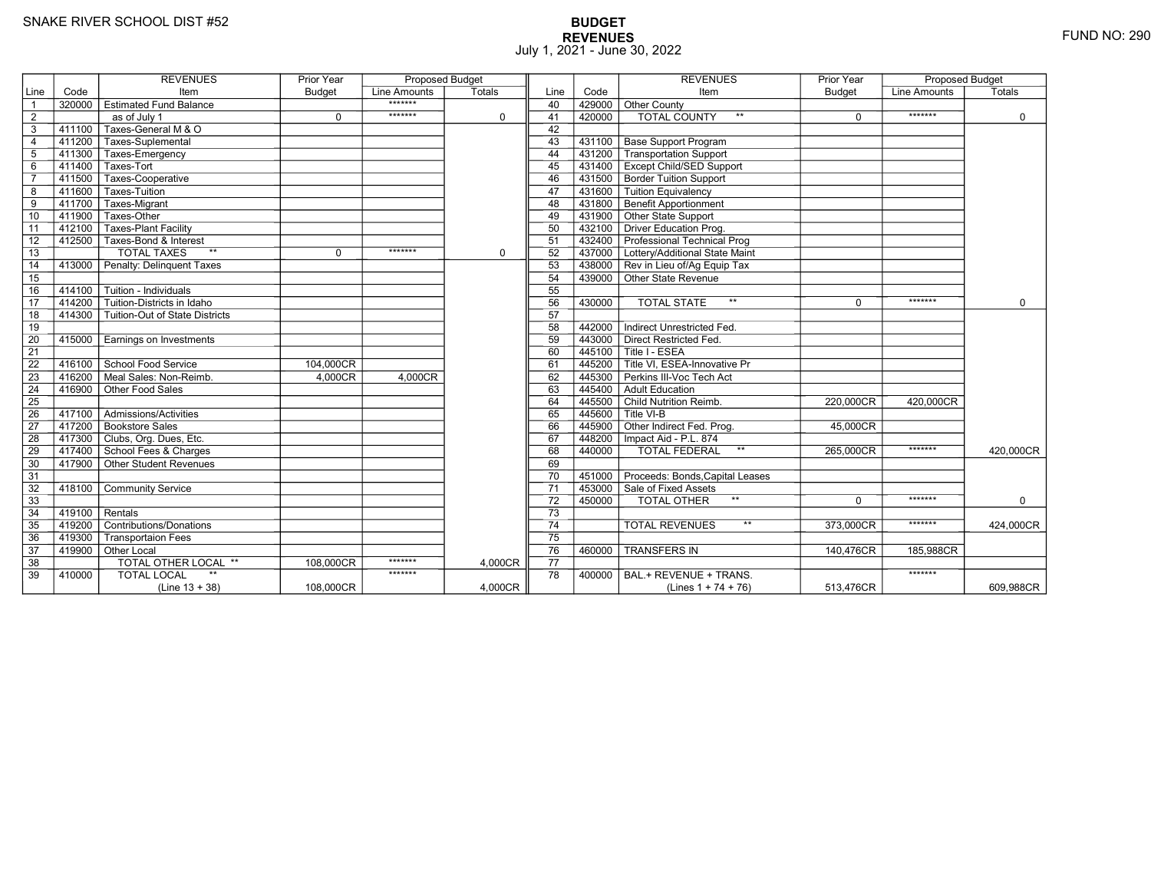# **BUDGET REVENUES** FUND NO: 290 July 1, 2021 - June 30, 2022

|                 |        | <b>REVENUES</b>                           | <b>Prior Year</b> | <b>Proposed Budget</b> |             |                 |        | <b>REVENUES</b>                        | <b>Prior Year</b> | <b>Proposed Budget</b> |             |
|-----------------|--------|-------------------------------------------|-------------------|------------------------|-------------|-----------------|--------|----------------------------------------|-------------------|------------------------|-------------|
| Line            | Code   | Item                                      | <b>Budget</b>     | Line Amounts           | Totals      | Line            | Code   | Item                                   | <b>Budget</b>     | Line Amounts           | Totals      |
| $\overline{1}$  | 320000 | <b>Estimated Fund Balance</b>             |                   | *******                |             | 40              | 429000 | Other County                           |                   |                        |             |
| $\overline{2}$  |        | as of July 1                              | $\mathbf 0$       | *******                | $\mathbf 0$ | 41              | 420000 | <b>TOTAL COUNTY</b><br>$***$           | 0                 | *******                | 0           |
| $\overline{3}$  | 411100 | Taxes-General M & O                       |                   |                        |             | 42              |        |                                        |                   |                        |             |
| $\overline{4}$  |        | 411200 Taxes-Suplemental                  |                   |                        |             | 43              |        | 431100   Base Support Program          |                   |                        |             |
| $5\phantom{.0}$ | 411300 | Taxes-Emergency                           |                   |                        |             | 44              |        | 431200 Transportation Support          |                   |                        |             |
| 6               |        | 411400 Taxes-Tort                         |                   |                        |             | 45              |        | 431400   Except Child/SED Support      |                   |                        |             |
| $\overline{7}$  | 411500 | Taxes-Cooperative                         |                   |                        |             | 46              |        | 431500 Border Tuition Support          |                   |                        |             |
| 8               | 411600 | Taxes-Tuition                             |                   |                        |             | 47              |        | 431600 Tuition Equivalency             |                   |                        |             |
| $\overline{9}$  | 411700 | Taxes-Migrant                             |                   |                        |             | 48              |        | 431800 Benefit Apportionment           |                   |                        |             |
| 10              | 411900 | Taxes-Other                               |                   |                        |             | 49              |        | 431900 Other State Support             |                   |                        |             |
| 11              | 412100 | <b>Taxes-Plant Facility</b>               |                   |                        |             | 50              | 432100 | Driver Education Prog.                 |                   |                        |             |
| 12              |        | 412500 Taxes-Bond & Interest              |                   |                        |             | 51              |        | 432400 Professional Technical Prog     |                   |                        |             |
| $\overline{13}$ |        | <b>TOTAL TAXES</b><br>$**$                | $\Omega$          | *******                | $\mathbf 0$ | 52              |        | 437000 Lottery/Additional State Maint  |                   |                        |             |
| 14              |        | 413000 Penalty: Delinguent Taxes          |                   |                        |             | 53              |        | 438000 Rev in Lieu of/Ag Equip Tax     |                   |                        |             |
| 15              |        |                                           |                   |                        |             | 54              |        | 439000 Other State Revenue             |                   |                        |             |
| 16              |        | $414100$ Tuition - Individuals            |                   |                        |             | 55              |        |                                        |                   |                        |             |
| $\overline{17}$ | 414200 | Tuition-Districts in Idaho                |                   |                        |             | 56              | 430000 | $**$<br><b>TOTAL STATE</b>             | $\Omega$          | *******                | $\mathbf 0$ |
| 18              |        | 414300 Tuition-Out of State Districts     |                   |                        |             | 57              |        |                                        |                   |                        |             |
| 19              |        |                                           |                   |                        |             | 58              | 442000 | Indirect Unrestricted Fed.             |                   |                        |             |
| 20              | 415000 | Earnings on Investments                   |                   |                        |             | 59              | 443000 | Direct Restricted Fed.                 |                   |                        |             |
| $\overline{21}$ |        |                                           |                   |                        |             | 60              |        | 445100 Title I - ESEA                  |                   |                        |             |
| 22              | 416100 | School Food Service                       | 104,000CR         |                        |             | 61              |        | 445200 Title VI. ESEA-Innovative Pr    |                   |                        |             |
| 23              |        | 416200 Meal Sales: Non-Reimb.             | 4.000CR           | 4,000CR                |             | 62              |        | 445300 Perkins III-Voc Tech Act        |                   |                        |             |
| 24              | 416900 | Other Food Sales                          |                   |                        |             | 63              | 445400 | Adult Education                        |                   |                        |             |
| 25              |        |                                           |                   |                        |             | 64              |        | 445500 Child Nutrition Reimb.          | 220,000CR         | 420,000CR              |             |
| 26              | 417100 | $\overline{\Gamma}$ Admissions/Activities |                   |                        |             | 65              |        | $445600$ Title VI-B                    |                   |                        |             |
| $\overline{27}$ |        | 417200 Bookstore Sales                    |                   |                        |             | 66              |        | 445900 Other Indirect Fed. Prog.       | 45,000CR          |                        |             |
| 28              |        | 417300 Clubs, Org. Dues, Etc.             |                   |                        |             | 67              | 448200 | Impact Aid - P.L. 874                  |                   |                        |             |
| 29              |        | 417400 School Fees & Charges              |                   |                        |             | 68              | 440000 | TOTAL FEDERAL<br>$\star\star$          | 265,000CR         | *******                | 420,000CR   |
| 30              |        | 417900 Other Student Revenues             |                   |                        |             | 69              |        |                                        |                   |                        |             |
| 31              |        |                                           |                   |                        |             | 70              |        | 451000 Proceeds: Bonds, Capital Leases |                   |                        |             |
| 32              | 418100 | Community Service                         |                   |                        |             | $\overline{71}$ |        | 453000 Sale of Fixed Assets            |                   |                        |             |
| 33              |        |                                           |                   |                        |             | 72              | 450000 | TOTAL OTHER                            | $\Omega$          | *******                | $\mathbf 0$ |
| 34              | 419100 | Rentals                                   |                   |                        |             | 73              |        |                                        |                   |                        |             |
| 35              |        | 419200 Contributions/Donations            |                   |                        |             | 74              |        | $\star\star$<br><b>TOTAL REVENUES</b>  | 373,000CR         | *******                | 424.000CR   |
| 36              | 419300 | <b>Transportaion Fees</b>                 |                   |                        |             | 75              |        |                                        |                   |                        |             |
| 37              |        | 419900 Other Local                        |                   |                        |             | 76              | 460000 | <b>TRANSFERS IN</b>                    | 140,476CR         | 185,988CR              |             |
| 38              |        | <b>TOTAL OTHER LOCAL **</b>               | 108,000CR         | *******                | 4.000CR     | 77              |        |                                        |                   |                        |             |
| 39              | 410000 | <b>TOTAL LOCAL</b>                        |                   | *******                |             | 78              | 400000 | BAL.+ REVENUE + TRANS.                 |                   | *******                |             |
|                 |        | $(Line 13 + 38)$                          | 108,000CR         |                        | 4.000CR     |                 |        | (Lines $1 + 74 + 76$ )                 | 513,476CR         |                        | 609,988CR   |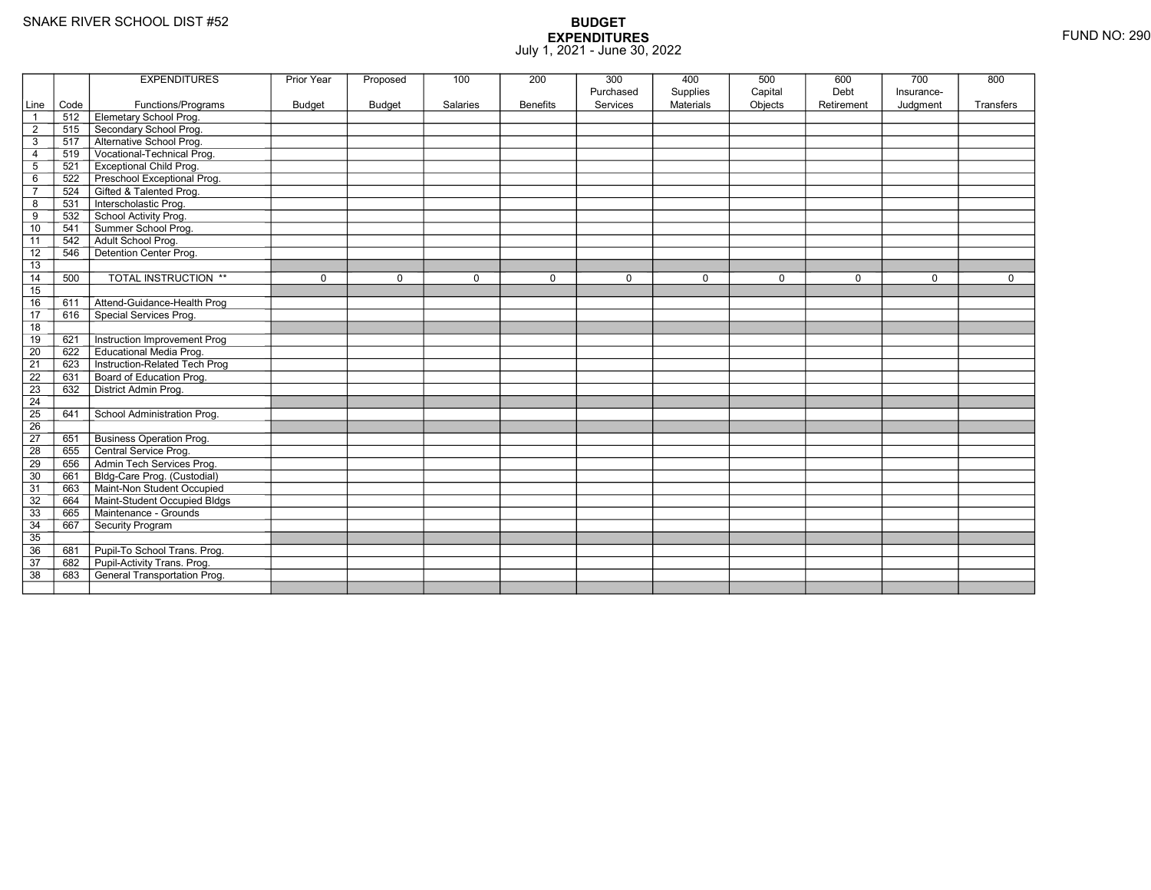|                         |      | <b>EXPENDITURES</b>             | Prior Year    | Proposed      | 100      | 200             | 300                   | 400                          | 500                | 600                | 700                    | 800       |
|-------------------------|------|---------------------------------|---------------|---------------|----------|-----------------|-----------------------|------------------------------|--------------------|--------------------|------------------------|-----------|
| Line                    | Code | Functions/Programs              | <b>Budget</b> | <b>Budget</b> | Salaries | <b>Benefits</b> | Purchased<br>Services | Supplies<br><b>Materials</b> | Capital<br>Objects | Debt<br>Retirement | Insurance-<br>Judgment | Transfers |
| $\overline{1}$          | 512  | Elemetary School Prog.          |               |               |          |                 |                       |                              |                    |                    |                        |           |
| $\overline{\mathbf{c}}$ | 515  | Secondary School Prog.          |               |               |          |                 |                       |                              |                    |                    |                        |           |
| $\mathsf 3$             | 517  | Alternative School Prog.        |               |               |          |                 |                       |                              |                    |                    |                        |           |
| 4                       | 519  | Vocational-Technical Prog.      |               |               |          |                 |                       |                              |                    |                    |                        |           |
| $\mathbf 5$             | 521  | <b>Exceptional Child Prog.</b>  |               |               |          |                 |                       |                              |                    |                    |                        |           |
| 6                       | 522  | Preschool Exceptional Prog.     |               |               |          |                 |                       |                              |                    |                    |                        |           |
| $\overline{7}$          | 524  | Gifted & Talented Prog.         |               |               |          |                 |                       |                              |                    |                    |                        |           |
| 8                       | 531  | Interscholastic Prog.           |               |               |          |                 |                       |                              |                    |                    |                        |           |
| 9                       | 532  | School Activity Prog.           |               |               |          |                 |                       |                              |                    |                    |                        |           |
| 10                      | 541  | Summer School Prog.             |               |               |          |                 |                       |                              |                    |                    |                        |           |
| 11                      | 542  | Adult School Prog.              |               |               |          |                 |                       |                              |                    |                    |                        |           |
| $\overline{12}$         | 546  | Detention Center Prog.          |               |               |          |                 |                       |                              |                    |                    |                        |           |
| 13                      |      |                                 |               |               |          |                 |                       |                              |                    |                    |                        |           |
| 14                      | 500  | <b>TOTAL INSTRUCTION **</b>     | $\mathbf 0$   | $\Omega$      | $\Omega$ | $\mathbf 0$     | 0                     | $\mathbf 0$                  | $\pmb{0}$          | $\mathbf 0$        | $\Omega$               | 0         |
| 15                      |      |                                 |               |               |          |                 |                       |                              |                    |                    |                        |           |
| 16                      | 611  | Attend-Guidance-Health Prog     |               |               |          |                 |                       |                              |                    |                    |                        |           |
| $\overline{17}$         | 616  | Special Services Prog.          |               |               |          |                 |                       |                              |                    |                    |                        |           |
| 18                      |      |                                 |               |               |          |                 |                       |                              |                    |                    |                        |           |
| 19                      | 621  | Instruction Improvement Prog    |               |               |          |                 |                       |                              |                    |                    |                        |           |
| $\overline{20}$         | 622  | <b>Educational Media Prog.</b>  |               |               |          |                 |                       |                              |                    |                    |                        |           |
| 21                      | 623  | Instruction-Related Tech Prog   |               |               |          |                 |                       |                              |                    |                    |                        |           |
| $\overline{22}$         | 631  | Board of Education Prog.        |               |               |          |                 |                       |                              |                    |                    |                        |           |
| 23                      | 632  | District Admin Prog.            |               |               |          |                 |                       |                              |                    |                    |                        |           |
| 24                      |      |                                 |               |               |          |                 |                       |                              |                    |                    |                        |           |
| $\overline{25}$         | 641  | School Administration Prog.     |               |               |          |                 |                       |                              |                    |                    |                        |           |
| 26                      |      |                                 |               |               |          |                 |                       |                              |                    |                    |                        |           |
| $\overline{27}$         | 651  | <b>Business Operation Prog.</b> |               |               |          |                 |                       |                              |                    |                    |                        |           |
| 28                      | 655  | Central Service Prog.           |               |               |          |                 |                       |                              |                    |                    |                        |           |
| 29                      | 656  | Admin Tech Services Prog.       |               |               |          |                 |                       |                              |                    |                    |                        |           |
| 30                      | 661  | Bldg-Care Prog. (Custodial)     |               |               |          |                 |                       |                              |                    |                    |                        |           |
| 31                      | 663  | Maint-Non Student Occupied      |               |               |          |                 |                       |                              |                    |                    |                        |           |
| 32                      | 664  | Maint-Student Occupied Bldgs    |               |               |          |                 |                       |                              |                    |                    |                        |           |
| 33                      | 665  | Maintenance - Grounds           |               |               |          |                 |                       |                              |                    |                    |                        |           |
| 34                      | 667  | Security Program                |               |               |          |                 |                       |                              |                    |                    |                        |           |
| $\overline{35}$         |      |                                 |               |               |          |                 |                       |                              |                    |                    |                        |           |
| 36                      | 681  | Pupil-To School Trans. Prog.    |               |               |          |                 |                       |                              |                    |                    |                        |           |
| 37                      | 682  | Pupil-Activity Trans. Prog.     |               |               |          |                 |                       |                              |                    |                    |                        |           |
| $\overline{38}$         | 683  | General Transportation Prog.    |               |               |          |                 |                       |                              |                    |                    |                        |           |
|                         |      |                                 |               |               |          |                 |                       |                              |                    |                    |                        |           |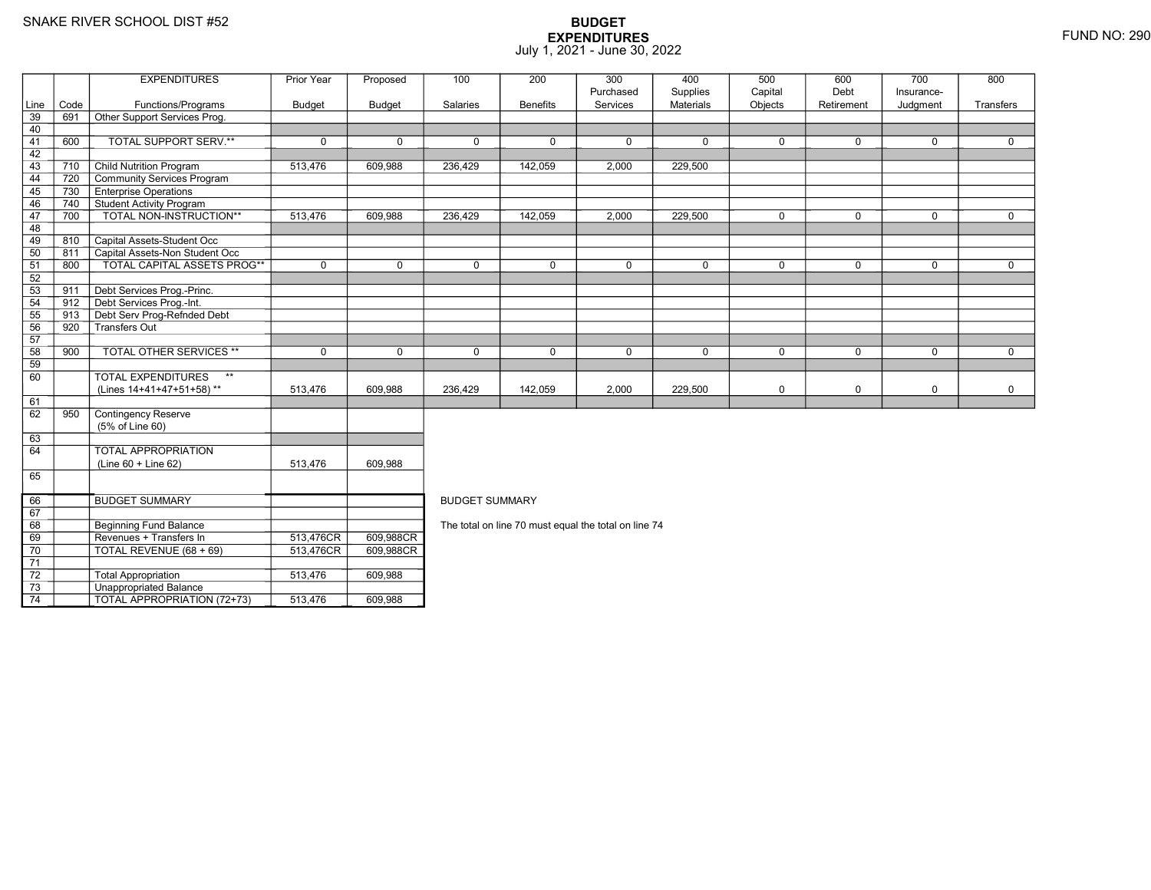69

70

71 72

73

74

**Beginning Fund Balance** 

Unappropriated Balance

Revenues + Transfers In 513,476CR

TOTAL REVENUE (68 + 69) 513,476CR

 $\sqrt{ }$  Total Appropriation  $\sqrt{ }$  513,476 609,988

TOTAL APPROPRIATION (72+73) 513,476 609,988

### **BUDGET EXPENDITURES**July 1, 2021 - June 30, 2022

|      |      | <b>EXPENDITURES</b>                       | Prior Year  | Proposed | 100                   | 200             | 300         | 400              | 500         | 600         | 700          | 800         |  |  |  |
|------|------|-------------------------------------------|-------------|----------|-----------------------|-----------------|-------------|------------------|-------------|-------------|--------------|-------------|--|--|--|
|      |      |                                           |             |          |                       |                 | Purchased   | Supplies         | Capital     | Debt        | Insurance-   |             |  |  |  |
| Line | Code | Functions/Programs                        | Budget      | Budget   | <b>Salaries</b>       | <b>Benefits</b> | Services    | <b>Materials</b> | Objects     | Retirement  | Judgment     | Transfers   |  |  |  |
| 39   | 691  | Other Support Services Prog.              |             |          |                       |                 |             |                  |             |             |              |             |  |  |  |
| 40   |      |                                           |             |          |                       |                 |             |                  |             |             |              |             |  |  |  |
| 41   | 600  | TOTAL SUPPORT SERV.**                     | $\mathbf 0$ | $\Omega$ | $\Omega$              | 0               | $\Omega$    | $\mathbf 0$      | $\mathbf 0$ | $\mathbf 0$ | $\mathbf 0$  | $\Omega$    |  |  |  |
| 42   |      |                                           |             |          |                       |                 |             |                  |             |             |              |             |  |  |  |
| 43   | 710  | <b>Child Nutrition Program</b>            | 513,476     | 609,988  | 236,429               | 142,059         | 2,000       | 229,500          |             |             |              |             |  |  |  |
| 44   | 720  | Community Services Program                |             |          |                       |                 |             |                  |             |             |              |             |  |  |  |
| 45   | 730  | <b>Enterprise Operations</b>              |             |          |                       |                 |             |                  |             |             |              |             |  |  |  |
| 46   | 740  | Student Activity Program                  |             |          |                       |                 |             |                  |             |             |              |             |  |  |  |
| 47   | 700  | TOTAL NON-INSTRUCTION**                   | 513,476     | 609,988  | 236,429               | 142,059         | 2,000       | 229,500          | $\mathbf 0$ | $\Omega$    | $\Omega$     | $\Omega$    |  |  |  |
| 48   |      |                                           |             |          |                       |                 |             |                  |             |             |              |             |  |  |  |
| 49   | 810  | Capital Assets-Student Occ                |             |          |                       |                 |             |                  |             |             |              |             |  |  |  |
| 50   | 811  | Capital Assets-Non Student Occ            |             |          |                       |                 |             |                  |             |             |              |             |  |  |  |
| 51   | 800  | <b>TOTAL CAPITAL ASSETS PROG**</b>        | $\mathbf 0$ | $\Omega$ | $\mathbf 0$           | 0               | $\mathbf 0$ | 0                | $\mathbf 0$ | $\mathbf 0$ | $\mathbf 0$  | $\mathbf 0$ |  |  |  |
| 52   |      |                                           |             |          |                       |                 |             |                  |             |             |              |             |  |  |  |
| 53   | 911  | Debt Services Prog.-Princ.                |             |          |                       |                 |             |                  |             |             |              |             |  |  |  |
| 54   | 912  | Debt Services Prog.-Int.                  |             |          |                       |                 |             |                  |             |             |              |             |  |  |  |
| 55   | 913  | Debt Serv Prog-Refnded Debt               |             |          |                       |                 |             |                  |             |             |              |             |  |  |  |
| 56   | 920  | Transfers Out                             |             |          |                       |                 |             |                  |             |             |              |             |  |  |  |
| 57   |      |                                           |             |          |                       |                 |             |                  |             |             |              |             |  |  |  |
| 58   | 900  | <b>TOTAL OTHER SERVICES **</b>            | $\Omega$    | $\Omega$ | $\Omega$              | $\Omega$        | $\Omega$    | $\mathbf 0$      | $\Omega$    | $\Omega$    | $\mathbf{0}$ | $\Omega$    |  |  |  |
| 59   |      |                                           |             |          |                       |                 |             |                  |             |             |              |             |  |  |  |
| 60   |      | $\star\star$<br><b>TOTAL EXPENDITURES</b> |             |          |                       |                 |             |                  |             |             |              |             |  |  |  |
|      |      | (Lines 14+41+47+51+58)**                  | 513,476     | 609,988  | 236,429               | 142,059         | 2,000       | 229,500          | 0           | 0           | $\mathbf 0$  | 0           |  |  |  |
| 61   |      |                                           |             |          |                       |                 |             |                  |             |             |              |             |  |  |  |
| 62   | 950  | Contingency Reserve                       |             |          |                       |                 |             |                  |             |             |              |             |  |  |  |
|      |      | (5% of Line 60)                           |             |          |                       |                 |             |                  |             |             |              |             |  |  |  |
| 63   |      |                                           |             |          |                       |                 |             |                  |             |             |              |             |  |  |  |
| 64   |      | <b>TOTAL APPROPRIATION</b>                |             |          |                       |                 |             |                  |             |             |              |             |  |  |  |
|      |      | $(Line 60 + Line 62)$                     | 513,476     | 609,988  |                       |                 |             |                  |             |             |              |             |  |  |  |
| 65   |      |                                           |             |          |                       |                 |             |                  |             |             |              |             |  |  |  |
|      |      |                                           |             |          |                       |                 |             |                  |             |             |              |             |  |  |  |
| 66   |      | <b>BUDGET SUMMARY</b>                     |             |          | <b>BUDGET SUMMARY</b> |                 |             |                  |             |             |              |             |  |  |  |

R\_I 609,988CR<br>R<sup>-I</sup> 200,093CR

R 609,988CR

The total on line 70 must equal the total on line 74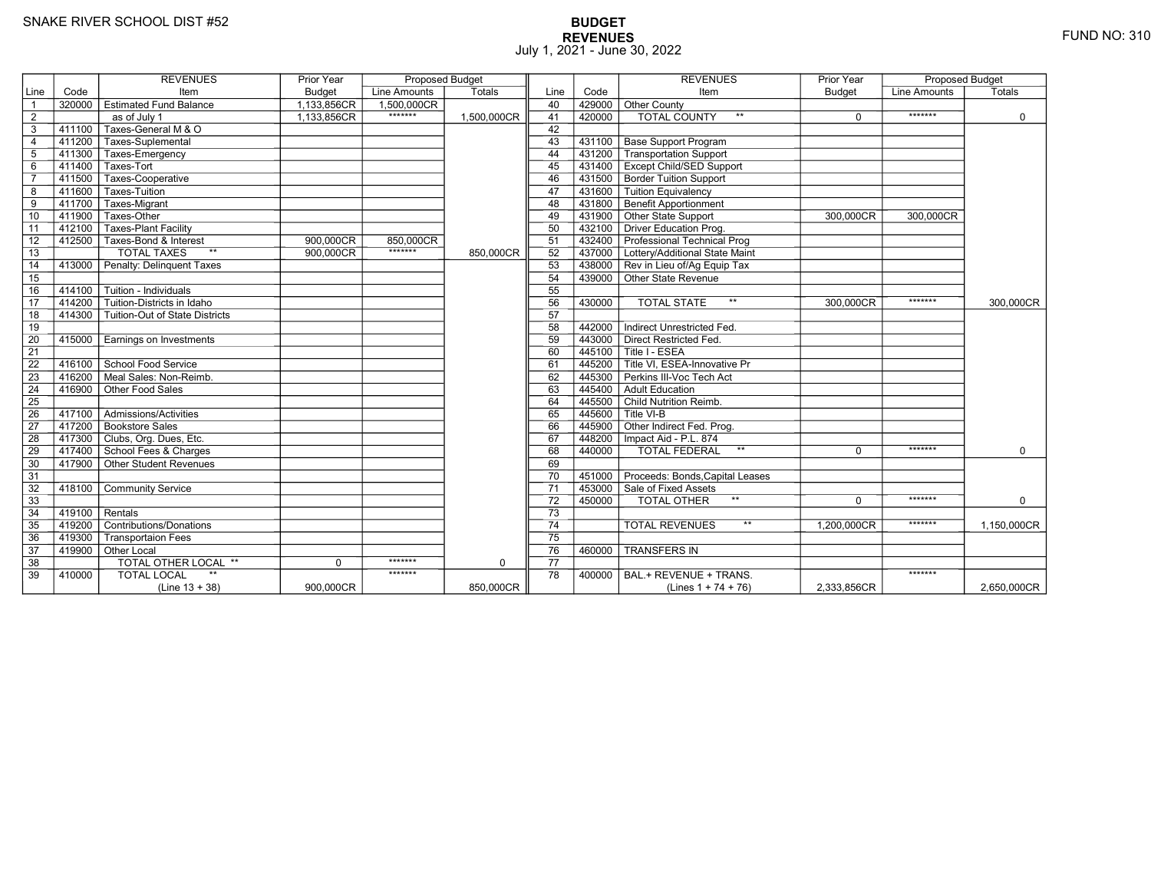# **BUDGET REVENUES** FUND NO: 310 July 1, 2021 - June 30, 2022

|                 |           | <b>REVENUES</b>                       | Prior Year    | <b>Proposed Budget</b> |             |                 |        | <b>REVENUES</b>                        | Prior Year  | <b>Proposed Budget</b> |             |
|-----------------|-----------|---------------------------------------|---------------|------------------------|-------------|-----------------|--------|----------------------------------------|-------------|------------------------|-------------|
| Line            | Code      | Item                                  | <b>Budget</b> | Line Amounts           | Totals      | Line            | Code   | Item                                   | Budget      | <b>Line Amounts</b>    | Totals      |
| $\overline{1}$  | 320000    | <b>Estimated Fund Balance</b>         | 1.133.856CR   | 1.500.000CR            |             | 40              | 429000 | Other County                           |             |                        |             |
| $\overline{2}$  |           | as of July 1                          | 1,133,856CR   | *******                | 1,500,000CR | 41              | 420000 | <b>TOTAL COUNTY</b>                    | $\Omega$    | *******                | $\mathbf 0$ |
| 3               | $-411100$ | Taxes-General M & O                   |               |                        |             | 42              |        |                                        |             |                        |             |
| $\overline{4}$  | 411200    | Taxes-Suplemental                     |               |                        |             | 43              | 431100 | <b>Base Support Program</b>            |             |                        |             |
| 5               | 411300    | Taxes-Emergency                       |               |                        |             | 44              | 431200 | Transportation Support                 |             |                        |             |
| 6               | 411400    | Taxes-Tort                            |               |                        |             | 45              |        | 431400   Except Child/SED Support      |             |                        |             |
| $\overline{7}$  | 411500    | Taxes-Cooperative                     |               |                        |             | 46              |        | 431500 Border Tuition Support          |             |                        |             |
| 8               | 411600    | Taxes-Tuition                         |               |                        |             | 47              |        | 431600 Tuition Equivalency             |             |                        |             |
| 9               | 411700    | Taxes-Migrant                         |               |                        |             | 48              |        | 431800 Benefit Apportionment           |             |                        |             |
| 10              | 411900    | Taxes-Other                           |               |                        |             | 49              |        | 431900 Other State Support             | 300,000CR   | 300,000CR              |             |
| 11              | 412100    | Taxes-Plant Facility                  |               |                        |             | 50              |        | 432100 Driver Education Prog.          |             |                        |             |
| 12              | $-412500$ | Taxes-Bond & Interest                 | 900,000CR     | 850,000CR              |             | 51              |        | 432400 Professional Technical Prog     |             |                        |             |
| 13              |           | <b>TOTAL TAXES</b><br>$**$            | 900,000CR     | *******                | 850,000CR   | 52              |        | 437000 Lottery/Additional State Maint  |             |                        |             |
| 14              | 413000    | Penalty: Delinguent Taxes             |               |                        |             | 53              |        | 438000 Rev in Lieu of/Ag Equip Tax     |             |                        |             |
| 15              |           |                                       |               |                        |             | 54              |        | 439000 Other State Revenue             |             |                        |             |
| 16              | 414100    | Tuition - Individuals                 |               |                        |             | 55              |        |                                        |             |                        |             |
| 17              | 414200    | Tuition-Districts in Idaho            |               |                        |             | 56              | 430000 | <b>TOTAL STATE</b><br>$***$            | 300,000CR   | *******                | 300,000CR   |
| 18              | 414300    | <b>Tuition-Out of State Districts</b> |               |                        |             | 57              |        |                                        |             |                        |             |
| 19              |           |                                       |               |                        |             | 58              | 442000 | Indirect Unrestricted Fed.             |             |                        |             |
| $\overline{20}$ | 415000    | Earnings on Investments               |               |                        |             | 59              | 443000 | Direct Restricted Fed.                 |             |                        |             |
| $\overline{21}$ |           |                                       |               |                        |             | 60              |        | 445100 Title I - ESEA                  |             |                        |             |
| 22              | 416100    | School Food Service                   |               |                        |             | 61              |        | 445200 Title VI. ESEA-Innovative Pr    |             |                        |             |
| 23              | 416200    | Meal Sales: Non-Reimb.                |               |                        |             | 62              |        | 445300 Perkins III-Voc Tech Act        |             |                        |             |
| 24              | 416900    | Other Food Sales                      |               |                        |             | 63              | 445400 | Adult Education                        |             |                        |             |
| $\overline{25}$ |           |                                       |               |                        |             | 64              |        | 445500 Child Nutrition Reimb.          |             |                        |             |
| 26              | 417100    | Admissions/Activities                 |               |                        |             | 65              | 445600 | Title VI-B                             |             |                        |             |
| 27              |           | 417200 Bookstore Sales                |               |                        |             | 66              |        | 445900 Other Indirect Fed. Prog.       |             |                        |             |
| 28              |           | 417300 Clubs, Org. Dues, Etc.         |               |                        |             | 67              |        | 448200   Impact Aid - P.L. 874         |             |                        |             |
| 29              |           | 417400 School Fees & Charges          |               |                        |             | 68              | 440000 | $\star\star$<br><b>TOTAL FEDERAL</b>   | 0           | *******                | $\mathbf 0$ |
| 30              | 417900    | Other Student Revenues                |               |                        |             | 69              |        |                                        |             |                        |             |
| 31              |           |                                       |               |                        |             | 70              |        | 451000 Proceeds: Bonds, Capital Leases |             |                        |             |
| 32              | 418100    | <b>Community Service</b>              |               |                        |             | 71              |        | 453000 Sale of Fixed Assets            |             |                        |             |
| 33              |           |                                       |               |                        |             | 72              | 450000 | TOTAL OTHER                            | $\Omega$    | *******                | $\Omega$    |
| 34              | $-419100$ | Rentals                               |               |                        |             | $\overline{73}$ |        |                                        |             |                        |             |
| 35              | 419200    | Contributions/Donations               |               |                        |             | $\overline{74}$ |        | $**$<br><b>TOTAL REVENUES</b>          | 1.200.000CR | *******                | 1.150.000CR |
| 36              | 419300    | <b>Transportaion Fees</b>             |               |                        |             | 75              |        |                                        |             |                        |             |
| 37              | 419900    | Other Local                           |               |                        |             | 76              | 460000 | <b>TRANSFERS IN</b>                    |             |                        |             |
| 38              |           | TOTAL OTHER LOCAL **                  | $\Omega$      | *******                | $\mathbf 0$ | 77              |        |                                        |             |                        |             |
| 39              | 410000    | <b>TOTAL LOCAL</b>                    |               | *******                |             | 78              | 400000 | BAL.+ REVENUE + TRANS.                 |             | *******                |             |
|                 |           | $(Line 13 + 38)$                      | 900,000CR     |                        | 850,000CR   |                 |        | (Lines $1 + 74 + 76$ )                 | 2,333,856CR |                        | 2,650,000CR |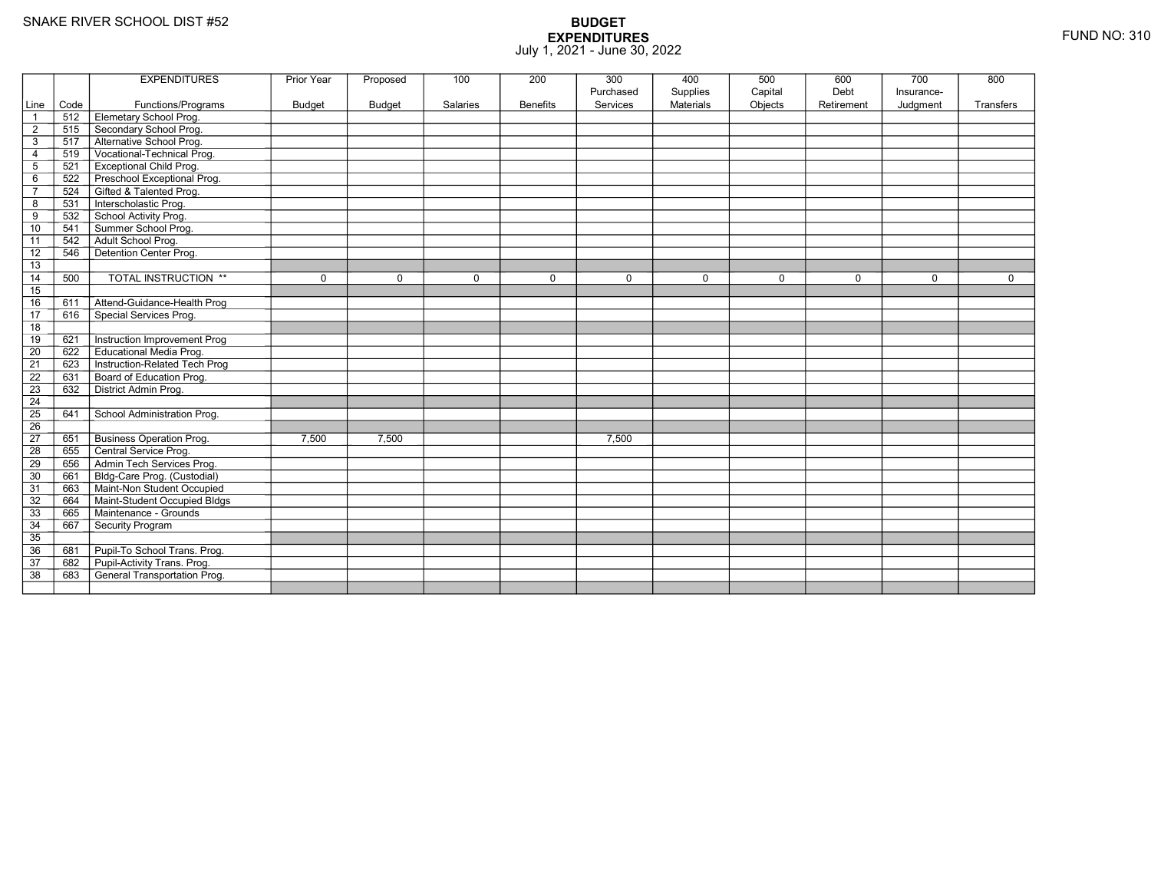|                 |      | <b>EXPENDITURES</b>             | <b>Prior Year</b> | Proposed      | 100      | 200             | 300       | 400              | 500     | 600         | 700         | 800       |
|-----------------|------|---------------------------------|-------------------|---------------|----------|-----------------|-----------|------------------|---------|-------------|-------------|-----------|
|                 |      |                                 |                   |               |          |                 | Purchased | Supplies         | Capital | Debt        | Insurance-  |           |
| Line            | Code | Functions/Programs              | Budget            | <b>Budget</b> | Salaries | <b>Benefits</b> | Services  | <b>Materials</b> | Objects | Retirement  | Judgment    | Transfers |
|                 | 512  | Elemetary School Prog.          |                   |               |          |                 |           |                  |         |             |             |           |
| $\overline{2}$  | 515  | Secondary School Prog.          |                   |               |          |                 |           |                  |         |             |             |           |
| 3               | 517  | Alternative School Prog.        |                   |               |          |                 |           |                  |         |             |             |           |
| $\overline{4}$  | 519  | Vocational-Technical Prog.      |                   |               |          |                 |           |                  |         |             |             |           |
| 5               | 521  | <b>Exceptional Child Prog.</b>  |                   |               |          |                 |           |                  |         |             |             |           |
| 6               | 522  | Preschool Exceptional Prog.     |                   |               |          |                 |           |                  |         |             |             |           |
| $\overline{7}$  | 524  | Gifted & Talented Prog.         |                   |               |          |                 |           |                  |         |             |             |           |
| 8               | 531  | Interscholastic Prog.           |                   |               |          |                 |           |                  |         |             |             |           |
| 9               | 532  | School Activity Prog.           |                   |               |          |                 |           |                  |         |             |             |           |
| 10              | 541  | Summer School Prog.             |                   |               |          |                 |           |                  |         |             |             |           |
| 11              | 542  | Adult School Prog.              |                   |               |          |                 |           |                  |         |             |             |           |
| 12              | 546  | Detention Center Prog.          |                   |               |          |                 |           |                  |         |             |             |           |
| 13              |      |                                 |                   |               |          |                 |           |                  |         |             |             |           |
| 14              | 500  | <b>TOTAL INSTRUCTION **</b>     | $\mathbf 0$       | $\mathbf 0$   | 0        | $\mathbf 0$     | $\Omega$  | $\mathbf 0$      | 0       | $\mathbf 0$ | $\mathbf 0$ | 0         |
| 15              |      |                                 |                   |               |          |                 |           |                  |         |             |             |           |
| 16              | 611  | Attend-Guidance-Health Prog     |                   |               |          |                 |           |                  |         |             |             |           |
| 17              | 616  | Special Services Prog.          |                   |               |          |                 |           |                  |         |             |             |           |
| 18              |      |                                 |                   |               |          |                 |           |                  |         |             |             |           |
| 19              | 621  | Instruction Improvement Prog    |                   |               |          |                 |           |                  |         |             |             |           |
| $\overline{20}$ | 622  | Educational Media Prog.         |                   |               |          |                 |           |                  |         |             |             |           |
| 21              | 623  | Instruction-Related Tech Prog   |                   |               |          |                 |           |                  |         |             |             |           |
| 22              | 631  | Board of Education Prog.        |                   |               |          |                 |           |                  |         |             |             |           |
| 23              | 632  | District Admin Prog.            |                   |               |          |                 |           |                  |         |             |             |           |
| 24              |      |                                 |                   |               |          |                 |           |                  |         |             |             |           |
| 25              | 641  | School Administration Prog.     |                   |               |          |                 |           |                  |         |             |             |           |
| 26              |      |                                 |                   |               |          |                 |           |                  |         |             |             |           |
| 27              | 651  | <b>Business Operation Prog.</b> | 7.500             | 7.500         |          |                 | 7.500     |                  |         |             |             |           |
| 28              | 655  | Central Service Prog.           |                   |               |          |                 |           |                  |         |             |             |           |
| 29              | 656  | Admin Tech Services Prog.       |                   |               |          |                 |           |                  |         |             |             |           |
| 30              | 661  | Bldg-Care Prog. (Custodial)     |                   |               |          |                 |           |                  |         |             |             |           |
| 31              | 663  | Maint-Non Student Occupied      |                   |               |          |                 |           |                  |         |             |             |           |
| 32              | 664  | Maint-Student Occupied Bldgs    |                   |               |          |                 |           |                  |         |             |             |           |
| 33              | 665  | Maintenance - Grounds           |                   |               |          |                 |           |                  |         |             |             |           |
| 34              | 667  | Security Program                |                   |               |          |                 |           |                  |         |             |             |           |
| 35              |      |                                 |                   |               |          |                 |           |                  |         |             |             |           |
| 36              | 681  | Pupil-To School Trans. Prog.    |                   |               |          |                 |           |                  |         |             |             |           |
| 37              | 682  | Pupil-Activity Trans. Prog.     |                   |               |          |                 |           |                  |         |             |             |           |
| 38              | 683  | General Transportation Prog.    |                   |               |          |                 |           |                  |         |             |             |           |
|                 |      |                                 |                   |               |          |                 |           |                  |         |             |             |           |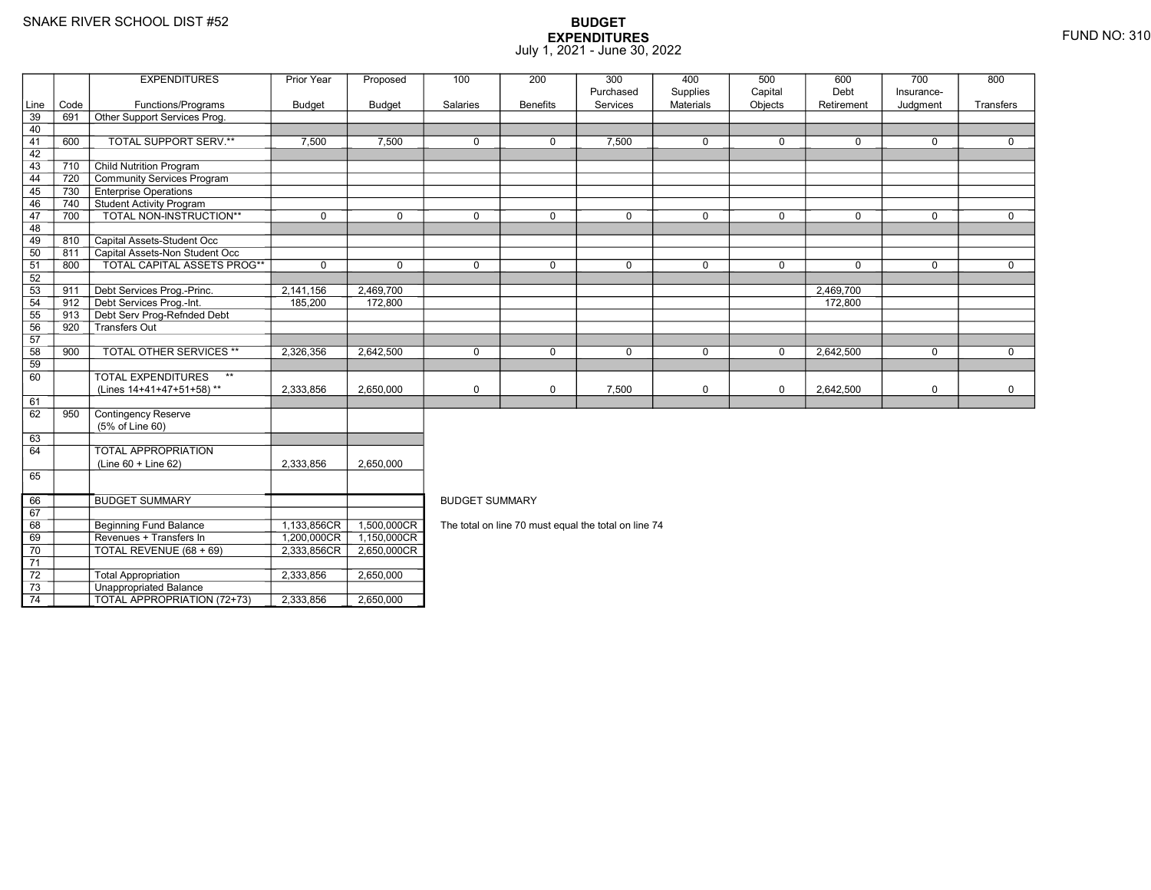69

70

71 72

73

74

8 Beginning Fund Balance 1,133,856CR

Revenues + Transfers In 1,200,000CR

0 | TOTAL REVENUE (68 + 69) | 2,333,856CR

3 **Unappropriated Balance** 

2 Total Appropriation 1 2,333,856 2,650,000

TOTAL APPROPRIATION (72+73) 2,333,856 2,650,000

### **BUDGET EXPENDITURES**July 1, 2021 - June 30, 2022

|      |      | <b>EXPENDITURES</b>                       | Prior Year    | Proposed      | 100                   | 200             | 300         | 400              | 500         | 600        | 700         | 800          |  |  |  |
|------|------|-------------------------------------------|---------------|---------------|-----------------------|-----------------|-------------|------------------|-------------|------------|-------------|--------------|--|--|--|
|      |      |                                           |               |               |                       |                 | Purchased   | Supplies         | Capital     | Debt       | Insurance-  |              |  |  |  |
| Line | Code | Functions/Programs                        | <b>Budget</b> | <b>Budget</b> | Salaries              | <b>Benefits</b> | Services    | <b>Materials</b> | Objects     | Retirement | Judgment    | Transfers    |  |  |  |
| 39   | 691  | Other Support Services Prog.              |               |               |                       |                 |             |                  |             |            |             |              |  |  |  |
| 40   |      |                                           |               |               |                       |                 |             |                  |             |            |             |              |  |  |  |
| 41   | 600  | TOTAL SUPPORT SERV.**                     | 7,500         | 7,500         | $\Omega$              | $\mathbf 0$     | 7,500       | $\mathbf 0$      | $\Omega$    | $\Omega$   | 0           | $\mathbf{0}$ |  |  |  |
| 42   |      |                                           |               |               |                       |                 |             |                  |             |            |             |              |  |  |  |
| 43   | 710  | <b>Child Nutrition Program</b>            |               |               |                       |                 |             |                  |             |            |             |              |  |  |  |
| 44   | 720  | Community Services Program                |               |               |                       |                 |             |                  |             |            |             |              |  |  |  |
| 45   | 730  | <b>Enterprise Operations</b>              |               |               |                       |                 |             |                  |             |            |             |              |  |  |  |
| 46   | 740  | Student Activity Program                  |               |               |                       |                 |             |                  |             |            |             |              |  |  |  |
| 47   | 700  | <b>TOTAL NON-INSTRUCTION**</b>            | $\Omega$      | $\Omega$      | $\Omega$              | $\Omega$        | $\Omega$    | $\mathbf 0$      | $\Omega$    | $\Omega$   | $\Omega$    | $\Omega$     |  |  |  |
| 48   |      |                                           |               |               |                       |                 |             |                  |             |            |             |              |  |  |  |
| 49   | 810  | Capital Assets-Student Occ                |               |               |                       |                 |             |                  |             |            |             |              |  |  |  |
| 50   | 811  | Capital Assets-Non Student Occ            |               |               |                       |                 |             |                  |             |            |             |              |  |  |  |
| 51   | 800  | <b>TOTAL CAPITAL ASSETS PROG**</b>        | $\mathbf 0$   | $\mathbf 0$   | $\mathbf 0$           | $\mathbf 0$     | $\mathbf 0$ | $\mathbf 0$      | $\mathbf 0$ | 0          | 0           | $\mathbf 0$  |  |  |  |
| 52   |      |                                           |               |               |                       |                 |             |                  |             |            |             |              |  |  |  |
| 53   | 911  | Debt Services Prog.-Princ.                | 2,141,156     | 2,469,700     |                       |                 |             |                  |             | 2,469,700  |             |              |  |  |  |
| 54   | 912  | Debt Services Prog.-Int.                  | 185,200       | 172,800       |                       |                 |             |                  |             | 172,800    |             |              |  |  |  |
| 55   | 913  | Debt Serv Prog-Refnded Debt               |               |               |                       |                 |             |                  |             |            |             |              |  |  |  |
| 56   | 920  | Transfers Out                             |               |               |                       |                 |             |                  |             |            |             |              |  |  |  |
| 57   |      |                                           |               |               |                       |                 |             |                  |             |            |             |              |  |  |  |
| 58   | 900  | <b>TOTAL OTHER SERVICES **</b>            | 2,326,356     | 2,642,500     | $\mathbf 0$           | $\mathbf 0$     | $\mathbf 0$ | $\mathbf 0$      | $\mathbf 0$ | 2,642,500  | $\mathbf 0$ | $\mathbf 0$  |  |  |  |
| 59   |      |                                           |               |               |                       |                 |             |                  |             |            |             |              |  |  |  |
| 60   |      | <b>TOTAL EXPENDITURES</b><br>$\star\star$ |               |               |                       |                 |             |                  |             |            |             |              |  |  |  |
|      |      | (Lines 14+41+47+51+58)**                  | 2,333,856     | 2.650.000     | $\mathbf 0$           | $\mathbf 0$     | 7,500       | 0                | $\mathbf 0$ | 2,642,500  | $\mathbf 0$ | $\mathbf 0$  |  |  |  |
| 61   |      |                                           |               |               |                       |                 |             |                  |             |            |             |              |  |  |  |
| 62   | 950  | Contingency Reserve                       |               |               |                       |                 |             |                  |             |            |             |              |  |  |  |
|      |      | (5% of Line 60)                           |               |               |                       |                 |             |                  |             |            |             |              |  |  |  |
| 63   |      |                                           |               |               |                       |                 |             |                  |             |            |             |              |  |  |  |
| 64   |      | TOTAL APPROPRIATION                       |               |               |                       |                 |             |                  |             |            |             |              |  |  |  |
|      |      | (Line 60 + Line 62)                       | 2,333,856     | 2,650,000     |                       |                 |             |                  |             |            |             |              |  |  |  |
| 65   |      |                                           |               |               |                       |                 |             |                  |             |            |             |              |  |  |  |
|      |      |                                           |               |               |                       |                 |             |                  |             |            |             |              |  |  |  |
| 66   |      | <b>BUDGET SUMMARY</b>                     |               |               | <b>BUDGET SUMMARY</b> |                 |             |                  |             |            |             |              |  |  |  |

The total on line 70 must equal the total on line 74

R 1,500,000CR

1,150,000CR

R 2,650,000CR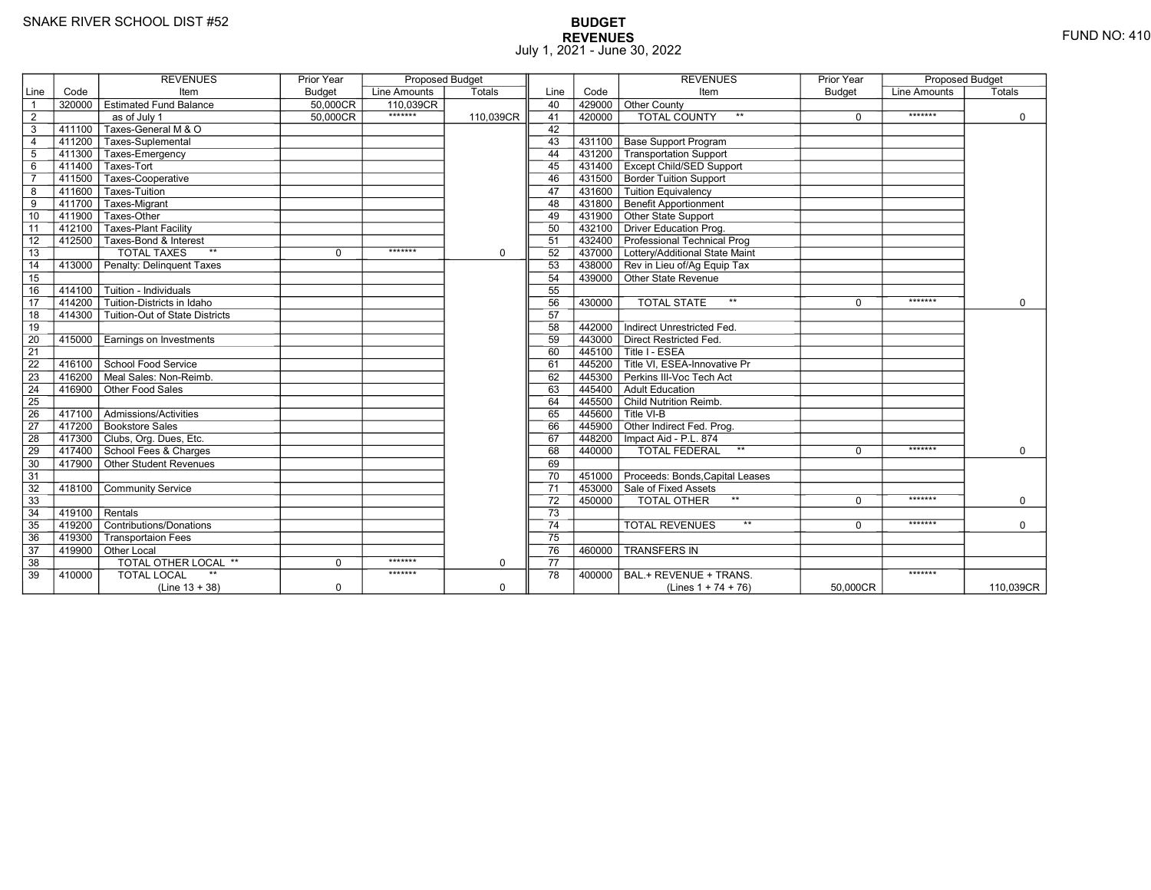# **BUDGET REVENUES** FUND NO: 410 July 1, 2021 - June 30, 2022

|                 |                     | <b>REVENUES</b>                | Prior Year  | <b>Proposed Budget</b> |             |                 |           | <b>REVENUES</b>                                                            | Prior Year    | <b>Proposed Budget</b> |             |
|-----------------|---------------------|--------------------------------|-------------|------------------------|-------------|-----------------|-----------|----------------------------------------------------------------------------|---------------|------------------------|-------------|
| Line            | Code                | Item                           | Budget      | Line Amounts           | Totals      | Line            | Code      | Item                                                                       | <b>Budget</b> | Line Amounts           | Totals      |
| $\overline{1}$  | 320000              | <b>Estimated Fund Balance</b>  | 50.000CR    | 110.039CR              |             | 40              | 429000    | Other County                                                               |               |                        |             |
| $\overline{2}$  |                     | as of July 1                   | 50.000CR    | *******                | 110,039CR   | 41              | 420000    | <b>TOTAL COUNTY</b>                                                        | $\Omega$      | *******                | $\Omega$    |
| 3               | 411100              | Taxes-General M & O            |             |                        |             | 42              |           |                                                                            |               |                        |             |
| $\overline{4}$  |                     | 411200 Taxes-Suplemental       |             |                        |             | 43              | 431100    | <b>Base Support Program</b>                                                |               |                        |             |
| 5               | 411300              | Taxes-Emergency                |             |                        |             | 44              | 431200    | Transportation Support                                                     |               |                        |             |
| 6               | 411400              | Taxes-Tort                     |             |                        |             | 45              |           | 431400   Except Child/SED Support                                          |               |                        |             |
| $\overline{7}$  | 411500              | Taxes-Cooperative              |             |                        |             | 46              |           | 431500 Border Tuition Support                                              |               |                        |             |
| 8               | 411600              | Taxes-Tuition                  |             |                        |             | 47              |           | 431600 Tuition Equivalency                                                 |               |                        |             |
| 9               | 411700              | Taxes-Migrant                  |             |                        |             | 48              |           | 431800 Benefit Apportionment                                               |               |                        |             |
| 10              | 411900              | Taxes-Other                    |             |                        |             | 49              |           | 431900 Other State Support                                                 |               |                        |             |
| 11              | $412\overline{100}$ | Taxes-Plant Facility           |             |                        |             | 50              |           | 432100 Driver Education Prog.                                              |               |                        |             |
| 12              | 412500              | Taxes-Bond & Interest          |             |                        |             | 51              |           | 432400 Professional Technical Prog                                         |               |                        |             |
| 13              |                     | <b>TOTAL TAXES</b><br>$**$     | $\Omega$    | *******                | $\mathbf 0$ | 52              |           | 437000 Lottery/Additional State Maint                                      |               |                        |             |
| $\overline{14}$ | 413000              | Penalty: Delinguent Taxes      |             |                        |             | 53              |           | 438000 Rev in Lieu of/Ag Equip Tax                                         |               |                        |             |
| 15              |                     |                                |             |                        |             | 54              |           | 439000 Other State Revenue                                                 |               |                        |             |
| 16              | 414100              | Tuition - Individuals          |             |                        |             | 55              |           |                                                                            |               |                        |             |
| 17              | 414200              | Tuition-Districts in Idaho     |             |                        |             | 56              | 430000    | <b>TOTAL STATE</b><br>$\star\star$                                         | $\Omega$      | *******                | $\Omega$    |
| 18              | 414300              | Tuition-Out of State Districts |             |                        |             | 57              |           |                                                                            |               |                        |             |
| 19              |                     |                                |             |                        |             | 58              | 442000    | Indirect Unrestricted Fed.                                                 |               |                        |             |
| 20              | 415000              | Earnings on Investments        |             |                        |             | 59              |           | 443000 Direct Restricted Fed.                                              |               |                        |             |
| $\overline{21}$ |                     |                                |             |                        |             | 60              | 445100    | Title I - ESEA                                                             |               |                        |             |
| $\overline{22}$ | 416100              | School Food Service            |             |                        |             | 61              |           | $\mathsf{\bar{1}445200}\mathsf{\overline{T}}$ Title VI. ESEA-Innovative Pr |               |                        |             |
| 23              | 416200              | Meal Sales: Non-Reimb.         |             |                        |             | 62              | 445300    | Perkins III-Voc Tech Act                                                   |               |                        |             |
| 24              | 416900              | Other Food Sales               |             |                        |             | 63              | $-445400$ | Adult Education                                                            |               |                        |             |
| 25              |                     |                                |             |                        |             | 64              |           | 445500 Child Nutrition Reimb.                                              |               |                        |             |
| 26              | 417100              | Admissions/Activities          |             |                        |             | 65              |           | $7445600$ T Title VI-B                                                     |               |                        |             |
| $\overline{27}$ |                     | 417200 Bookstore Sales         |             |                        |             | 66              |           | $\sqrt{445900}$ Other Indirect Fed. Prog.                                  |               |                        |             |
| 28              |                     | 417300 Clubs, Org. Dues, Etc.  |             |                        |             | 67              |           | 448200   Impact Aid - P.L. 874                                             |               |                        |             |
| 29              |                     | 417400 School Fees & Charges   |             |                        |             | 68              | 440000    | $\star\star$<br><b>TOTAL FEDERAL</b>                                       | 0             | *******                | $\mathbf 0$ |
| 30              | 417900              | Other Student Revenues         |             |                        |             | 69              |           |                                                                            |               |                        |             |
| 31              |                     |                                |             |                        |             | 70              |           | 451000 Proceeds: Bonds Capital Leases                                      |               |                        |             |
| 32              | 418100              | <b>Community Service</b>       |             |                        |             | 71              | 453000    | Sale of Fixed Assets                                                       |               |                        |             |
| 33              |                     |                                |             |                        |             | 72              | 450000    | TOTAL OTHER<br>$***$                                                       | $\Omega$      | *******                | $\Omega$    |
| 34              | $-419100$           | Rentals                        |             |                        |             | $\overline{73}$ |           |                                                                            |               |                        |             |
| 35              | 419200              | Contributions/Donations        |             |                        |             | 74              |           | $**$<br><b>TOTAL REVENUES</b>                                              | $\Omega$      | *******                | $\Omega$    |
| 36              | 419300              | <b>Transportaion Fees</b>      |             |                        |             | 75              |           |                                                                            |               |                        |             |
| 37              | 419900              | Other Local                    |             |                        |             | 76              | 460000    | <b>TRANSFERS IN</b>                                                        |               |                        |             |
| 38              |                     | TOTAL OTHER LOCAL **           | $\mathbf 0$ | *******                | $\mathbf 0$ | 77              |           |                                                                            |               |                        |             |
| 39              | 410000              | <b>TOTAL LOCAL</b>             |             | *******                |             | 78              | 400000    | BAL.+ REVENUE + TRANS.                                                     |               | *******                |             |
|                 |                     | $(Line 13 + 38)$               | $\mathbf 0$ |                        | $\mathbf 0$ |                 |           | (Lines $1 + 74 + 76$ )                                                     | 50,000CR      |                        | 110,039CR   |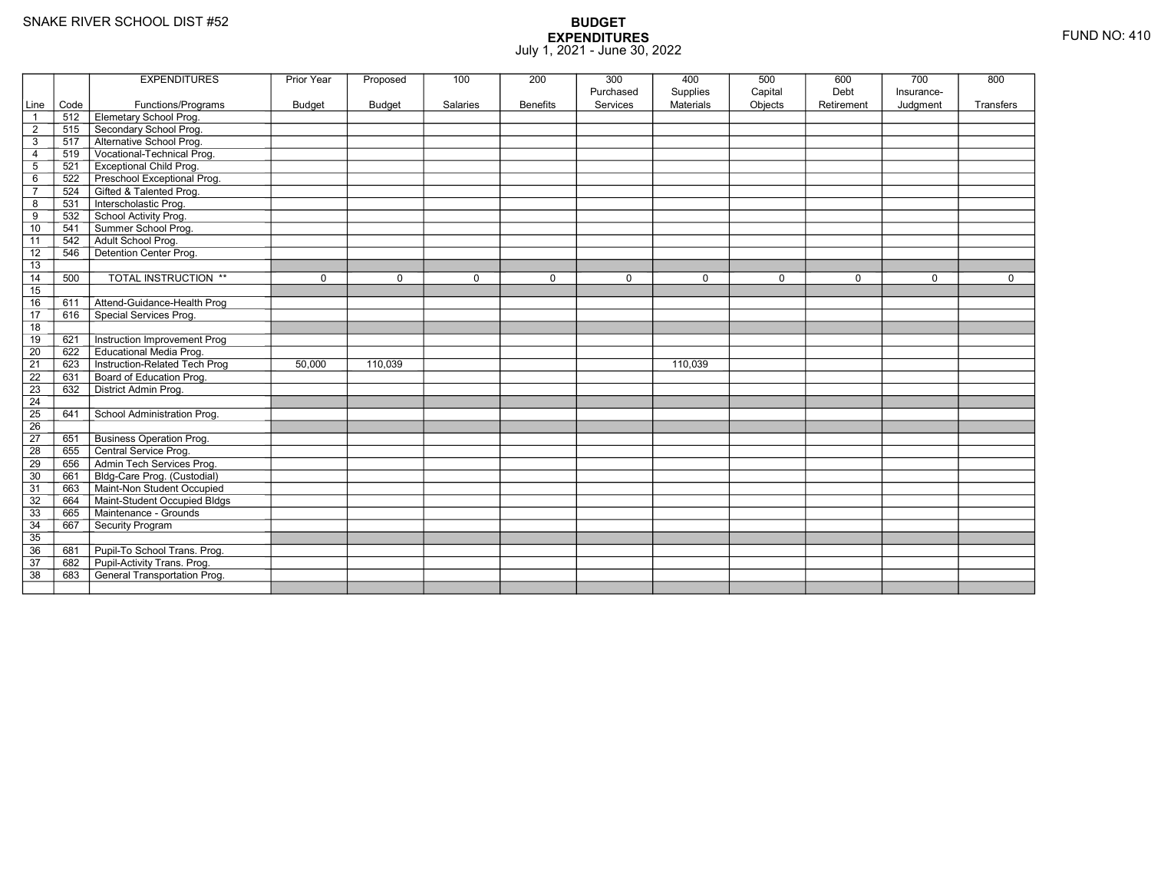|                 |      | <b>EXPENDITURES</b>             | <b>Prior Year</b> | Proposed      | 100             | 200             | 300         | 400              | 500         | 600         | 700         | 800       |
|-----------------|------|---------------------------------|-------------------|---------------|-----------------|-----------------|-------------|------------------|-------------|-------------|-------------|-----------|
|                 |      |                                 |                   |               |                 |                 | Purchased   | Supplies         | Capital     | Debt        | Insurance-  |           |
| Line            | Code | Functions/Programs              | <b>Budget</b>     | <b>Budget</b> | <b>Salaries</b> | <b>Benefits</b> | Services    | <b>Materials</b> | Objects     | Retirement  | Judgment    | Transfers |
| $\mathbf{1}$    |      | 512 Elemetary School Prog.      |                   |               |                 |                 |             |                  |             |             |             |           |
| $\overline{2}$  |      | 515 Secondary School Prog.      |                   |               |                 |                 |             |                  |             |             |             |           |
| 3               | 517  | Alternative School Prog.        |                   |               |                 |                 |             |                  |             |             |             |           |
| $\overline{4}$  | 519  | Vocational-Technical Prog.      |                   |               |                 |                 |             |                  |             |             |             |           |
| $\sqrt{5}$      | 521  | <b>Exceptional Child Prog.</b>  |                   |               |                 |                 |             |                  |             |             |             |           |
| 6               | 522  | Preschool Exceptional Prog.     |                   |               |                 |                 |             |                  |             |             |             |           |
| $\overline{7}$  | 524  | Gifted & Talented Prog.         |                   |               |                 |                 |             |                  |             |             |             |           |
| 8               | 531  | Interscholastic Prog.           |                   |               |                 |                 |             |                  |             |             |             |           |
| 9               | 532  | School Activity Prog.           |                   |               |                 |                 |             |                  |             |             |             |           |
| 10              | 541  | Summer School Prog.             |                   |               |                 |                 |             |                  |             |             |             |           |
| 11              | 542  | Adult School Prog.              |                   |               |                 |                 |             |                  |             |             |             |           |
| 12              | 546  | Detention Center Prog.          |                   |               |                 |                 |             |                  |             |             |             |           |
| 13              |      |                                 |                   |               |                 |                 |             |                  |             |             |             |           |
| 14              | 500  | <b>TOTAL INSTRUCTION **</b>     | $\mathbf 0$       | $\mathbf 0$   | $\mathbf 0$     | $\mathbf 0$     | $\mathbf 0$ | $\mathbf 0$      | $\mathbf 0$ | $\mathbf 0$ | $\mathbf 0$ | 0         |
| 15              |      |                                 |                   |               |                 |                 |             |                  |             |             |             |           |
| 16              | 611  | Attend-Guidance-Health Prog     |                   |               |                 |                 |             |                  |             |             |             |           |
| 17              | 616  | Special Services Prog.          |                   |               |                 |                 |             |                  |             |             |             |           |
| 18              |      |                                 |                   |               |                 |                 |             |                  |             |             |             |           |
| 19              | 621  | Instruction Improvement Prog    |                   |               |                 |                 |             |                  |             |             |             |           |
| $\overline{20}$ | 622  | <b>Educational Media Prog.</b>  |                   |               |                 |                 |             |                  |             |             |             |           |
| 21              | 623  | Instruction-Related Tech Prog   | 50,000            | 110,039       |                 |                 |             | 110,039          |             |             |             |           |
| 22              | 631  | Board of Education Prog.        |                   |               |                 |                 |             |                  |             |             |             |           |
| 23              | 632  | District Admin Prog.            |                   |               |                 |                 |             |                  |             |             |             |           |
| $\overline{24}$ |      |                                 |                   |               |                 |                 |             |                  |             |             |             |           |
| 25              | 641  | School Administration Prog.     |                   |               |                 |                 |             |                  |             |             |             |           |
| $\overline{26}$ |      |                                 |                   |               |                 |                 |             |                  |             |             |             |           |
| 27              | 651  | <b>Business Operation Prog.</b> |                   |               |                 |                 |             |                  |             |             |             |           |
| 28              | 655  | Central Service Prog.           |                   |               |                 |                 |             |                  |             |             |             |           |
| 29              | 656  | Admin Tech Services Prog.       |                   |               |                 |                 |             |                  |             |             |             |           |
| 30              | 661  | Bldg-Care Prog. (Custodial)     |                   |               |                 |                 |             |                  |             |             |             |           |
| 31              | 663  | Maint-Non Student Occupied      |                   |               |                 |                 |             |                  |             |             |             |           |
| 32              | 664  | Maint-Student Occupied Bldgs    |                   |               |                 |                 |             |                  |             |             |             |           |
| 33              | 665  | Maintenance - Grounds           |                   |               |                 |                 |             |                  |             |             |             |           |
| 34              | 667  | Security Program                |                   |               |                 |                 |             |                  |             |             |             |           |
| 35              |      |                                 |                   |               |                 |                 |             |                  |             |             |             |           |
| 36              | 681  | Pupil-To School Trans. Prog.    |                   |               |                 |                 |             |                  |             |             |             |           |
| 37              | 682  | Pupil-Activity Trans. Prog.     |                   |               |                 |                 |             |                  |             |             |             |           |
| 38              | 683  | General Transportation Prog.    |                   |               |                 |                 |             |                  |             |             |             |           |
|                 |      |                                 |                   |               |                 |                 |             |                  |             |             |             |           |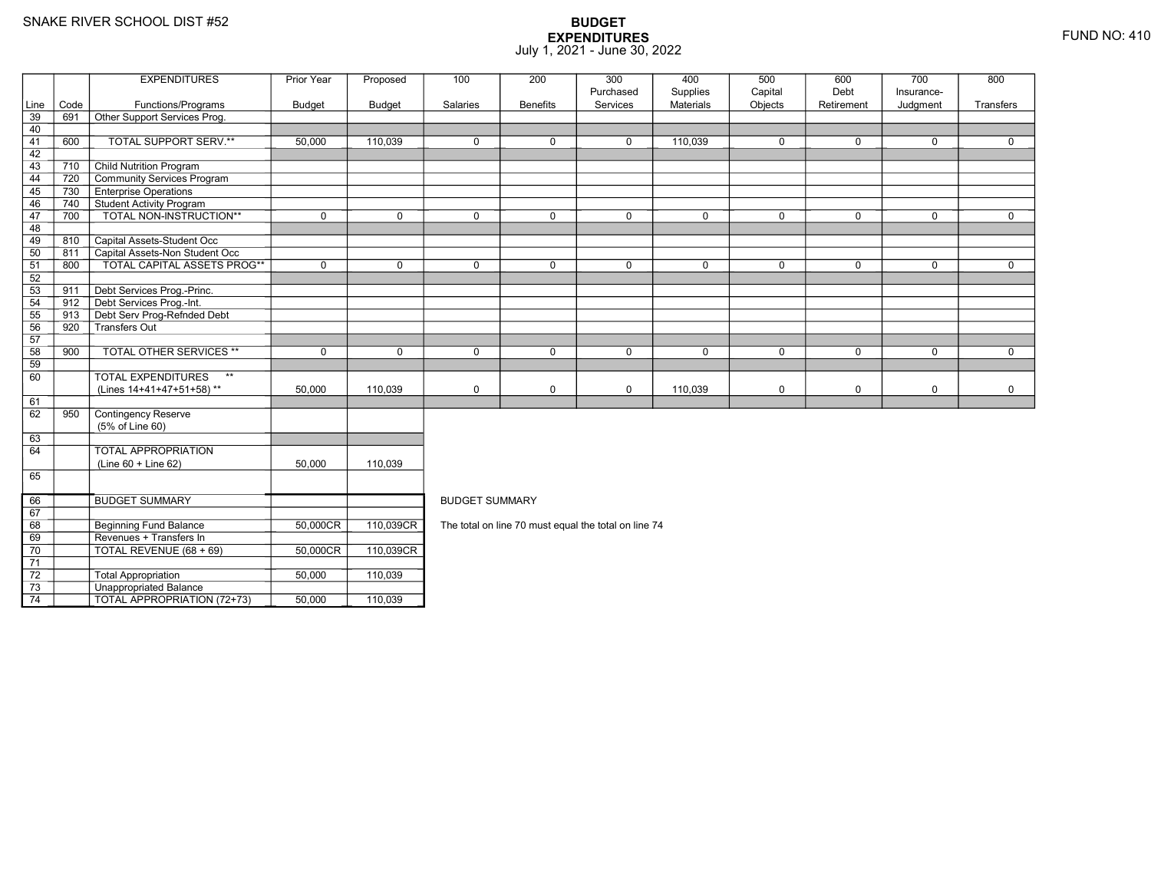70

71 72

73

74

9 | Revenues + Transfers In

3 **Unappropriated Balance** 

TOTAL REVENUE (68 + 69) 50,000CR

2 Total Appropriation 150,000 110,039

TOTAL APPROPRIATION (72+73) 50,000 1 110,039

50,000CR 110,039CR

### **BUDGET EXPENDITURES**July 1, 2021 - June 30, 2022

|            |             | <b>EXPENDITURES</b>                              | Prior Year  | Proposed      | 100                                                  | 200             | 300         | 400         | 500         | 600         | 700         | 800          |
|------------|-------------|--------------------------------------------------|-------------|---------------|------------------------------------------------------|-----------------|-------------|-------------|-------------|-------------|-------------|--------------|
|            |             |                                                  |             |               |                                                      |                 | Purchased   | Supplies    | Capital     | Debt        | Insurance-  |              |
| Line<br>39 | Code<br>691 | Functions/Programs                               | Budget      | <b>Budget</b> | Salaries                                             | <b>Benefits</b> | Services    | Materials   | Objects     | Retirement  | Judgment    | Transfers    |
| 40         |             | Other Support Services Prog.                     |             |               |                                                      |                 |             |             |             |             |             |              |
|            |             |                                                  |             |               |                                                      |                 |             |             |             |             |             |              |
| 41<br>42   | 600         | TOTAL SUPPORT SERV.**                            | 50,000      | 110,039       | $\mathbf 0$                                          | 0               | $\mathbf 0$ | 110,039     | $\mathbf 0$ | $\mathbf 0$ | $\mathbf 0$ | $\mathbf 0$  |
| 43         | 710         | <b>Child Nutrition Program</b>                   |             |               |                                                      |                 |             |             |             |             |             |              |
|            |             |                                                  |             |               |                                                      |                 |             |             |             |             |             |              |
| 44         | 720         | Community Services Program                       |             |               |                                                      |                 |             |             |             |             |             |              |
| 45         | 730         | <b>Enterprise Operations</b>                     |             |               |                                                      |                 |             |             |             |             |             |              |
| 46         | 740         | Student Activity Program                         |             |               |                                                      |                 |             |             |             |             |             |              |
| 47         | 700         | TOTAL NON-INSTRUCTION**                          | $\mathbf 0$ | $\mathbf 0$   | $\mathbf 0$                                          | $\mathbf 0$     | $\mathbf 0$ | $\mathbf 0$ | $\mathbf 0$ | $\mathbf 0$ | $\mathbf 0$ | $\mathbf 0$  |
| 48         |             |                                                  |             |               |                                                      |                 |             |             |             |             |             |              |
| 49         | 810         | Capital Assets-Student Occ                       |             |               |                                                      |                 |             |             |             |             |             |              |
| 50         | 811         | Capital Assets-Non Student Occ                   |             |               |                                                      |                 |             |             |             |             |             |              |
| 51         | 800         | <b>TOTAL CAPITAL ASSETS PROG**</b>               | $\mathbf 0$ | $\mathbf 0$   | $\Omega$                                             | 0               | $\mathbf 0$ | $\mathbf 0$ | $\Omega$    | $\Omega$    | $\mathbf 0$ | $\mathbf 0$  |
| 52         |             |                                                  |             |               |                                                      |                 |             |             |             |             |             |              |
| 53         | 911         | Debt Services Prog.-Princ.                       |             |               |                                                      |                 |             |             |             |             |             |              |
| 54         | 912         | Debt Services Prog.-Int.                         |             |               |                                                      |                 |             |             |             |             |             |              |
| 55         | 913         | Debt Serv Prog-Refnded Debt                      |             |               |                                                      |                 |             |             |             |             |             |              |
| 56         | 920         | Transfers Out                                    |             |               |                                                      |                 |             |             |             |             |             |              |
| 57         |             |                                                  |             |               |                                                      |                 |             |             |             |             |             |              |
| 58         | 900         | <b>TOTAL OTHER SERVICES **</b>                   | $\mathbf 0$ | $\Omega$      | $\Omega$                                             | $\mathbf 0$     | $\mathbf 0$ | $\mathbf 0$ | $\mathbf 0$ | $\mathbf 0$ | $\mathbf 0$ | $\mathbf{0}$ |
| 59         |             |                                                  |             |               |                                                      |                 |             |             |             |             |             |              |
| 60         |             | $\star\star$<br><b>TOTAL EXPENDITURES</b>        |             |               |                                                      |                 |             |             |             |             |             |              |
|            |             | (Lines 14+41+47+51+58)**                         | 50,000      | 110,039       | $\mathbf 0$                                          | 0               | $\mathbf 0$ | 110,039     | $\mathbf 0$ | $\mathbf 0$ | $\mathbf 0$ | $\mathbf 0$  |
| 61         |             |                                                  |             |               |                                                      |                 |             |             |             |             |             |              |
| 62         | 950         | Contingency Reserve                              |             |               |                                                      |                 |             |             |             |             |             |              |
|            |             | (5% of Line 60)                                  |             |               |                                                      |                 |             |             |             |             |             |              |
| 63         |             |                                                  |             |               |                                                      |                 |             |             |             |             |             |              |
| 64         |             | <b>TOTAL APPROPRIATION</b>                       |             |               |                                                      |                 |             |             |             |             |             |              |
|            |             | (Line 60 + Line 62)                              | 50,000      | 110,039       |                                                      |                 |             |             |             |             |             |              |
| 65         |             |                                                  |             |               |                                                      |                 |             |             |             |             |             |              |
| 66         |             | <b>BUDGET SUMMARY</b>                            |             |               | <b>BUDGET SUMMARY</b>                                |                 |             |             |             |             |             |              |
| 67         |             |                                                  |             |               |                                                      |                 |             |             |             |             |             |              |
| 68         |             | <b>Beginning Fund Balance</b>                    | 50,000CR    | 110,039CR     | The total on line 70 must equal the total on line 74 |                 |             |             |             |             |             |              |
| $\sim$     |             | $\sim$ $\sim$ $\sim$ $\sim$ $\sim$ $\sim$ $\sim$ |             |               |                                                      |                 |             |             |             |             |             |              |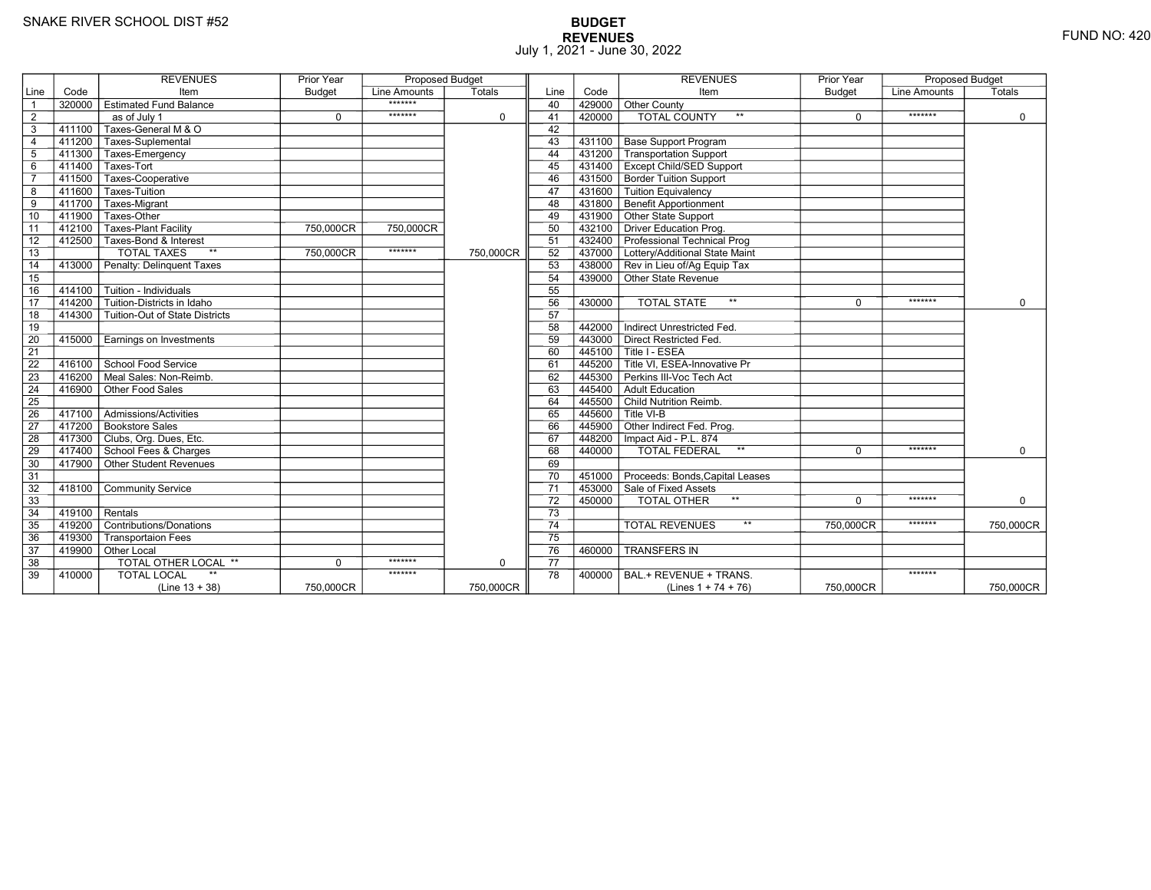# **BUDGET REVENUES** FUND NO: 420 July 1, 2021 - June 30, 2022

|                 |        | <b>REVENUES</b>                           | <b>Prior Year</b> | <b>Proposed Budget</b> |             |                 |           | <b>REVENUES</b>                                                      | <b>Prior Year</b> | <b>Proposed Budget</b> |             |
|-----------------|--------|-------------------------------------------|-------------------|------------------------|-------------|-----------------|-----------|----------------------------------------------------------------------|-------------------|------------------------|-------------|
| Line            | Code   | Item                                      | <b>Budget</b>     | Line Amounts           | Totals      | Line            | Code      | Item                                                                 | <b>Budget</b>     | Line Amounts           | Totals      |
| $\overline{1}$  | 320000 | <b>Estimated Fund Balance</b>             |                   | *******                |             | 40              | 429000    | Other County                                                         |                   |                        |             |
| 2               |        | as of July 1                              | $\mathbf 0$       | *******                | $\mathbf 0$ | 41              | 420000    | <b>TOTAL COUNTY</b><br>$**$                                          | $\mathbf 0$       | *******                | $\mathbf 0$ |
| $\overline{3}$  | 411100 | Taxes-General M & O                       |                   |                        |             | 42              |           |                                                                      |                   |                        |             |
| $\overline{4}$  | 411200 | <b>Taxes-Suplemental</b>                  |                   |                        |             | 43              | 431100    | <b>Base Support Program</b>                                          |                   |                        |             |
| $5\phantom{.0}$ | 411300 | Taxes-Emergency                           |                   |                        |             | 44              | 431200    | Transportation Support                                               |                   |                        |             |
| $\,6$           | 411400 | Taxes-Tort                                |                   |                        |             | 45              |           | 431400 Except Child/SED Support                                      |                   |                        |             |
| $\overline{7}$  | 411500 | Taxes-Cooperative                         |                   |                        |             | 46              | 431500    | <b>Border Tuition Support</b>                                        |                   |                        |             |
| 8               | 411600 | Taxes-Tuition                             |                   |                        |             | 47              | 431600    | <b>Tuition Equivalency</b>                                           |                   |                        |             |
| $\overline{9}$  | 411700 | Taxes-Migrant                             |                   |                        |             | 48              | $-431800$ | <b>Benefit Apportionment</b>                                         |                   |                        |             |
| 10              | 411900 | Taxes-Other                               |                   |                        |             | 49              | 431900    | Other State Support                                                  |                   |                        |             |
| 11              | 412100 | <b>Taxes-Plant Facility</b>               | 750,000CR         | 750,000CR              |             | 50              | 432100    | Driver Education Prog.                                               |                   |                        |             |
| 12              | 412500 | Taxes-Bond & Interest                     |                   |                        |             | 51              |           | 432400 Professional Technical Prog                                   |                   |                        |             |
| $\overline{13}$ |        | <b>TOTAL TAXES</b><br>$**$                | 750,000CR         | *******                | 750,000CR   | 52              | 437000    | Lottery/Additional State Maint                                       |                   |                        |             |
| 14              | 413000 | Penalty: Delinquent Taxes                 |                   |                        |             | 53              |           | 438000 Rev in Lieu of/Ag Equip Tax                                   |                   |                        |             |
| 15              |        |                                           |                   |                        |             | 54              |           | 439000 Other State Revenue                                           |                   |                        |             |
| 16              | 414100 | Tuition - Individuals                     |                   |                        |             | 55              |           |                                                                      |                   |                        |             |
| $\overline{17}$ | 414200 | Tuition-Districts in Idaho                |                   |                        |             | 56              | 430000    | $\star\star$<br><b>TOTAL STATE</b>                                   | $\Omega$          | *******                | $\Omega$    |
| 18              | 414300 | Tuition-Out of State Districts            |                   |                        |             | 57              |           |                                                                      |                   |                        |             |
| 19              |        |                                           |                   |                        |             | 58              | 442000    | Indirect Unrestricted Fed.                                           |                   |                        |             |
| 20              | 415000 | Earnings on Investments                   |                   |                        |             | 59              |           | 443000 Direct Restricted Fed.                                        |                   |                        |             |
| $\overline{21}$ |        |                                           |                   |                        |             | 60              |           | 445100 Title I - ESEA                                                |                   |                        |             |
| $\overline{22}$ | 416100 | School Food Service                       |                   |                        |             | 61              |           | $\overline{1}$ 445200 $\overline{\top}$ Title VI. ESEA-Innovative Pr |                   |                        |             |
| 23              | 416200 | Meal Sales: Non-Reimb.                    |                   |                        |             | 62              | 445300    | Perkins III-Voc Tech Act                                             |                   |                        |             |
| 24              | 416900 | Other Food Sales                          |                   |                        |             | 63              | 445400    | Adult Education                                                      |                   |                        |             |
| 25              |        |                                           |                   |                        |             | 64              |           | 445500 Child Nutrition Reimb.                                        |                   |                        |             |
| 26              | 417100 | $\overline{\Gamma}$ Admissions/Activities |                   |                        |             | 65              |           | $^-$ 445600 $\overline{ }$ Title VI-B                                |                   |                        |             |
| $\overline{27}$ |        | 417200 Bookstore Sales                    |                   |                        |             | 66              | 445900    | Other Indirect Fed. Prog.                                            |                   |                        |             |
| 28              |        | 417300 Clubs, Org. Dues, Etc.             |                   |                        |             | 67              |           | 448200   Impact Aid - P.L. 874                                       |                   |                        |             |
| 29              |        | 417400 School Fees & Charges              |                   |                        |             | 68              | 440000    | $\star\star$<br><b>TOTAL FEDERAL</b>                                 | $\Omega$          | *******                | $\Omega$    |
| 30              |        | 417900 Other Student Revenues             |                   |                        |             | 69              |           |                                                                      |                   |                        |             |
| 31              |        |                                           |                   |                        |             | 70              |           | 451000 Proceeds: Bonds, Capital Leases                               |                   |                        |             |
| 32              | 418100 | <b>Community Service</b>                  |                   |                        |             | $\overline{71}$ |           | 453000 Sale of Fixed Assets                                          |                   |                        |             |
| 33              |        |                                           |                   |                        |             | 72              | 450000    | $\star\star$<br>TOTAL OTHER                                          | $\Omega$          | *******                | $\Omega$    |
| 34              | 419100 | Rentals                                   |                   |                        |             | 73              |           |                                                                      |                   |                        |             |
| 35              | 419200 | Contributions/Donations                   |                   |                        |             | 74              |           | $**$<br><b>TOTAL REVENUES</b>                                        | 750,000CR         | *******                | 750,000CR   |
| 36              | 419300 | <b>Transportaion Fees</b>                 |                   |                        |             | $\overline{75}$ |           |                                                                      |                   |                        |             |
| 37              |        | 419900 Other Local                        |                   |                        |             | 76              | 460000    | <b>TRANSFERS IN</b>                                                  |                   |                        |             |
| 38              |        | <b>TOTAL OTHER LOCAL **</b>               | $\Omega$          | *******                | $\mathbf 0$ | 77              |           |                                                                      |                   |                        |             |
| 39              | 410000 | <b>TOTAL LOCAL</b>                        |                   | *******                |             | 78              | 400000    | BAL.+ REVENUE + TRANS.                                               |                   | *******                |             |
|                 |        | $(Line 13 + 38)$                          | 750,000CR         |                        | 750,000CR   |                 |           | (Lines $1 + 74 + 76$ )                                               | 750,000CR         |                        | 750,000CR   |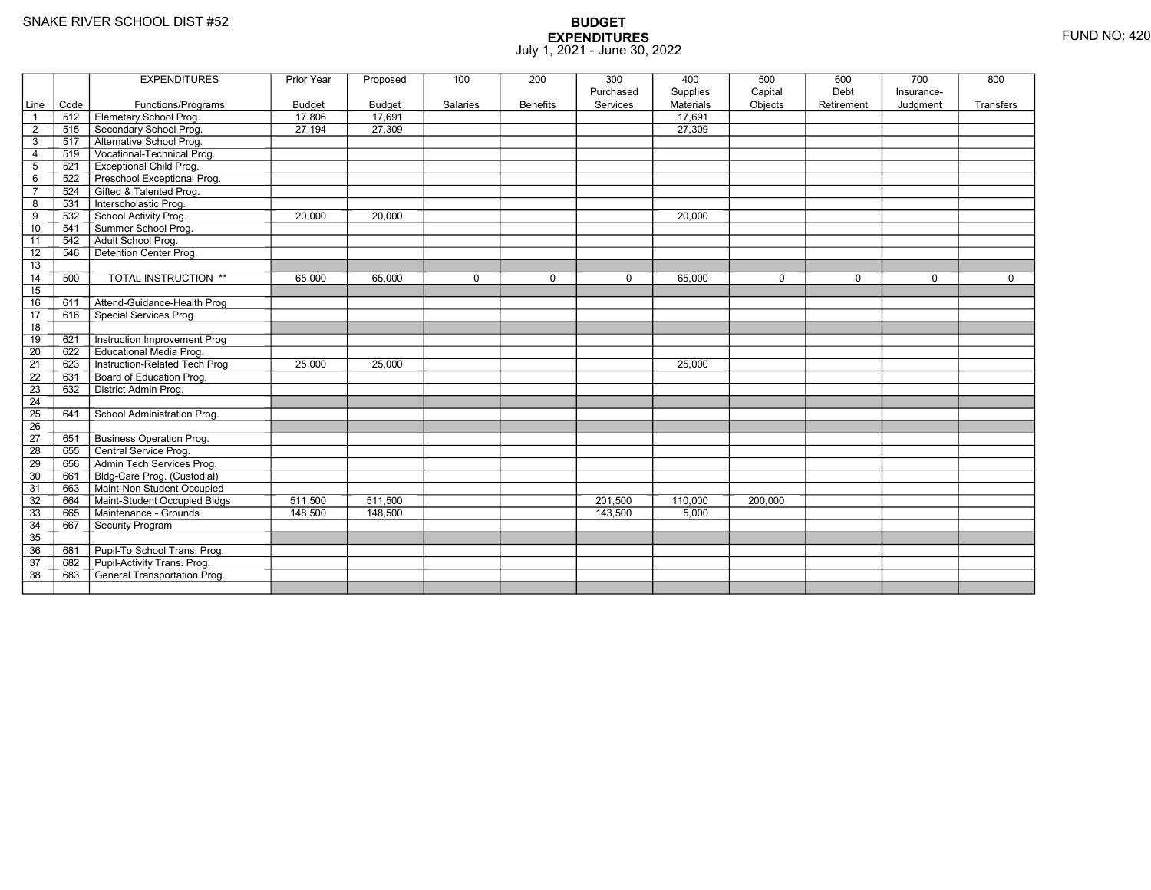|                 |      | <b>EXPENDITURES</b>             | Prior Year    | Proposed      | 100         | 200             | 300         | 400       | 500         | 600         | 700        | 800         |
|-----------------|------|---------------------------------|---------------|---------------|-------------|-----------------|-------------|-----------|-------------|-------------|------------|-------------|
|                 |      |                                 |               |               |             |                 | Purchased   | Supplies  | Capital     | Debt        | Insurance- |             |
| Line            | Code | Functions/Programs              | <b>Budget</b> | <b>Budget</b> | Salaries    | <b>Benefits</b> | Services    | Materials | Objects     | Retirement  | Judgment   | Transfers   |
|                 | 512  | Elemetary School Prog.          | 17,806        | 17,691        |             |                 |             | 17,691    |             |             |            |             |
| $\overline{2}$  | 515  | Secondary School Prog.          | 27,194        | 27,309        |             |                 |             | 27,309    |             |             |            |             |
| 3               | 517  | Alternative School Prog.        |               |               |             |                 |             |           |             |             |            |             |
| $\overline{4}$  | 519  | Vocational-Technical Prog.      |               |               |             |                 |             |           |             |             |            |             |
| 5               | 521  | <b>Exceptional Child Prog.</b>  |               |               |             |                 |             |           |             |             |            |             |
| 6               | 522  | Preschool Exceptional Prog.     |               |               |             |                 |             |           |             |             |            |             |
| $\overline{7}$  | 524  | Gifted & Talented Prog.         |               |               |             |                 |             |           |             |             |            |             |
| 8               | 531  | Interscholastic Prog.           |               |               |             |                 |             |           |             |             |            |             |
| 9               | 532  | School Activity Prog.           | 20,000        | 20,000        |             |                 |             | 20,000    |             |             |            |             |
| 10              | 541  | Summer School Prog.             |               |               |             |                 |             |           |             |             |            |             |
| 11              | 542  | Adult School Prog.              |               |               |             |                 |             |           |             |             |            |             |
| 12              | 546  | Detention Center Prog.          |               |               |             |                 |             |           |             |             |            |             |
| 13              |      |                                 |               |               |             |                 |             |           |             |             |            |             |
| 14              | 500  | <b>TOTAL INSTRUCTION **</b>     | 65,000        | 65,000        | $\mathbf 0$ | $\mathbf 0$     | $\mathbf 0$ | 65,000    | $\mathbf 0$ | $\mathbf 0$ | $\Omega$   | $\mathbf 0$ |
| 15              |      |                                 |               |               |             |                 |             |           |             |             |            |             |
| 16              | 611  | Attend-Guidance-Health Prog     |               |               |             |                 |             |           |             |             |            |             |
| 17              | 616  | Special Services Prog.          |               |               |             |                 |             |           |             |             |            |             |
| 18              |      |                                 |               |               |             |                 |             |           |             |             |            |             |
| 19              | 621  | Instruction Improvement Prog    |               |               |             |                 |             |           |             |             |            |             |
| $\overline{20}$ | 622  | <b>Educational Media Prog.</b>  |               |               |             |                 |             |           |             |             |            |             |
| 21              | 623  | Instruction-Related Tech Prog   | 25,000        | 25,000        |             |                 |             | 25,000    |             |             |            |             |
| $\overline{22}$ | 631  | Board of Education Prog.        |               |               |             |                 |             |           |             |             |            |             |
| 23              | 632  | District Admin Prog.            |               |               |             |                 |             |           |             |             |            |             |
| $\overline{24}$ |      |                                 |               |               |             |                 |             |           |             |             |            |             |
| $\overline{25}$ | 641  | School Administration Prog.     |               |               |             |                 |             |           |             |             |            |             |
| 26              |      |                                 |               |               |             |                 |             |           |             |             |            |             |
| $\overline{27}$ | 651  | <b>Business Operation Prog.</b> |               |               |             |                 |             |           |             |             |            |             |
| 28              | 655  | Central Service Prog.           |               |               |             |                 |             |           |             |             |            |             |
| 29              | 656  | Admin Tech Services Prog.       |               |               |             |                 |             |           |             |             |            |             |
| 30              | 661  | Bldg-Care Prog. (Custodial)     |               |               |             |                 |             |           |             |             |            |             |
| $\overline{31}$ | 663  | Maint-Non Student Occupied      |               |               |             |                 |             |           |             |             |            |             |
| 32              | 664  | Maint-Student Occupied Bldgs    | 511,500       | 511.500       |             |                 | 201.500     | 110.000   | 200,000     |             |            |             |
| 33              | 665  | Maintenance - Grounds           | 148,500       | 148,500       |             |                 | 143,500     | 5,000     |             |             |            |             |
| $\overline{34}$ | 667  | Security Program                |               |               |             |                 |             |           |             |             |            |             |
| 35              |      |                                 |               |               |             |                 |             |           |             |             |            |             |
| 36              | 681  | Pupil-To School Trans. Prog.    |               |               |             |                 |             |           |             |             |            |             |
| 37              | 682  | Pupil-Activity Trans. Prog.     |               |               |             |                 |             |           |             |             |            |             |
| $\overline{38}$ | 683  | General Transportation Prog.    |               |               |             |                 |             |           |             |             |            |             |
|                 |      |                                 |               |               |             |                 |             |           |             |             |            |             |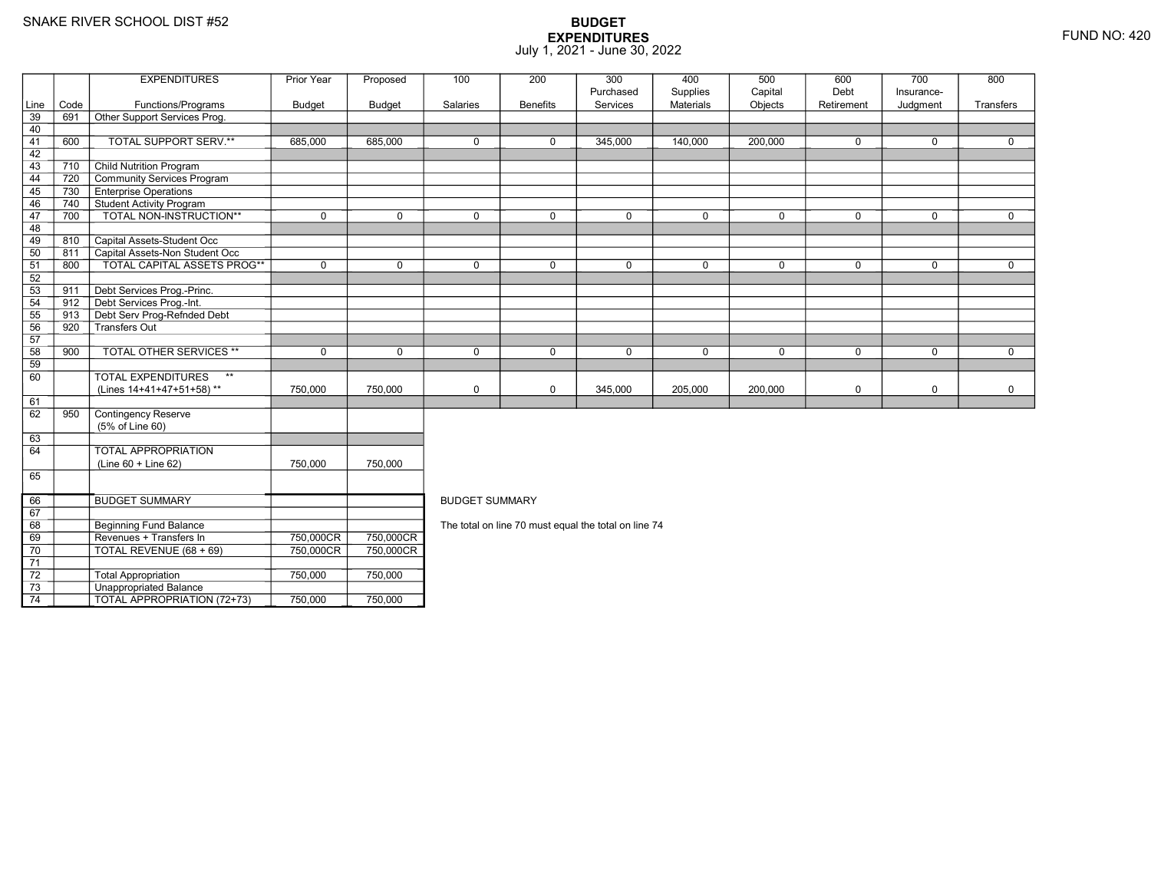67 68

69

70

71 72

73

74

8 Beginning Fund Balance

3 **Unappropriated Balance** 

Revenues + Transfers In 750,000CR

0 | TOTAL REVENUE (68 + 69) | 750,000CR

2 | Total Appropriation | 750,000 | 750,000

TOTAL APPROPRIATION (72+73) 750,000 750,000

## **BUDGET EXPENDITURES**July 1, 2021 - June 30, 2022

|      |      | <b>EXPENDITURES</b>                       | Prior Year  | Proposed      | 100                   | 200             | 300         | 400         | 500         | 600         | 700         | 800         |  |  |
|------|------|-------------------------------------------|-------------|---------------|-----------------------|-----------------|-------------|-------------|-------------|-------------|-------------|-------------|--|--|
|      |      |                                           |             |               |                       |                 | Purchased   | Supplies    | Capital     | Debt        | Insurance-  |             |  |  |
| Line | Code | Functions/Programs                        | Budget      | <b>Budget</b> | Salaries              | <b>Benefits</b> | Services    | Materials   | Objects     | Retirement  | Judgment    | Transfers   |  |  |
| 39   | 691  | Other Support Services Prog.              |             |               |                       |                 |             |             |             |             |             |             |  |  |
| 40   |      |                                           |             |               |                       |                 |             |             |             |             |             |             |  |  |
| 41   | 600  | TOTAL SUPPORT SERV.**                     | 685,000     | 685,000       | $\Omega$              | $\Omega$        | 345,000     | 140,000     | 200,000     | $\Omega$    | $\mathbf 0$ | $\Omega$    |  |  |
| 42   |      |                                           |             |               |                       |                 |             |             |             |             |             |             |  |  |
| 43   | 710  | <b>Child Nutrition Program</b>            |             |               |                       |                 |             |             |             |             |             |             |  |  |
| 44   | 720  | Community Services Program                |             |               |                       |                 |             |             |             |             |             |             |  |  |
| 45   | 730  | <b>Enterprise Operations</b>              |             |               |                       |                 |             |             |             |             |             |             |  |  |
| 46   | 740  | Student Activity Program                  |             |               |                       |                 |             |             |             |             |             |             |  |  |
| 47   | 700  | TOTAL NON-INSTRUCTION**                   | $\Omega$    | $\Omega$      | $\Omega$              | $\Omega$        | $\Omega$    | $\mathbf 0$ | $\Omega$    | $\Omega$    | $\mathbf 0$ | $\Omega$    |  |  |
| 48   |      |                                           |             |               |                       |                 |             |             |             |             |             |             |  |  |
| 49   | 810  | Capital Assets-Student Occ                |             |               |                       |                 |             |             |             |             |             |             |  |  |
| 50   | 811  | Capital Assets-Non Student Occ            |             |               |                       |                 |             |             |             |             |             |             |  |  |
| 51   | 800  | TOTAL CAPITAL ASSETS PROG**               | $\mathbf 0$ | $\Omega$      | $\Omega$              | $\Omega$        | $\Omega$    | $\mathbf 0$ | $\Omega$    | $\mathbf 0$ | $\mathbf 0$ | $\mathbf 0$ |  |  |
| 52   |      |                                           |             |               |                       |                 |             |             |             |             |             |             |  |  |
| 53   | 911  | Debt Services Prog.-Princ.                |             |               |                       |                 |             |             |             |             |             |             |  |  |
| 54   | 912  | Debt Services Prog.-Int.                  |             |               |                       |                 |             |             |             |             |             |             |  |  |
| 55   | 913  | Debt Serv Prog-Refnded Debt               |             |               |                       |                 |             |             |             |             |             |             |  |  |
| 56   | 920  | Transfers Out                             |             |               |                       |                 |             |             |             |             |             |             |  |  |
| 57   |      |                                           |             |               |                       |                 |             |             |             |             |             |             |  |  |
| 58   | 900  | <b>TOTAL OTHER SERVICES **</b>            | $\mathbf 0$ | $\mathbf 0$   | $\Omega$              | 0               | $\mathbf 0$ | $\mathbf 0$ | $\mathbf 0$ | $\mathbf 0$ | $\mathbf 0$ | $\mathbf 0$ |  |  |
| 59   |      |                                           |             |               |                       |                 |             |             |             |             |             |             |  |  |
| 60   |      | <b>TOTAL EXPENDITURES</b><br>$\star\star$ |             |               |                       |                 |             |             |             |             |             |             |  |  |
|      |      | (Lines 14+41+47+51+58)**                  | 750,000     | 750.000       | $\mathbf 0$           | 0               | 345,000     | 205,000     | 200,000     | $\mathbf 0$ | $\mathbf 0$ | $\mathbf 0$ |  |  |
| 61   |      |                                           |             |               |                       |                 |             |             |             |             |             |             |  |  |
| 62   | 950  | Contingency Reserve                       |             |               |                       |                 |             |             |             |             |             |             |  |  |
|      |      | (5% of Line 60)                           |             |               |                       |                 |             |             |             |             |             |             |  |  |
| 63   |      |                                           |             |               |                       |                 |             |             |             |             |             |             |  |  |
| 64   |      | TOTAL APPROPRIATION                       |             |               |                       |                 |             |             |             |             |             |             |  |  |
|      |      | $(Line 60 + Line 62)$                     | 750,000     | 750,000       |                       |                 |             |             |             |             |             |             |  |  |
| 65   |      |                                           |             |               |                       |                 |             |             |             |             |             |             |  |  |
|      |      |                                           |             |               |                       |                 |             |             |             |             |             |             |  |  |
| 66   |      | <b>BUDGET SUMMARY</b>                     |             |               | <b>BUDGET SUMMARY</b> |                 |             |             |             |             |             |             |  |  |
|      |      |                                           |             |               |                       |                 |             |             |             |             |             |             |  |  |

The total on line 70 must equal the total on line 74

R\_| 750,000CR<br>DT 750,000CR

R 750,000CR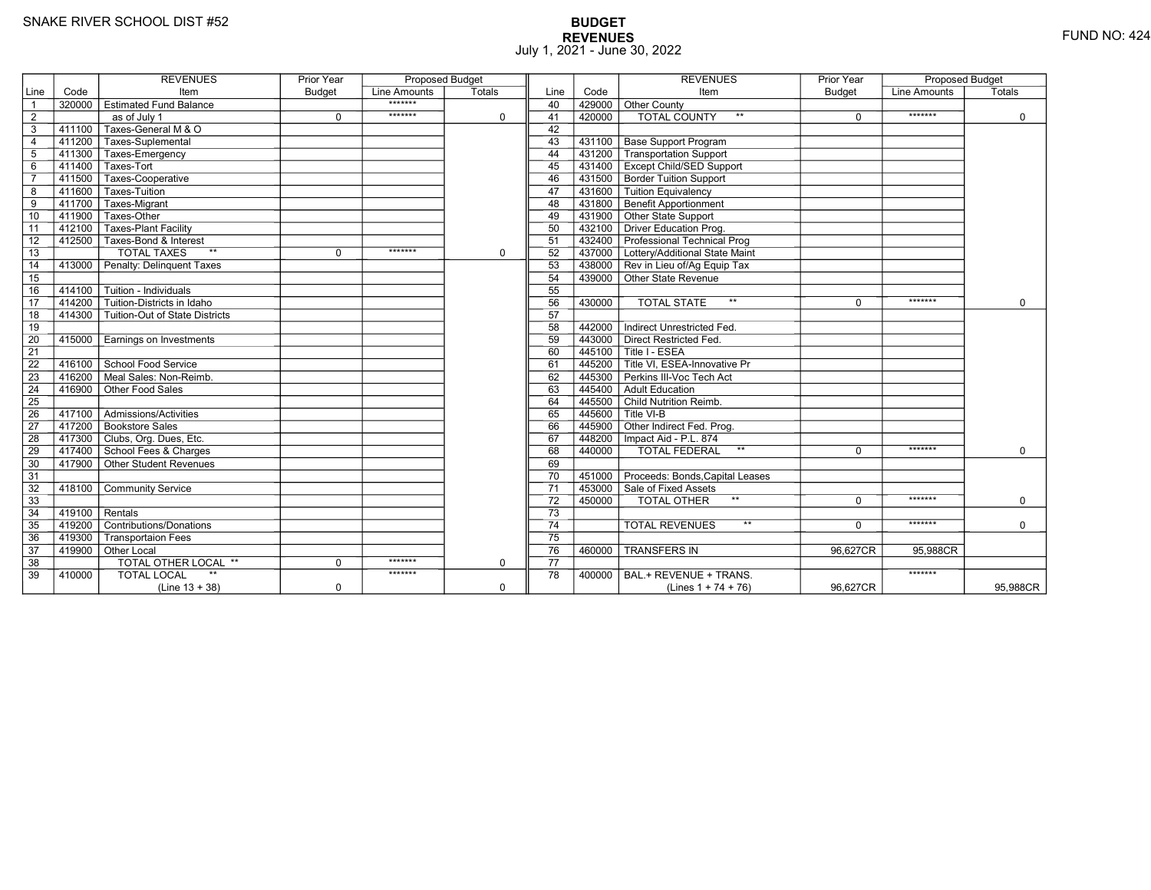# **BUDGET REVENUES** FUND NO: 424 July 1, 2021 - June 30, 2022

|                 |        | <b>REVENUES</b>                           | <b>Prior Year</b> | <b>Proposed Budget</b> |             |                 |        | <b>REVENUES</b>                                                      | <b>Prior Year</b> | <b>Proposed Budget</b> |             |
|-----------------|--------|-------------------------------------------|-------------------|------------------------|-------------|-----------------|--------|----------------------------------------------------------------------|-------------------|------------------------|-------------|
| Line            | Code   | Item                                      | <b>Budget</b>     | Line Amounts           | Totals      | Line            | Code   | Item                                                                 | <b>Budget</b>     | Line Amounts           | Totals      |
| $\overline{1}$  | 320000 | <b>Estimated Fund Balance</b>             |                   | *******                |             | 40              | 429000 | Other County                                                         |                   |                        |             |
| $\overline{2}$  |        | $\overline{as}$ of July 1                 | $\mathbf 0$       | *******                | $\mathbf 0$ | 41              | 420000 | <b>TOTAL COUNTY</b><br>$**$                                          | $\mathbf 0$       | *******                | $\mathbf 0$ |
| 3               | 411100 | Taxes-General M & O                       |                   |                        |             | 42              |        |                                                                      |                   |                        |             |
| $\overline{4}$  |        | 411200 Taxes-Suplemental                  |                   |                        |             | 43              | 431100 | <b>Base Support Program</b>                                          |                   |                        |             |
| $5\phantom{.0}$ | 411300 | Taxes-Emergency                           |                   |                        |             | 44              | 431200 | Transportation Support                                               |                   |                        |             |
| $\,6$           | 411400 | Taxes-Tort                                |                   |                        |             | 45              |        | 431400 Except Child/SED Support                                      |                   |                        |             |
| $\overline{7}$  | 411500 | Taxes-Cooperative                         |                   |                        |             | 46              |        | 431500 Border Tuition Support                                        |                   |                        |             |
| 8               | 411600 | Taxes-Tuition                             |                   |                        |             | 47              | 431600 | Tuition Equivalency                                                  |                   |                        |             |
| $\overline{9}$  | 411700 | Taxes-Migrant                             |                   |                        |             | 48              | 431800 | <b>Benefit Apportionment</b>                                         |                   |                        |             |
| 10              | 411900 | Taxes-Other                               |                   |                        |             | 49              |        | 431900 Other State Support                                           |                   |                        |             |
| 11              | 412100 | <b>Taxes-Plant Facility</b>               |                   |                        |             | 50              |        | 432100 Driver Education Prog.                                        |                   |                        |             |
| 12              | 412500 | Taxes-Bond & Interest                     |                   |                        |             | 51              |        | 432400 Professional Technical Prog                                   |                   |                        |             |
| $\overline{13}$ |        | <b>TOTAL TAXES</b><br>$**$                | $\mathbf 0$       | *******                | $\mathbf 0$ | 52              |        | 437000 Lottery/Additional State Maint                                |                   |                        |             |
| 14              | 413000 | Penalty: Delinquent Taxes                 |                   |                        |             | 53              |        | 438000 Rev in Lieu of/Ag Equip Tax                                   |                   |                        |             |
| 15              |        |                                           |                   |                        |             | 54              |        | 439000 Other State Revenue                                           |                   |                        |             |
| 16              | 414100 | Tuition - Individuals                     |                   |                        |             | 55              |        |                                                                      |                   |                        |             |
| $\overline{17}$ | 414200 | Tuition-Districts in Idaho                |                   |                        |             | 56              | 430000 | $\star\star$<br><b>TOTAL STATE</b>                                   | $\Omega$          | *******                | $\Omega$    |
| 18              | 414300 | Tuition-Out of State Districts            |                   |                        |             | 57              |        |                                                                      |                   |                        |             |
| 19              |        |                                           |                   |                        |             | 58              | 442000 | Indirect Unrestricted Fed.                                           |                   |                        |             |
| 20              | 415000 | Earnings on Investments                   |                   |                        |             | 59              |        | 443000 Direct Restricted Fed.                                        |                   |                        |             |
| $\overline{21}$ |        |                                           |                   |                        |             | 60              |        | 445100 Title I - ESEA                                                |                   |                        |             |
| $\overline{22}$ |        | 416100 School Food Service                |                   |                        |             | 61              |        | $\overline{1}$ 445200 $\overline{\top}$ Title VI. ESEA-Innovative Pr |                   |                        |             |
| 23              | 416200 | Meal Sales: Non-Reimb.                    |                   |                        |             | 62              | 445300 | Perkins III-Voc Tech Act                                             |                   |                        |             |
| 24              | 416900 | Other Food Sales                          |                   |                        |             | 63              |        | 445400 Adult Education                                               |                   |                        |             |
| 25              |        |                                           |                   |                        |             | 64              |        | 445500 Child Nutrition Reimb.                                        |                   |                        |             |
| 26              | 417100 | $\overline{\Gamma}$ Admissions/Activities |                   |                        |             | 65              |        | $7445600$ T Title VI-B                                               |                   |                        |             |
| $\overline{27}$ |        | 417200 Bookstore Sales                    |                   |                        |             | 66              |        | 445900 Other Indirect Fed. Prog.                                     |                   |                        |             |
| 28              |        | 417300 Clubs, Org. Dues, Etc.             |                   |                        |             | 67              |        | 448200   Impact Aid - P.L. 874                                       |                   |                        |             |
| 29              |        | 417400 School Fees & Charges              |                   |                        |             | 68              | 440000 | $\star\star$<br><b>TOTAL FEDERAL</b>                                 | $\Omega$          | *******                | $\Omega$    |
| 30              |        | 417900 Other Student Revenues             |                   |                        |             | 69              |        |                                                                      |                   |                        |             |
| 31              |        |                                           |                   |                        |             | 70              |        | 451000 Proceeds: Bonds, Capital Leases                               |                   |                        |             |
| 32              | 418100 | <b>Community Service</b>                  |                   |                        |             | $\overline{71}$ |        | 453000 Sale of Fixed Assets                                          |                   |                        |             |
| 33              |        |                                           |                   |                        |             | 72              | 450000 | $\star\star$<br>TOTAL OTHER                                          | $\Omega$          | *******                | $\mathbf 0$ |
| 34              | 419100 | Rentals                                   |                   |                        |             | 73              |        |                                                                      |                   |                        |             |
| 35              | 419200 | Contributions/Donations                   |                   |                        |             | 74              |        | $**$<br><b>TOTAL REVENUES</b>                                        | $\Omega$          | *******                | $\mathbf 0$ |
| 36              | 419300 | <b>Transportaion Fees</b>                 |                   |                        |             | $\overline{75}$ |        |                                                                      |                   |                        |             |
| 37              |        | 419900 Other Local                        |                   |                        |             | 76              | 460000 | <b>TRANSFERS IN</b>                                                  | 96,627CR          | 95,988CR               |             |
| 38              |        | <b>TOTAL OTHER LOCAL **</b>               | $\mathbf 0$       | *******                | $\mathbf 0$ | 77              |        |                                                                      |                   |                        |             |
| 39              | 410000 | <b>TOTAL LOCAL</b>                        |                   | *******                |             | 78              | 400000 | BAL.+ REVENUE + TRANS.                                               |                   | *******                |             |
|                 |        | $(Line 13 + 38)$                          | $\mathbf 0$       |                        | $\mathbf 0$ |                 |        | (Lines $1 + 74 + 76$ )                                               | 96,627CR          |                        | 95,988CR    |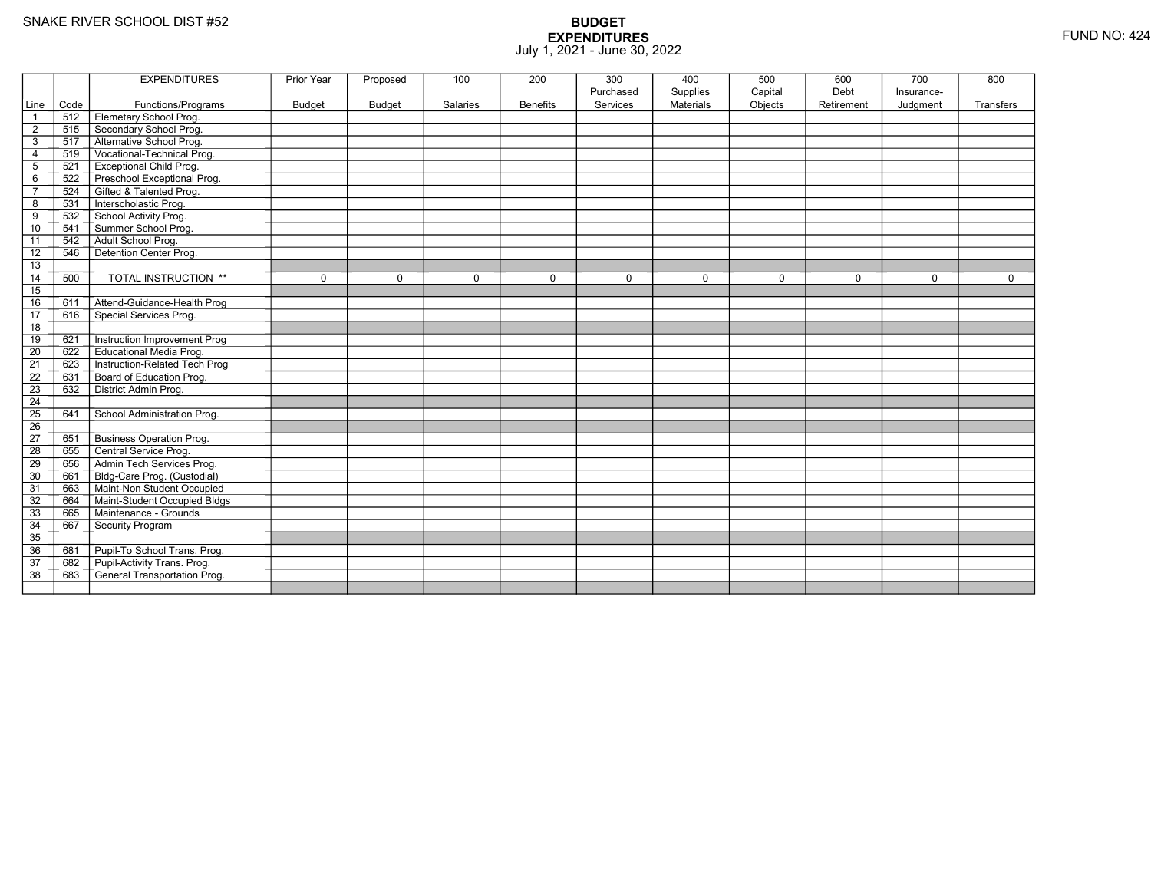|                 |      | <b>EXPENDITURES</b>                 | <b>Prior Year</b> | Proposed      | 100             | 200             | 300<br>Purchased | 400<br>Supplies  | 500<br>Capital | 600<br>Debt | 700<br>Insurance- | 800         |
|-----------------|------|-------------------------------------|-------------------|---------------|-----------------|-----------------|------------------|------------------|----------------|-------------|-------------------|-------------|
| Line            | Code | Functions/Programs                  | <b>Budget</b>     | <b>Budget</b> | <b>Salaries</b> | <b>Benefits</b> | Services         | <b>Materials</b> | Objects        | Retirement  | Judgment          | Transfers   |
| $\overline{1}$  | 512  | Elemetary School Prog.              |                   |               |                 |                 |                  |                  |                |             |                   |             |
| $\overline{2}$  | 515  | Secondary School Prog.              |                   |               |                 |                 |                  |                  |                |             |                   |             |
| $\mathsf 3$     | 517  | Alternative School Prog.            |                   |               |                 |                 |                  |                  |                |             |                   |             |
| $\overline{4}$  | 519  | Vocational-Technical Prog.          |                   |               |                 |                 |                  |                  |                |             |                   |             |
| $\overline{5}$  | 521  | <b>Exceptional Child Prog.</b>      |                   |               |                 |                 |                  |                  |                |             |                   |             |
| 6               | 522  | Preschool Exceptional Prog.         |                   |               |                 |                 |                  |                  |                |             |                   |             |
| $\overline{7}$  | 524  | Gifted & Talented Prog.             |                   |               |                 |                 |                  |                  |                |             |                   |             |
| 8               | 531  | Interscholastic Prog.               |                   |               |                 |                 |                  |                  |                |             |                   |             |
| 9               | 532  | School Activity Prog.               |                   |               |                 |                 |                  |                  |                |             |                   |             |
| 10              | 541  | Summer School Prog.                 |                   |               |                 |                 |                  |                  |                |             |                   |             |
| 11              | 542  | Adult School Prog.                  |                   |               |                 |                 |                  |                  |                |             |                   |             |
| $\overline{12}$ | 546  | Detention Center Prog.              |                   |               |                 |                 |                  |                  |                |             |                   |             |
| 13              |      |                                     |                   |               |                 |                 |                  |                  |                |             |                   |             |
| 14              | 500  | <b>TOTAL INSTRUCTION **</b>         | $\mathbf 0$       | $\Omega$      | $\mathbf 0$     | 0               | $\mathbf 0$      | $\mathbf 0$      | $\mathbf 0$    | $\mathbf 0$ | $\Omega$          | $\mathbf 0$ |
| 15              |      |                                     |                   |               |                 |                 |                  |                  |                |             |                   |             |
| 16              | 611  | Attend-Guidance-Health Prog         |                   |               |                 |                 |                  |                  |                |             |                   |             |
| $\overline{17}$ | 616  | Special Services Prog.              |                   |               |                 |                 |                  |                  |                |             |                   |             |
| 18              |      |                                     |                   |               |                 |                 |                  |                  |                |             |                   |             |
| 19              | 621  | Instruction Improvement Prog        |                   |               |                 |                 |                  |                  |                |             |                   |             |
| $\overline{20}$ | 622  | <b>Educational Media Prog.</b>      |                   |               |                 |                 |                  |                  |                |             |                   |             |
| 21              | 623  | Instruction-Related Tech Prog       |                   |               |                 |                 |                  |                  |                |             |                   |             |
| $\overline{22}$ | 631  | Board of Education Prog.            |                   |               |                 |                 |                  |                  |                |             |                   |             |
| 23              | 632  | District Admin Prog.                |                   |               |                 |                 |                  |                  |                |             |                   |             |
| 24              |      |                                     |                   |               |                 |                 |                  |                  |                |             |                   |             |
| 25              | 641  | School Administration Prog.         |                   |               |                 |                 |                  |                  |                |             |                   |             |
| 26              |      |                                     |                   |               |                 |                 |                  |                  |                |             |                   |             |
| $\overline{27}$ | 651  | <b>Business Operation Prog.</b>     |                   |               |                 |                 |                  |                  |                |             |                   |             |
| $\overline{28}$ | 655  | Central Service Prog.               |                   |               |                 |                 |                  |                  |                |             |                   |             |
| 29              | 656  | Admin Tech Services Prog.           |                   |               |                 |                 |                  |                  |                |             |                   |             |
| 30              | 661  | Bldg-Care Prog. (Custodial)         |                   |               |                 |                 |                  |                  |                |             |                   |             |
| 31              | 663  | Maint-Non Student Occupied          |                   |               |                 |                 |                  |                  |                |             |                   |             |
| 32              | 664  | Maint-Student Occupied Bldgs        |                   |               |                 |                 |                  |                  |                |             |                   |             |
| 33              | 665  | Maintenance - Grounds               |                   |               |                 |                 |                  |                  |                |             |                   |             |
| 34              | 667  | Security Program                    |                   |               |                 |                 |                  |                  |                |             |                   |             |
| $\overline{35}$ |      |                                     |                   |               |                 |                 |                  |                  |                |             |                   |             |
| 36              | 681  | Pupil-To School Trans. Prog.        |                   |               |                 |                 |                  |                  |                |             |                   |             |
| 37              | 682  | Pupil-Activity Trans. Prog.         |                   |               |                 |                 |                  |                  |                |             |                   |             |
| $\overline{38}$ | 683  | <b>General Transportation Prog.</b> |                   |               |                 |                 |                  |                  |                |             |                   |             |
|                 |      |                                     |                   |               |                 |                 |                  |                  |                |             |                   |             |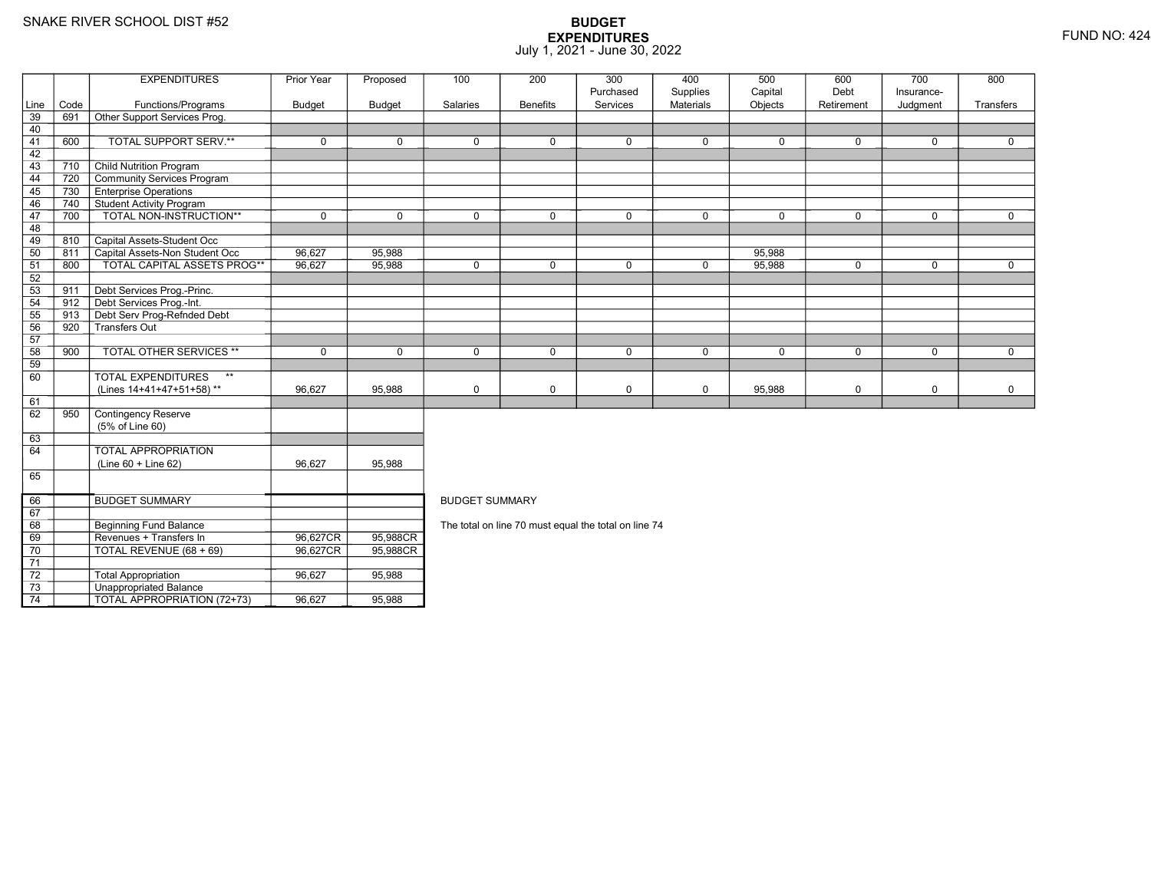67 68

69

70

71 72

73

74

Beginning Fund Balance

Unappropriated Balance

Revenues + Transfers In 96,627CR

TOTAL REVENUE (68 + 69) 96,627CR

Total Appropriation 196,627 96,627 95,988

TOTAL APPROPRIATION (72+73) 96,627 95,988

## **BUDGET EXPENDITURES**July 1, 2021 - June 30, 2022

|      |      | <b>EXPENDITURES</b>                       | Prior Year    | Proposed      | 100                   | 200             | 300         | 400              | 500         | 600         | 700          | 800          |  |
|------|------|-------------------------------------------|---------------|---------------|-----------------------|-----------------|-------------|------------------|-------------|-------------|--------------|--------------|--|
|      |      |                                           |               |               |                       |                 | Purchased   | Supplies         | Capital     | Debt        | Insurance-   |              |  |
| Line | Code | Functions/Programs                        | <b>Budget</b> | <b>Budget</b> | Salaries              | <b>Benefits</b> | Services    | <b>Materials</b> | Objects     | Retirement  | Judgment     | Transfers    |  |
| 39   | 691  | Other Support Services Prog.              |               |               |                       |                 |             |                  |             |             |              |              |  |
| 40   |      |                                           |               |               |                       |                 |             |                  |             |             |              |              |  |
| 41   | 600  | TOTAL SUPPORT SERV.**                     | $\mathbf 0$   | $\Omega$      | $\mathbf 0$           | $\mathbf 0$     | $\mathbf 0$ | $\mathbf 0$      | $\mathbf 0$ | $\mathbf 0$ | $\mathbf 0$  | $\mathbf{0}$ |  |
| 42   |      |                                           |               |               |                       |                 |             |                  |             |             |              |              |  |
| 43   | 710  | <b>Child Nutrition Program</b>            |               |               |                       |                 |             |                  |             |             |              |              |  |
| 44   | 720  | Community Services Program                |               |               |                       |                 |             |                  |             |             |              |              |  |
| 45   | 730  | <b>Enterprise Operations</b>              |               |               |                       |                 |             |                  |             |             |              |              |  |
| 46   | 740  | <b>Student Activity Program</b>           |               |               |                       |                 |             |                  |             |             |              |              |  |
| 47   | 700  | TOTAL NON-INSTRUCTION**                   | $\mathbf 0$   | $\Omega$      | $\Omega$              | $\mathbf 0$     | $\Omega$    | $\mathbf 0$      | $\Omega$    | $\mathbf 0$ | $\Omega$     | $\mathbf{0}$ |  |
| 48   |      |                                           |               |               |                       |                 |             |                  |             |             |              |              |  |
| 49   | 810  | Capital Assets-Student Occ                |               |               |                       |                 |             |                  |             |             |              |              |  |
| 50   | 811  | Capital Assets-Non Student Occ            | 96,627        | 95,988        |                       |                 |             |                  | 95,988      |             |              |              |  |
| 51   | 800  | <b>TOTAL CAPITAL ASSETS PROG**</b>        | 96,627        | 95,988        | $\mathbf 0$           | $\Omega$        | $\mathbf 0$ | $\mathsf{O}$     | 95,988      | $\mathbf 0$ | $\mathbf 0$  | $\mathbf 0$  |  |
| 52   |      |                                           |               |               |                       |                 |             |                  |             |             |              |              |  |
| 53   | 911  | Debt Services Prog.-Princ.                |               |               |                       |                 |             |                  |             |             |              |              |  |
| 54   | 912  | Debt Services Prog.-Int.                  |               |               |                       |                 |             |                  |             |             |              |              |  |
| 55   | 913  | Debt Serv Prog-Refnded Debt               |               |               |                       |                 |             |                  |             |             |              |              |  |
| 56   | 920  | Transfers Out                             |               |               |                       |                 |             |                  |             |             |              |              |  |
| 57   |      |                                           |               |               |                       |                 |             |                  |             |             |              |              |  |
| 58   | 900  | <b>TOTAL OTHER SERVICES **</b>            | $\mathbf 0$   | $\Omega$      | $\Omega$              | $\Omega$        | $\mathbf 0$ | $\mathbf 0$      | $\Omega$    | $\Omega$    | $\mathbf{0}$ | $\Omega$     |  |
| 59   |      |                                           |               |               |                       |                 |             |                  |             |             |              |              |  |
| 60   |      | $\star\star$<br><b>TOTAL EXPENDITURES</b> |               |               |                       |                 |             |                  |             |             |              |              |  |
|      |      | (Lines 14+41+47+51+58)**                  | 96.627        | 95.988        | $\mathbf 0$           | 0               | 0           | $\mathbf 0$      | 95,988      | 0           | $\mathsf 0$  | $\mathbf 0$  |  |
| 61   |      |                                           |               |               |                       |                 |             |                  |             |             |              |              |  |
| 62   | 950  | <b>Contingency Reserve</b>                |               |               |                       |                 |             |                  |             |             |              |              |  |
|      |      | (5% of Line 60)                           |               |               |                       |                 |             |                  |             |             |              |              |  |
| 63   |      |                                           |               |               |                       |                 |             |                  |             |             |              |              |  |
| 64   |      | <b>TOTAL APPROPRIATION</b>                |               |               |                       |                 |             |                  |             |             |              |              |  |
|      |      | $(Line 60 + Line 62)$                     | 96,627        | 95,988        |                       |                 |             |                  |             |             |              |              |  |
| 65   |      |                                           |               |               |                       |                 |             |                  |             |             |              |              |  |
|      |      |                                           |               |               |                       |                 |             |                  |             |             |              |              |  |
| 66   |      | <b>BUDGET SUMMARY</b>                     |               |               | <b>BUDGET SUMMARY</b> |                 |             |                  |             |             |              |              |  |

The total on line 70 must equal the total on line 74

R\_| 95,988CR<br>nt= 05,988CR

R 95,988CR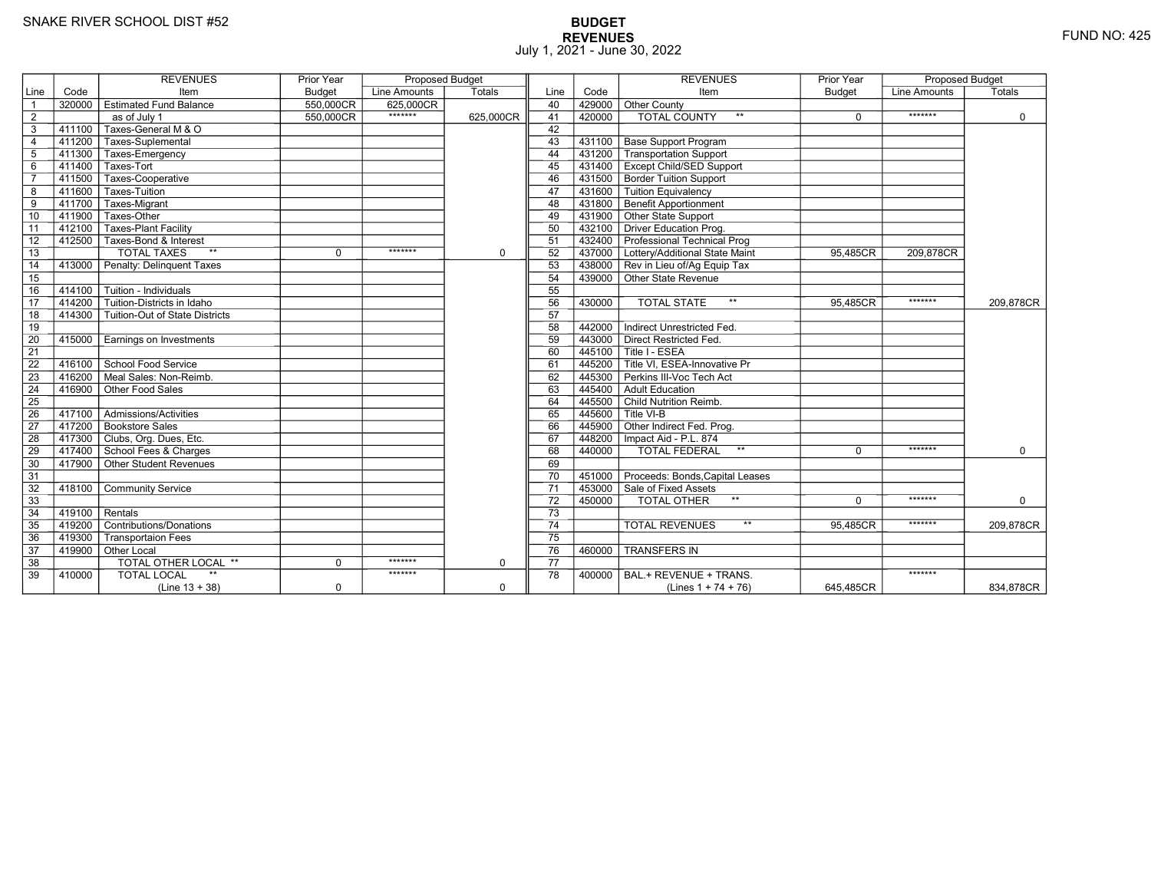# **BUDGET REVENUES** FUND NO: 425 July 1, 2021 - June 30, 2022

|                 |           | <b>REVENUES</b>                | <b>Prior Year</b> | <b>Proposed Budget</b> |             |                 |        | <b>REVENUES</b>                                  | Prior Year | <b>Proposed Budget</b> |             |
|-----------------|-----------|--------------------------------|-------------------|------------------------|-------------|-----------------|--------|--------------------------------------------------|------------|------------------------|-------------|
| Line            | Code      | Item                           | Budget            | Line Amounts           | Totals      | Line            | Code   | Item                                             | Budget     | <b>Line Amounts</b>    | Totals      |
| $\overline{1}$  | 320000    | <b>Estimated Fund Balance</b>  | 550,000CR         | 625,000CR              |             | 40              | 429000 | Other County                                     |            |                        |             |
| $\overline{2}$  |           | as of July 1                   | 550,000CR         | *******                | 625,000CR   | 41              | 420000 | <b>TOTAL COUNTY</b>                              | $\Omega$   | *******                | $\mathbf 0$ |
| 3               | $-411100$ | Taxes-General M & O            |                   |                        |             | 42              |        |                                                  |            |                        |             |
| $\overline{4}$  |           | 411200 Taxes-Suplemental       |                   |                        |             | 43              |        | 431100   Base Support Program                    |            |                        |             |
| 5               | 411300    | Taxes-Emergency                |                   |                        |             | 44              | 431200 | Transportation Support                           |            |                        |             |
| 6               | 411400    | Taxes-Tort                     |                   |                        |             | 45              |        | 431400   Except Child/SED Support                |            |                        |             |
| $\overline{7}$  | 411500    | Taxes-Cooperative              |                   |                        |             | 46              |        | 431500 Border Tuition Support                    |            |                        |             |
| 8               | 411600    | Taxes-Tuition                  |                   |                        |             | 47              |        | 431600 Tuition Equivalency                       |            |                        |             |
| 9               | 411700    | Taxes-Migrant                  |                   |                        |             | 48              |        | 431800 Benefit Apportionment                     |            |                        |             |
| 10              | 411900    | Taxes-Other                    |                   |                        |             | 49              |        | 431900 Other State Support                       |            |                        |             |
| 11              | 412100    | Taxes-Plant Facility           |                   |                        |             | 50              |        | 432100 Driver Education Prog.                    |            |                        |             |
| 12              |           | 412500 Taxes-Bond & Interest   |                   |                        |             | 51              |        | 432400 Professional Technical Prog               |            |                        |             |
| 13              |           | <b>TOTAL TAXES</b><br>$**$     | $\Omega$          | *******                | $\mathbf 0$ | 52              |        | 437000 Lottery/Additional State Maint            | 95,485CR   | 209,878CR              |             |
| 14              | 413000    | Penalty: Delinguent Taxes      |                   |                        |             | 53              |        | 438000 Rev in Lieu of/Ag Equip Tax               |            |                        |             |
| 15              |           |                                |                   |                        |             | 54              |        | 439000 Other State Revenue                       |            |                        |             |
| 16              | 414100    | Tuition - Individuals          |                   |                        |             | 55              |        |                                                  |            |                        |             |
| 17              | 414200    | Tuition-Districts in Idaho     |                   |                        |             | 56              | 430000 | <b>TOTAL STATE</b><br>$***$                      | 95.485CR   | *******                | 209.878CR   |
| 18              | 414300    | Tuition-Out of State Districts |                   |                        |             | 57              |        |                                                  |            |                        |             |
| 19              |           |                                |                   |                        |             | 58              | 442000 | Indirect Unrestricted Fed.                       |            |                        |             |
| $\overline{20}$ | 415000    | Earnings on Investments        |                   |                        |             | 59              |        | 443000 Direct Restricted Fed.                    |            |                        |             |
| $\overline{21}$ |           |                                |                   |                        |             | 60              |        | 445100 Title I - ESEA                            |            |                        |             |
| 22              | 416100    | School Food Service            |                   |                        |             | 61              |        | 445200 <sup>T</sup> Title VI. ESEA-Innovative Pr |            |                        |             |
| 23              | 416200    | Meal Sales: Non-Reimb.         |                   |                        |             | 62              |        | 445300 Perkins III-Voc Tech Act                  |            |                        |             |
| 24              | 416900    | Other Food Sales               |                   |                        |             | 63              |        | 445400 Adult Education                           |            |                        |             |
| $\overline{25}$ |           |                                |                   |                        |             | 64              |        | 445500 Child Nutrition Reimb.                    |            |                        |             |
| 26              | 417100    | Admissions/Activities          |                   |                        |             | 65              |        | $7445600$ Title VI-B                             |            |                        |             |
| 27              |           | 417200 Bookstore Sales         |                   |                        |             | 66              |        | 445900 Other Indirect Fed. Prog.                 |            |                        |             |
| 28              |           | 417300 Clubs, Org. Dues, Etc.  |                   |                        |             | 67              |        | 448200   Impact Aid - P.L. 874                   |            |                        |             |
| 29              |           | 417400 School Fees & Charges   |                   |                        |             | 68              | 440000 | TOTAL FEDERAL<br>$\star\star$                    | 0          | *******                | $\mathbf 0$ |
| 30              |           | 417900 Other Student Revenues  |                   |                        |             | 69              |        |                                                  |            |                        |             |
| 31              |           |                                |                   |                        |             | 70              |        | 451000 Proceeds: Bonds, Capital Leases           |            |                        |             |
| 32              | 418100    | <b>Community Service</b>       |                   |                        |             | 71              |        | 453000 Sale of Fixed Assets                      |            |                        |             |
| 33              |           |                                |                   |                        |             | 72              | 450000 | TOTAL OTHER                                      | $\Omega$   | *******                | $\Omega$    |
| 34              | 419100    | Rentals                        |                   |                        |             | $\overline{73}$ |        |                                                  |            |                        |             |
| 35              | 419200    | Contributions/Donations        |                   |                        |             | $\overline{74}$ |        | $**$<br><b>TOTAL REVENUES</b>                    | 95.485CR   | *******                | 209.878CR   |
| 36              | 419300    | <b>Transportaion Fees</b>      |                   |                        |             | 75              |        |                                                  |            |                        |             |
| 37              | 419900    | Other Local                    |                   |                        |             | 76              | 460000 | <b>TRANSFERS IN</b>                              |            |                        |             |
| 38              |           | TOTAL OTHER LOCAL **           | $\mathbf 0$       | *******                | $\mathbf 0$ | 77              |        |                                                  |            |                        |             |
| 39              | 410000    | <b>TOTAL LOCAL</b>             |                   | *******                |             | 78              | 400000 | BAL.+ REVENUE + TRANS.                           |            | *******                |             |
|                 |           | $(Line 13 + 38)$               | $\mathbf 0$       |                        | $\mathbf 0$ |                 |        | (Lines $1 + 74 + 76$ )                           | 645.485CR  |                        | 834,878CR   |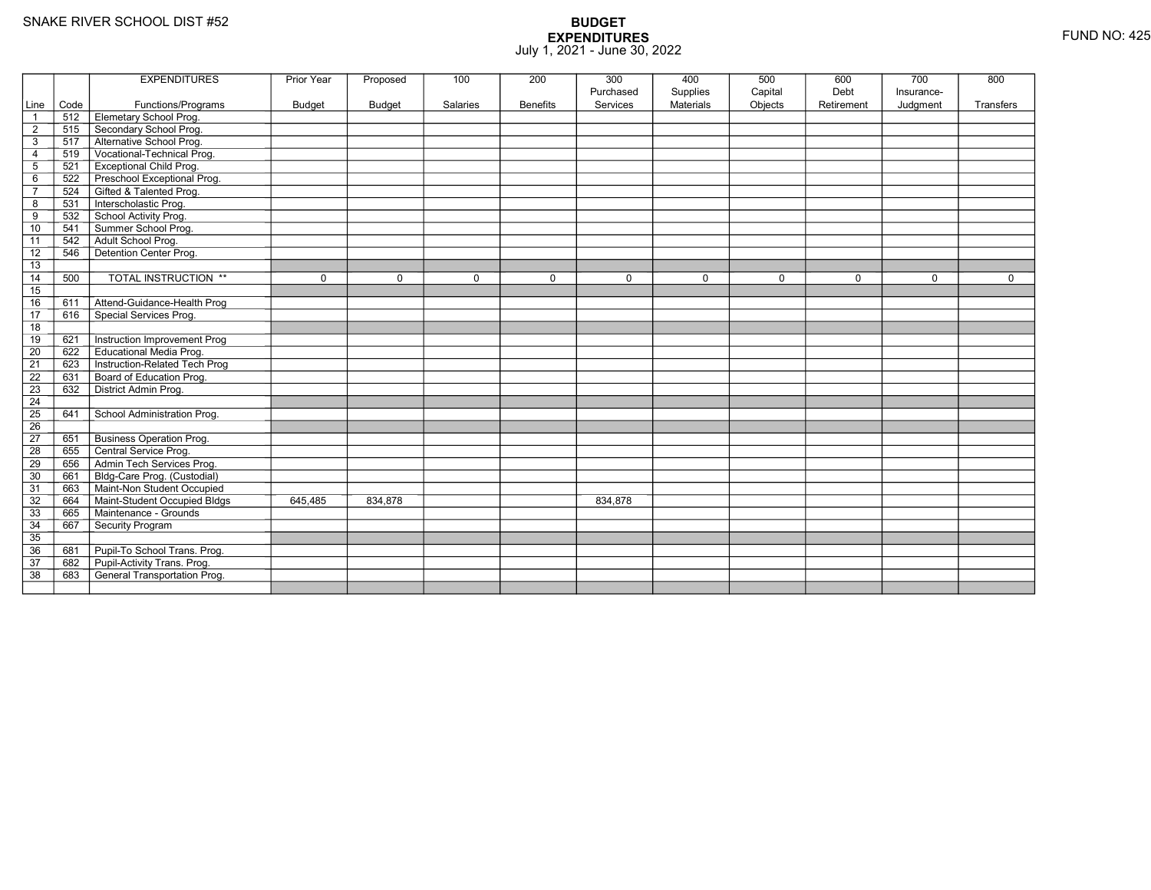|                 |      | <b>EXPENDITURES</b>             | <b>Prior Year</b> | Proposed      | 100      | 200             | 300       | 400              | 500         | 600         | 700         | 800         |
|-----------------|------|---------------------------------|-------------------|---------------|----------|-----------------|-----------|------------------|-------------|-------------|-------------|-------------|
|                 |      |                                 |                   |               |          |                 | Purchased | Supplies         | Capital     | Debt        | Insurance-  |             |
| Line            | Code | Functions/Programs              | <b>Budget</b>     | <b>Budget</b> | Salaries | <b>Benefits</b> | Services  | <b>Materials</b> | Objects     | Retirement  | Judgment    | Transfers   |
|                 | 512  | Elemetary School Prog.          |                   |               |          |                 |           |                  |             |             |             |             |
| $\overline{2}$  | 515  | Secondary School Prog.          |                   |               |          |                 |           |                  |             |             |             |             |
| 3               | 517  | Alternative School Prog.        |                   |               |          |                 |           |                  |             |             |             |             |
| 4               | 519  | Vocational-Technical Prog.      |                   |               |          |                 |           |                  |             |             |             |             |
| 5               | 521  | <b>Exceptional Child Prog.</b>  |                   |               |          |                 |           |                  |             |             |             |             |
| 6               | 522  | Preschool Exceptional Prog.     |                   |               |          |                 |           |                  |             |             |             |             |
| $\overline{7}$  | 524  | Gifted & Talented Prog.         |                   |               |          |                 |           |                  |             |             |             |             |
| 8               | 531  | Interscholastic Prog.           |                   |               |          |                 |           |                  |             |             |             |             |
| 9               | 532  | School Activity Prog.           |                   |               |          |                 |           |                  |             |             |             |             |
| 10              | 541  | Summer School Prog.             |                   |               |          |                 |           |                  |             |             |             |             |
| 11              | 542  | Adult School Prog.              |                   |               |          |                 |           |                  |             |             |             |             |
| 12              | 546  | Detention Center Prog.          |                   |               |          |                 |           |                  |             |             |             |             |
| 13              |      |                                 |                   |               |          |                 |           |                  |             |             |             |             |
| 14              | 500  | TOTAL INSTRUCTION **            | 0                 | $\Omega$      | 0        | $\mathbf 0$     | 0         | $\mathbf 0$      | $\mathbf 0$ | $\mathbf 0$ | $\mathbf 0$ | $\mathbf 0$ |
| 15              |      |                                 |                   |               |          |                 |           |                  |             |             |             |             |
| 16              | 611  | Attend-Guidance-Health Prog     |                   |               |          |                 |           |                  |             |             |             |             |
| $\overline{17}$ | 616  | Special Services Prog.          |                   |               |          |                 |           |                  |             |             |             |             |
| 18              |      |                                 |                   |               |          |                 |           |                  |             |             |             |             |
| 19              | 621  | Instruction Improvement Prog    |                   |               |          |                 |           |                  |             |             |             |             |
| $\overline{20}$ | 622  | <b>Educational Media Prog.</b>  |                   |               |          |                 |           |                  |             |             |             |             |
| 21              | 623  | Instruction-Related Tech Prog   |                   |               |          |                 |           |                  |             |             |             |             |
| $\overline{22}$ | 631  | Board of Education Prog.        |                   |               |          |                 |           |                  |             |             |             |             |
| 23              | 632  | District Admin Prog.            |                   |               |          |                 |           |                  |             |             |             |             |
| 24              |      |                                 |                   |               |          |                 |           |                  |             |             |             |             |
| $\overline{25}$ | 641  | School Administration Prog.     |                   |               |          |                 |           |                  |             |             |             |             |
| 26              |      |                                 |                   |               |          |                 |           |                  |             |             |             |             |
| $\overline{27}$ | 651  | <b>Business Operation Prog.</b> |                   |               |          |                 |           |                  |             |             |             |             |
| 28              | 655  | Central Service Prog.           |                   |               |          |                 |           |                  |             |             |             |             |
| 29              | 656  | Admin Tech Services Prog.       |                   |               |          |                 |           |                  |             |             |             |             |
| 30              | 661  | Bldg-Care Prog. (Custodial)     |                   |               |          |                 |           |                  |             |             |             |             |
| 31              | 663  | Maint-Non Student Occupied      |                   |               |          |                 |           |                  |             |             |             |             |
| 32              | 664  | Maint-Student Occupied Bldgs    | 645,485           | 834,878       |          |                 | 834,878   |                  |             |             |             |             |
| 33              | 665  | Maintenance - Grounds           |                   |               |          |                 |           |                  |             |             |             |             |
| 34              | 667  | Security Program                |                   |               |          |                 |           |                  |             |             |             |             |
| 35              |      |                                 |                   |               |          |                 |           |                  |             |             |             |             |
| 36              | 681  | Pupil-To School Trans. Prog.    |                   |               |          |                 |           |                  |             |             |             |             |
| 37              | 682  | Pupil-Activity Trans. Prog.     |                   |               |          |                 |           |                  |             |             |             |             |
| $\overline{38}$ | 683  | General Transportation Prog.    |                   |               |          |                 |           |                  |             |             |             |             |
|                 |      |                                 |                   |               |          |                 |           |                  |             |             |             |             |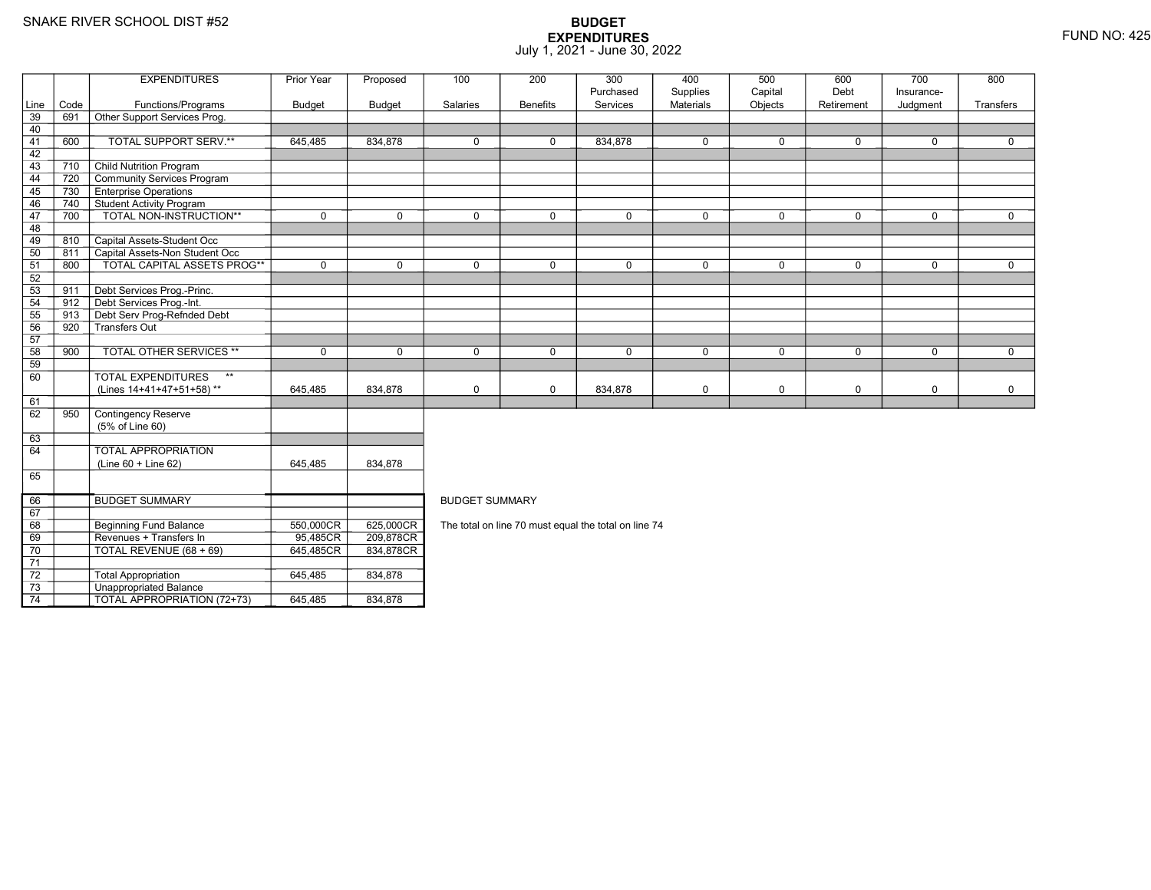69

70

71 72

73

74

Revenues + Transfers In 95,485CR

TOTAL REVENUE (68 + 69) 645,485CR

3 **Unappropriated Balance** 

2 Total Appropriation 1645,485 834,878

TOTAL APPROPRIATION (72+73) 645,485 834,878

R\_| 209,878CR<br>DT 201.0700D

R 834,878CR

|        |      | <b>EXPENDITURES</b>                                                                                                                                                                                                                                                                                                                                                                  | Prior Year     | Proposed    | 100                                                  | 200             | 300         | 400         | 500          | 600         | 700         | 800          |  |
|--------|------|--------------------------------------------------------------------------------------------------------------------------------------------------------------------------------------------------------------------------------------------------------------------------------------------------------------------------------------------------------------------------------------|----------------|-------------|------------------------------------------------------|-----------------|-------------|-------------|--------------|-------------|-------------|--------------|--|
|        |      |                                                                                                                                                                                                                                                                                                                                                                                      |                |             |                                                      |                 | Purchased   | Supplies    | Capital      | Debt        | Insurance-  |              |  |
| Line   | Code | Functions/Programs                                                                                                                                                                                                                                                                                                                                                                   | Budget         | Budget      | Salaries                                             | <b>Benefits</b> | Services    | Materials   | Objects      | Retirement  | Judgment    | Transfers    |  |
| 39     | 691  | Other Support Services Prog.                                                                                                                                                                                                                                                                                                                                                         |                |             |                                                      |                 |             |             |              |             |             |              |  |
| 40     |      |                                                                                                                                                                                                                                                                                                                                                                                      |                |             |                                                      |                 |             |             |              |             |             |              |  |
| 41     | 600  | TOTAL SUPPORT SERV.**                                                                                                                                                                                                                                                                                                                                                                | 645,485        | 834,878     | $\mathbf 0$                                          | 0               | 834,878     | $\mathbf 0$ | $\mathbf{0}$ | 0           | $\mathbf 0$ | 0            |  |
| 42     |      |                                                                                                                                                                                                                                                                                                                                                                                      |                |             |                                                      |                 |             |             |              |             |             |              |  |
| 43     | 710  | <b>Child Nutrition Program</b>                                                                                                                                                                                                                                                                                                                                                       |                |             |                                                      |                 |             |             |              |             |             |              |  |
| 44     | 720  | Community Services Program                                                                                                                                                                                                                                                                                                                                                           |                |             |                                                      |                 |             |             |              |             |             |              |  |
| 45     | 730  | <b>Enterprise Operations</b>                                                                                                                                                                                                                                                                                                                                                         |                |             |                                                      |                 |             |             |              |             |             |              |  |
| 46     | 740  | <b>Student Activity Program</b>                                                                                                                                                                                                                                                                                                                                                      |                |             |                                                      |                 |             |             |              |             |             |              |  |
| 47     | 700  | TOTAL NON-INSTRUCTION**                                                                                                                                                                                                                                                                                                                                                              | $\mathbf 0$    | $\Omega$    | $\Omega$                                             | 0               | $\mathbf 0$ | 0           | $\mathbf 0$  | 0           | $\mathbf 0$ | $\mathbf 0$  |  |
| 48     |      |                                                                                                                                                                                                                                                                                                                                                                                      |                |             |                                                      |                 |             |             |              |             |             |              |  |
| 49     | 810  | Capital Assets-Student Occ                                                                                                                                                                                                                                                                                                                                                           |                |             |                                                      |                 |             |             |              |             |             |              |  |
| 50     | 811  | Capital Assets-Non Student Occ                                                                                                                                                                                                                                                                                                                                                       |                |             |                                                      |                 |             |             |              |             |             |              |  |
| 51     | 800  | <b>TOTAL CAPITAL ASSETS PROG**</b>                                                                                                                                                                                                                                                                                                                                                   | $\Omega$       | $\Omega$    | $\Omega$                                             | $\Omega$        | $\Omega$    | 0           | $\Omega$     | $\Omega$    | $\Omega$    | $\Omega$     |  |
| 52     |      |                                                                                                                                                                                                                                                                                                                                                                                      |                |             |                                                      |                 |             |             |              |             |             |              |  |
| 53     | 911  | Debt Services Prog.-Princ.                                                                                                                                                                                                                                                                                                                                                           |                |             |                                                      |                 |             |             |              |             |             |              |  |
| 54     | 912  | Debt Services Prog.-Int.                                                                                                                                                                                                                                                                                                                                                             |                |             |                                                      |                 |             |             |              |             |             |              |  |
| 55     | 913  | Debt Serv Prog-Refnded Debt                                                                                                                                                                                                                                                                                                                                                          |                |             |                                                      |                 |             |             |              |             |             |              |  |
| 56     | 920  | Transfers Out                                                                                                                                                                                                                                                                                                                                                                        |                |             |                                                      |                 |             |             |              |             |             |              |  |
| 57     |      |                                                                                                                                                                                                                                                                                                                                                                                      |                |             |                                                      |                 |             |             |              |             |             |              |  |
| 58     | 900  | <b>TOTAL OTHER SERVICES **</b>                                                                                                                                                                                                                                                                                                                                                       | $\mathbf 0$    | $\mathbf 0$ | $\mathbf 0$                                          | 0               | $\mathbf 0$ | $\mathbf 0$ | $\mathbf 0$  | $\mathbf 0$ | $\mathbf 0$ | $\mathbf{0}$ |  |
| 59     |      |                                                                                                                                                                                                                                                                                                                                                                                      |                |             |                                                      |                 |             |             |              |             |             |              |  |
| 60     |      | <b>TOTAL EXPENDITURES</b><br>$\star\star$                                                                                                                                                                                                                                                                                                                                            |                |             |                                                      |                 |             |             |              |             |             |              |  |
|        |      | (Lines 14+41+47+51+58)**                                                                                                                                                                                                                                                                                                                                                             | 645,485        | 834,878     | $\mathbf 0$                                          | 0               | 834,878     | 0           | $\mathbf 0$  | 0           | $\mathbf 0$ | 0            |  |
| 61     |      |                                                                                                                                                                                                                                                                                                                                                                                      |                |             |                                                      |                 |             |             |              |             |             |              |  |
| 62     | 950  | Contingency Reserve                                                                                                                                                                                                                                                                                                                                                                  |                |             |                                                      |                 |             |             |              |             |             |              |  |
|        |      | (5% of Line 60)                                                                                                                                                                                                                                                                                                                                                                      |                |             |                                                      |                 |             |             |              |             |             |              |  |
| 63     |      |                                                                                                                                                                                                                                                                                                                                                                                      |                |             |                                                      |                 |             |             |              |             |             |              |  |
| 64     |      | <b>TOTAL APPROPRIATION</b>                                                                                                                                                                                                                                                                                                                                                           |                |             |                                                      |                 |             |             |              |             |             |              |  |
|        |      | (Line 60 + Line 62)                                                                                                                                                                                                                                                                                                                                                                  | 645,485        | 834,878     |                                                      |                 |             |             |              |             |             |              |  |
| 65     |      |                                                                                                                                                                                                                                                                                                                                                                                      |                |             |                                                      |                 |             |             |              |             |             |              |  |
| 66     |      | <b>BUDGET SUMMARY</b>                                                                                                                                                                                                                                                                                                                                                                |                |             | <b>BUDGET SUMMARY</b>                                |                 |             |             |              |             |             |              |  |
| 67     |      |                                                                                                                                                                                                                                                                                                                                                                                      |                |             |                                                      |                 |             |             |              |             |             |              |  |
| 68     |      | <b>Beginning Fund Balance</b>                                                                                                                                                                                                                                                                                                                                                        | 550,000CR      | 625,000CR   |                                                      |                 |             |             |              |             |             |              |  |
| $\sim$ |      | $\overline{a}$ $\overline{a}$ $\overline{a}$ $\overline{a}$ $\overline{a}$ $\overline{a}$ $\overline{a}$ $\overline{a}$ $\overline{a}$ $\overline{a}$ $\overline{a}$ $\overline{a}$ $\overline{a}$ $\overline{a}$ $\overline{a}$ $\overline{a}$ $\overline{a}$ $\overline{a}$ $\overline{a}$ $\overline{a}$ $\overline{a}$ $\overline{a}$ $\overline{a}$ $\overline{a}$ $\overline{$ | 0 <sub>0</sub> | 000.07000   | The total on line 70 must equal the total on line 74 |                 |             |             |              |             |             |              |  |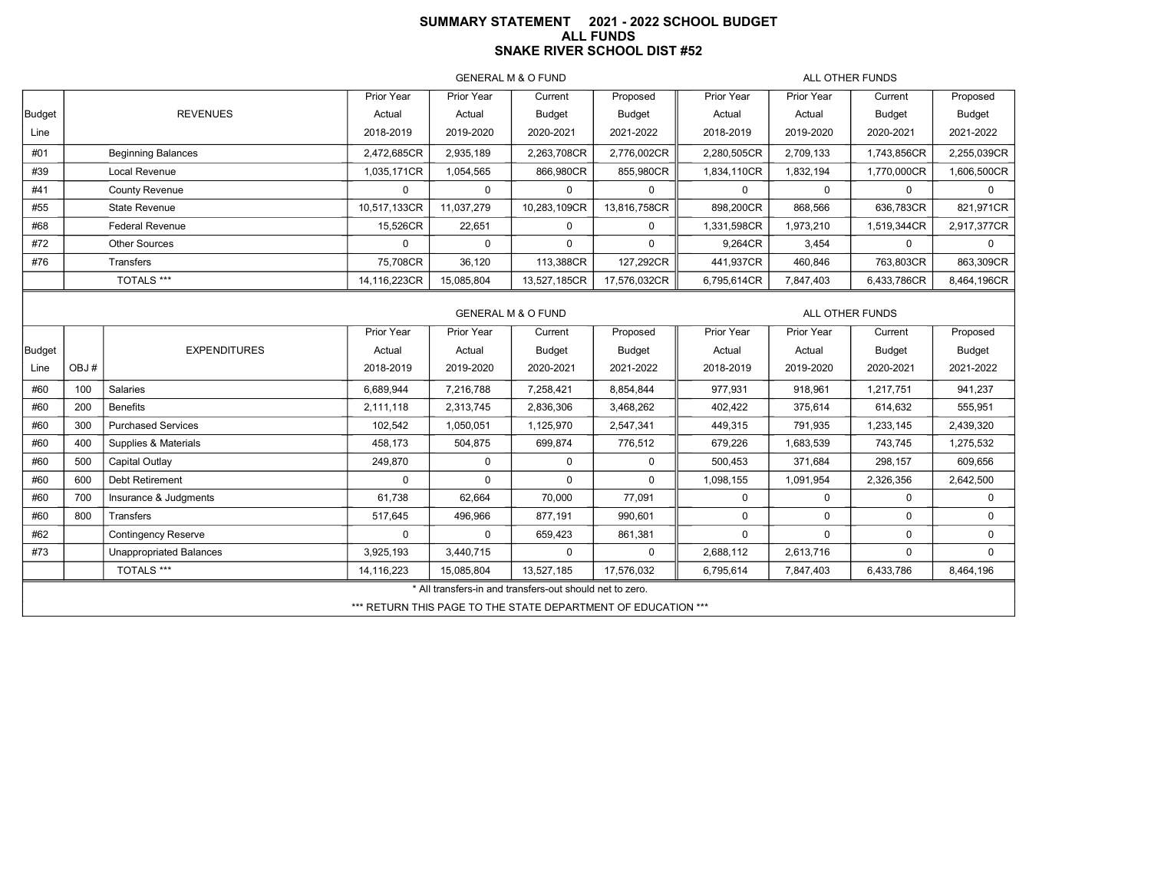#### **SUMMARY STATEMENT 2021 - 2022 SCHOOL BUDGETALL FUNDSSNAKE RIVER SCHOOL DIST #52**

GENERAL M & O FUND

ALL OTHER FUNDS

|        |                           | Prior Year   | Prior Year | Current                       | Proposed     | Prior Year  | Prior Year      | Current     | Proposed      |
|--------|---------------------------|--------------|------------|-------------------------------|--------------|-------------|-----------------|-------------|---------------|
| Budget | <b>REVENUES</b>           | Actual       | Actual     | Budget                        | Budget       | Actual      | Actual          | Budget      | <b>Budget</b> |
| Line   |                           | 2018-2019    | 2019-2020  | 2020-2021                     | 2021-2022    | 2018-2019   | 2019-2020       | 2020-2021   | 2021-2022     |
| #01    | <b>Beginning Balances</b> | 2,472,685CR  | 2,935,189  | 2,263,708CR                   | 2.776.002CR  | 2,280,505CR | 2,709,133       | 1,743,856CR | 2.255.039CR   |
| #39    | Local Revenue             | 1,035,171CR  | 1,054,565  | 866,980CR                     | 855,980CR    | 1,834,110CR | 1,832,194       | 1,770,000CR | 1,606,500CR   |
| #41    | <b>County Revenue</b>     |              | 0          | 0                             |              |             | <sup>0</sup>    | $\Omega$    | <sup>0</sup>  |
| #55    | State Revenue             | 10,517,133CR | 11.037.279 | 10,283,109CR                  | 13,816,758CR | 898,200CR   | 868,566         | 636.783CR   | 821.971CR     |
| #68    | <b>Federal Revenue</b>    | 15,526CR     | 22,651     | $\Omega$                      | $\Omega$     | 1,331,598CR | 1,973,210       | 1,519,344CR | 2,917,377CR   |
| #72    | Other Sources             | $\Omega$     | 0          | $\Omega$                      | $\Omega$     | 9.264CR     | 3.454           | $\Omega$    | <sup>0</sup>  |
| #76    | Transfers                 | 75.708CR     | 36,120     | 113.388CR                     | 127.292CR    | 441.937CR   | 460.846         | 763,803CR   | 863.309CR     |
|        | TOTALS ***                | 14,116,223CR | 15,085,804 | 13,527,185CR                  | 17,576,032CR | 6,795,614CR | 7,847,403       | 6,433,786CR | 8,464,196CR   |
|        |                           |              |            | <b>GENERAL M &amp; O FUND</b> |              |             | ALL OTHER FUNDS |             |               |

|        |      |                            | Prior Year | Prior Year                                               | Current    | Proposed                                                      | Prior Year | Prior Year | Current   | Proposed  |  |  |
|--------|------|----------------------------|------------|----------------------------------------------------------|------------|---------------------------------------------------------------|------------|------------|-----------|-----------|--|--|
| Budget |      | <b>EXPENDITURES</b>        | Actual     | Actual                                                   | Budget     | Budget                                                        | Actual     | Actual     | Budget    | Budget    |  |  |
| Line   | OBJ# |                            | 2018-2019  | 2019-2020                                                | 2020-2021  | 2021-2022                                                     | 2018-2019  | 2019-2020  | 2020-2021 | 2021-2022 |  |  |
| #60    | 100  | Salaries                   | 6,689,944  | 7,216,788                                                | 7,258,421  | 8,854,844                                                     | 977,931    | 918,961    | 1,217,751 | 941,237   |  |  |
| #60    | 200  | <b>Benefits</b>            | 2,111,118  | 2,313,745                                                | 2,836,306  | 3,468,262                                                     | 402,422    | 375,614    | 614,632   | 555,951   |  |  |
| #60    | 300  | <b>Purchased Services</b>  | 102,542    | 1,050,051                                                | 1,125,970  | 2,547,341                                                     | 449,315    | 791,935    | 1,233,145 | 2,439,320 |  |  |
| #60    | 400  | Supplies & Materials       | 458,173    | 504,875                                                  | 699,874    | 776,512                                                       | 679,226    | 1,683,539  | 743,745   | 1,275,532 |  |  |
| #60    | 500  | Capital Outlay             | 249,870    | $\Omega$                                                 | $\Omega$   | 0                                                             | 500,453    | 371,684    | 298,157   | 609,656   |  |  |
| #60    | 600  | <b>Debt Retirement</b>     | $\Omega$   | $\Omega$                                                 | $\Omega$   | $\Omega$                                                      | 1,098,155  | 1,091,954  | 2,326,356 | 2,642,500 |  |  |
| #60    | 700  | Insurance & Judgments      | 61,738     | 62,664                                                   | 70,000     | 77,091                                                        | 0          | $\Omega$   | $\Omega$  | 0         |  |  |
| #60    | 800  | Transfers                  | 517,645    | 496,966                                                  | 877,191    | 990,601                                                       | 0          | $\Omega$   | $\Omega$  | 0         |  |  |
| #62    |      | <b>Contingency Reserve</b> | $\Omega$   | $\Omega$                                                 | 659,423    | 861,381                                                       | 0          | $\Omega$   | $\Omega$  | 0         |  |  |
| #73    |      | Unappropriated Balances    | 3,925,193  | 3,440,715                                                | 0          | $\Omega$                                                      | 2,688,112  | 2,613,716  | $\Omega$  | 0         |  |  |
|        |      | TOTALS ***                 | 14,116,223 | 15,085,804                                               | 13,527,185 | 17,576,032                                                    | 6,795,614  | 7,847,403  | 6,433,786 | 8,464,196 |  |  |
|        |      |                            |            | * All transfers-in and transfers-out should net to zero. |            |                                                               |            |            |           |           |  |  |
|        |      |                            |            |                                                          |            | *** RETURN THIS PAGE TO THE STATE DEPARTMENT OF EDUCATION *** |            |            |           |           |  |  |